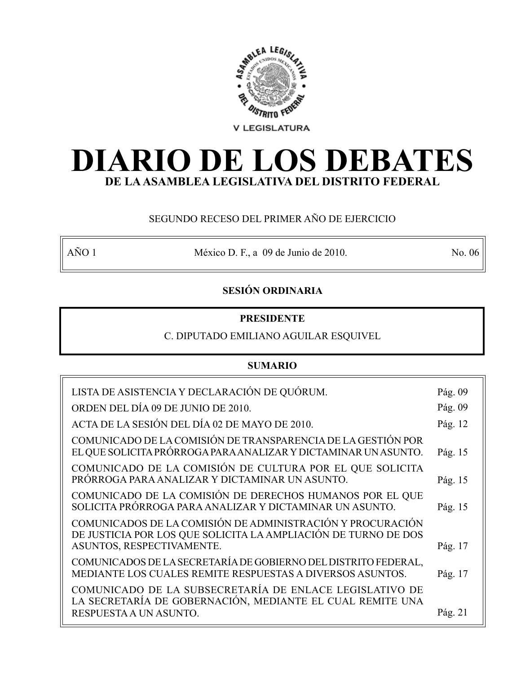

# **DIARIO DE LOS DEBATES DE LA ASAMBLEA LEGISLATIVA DEL DISTRITO FEDERAL**

# SEGUNDO RECESO DEL PRIMER AÑO DE EJERCICIO

AÑO 1 México D. F., a 09 de Junio de 2010. No. 06

# **SESIÓN ORDINARIA**

# **PRESIDENTE**

# C. DIPUTADO EMILIANO AGUILAR ESQUIVEL

# **SUMARIO**

| LISTA DE ASISTENCIA Y DECLARACIÓN DE QUÓRUM.                                                                                                              | Pág. 09 |
|-----------------------------------------------------------------------------------------------------------------------------------------------------------|---------|
| ORDEN DEL DÍA 09 DE JUNIO DE 2010.                                                                                                                        | Pág. 09 |
| ACTA DE LA SESIÓN DEL DÍA 02 DE MAYO DE 2010.                                                                                                             | Pág. 12 |
| COMUNICADO DE LA COMISIÓN DE TRANSPARENCIA DE LA GESTIÓN POR<br>EL QUE SOLICITA PRÓRROGA PARA ANALIZAR Y DICTAMINAR UN ASUNTO.                            | Pág. 15 |
| COMUNICADO DE LA COMISIÓN DE CULTURA POR EL QUE SOLICITA<br>PRÓRROGA PARA ANALIZAR Y DICTAMINAR UN ASUNTO.                                                | Pág. 15 |
| COMUNICADO DE LA COMISIÓN DE DERECHOS HUMANOS POR EL QUE<br>SOLICITA PRÓRROGA PARA ANALIZAR Y DICTAMINAR UN ASUNTO.                                       | Pág. 15 |
| COMUNICADOS DE LA COMISIÓN DE ADMINISTRACIÓN Y PROCURACIÓN<br>DE JUSTICIA POR LOS QUE SOLICITA LA AMPLIACIÓN DE TURNO DE DOS<br>ASUNTOS, RESPECTIVAMENTE. | Pág. 17 |
| COMUNICADOS DE LA SECRETARÍA DE GOBIERNO DEL DISTRITO FEDERAL,<br>MEDIANTE LOS CUALES REMITE RESPUESTAS A DIVERSOS ASUNTOS.                               | Pág. 17 |
| COMUNICADO DE LA SUBSECRETARÍA DE ENLACE LEGISLATIVO DE<br>LA SECRETARÍA DE GOBERNACIÓN, MEDIANTE EL CUAL REMITE UNA                                      |         |
| RESPUESTA A UN ASUNTO.                                                                                                                                    | Pág. 21 |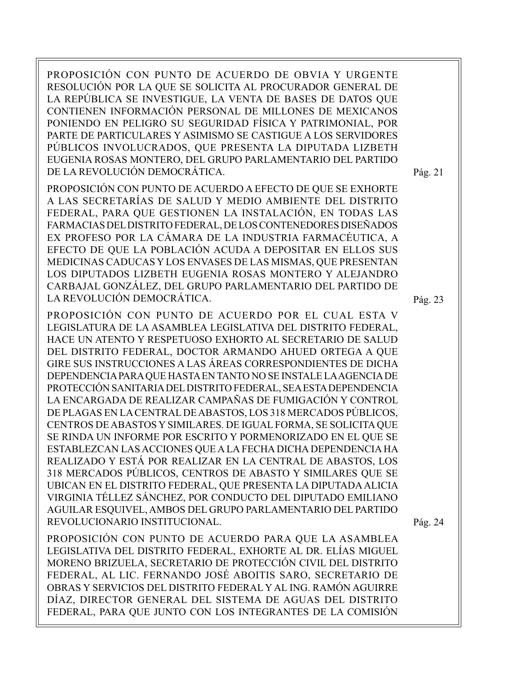PROPOSICIÓN CON PUNTO DE ACUERDO DE OBVIA Y URGENTE RESOLUCIÓN POR LA QUE SE SOLICITA AL PROCURADOR GENERAL DE LA REPÚBLICA SE INVESTIGUE, LA VENTA DE BASES DE DATOS QUE CONTIENEN INFORMACIÓN PERSONAL DE MILLONES DE MEXICANOS PONIENDO EN PELIGRO SU SEGURIDAD FÍSICA Y PATRIMONIAL, POR PARTE DE PARTICULARES Y ASIMISMO SE CASTIGUE A LOS SERVIDORES PÚBLICOS INVOLUCRADOS, QUE PRESENTA LA DIPUTADA LIZBETH EUGENIA ROSAS MONTERO, DEL GRUPO PARLAMENTARIO DEL PARTIDO DE LA REVOLUCIÓN DEMOCRÁTICA.

PROPOSICIÓN CON PUNTO DE ACUERDO A EFECTO DE QUE SE EXHORTE A LAS SECRETARÍAS DE SALUD Y MEDIO AMBIENTE DEL DISTRITO FEDERAL, PARA QUE GESTIONEN LA INSTALACIÓN, EN TODAS LAS FARMACIAS DEL DISTRITO FEDERAL, DE LOS CONTENEDORES DISEÑADOS EX PROFESO POR LA CÁMARA DE LA INDUSTRIA FARMACÉUTICA, A EFECTO DE QUE LA POBLACIÓN ACUDA A DEPOSITAR EN ELLOS SUS MEDICINAS CADUCAS Y LOS ENVASES DE LAS MISMAS, QUE PRESENTAN LOS DIPUTADOS LIZBETH EUGENIA ROSAS MONTERO Y ALEJANDRO CARBAJAL GONZÁLEZ, DEL GRUPO PARLAMENTARIO DEL PARTIDO DE LA REVOLUCIÓN DEMOCRÁTICA.

PROPOSICIÓN CON PUNTO DE ACUERDO POR EL CUAL ESTA V LEGISLATURA DE LA ASAMBLEA LEGISLATIVA DEL DISTRITO FEDERAL, HACE UN ATENTO Y RESPETUOSO EXHORTO AL SECRETARIO DE SALUD DEL DISTRITO FEDERAL, DOCTOR ARMANDO AHUED ORTEGA A QUE GIRE SUS INSTRUCCIONES A LAS ÁREAS CORRESPONDIENTES DE DICHA DEPENDENCIA PARA QUE HASTA EN TANTO NO SE INSTALE LA AGENCIA DE PROTECCIÓN SANITARIA DEL DISTRITO FEDERAL, SEA ESTA DEPENDENCIA LA ENCARGADA DE REALIZAR CAMPAÑAS DE FUMIGACIÓN Y CONTROL DE PLAGAS EN LA CENTRAL DE ABASTOS, LOS 318 MERCADOS PÚBLICOS, CENTROS DE ABASTOS Y SIMILARES. DE IGUAL FORMA, SE SOLICITA QUE SE RINDA UN INFORME POR ESCRITO Y PORMENORIZADO EN EL QUE SE ESTABLEZCAN LAS ACCIONES QUE A LA FECHA DICHA DEPENDENCIA HA REALIZADO Y ESTÁ POR REALIZAR EN LA CENTRAL DE ABASTOS, LOS 318 MERCADOS PÚBLICOS, CENTROS DE ABASTO Y SIMILARES QUE SE UBICAN EN EL DISTRITO FEDERAL, QUE PRESENTA LA DIPUTADA ALICIA VIRGINIA TÉLLEZ SÁNCHEZ, POR CONDUCTO DEL DIPUTADO EMILIANO AGUILAR ESQUIVEL, AMBOS DEL GRUPO PARLAMENTARIO DEL PARTIDO REVOLUCIONARIO INSTITUCIONAL.

PROPOSICIÓN CON PUNTO DE ACUERDO PARA QUE LA ASAMBLEA LEGISLATIVA DEL DISTRITO FEDERAL, EXHORTE AL DR. ELÍAS MIGUEL MORENO BRIZUELA, SECRETARIO DE PROTECCIÓN CIVIL DEL DISTRITO FEDERAL, AL LIC. FERNANDO JOSÉ ABOITIS SARO, SECRETARIO DE OBRAS Y SERVICIOS DEL DISTRITO FEDERAL Y AL ING. RAMÓN AGUIRRE DÍAZ, DIRECTOR GENERAL DEL SISTEMA DE AGUAS DEL DISTRITO FEDERAL, PARA QUE JUNTO CON LOS INTEGRANTES DE LA COMISIÓN

Pág. 21

Pág. 23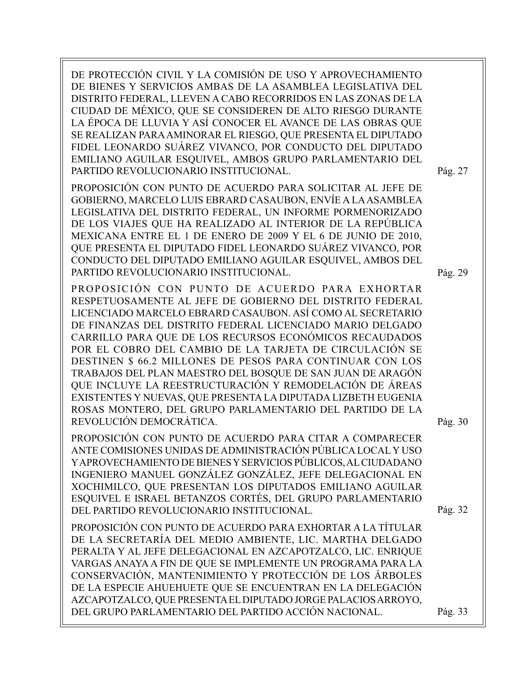DE PROTECCIÓN CIVIL Y LA COMISIÓN DE USO Y APROVECHAMIENTO DE BIENES Y SERVICIOS AMBAS DE LA ASAMBLEA LEGISLATIVA DEL DISTRITO FEDERAL, LLEVEN A CABO RECORRIDOS EN LAS ZONAS DE LA CIUDAD DE MÉXICO, QUE SE CONSIDEREN DE ALTO RIESGO DURANTE LA ÉPOCA DE LLUVIA Y ASÍ CONOCER EL AVANCE DE LAS OBRAS QUE SE REALIZAN PARA AMINORAR EL RIESGO, QUE PRESENTA EL DIPUTADO FIDEL LEONARDO SUÁREZ VIVANCO, POR CONDUCTO DEL DIPUTADO EMILIANO AGUILAR ESQUIVEL, AMBOS GRUPO PARLAMENTARIO DEL PARTIDO REVOLUCIONARIO INSTITUCIONAL.

PROPOSICIÓN CON PUNTO DE ACUERDO PARA SOLICITAR AL JEFE DE GOBIERNO, MARCELO LUIS EBRARD CASAUBON, ENVÍE A LA ASAMBLEA LEGISLATIVA DEL DISTRITO FEDERAL, UN INFORME PORMENORIZADO DE LOS VIAJES QUE HA REALIZADO AL INTERIOR DE LA REPÚBLICA MEXICANA ENTRE EL 1 DE ENERO DE 2009 Y EL 6 DE JUNIO DE 2010, QUE PRESENTA EL DIPUTADO FIDEL LEONARDO SUÁREZ VIVANCO, POR CONDUCTO DEL DIPUTADO EMILIANO AGUILAR ESQUIVEL, AMBOS DEL PARTIDO REVOLUCIONARIO INSTITUCIONAL.

PROPOSICIÓN CON PUNTO DE ACUERDO PARA EXHORTAR RESPETUOSAMENTE AL JEFE DE GOBIERNO DEL DISTRITO FEDERAL LICENCIADO MARCELO EBRARD CASAUBON. ASÍ COMO AL SECRETARIO DE FINANZAS DEL DISTRITO FEDERAL LICENCIADO MARIO DELGADO CARRILLO PARA QUE DE LOS RECURSOS ECONÓMICOS RECAUDADOS POR EL COBRO DEL CAMBIO DE LA TARJETA DE CIRCULACIÓN SE DESTINEN \$ 66.2 MILLONES DE PESOS PARA CONTINUAR CON LOS TRABAJOS DEL PLAN MAESTRO DEL BOSQUE DE SAN JUAN DE ARAGÓN QUE INCLUYE LA REESTRUCTURACIÓN Y REMODELACIÓN DE ÁREAS EXISTENTES Y NUEVAS, QUE PRESENTA LA DIPUTADA LIZBETH EUGENIA ROSAS MONTERO, DEL GRUPO PARLAMENTARIO DEL PARTIDO DE LA REVOLUCIÓN DEMOCRÁTICA.

PROPOSICIÓN CON PUNTO DE ACUERDO PARA CITAR A COMPARECER ANTE COMISIONES UNIDAS DE ADMINISTRACIÓN PÚBLICA LOCAL Y USO Y APROVECHAMIENTO DE BIENES Y SERVICIOS PÚBLICOS, AL CIUDADANO INGENIERO MANUEL GONZÁLEZ GONZÁLEZ, JEFE DELEGACIONAL EN XOCHIMILCO, QUE PRESENTAN LOS DIPUTADOS EMILIANO AGUILAR ESQUIVEL E ISRAEL BETANZOS CORTÉS, DEL GRUPO PARLAMENTARIO DEL PARTIDO REVOLUCIONARIO INSTITUCIONAL.

PROPOSICIÓN CON PUNTO DE ACUERDO PARA EXHORTAR A LA TÍTULAR DE LA SECRETARÍA DEL MEDIO AMBIENTE, LIC. MARTHA DELGADO PERALTA Y AL JEFE DELEGACIONAL EN AZCAPOTZALCO, LIC. ENRIQUE VARGAS ANAYA A FIN DE QUE SE IMPLEMENTE UN PROGRAMA PARA LA CONSERVACIÓN, MANTENIMIENTO Y PROTECCIÓN DE LOS ÁRBOLES DE LA ESPECIE AHUEHUETE QUE SE ENCUENTRAN EN LA DELEGACIÓN AZCAPOTZALCO, QUE PRESENTA EL DIPUTADO JORGE PALACIOS ARROYO, DEL GRUPO PARLAMENTARIO DEL PARTIDO ACCIÓN NACIONAL.

Pág. 29

Pág. 27

Pág. 30

Pág. 32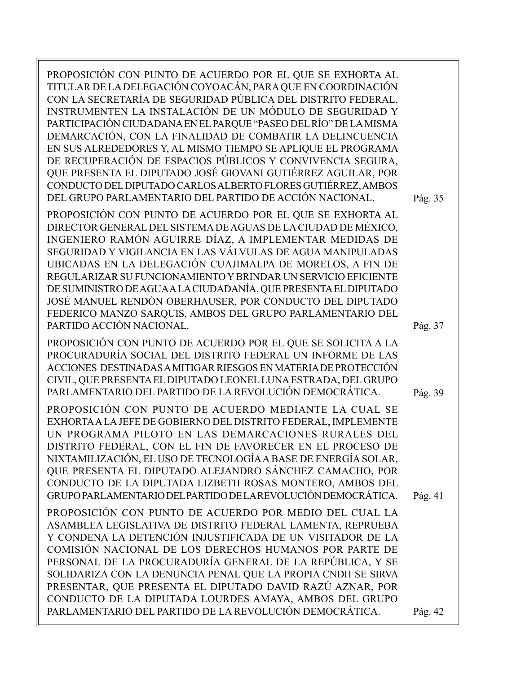PROPOSICIÓN CON PUNTO DE ACUERDO POR EL QUE SE EXHORTA AL TITULAR DE LA DELEGACIÓN COYOACÁN, PARA QUE EN COORDINACIÓN CON LA SECRETARÍA DE SEGURIDAD PÚBLICA DEL DISTRITO FEDERAL, INSTRUMENTEN LA INSTALACIÓN DE UN MÓDULO DE SEGURIDAD Y PARTICIPACIÓN CIUDADANA EN EL PARQUE "PASEO DEL RÍO" DE LA MISMA DEMARCACIÓN, CON LA FINALIDAD DE COMBATIR LA DELINCUENCIA EN SUS ALREDEDORES Y, AL MISMO TIEMPO SE APLIQUE EL PROGRAMA DE RECUPERACIÓN DE ESPACIOS PÚBLICOS Y CONVIVENCIA SEGURA, QUE PRESENTA EL DIPUTADO JOSÉ GIOVANI GUTIÉRREZ AGUILAR, POR CONDUCTO DEL DIPUTADO CARLOS ALBERTO FLORES GUTIÉRREZ, AMBOS DEL GRUPO PARLAMENTARIO DEL PARTIDO DE ACCIÓN NACIONAL. PROPOSICIÓN CON PUNTO DE ACUERDO POR EL QUE SE EXHORTA AL DIRECTOR GENERAL DEL SISTEMA DE AGUAS DE LA CIUDAD DE MÉXICO, INGENIERO RAMÓN AGUIRRE DÍAZ, A IMPLEMENTAR MEDIDAS DE SEGURIDAD Y VIGILANCIA EN LAS VÁLVULAS DE AGUA MANIPULADAS UBICADAS EN LA DELEGACIÓN CUAJIMALPA DE MORELOS, A FIN DE REGULARIZAR SU FUNCIONAMIENTO Y BRINDAR UN SERVICIO EFICIENTE DE SUMINISTRO DE AGUA A LA CIUDADANÍA, QUE PRESENTA EL DIPUTADO JOSÉ MANUEL RENDÓN OBERHAUSER, POR CONDUCTO DEL DIPUTADO FEDERICO MANZO SARQUIS, AMBOS DEL GRUPO PARLAMENTARIO DEL PARTIDO ACCIÓN NACIONAL. PROPOSICIÓN CON PUNTO DE ACUERDO POR EL QUE SE SOLICITA A LA PROCURADURÍA SOCIAL DEL DISTRITO FEDERAL UN INFORME DE LAS ACCIONES DESTINADAS A MITIGAR RIESGOS EN MATERIA DE PROTECCIÓN CIVIL, QUE PRESENTA EL DIPUTADO LEONEL LUNA ESTRADA, DEL GRUPO PARLAMENTARIO DEL PARTIDO DE LA REVOLUCIÓN DEMOCRÁTICA. PROPOSICIÓN CON PUNTO DE ACUERDO MEDIANTE LA CUAL SE EXHORTA A LA JEFE DE GOBIERNO DEL DISTRITO FEDERAL, IMPLEMENTE UN PROGRAMA PILOTO EN LAS DEMARCACIONES RURALES DEL DISTRITO FEDERAL, CON EL FIN DE FAVORECER EN EL PROCESO DE NIXTAMILIZACIÓN, EL USO DE TECNOLOGÍA A BASE DE ENERGÍA SOLAR, QUE PRESENTA EL DIPUTADO ALEJANDRO SÁNCHEZ CAMACHO, POR CONDUCTO DE LA DIPUTADA LIZBETH ROSAS MONTERO, AMBOS DEL GRUPO PARLAMENTARIO DEL PARTIDO DE LA REVOLUCIÓN DEMOCRÁTICA. PROPOSICIÓN CON PUNTO DE ACUERDO POR MEDIO DEL CUAL LA ASAMBLEA LEGISLATIVA DE DISTRITO FEDERAL LAMENTA, REPRUEBA Y CONDENA LA DETENCIÓN INJUSTIFICADA DE UN VISITADOR DE LA COMISIÓN NACIONAL DE LOS DERECHOS HUMANOS POR PARTE DE PERSONAL DE LA PROCURADURÍA GENERAL DE LA REPÚBLICA, Y SE SOLIDARIZA CON LA DENUNCIA PENAL QUE LA PROPIA CNDH SE SIRVA PRESENTAR, QUE PRESENTA EL DIPUTADO DAVID RAZÚ AZNAR, POR Pág. 35 Pág. 37 Pág. 39 Pág. 41

CONDUCTO DE LA DIPUTADA LOURDES AMAYA, AMBOS DEL GRUPO PARLAMENTARIO DEL PARTIDO DE LA REVOLUCIÓN DEMOCRÁTICA.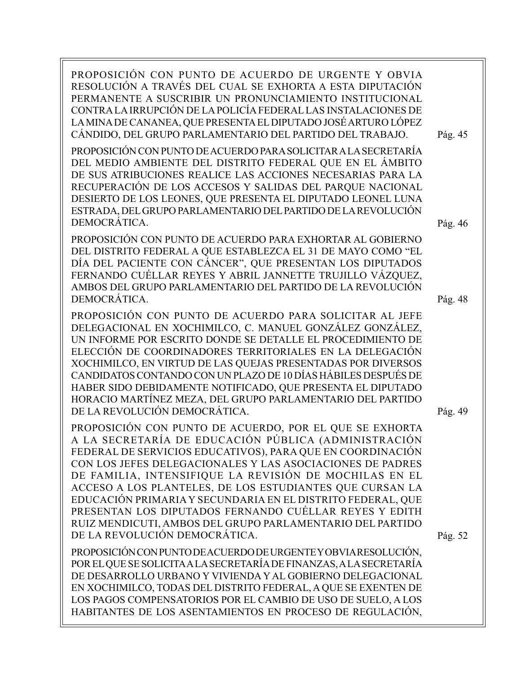PROPOSICIÓN CON PUNTO DE ACUERDO DE URGENTE Y OBVIA RESOLUCIÓN A TRAVÉS DEL CUAL SE EXHORTA A ESTA DIPUTACIÓN PERMANENTE A SUSCRIBIR UN PRONUNCIAMIENTO INSTITUCIONAL CONTRA LA IRRUPCIÓN DE LA POLICÍA FEDERAL LAS INSTALACIONES DE LA MINA DE CANANEA, QUE PRESENTA EL DIPUTADO JOSÉ ARTURO LÓPEZ CÁNDIDO, DEL GRUPO PARLAMENTARIO DEL PARTIDO DEL TRABAJO. PROPOSICIÓN CON PUNTO DE ACUERDO PARA SOLICITAR A LA SECRETARÍA DEL MEDIO AMBIENTE DEL DISTRITO FEDERAL QUE EN EL ÁMBITO DE SUS ATRIBUCIONES REALICE LAS ACCIONES NECESARIAS PARA LA RECUPERACIÓN DE LOS ACCESOS Y SALIDAS DEL PARQUE NACIONAL DESIERTO DE LOS LEONES, QUE PRESENTA EL DIPUTADO LEONEL LUNA ESTRADA, DEL GRUPO PARLAMENTARIO DEL PARTIDO DE LA REVOLUCIÓN DEMOCRÁTICA. PROPOSICIÓN CON PUNTO DE ACUERDO PARA EXHORTAR AL GOBIERNO DEL DISTRITO FEDERAL A QUE ESTABLEZCA EL 31 DE MAYO COMO "EL DÍA DEL PACIENTE CON CÁNCER", QUE PRESENTAN LOS DIPUTADOS FERNANDO CUÉLLAR REYES Y ABRIL JANNETTE TRUJILLO VÁZQUEZ, AMBOS DEL GRUPO PARLAMENTARIO DEL PARTIDO DE LA REVOLUCIÓN DEMOCRÁTICA. PROPOSICIÓN CON PUNTO DE ACUERDO PARA SOLICITAR AL JEFE DELEGACIONAL EN XOCHIMILCO, C. MANUEL GONZÁLEZ GONZÁLEZ, UN INFORME POR ESCRITO DONDE SE DETALLE EL PROCEDIMIENTO DE ELECCIÓN DE COORDINADORES TERRITORIALES EN LA DELEGACIÓN XOCHIMILCO, EN VIRTUD DE LAS QUEJAS PRESENTADAS POR DIVERSOS CANDIDATOS CONTANDO CON UN PLAZO DE 10 DÍAS HÁBILES DESPUÉS DE HABER SIDO DEBIDAMENTE NOTIFICADO, QUE PRESENTA EL DIPUTADO HORACIO MARTÍNEZ MEZA, DEL GRUPO PARLAMENTARIO DEL PARTIDO DE LA REVOLUCIÓN DEMOCRÁTICA. PROPOSICIÓN CON PUNTO DE ACUERDO, POR EL QUE SE EXHORTA A LA SECRETARÍA DE EDUCACIÓN PÚBLICA (ADMINISTRACIÓN FEDERAL DE SERVICIOS EDUCATIVOS), PARA QUE EN COORDINACIÓN CON LOS JEFES DELEGACIONALES Y LAS ASOCIACIONES DE PADRES DE FAMILIA, INTENSIFIQUE LA REVISIÓN DE MOCHILAS EN EL ACCESO A LOS PLANTELES, DE LOS ESTUDIANTES QUE CURSAN LA EDUCACIÓN PRIMARIA Y SECUNDARIA EN EL DISTRITO FEDERAL, QUE PRESENTAN LOS DIPUTADOS FERNANDO CUÉLLAR REYES Y EDITH RUIZ MENDICUTI, AMBOS DEL GRUPO PARLAMENTARIO DEL PARTIDO DE LA REVOLUCIÓN DEMOCRÁTICA. PROPOSICIÓN CON PUNTO DE ACUERDO DE URGENTE Y OBVIA RESOLUCIÓN, POR EL QUE SE SOLICITA A LA SECRETARÍA DE FINANZAS, A LA SECRETARÍA DE DESARROLLO URBANO Y VIVIENDA Y AL GOBIERNO DELEGACIONAL EN XOCHIMILCO, TODAS DEL DISTRITO FEDERAL, A QUE SE EXENTEN DE LOS PAGOS COMPENSATORIOS POR EL CAMBIO DE USO DE SUELO, A LOS HABITANTES DE LOS ASENTAMIENTOS EN PROCESO DE REGULACIÓN, Pág. 46 Pág. 48 Pág. 52 Pág. 49 Pág. 45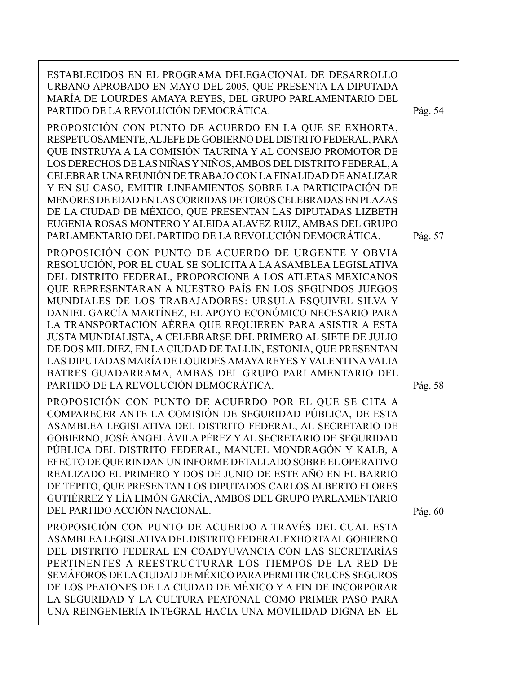ESTABLECIDOS EN EL PROGRAMA DELEGACIONAL DE DESARROLLO URBANO APROBADO EN MAYO DEL 2005, QUE PRESENTA LA DIPUTADA MARÍA DE LOURDES AMAYA REYES, DEL GRUPO PARLAMENTARIO DEL PARTIDO DE LA REVOLUCIÓN DEMOCRÁTICA.

PROPOSICIÓN CON PUNTO DE ACUERDO EN LA QUE SE EXHORTA, RESPETUOSAMENTE, AL JEFE DE GOBIERNO DEL DISTRITO FEDERAL, PARA QUE INSTRUYA A LA COMISIÓN TAURINA Y AL CONSEJO PROMOTOR DE LOS DERECHOS DE LAS NIÑAS Y NIÑOS, AMBOS DEL DISTRITO FEDERAL, A CELEBRAR UNA REUNIÓN DE TRABAJO CON LA FINALIDAD DE ANALIZAR Y EN SU CASO, EMITIR LINEAMIENTOS SOBRE LA PARTICIPACIÓN DE MENORES DE EDAD EN LAS CORRIDAS DE TOROS CELEBRADAS EN PLAZAS DE LA CIUDAD DE MÉXICO, QUE PRESENTAN LAS DIPUTADAS LIZBETH EUGENIA ROSAS MONTERO Y ALEIDA ALAVEZ RUIZ, AMBAS DEL GRUPO PARLAMENTARIO DEL PARTIDO DE LA REVOLUCIÓN DEMOCRÁTICA.

PROPOSICIÓN CON PUNTO DE ACUERDO DE URGENTE Y OBVIA RESOLUCIÓN, POR EL CUAL SE SOLICITA A LA ASAMBLEA LEGISLATIVA DEL DISTRITO FEDERAL, PROPORCIONE A LOS ATLETAS MEXICANOS QUE REPRESENTARAN A NUESTRO PAÍS EN LOS SEGUNDOS JUEGOS MUNDIALES DE LOS TRABAJADORES: URSULA ESQUIVEL SILVA Y DANIEL GARCÍA MARTÍNEZ, EL APOYO ECONÓMICO NECESARIO PARA LA TRANSPORTACIÓN AÉREA QUE REQUIEREN PARA ASISTIR A ESTA JUSTA MUNDIALISTA, A CELEBRARSE DEL PRIMERO AL SIETE DE JULIO DE DOS MIL DIEZ, EN LA CIUDAD DE TALLIN, ESTONIA, QUE PRESENTAN LAS DIPUTADAS MARÍA DE LOURDES AMAYA REYES Y VALENTINA VALIA BATRES GUADARRAMA, AMBAS DEL GRUPO PARLAMENTARIO DEL PARTIDO DE LA REVOLUCIÓN DEMOCRÁTICA.

PROPOSICIÓN CON PUNTO DE ACUERDO POR EL QUE SE CITA A COMPARECER ANTE LA COMISIÓN DE SEGURIDAD PÚBLICA, DE ESTA ASAMBLEA LEGISLATIVA DEL DISTRITO FEDERAL, AL SECRETARIO DE GOBIERNO, JOSÉ ÁNGEL ÁVILA PÉREZ Y AL SECRETARIO DE SEGURIDAD PÚBLICA DEL DISTRITO FEDERAL, MANUEL MONDRAGÓN Y KALB, A EFECTO DE QUE RINDAN UN INFORME DETALLADO SOBRE EL OPERATIVO REALIZADO EL PRIMERO Y DOS DE JUNIO DE ESTE AÑO EN EL BARRIO DE TEPITO, QUE PRESENTAN LOS DIPUTADOS CARLOS ALBERTO FLORES GUTIÉRREZ Y LÍA LIMÓN GARCÍA, AMBOS DEL GRUPO PARLAMENTARIO DEL PARTIDO ACCIÓN NACIONAL.

PROPOSICIÓN CON PUNTO DE ACUERDO A TRAVÉS DEL CUAL ESTA ASAMBLEA LEGISLATIVA DEL DISTRITO FEDERAL EXHORTA AL GOBIERNO DEL DISTRITO FEDERAL EN COADYUVANCIA CON LAS SECRETARÍAS PERTINENTES A REESTRUCTURAR LOS TIEMPOS DE LA RED DE SEMÁFOROS DE LA CIUDAD DE MÉXICO PARA PERMITIR CRUCES SEGUROS DE LOS PEATONES DE LA CIUDAD DE MÉXICO Y A FIN DE INCORPORAR LA SEGURIDAD Y LA CULTURA PEATONAL COMO PRIMER PASO PARA UNA REINGENIERÍA INTEGRAL HACIA UNA MOVILIDAD DIGNA EN EL

Pág. 54

Pág. 57

Pág. 58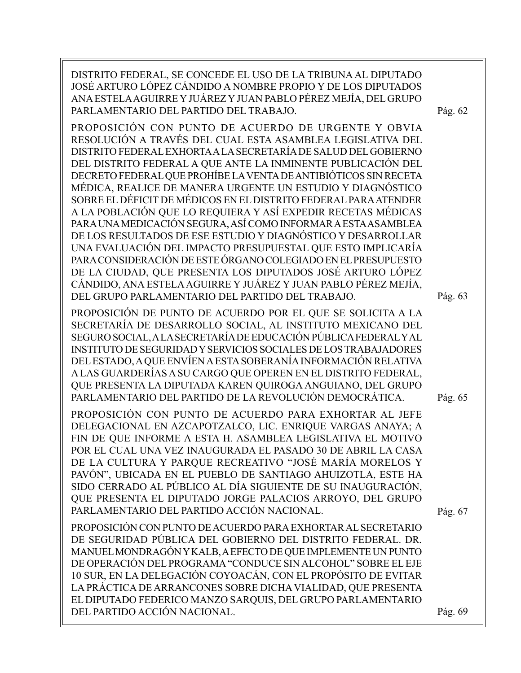DISTRITO FEDERAL, SE CONCEDE EL USO DE LA TRIBUNA AL DIPUTADO JOSÉ ARTURO LÓPEZ CÁNDIDO A NOMBRE PROPIO Y DE LOS DIPUTADOS ANA ESTELA AGUIRRE Y JUÁREZ Y JUAN PABLO PÉREZ MEJÍA, DEL GRUPO PARLAMENTARIO DEL PARTIDO DEL TRABAJO. PROPOSICIÓN CON PUNTO DE ACUERDO DE URGENTE Y OBVIA RESOLUCIÓN A TRAVÉS DEL CUAL ESTA ASAMBLEA LEGISLATIVA DEL DISTRITO FEDERAL EXHORTA A LA SECRETARÍA DE SALUD DEL GOBIERNO DEL DISTRITO FEDERAL A QUE ANTE LA INMINENTE PUBLICACIÓN DEL DECRETO FEDERAL QUE PROHÍBE LA VENTA DE ANTIBIÓTICOS SIN RECETA MÉDICA, REALICE DE MANERA URGENTE UN ESTUDIO Y DIAGNÓSTICO SOBRE EL DÉFICIT DE MÉDICOS EN EL DISTRITO FEDERAL PARA ATENDER A LA POBLACIÓN QUE LO REQUIERA Y ASÍ EXPEDIR RECETAS MÉDICAS PARA UNA MEDICACIÓN SEGURA, ASÍ COMO INFORMAR A ESTA ASAMBLEA DE LOS RESULTADOS DE ESE ESTUDIO Y DIAGNÓSTICO Y DESARROLLAR UNA EVALUACIÓN DEL IMPACTO PRESUPUESTAL QUE ESTO IMPLICARÍA PARA CONSIDERACIÓN DE ESTE ÓRGANO COLEGIADO EN EL PRESUPUESTO DE LA CIUDAD, QUE PRESENTA LOS DIPUTADOS JOSÉ ARTURO LÓPEZ CÁNDIDO, ANA ESTELA AGUIRRE Y JUÁREZ Y JUAN PABLO PÉREZ MEJÍA, DEL GRUPO PARLAMENTARIO DEL PARTIDO DEL TRABAJO. PROPOSICIÓN DE PUNTO DE ACUERDO POR EL QUE SE SOLICITA A LA SECRETARÍA DE DESARROLLO SOCIAL, AL INSTITUTO MEXICANO DEL SEGURO SOCIAL, A LA SECRETARÍA DE EDUCACIÓN PÚBLICA FEDERAL Y AL INSTITUTO DE SEGURIDAD Y SERVICIOS SOCIALES DE LOS TRABAJADORES DEL ESTADO, A QUE ENVÍEN A ESTA SOBERANÍA INFORMACIÓN RELATIVA A LAS GUARDERÍAS A SU CARGO QUE OPEREN EN EL DISTRITO FEDERAL, QUE PRESENTA LA DIPUTADA KAREN QUIROGA ANGUIANO, DEL GRUPO PARLAMENTARIO DEL PARTIDO DE LA REVOLUCIÓN DEMOCRÁTICA. PROPOSICIÓN CON PUNTO DE ACUERDO PARA EXHORTAR AL JEFE DELEGACIONAL EN AZCAPOTZALCO, LIC. ENRIQUE VARGAS ANAYA; A FIN DE QUE INFORME A ESTA H. ASAMBLEA LEGISLATIVA EL MOTIVO POR EL CUAL UNA VEZ INAUGURADA EL PASADO 30 DE ABRIL LA CASA DE LA CULTURA Y PARQUE RECREATIVO "JOSÉ MARÍA MORELOS Y PAVÓN", UBICADA EN EL PUEBLO DE SANTIAGO AHUIZOTLA, ESTE HA SIDO CERRADO AL PÚBLICO AL DÍA SIGUIENTE DE SU INAUGURACIÓN, QUE PRESENTA EL DIPUTADO JORGE PALACIOS ARROYO, DEL GRUPO PARLAMENTARIO DEL PARTIDO ACCIÓN NACIONAL. PROPOSICIÓN CON PUNTO DE ACUERDO PARA EXHORTAR AL SECRETARIO DE SEGURIDAD PÚBLICA DEL GOBIERNO DEL DISTRITO FEDERAL. DR. MANUEL MONDRAGÓN Y KALB, A EFECTO DE QUE IMPLEMENTE UN PUNTO DE OPERACIÓN DEL PROGRAMA "CONDUCE SIN ALCOHOL" SOBRE EL EJE 10 SUR, EN LA DELEGACIÓN COYOACÁN, CON EL PROPÓSITO DE EVITAR LA PRÁCTICA DE ARRANCONES SOBRE DICHA VIALIDAD, QUE PRESENTA EL DIPUTADO FEDERICO MANZO SARQUIS, DEL GRUPO PARLAMENTARIO DEL PARTIDO ACCIÓN NACIONAL. Pág. 62 Pág. 63 Pág. 67 Pág. 65 Pág. 69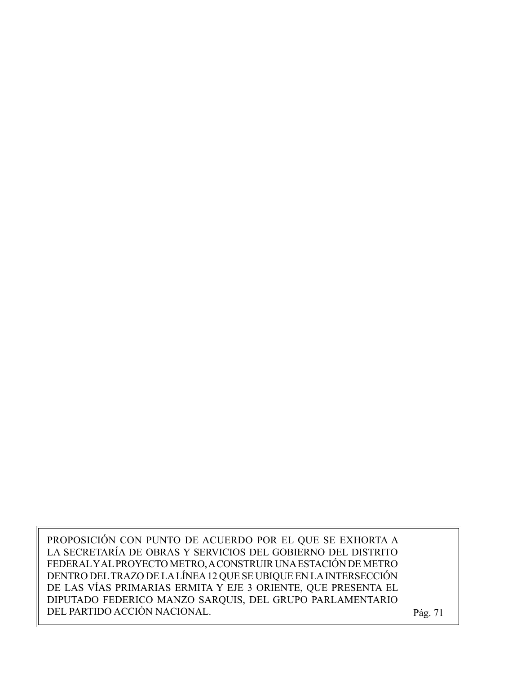PROPOSICIÓN CON PUNTO DE ACUERDO POR EL QUE SE EXHORTA A LA SECRETARÍA DE OBRAS Y SERVICIOS DEL GOBIERNO DEL DISTRITO FEDERAL Y AL PROYECTO METRO, A CONSTRUIR UNA ESTACIÓN DE METRO DENTRO DEL TRAZO DE LA LÍNEA 12 QUE SE UBIQUE EN LA INTERSECCIÓN DE LAS VÍAS PRIMARIAS ERMITA Y EJE 3 ORIENTE, QUE PRESENTA EL DIPUTADO FEDERICO MANZO SARQUIS, DEL GRUPO PARLAMENTARIO DEL PARTIDO ACCIÓN NACIONAL. Pág. 71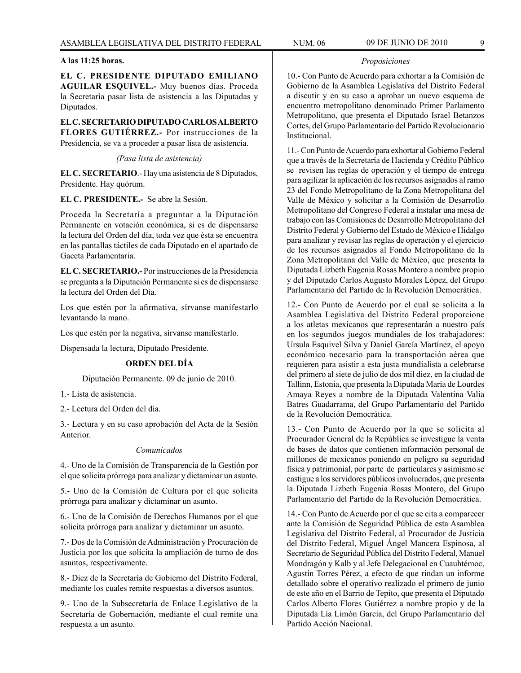### **A las 11:25 horas.**

**EL C. PRESIDENTE DIPUTADO EMILIANO AGUILAR ESQUIVEL.-** Muy buenos días. Proceda la Secretaría pasar lista de asistencia a las Diputadas y Diputados.

**EL C. SECRETARIO DIPUTADO CARLOS ALBERTO FLORES GUTIÉRREZ.-** Por instrucciones de la Presidencia, se va a proceder a pasar lista de asistencia.

*(Pasa lista de asistencia)*

**EL C. SECRETARIO**.- Hay una asistencia de 8 Diputados, Presidente. Hay quórum.

**EL C. PRESIDENTE.-** Se abre la Sesión.

Proceda la Secretaría a preguntar a la Diputación Permanente en votación económica, si es de dispensarse la lectura del Orden del día, toda vez que ésta se encuentra en las pantallas táctiles de cada Diputado en el apartado de Gaceta Parlamentaria.

**EL C. SECRETARIO.-** Por instrucciones de la Presidencia se pregunta a la Diputación Permanente si es de dispensarse la lectura del Orden del Día.

Los que estén por la afirmativa, sírvanse manifestarlo levantando la mano.

Los que estén por la negativa, sírvanse manifestarlo.

Dispensada la lectura, Diputado Presidente.

### **ORDEN DEL DÍA**

Diputación Permanente. 09 de junio de 2010.

1.- Lista de asistencia.

2.- Lectura del Orden del día.

3.- Lectura y en su caso aprobación del Acta de la Sesión Anterior.

#### *Comunicados*

4.- Uno de la Comisión de Transparencia de la Gestión por el que solicita prórroga para analizar y dictaminar un asunto.

5.- Uno de la Comisión de Cultura por el que solicita prórroga para analizar y dictaminar un asunto.

6.- Uno de la Comisión de Derechos Humanos por el que solicita prórroga para analizar y dictaminar un asunto.

7.- Dos de la Comisión de Administración y Procuración de Justicia por los que solicita la ampliación de turno de dos asuntos, respectivamente.

8.- Diez de la Secretaría de Gobierno del Distrito Federal, mediante los cuales remite respuestas a diversos asuntos.

9.- Uno de la Subsecretaría de Enlace Legislativo de la Secretaría de Gobernación, mediante el cual remite una respuesta a un asunto.

#### *Proposiciones*

10.- Con Punto de Acuerdo para exhortar a la Comisión de Gobierno de la Asamblea Legislativa del Distrito Federal a discutir y en su caso a aprobar un nuevo esquema de encuentro metropolitano denominado Primer Parlamento Metropolitano, que presenta el Diputado Israel Betanzos Cortes, del Grupo Parlamentario del Partido Revolucionario Institucional.

11.- Con Punto de Acuerdo para exhortar al Gobierno Federal que a través de la Secretaría de Hacienda y Crédito Público se revisen las reglas de operación y el tiempo de entrega para agilizar la aplicación de los recursos asignados al ramo 23 del Fondo Metropolitano de la Zona Metropolitana del Valle de México y solicitar a la Comisión de Desarrollo Metropolitano del Congreso Federal a instalar una mesa de trabajo con las Comisiones de Desarrollo Metropolitano del Distrito Federal y Gobierno del Estado de México e Hidalgo para analizar y revisar las reglas de operación y el ejercicio de los recursos asignados al Fondo Metropolitano de la Zona Metropolitana del Valle de México, que presenta la Diputada Lizbeth Eugenia Rosas Montero a nombre propio y del Diputado Carlos Augusto Morales López, del Grupo Parlamentario del Partido de la Revolución Democrática.

12.- Con Punto de Acuerdo por el cual se solicita a la Asamblea Legislativa del Distrito Federal proporcione a los atletas mexicanos que representarán a nuestro país en los segundos juegos mundiales de los trabajadores: Ursula Esquivel Silva y Daniel García Martínez, el apoyo económico necesario para la transportación aérea que requieren para asistir a esta justa mundialista a celebrarse del primero al siete de julio de dos mil diez, en la ciudad de Tallinn, Estonia, que presenta la Diputada María de Lourdes Amaya Reyes a nombre de la Diputada Valentina Valia Batres Guadarrama, del Grupo Parlamentario del Partido de la Revolución Democrática.

13.- Con Punto de Acuerdo por la que se solicita al Procurador General de la República se investigue la venta de bases de datos que contienen información personal de millones de mexicanos poniendo en peligro su seguridad física y patrimonial, por parte de particulares y asimismo se castigue a los servidores públicos involucrados, que presenta la Diputada Lizbeth Eugenia Rosas Montero, del Grupo Parlamentario del Partido de la Revolución Democrática.

14.- Con Punto de Acuerdo por el que se cita a comparecer ante la Comisión de Seguridad Pública de esta Asamblea Legislativa del Distrito Federal, al Procurador de Justicia del Distrito Federal, Miguel Ángel Mancera Espinosa, al Secretario de Seguridad Pública del Distrito Federal, Manuel Mondragón y Kalb y al Jefe Delegacional en Cuauhtémoc, Agustín Torres Pérez, a efecto de que rindan un informe detallado sobre el operativo realizado el primero de junio de este año en el Barrio de Tepito, que presenta el Diputado Carlos Alberto Flores Gutiérrez a nombre propio y de la Diputada Lía Limón García, del Grupo Parlamentario del Partido Acción Nacional.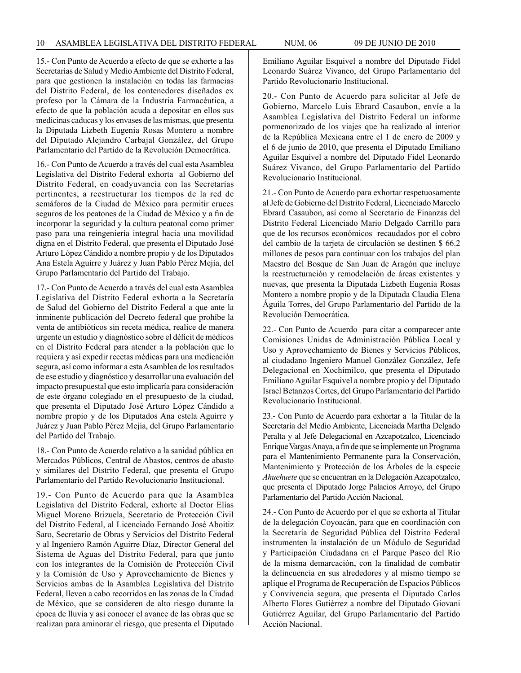15.- Con Punto de Acuerdo a efecto de que se exhorte a las Secretarías de Salud y Medio Ambiente del Distrito Federal, para que gestionen la instalación en todas las farmacias del Distrito Federal, de los contenedores diseñados ex profeso por la Cámara de la Industria Farmacéutica, a efecto de que la población acuda a depositar en ellos sus medicinas caducas y los envases de las mismas, que presenta la Diputada Lizbeth Eugenia Rosas Montero a nombre del Diputado Alejandro Carbajal González, del Grupo Parlamentario del Partido de la Revolución Democrática.

16.- Con Punto de Acuerdo a través del cual esta Asamblea Legislativa del Distrito Federal exhorta al Gobierno del Distrito Federal, en coadyuvancia con las Secretarías pertinentes, a reestructurar los tiempos de la red de semáforos de la Ciudad de México para permitir cruces seguros de los peatones de la Ciudad de México y a fin de incorporar la seguridad y la cultura peatonal como primer paso para una reingeniería integral hacia una movilidad digna en el Distrito Federal, que presenta el Diputado José Arturo López Cándido a nombre propio y de los Diputados Ana Estela Aguirre y Juárez y Juan Pablo Pérez Mejía, del Grupo Parlamentario del Partido del Trabajo.

17.- Con Punto de Acuerdo a través del cual esta Asamblea Legislativa del Distrito Federal exhorta a la Secretaría de Salud del Gobierno del Distrito Federal a que ante la inminente publicación del Decreto federal que prohíbe la venta de antibióticos sin receta médica, realice de manera urgente un estudio y diagnóstico sobre el déficit de médicos en el Distrito Federal para atender a la población que lo requiera y así expedir recetas médicas para una medicación segura, así como informar a esta Asamblea de los resultados de ese estudio y diagnóstico y desarrollar una evaluación del impacto presupuestal que esto implicaría para consideración de este órgano colegiado en el presupuesto de la ciudad, que presenta el Diputado José Arturo López Cándido a nombre propio y de los Diputados Ana estela Aguirre y Juárez y Juan Pablo Pérez Mejía, del Grupo Parlamentario del Partido del Trabajo.

18.- Con Punto de Acuerdo relativo a la sanidad pública en Mercados Públicos, Central de Abastos, centros de abasto y similares del Distrito Federal, que presenta el Grupo Parlamentario del Partido Revolucionario Institucional.

19.- Con Punto de Acuerdo para que la Asamblea Legislativa del Distrito Federal, exhorte al Doctor Elías Miguel Moreno Brizuela, Secretario de Protección Civil del Distrito Federal, al Licenciado Fernando José Aboitiz Saro, Secretario de Obras y Servicios del Distrito Federal y al Ingeniero Ramón Aguirre Díaz, Director General del Sistema de Aguas del Distrito Federal, para que junto con los integrantes de la Comisión de Protección Civil y la Comisión de Uso y Aprovechamiento de Bienes y Servicios ambas de la Asamblea Legislativa del Distrito Federal, lleven a cabo recorridos en las zonas de la Ciudad de México, que se consideren de alto riesgo durante la época de lluvia y así conocer el avance de las obras que se realizan para aminorar el riesgo, que presenta el Diputado

Emiliano Aguilar Esquivel a nombre del Diputado Fidel Leonardo Suárez Vivanco, del Grupo Parlamentario del Partido Revolucionario Institucional.

20.- Con Punto de Acuerdo para solicitar al Jefe de Gobierno, Marcelo Luis Ebrard Casaubon, envíe a la Asamblea Legislativa del Distrito Federal un informe pormenorizado de los viajes que ha realizado al interior de la República Mexicana entre el 1 de enero de 2009 y el 6 de junio de 2010, que presenta el Diputado Emiliano Aguilar Esquivel a nombre del Diputado Fidel Leonardo Suárez Vivanco, del Grupo Parlamentario del Partido Revolucionario Institucional.

21.- Con Punto de Acuerdo para exhortar respetuosamente al Jefe de Gobierno del Distrito Federal, Licenciado Marcelo Ebrard Casaubon, así como al Secretario de Finanzas del Distrito Federal Licenciado Mario Delgado Carrillo para que de los recursos económicos recaudados por el cobro del cambio de la tarjeta de circulación se destinen \$ 66.2 millones de pesos para continuar con los trabajos del plan Maestro del Bosque de San Juan de Aragón que incluye la reestructuración y remodelación de áreas existentes y nuevas, que presenta la Diputada Lizbeth Eugenia Rosas Montero a nombre propio y de la Diputada Claudia Elena Águila Torres, del Grupo Parlamentario del Partido de la Revolución Democrática.

22.- Con Punto de Acuerdo para citar a comparecer ante Comisiones Unidas de Administración Pública Local y Uso y Aprovechamiento de Bienes y Servicios Públicos, al ciudadano Ingeniero Manuel González González, Jefe Delegacional en Xochimilco, que presenta el Diputado Emiliano Aguilar Esquivel a nombre propio y del Diputado Israel Betanzos Cortes, del Grupo Parlamentario del Partido Revolucionario Institucional.

23.- Con Punto de Acuerdo para exhortar a la Titular de la Secretaría del Medio Ambiente, Licenciada Martha Delgado Peralta y al Jefe Delegacional en Azcapotzalco, Licenciado Enrique Vargas Anaya, a fin de que se implemente un Programa para el Mantenimiento Permanente para la Conservación, Mantenimiento y Protección de los Árboles de la especie *Ahuehuete* que se encuentran en la Delegación Azcapotzalco, que presenta el Diputado Jorge Palacios Arroyo, del Grupo Parlamentario del Partido Acción Nacional.

24.- Con Punto de Acuerdo por el que se exhorta al Titular de la delegación Coyoacán, para que en coordinación con la Secretaría de Seguridad Pública del Distrito Federal instrumenten la instalación de un Módulo de Seguridad y Participación Ciudadana en el Parque Paseo del Río de la misma demarcación, con la finalidad de combatir la delincuencia en sus alrededores y al mismo tiempo se aplique el Programa de Recuperación de Espacios Públicos y Convivencia segura, que presenta el Diputado Carlos Alberto Flores Gutiérrez a nombre del Diputado Giovani Gutiérrez Aguilar, del Grupo Parlamentario del Partido Acción Nacional.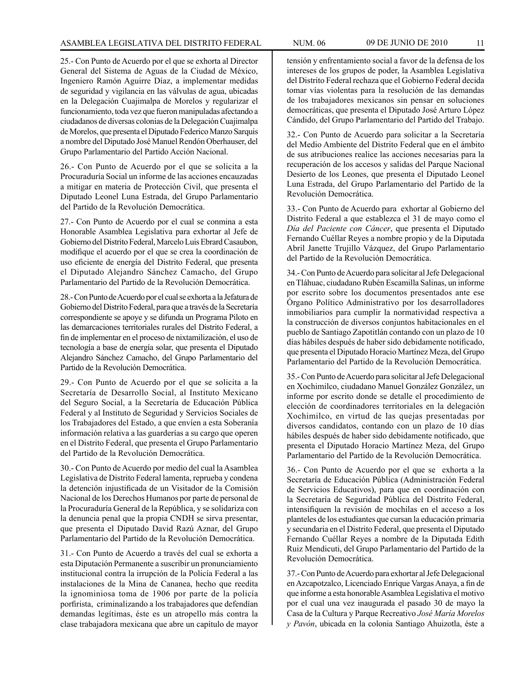25.- Con Punto de Acuerdo por el que se exhorta al Director General del Sistema de Aguas de la Ciudad de México, Ingeniero Ramón Aguirre Díaz, a implementar medidas de seguridad y vigilancia en las válvulas de agua, ubicadas en la Delegación Cuajimalpa de Morelos y regularizar el funcionamiento, toda vez que fueron manipuladas afectando a ciudadanos de diversas colonias de la Delegación Cuajimalpa de Morelos, que presenta el Diputado Federico Manzo Sarquis a nombre del Diputado José Manuel Rendón Oberhauser, del Grupo Parlamentario del Partido Acción Nacional.

26.- Con Punto de Acuerdo por el que se solicita a la Procuraduría Social un informe de las acciones encauzadas a mitigar en materia de Protección Civil, que presenta el Diputado Leonel Luna Estrada, del Grupo Parlamentario del Partido de la Revolución Democrática.

27.- Con Punto de Acuerdo por el cual se conmina a esta Honorable Asamblea Legislativa para exhortar al Jefe de Gobierno del Distrito Federal, Marcelo Luis Ebrard Casaubon, modifique el acuerdo por el que se crea la coordinación de uso eficiente de energía del Distrito Federal, que presenta el Diputado Alejandro Sánchez Camacho, del Grupo Parlamentario del Partido de la Revolución Democrática.

28.- Con Punto de Acuerdo por el cual se exhorta a la Jefatura de Gobierno del Distrito Federal, para que a través de la Secretaría correspondiente se apoye y se difunda un Programa Piloto en las demarcaciones territoriales rurales del Distrito Federal, a fin de implementar en el proceso de nixtamilización, el uso de tecnología a base de energía solar, que presenta el Diputado Alejandro Sánchez Camacho, del Grupo Parlamentario del Partido de la Revolución Democrática.

29.- Con Punto de Acuerdo por el que se solicita a la Secretaría de Desarrollo Social, al Instituto Mexicano del Seguro Social, a la Secretaría de Educación Pública Federal y al Instituto de Seguridad y Servicios Sociales de los Trabajadores del Estado, a que envíen a esta Soberanía información relativa a las guarderías a su cargo que operen en el Distrito Federal, que presenta el Grupo Parlamentario del Partido de la Revolución Democrática.

30.- Con Punto de Acuerdo por medio del cual la Asamblea Legislativa de Distrito Federal lamenta, reprueba y condena la detención injustificada de un Visitador de la Comisión Nacional de los Derechos Humanos por parte de personal de la Procuraduría General de la República, y se solidariza con la denuncia penal que la propia CNDH se sirva presentar, que presenta el Diputado David Razú Aznar, del Grupo Parlamentario del Partido de la Revolución Democrática.

31.- Con Punto de Acuerdo a través del cual se exhorta a esta Diputación Permanente a suscribir un pronunciamiento institucional contra la irrupción de la Policía Federal a las instalaciones de la Mina de Cananea, hecho que reedita la ignominiosa toma de 1906 por parte de la policía porfirista, criminalizando a los trabajadores que defendían demandas legítimas, éste es un atropello más contra la clase trabajadora mexicana que abre un capítulo de mayor

tensión y enfrentamiento social a favor de la defensa de los intereses de los grupos de poder, la Asamblea Legislativa del Distrito Federal rechaza que el Gobierno Federal decida tomar vías violentas para la resolución de las demandas de los trabajadores mexicanos sin pensar en soluciones democráticas, que presenta el Diputado José Arturo López Cándido, del Grupo Parlamentario del Partido del Trabajo.

32.- Con Punto de Acuerdo para solicitar a la Secretaría del Medio Ambiente del Distrito Federal que en el ámbito de sus atribuciones realice las acciones necesarias para la recuperación de los accesos y salidas del Parque Nacional Desierto de los Leones, que presenta el Diputado Leonel Luna Estrada, del Grupo Parlamentario del Partido de la Revolución Democrática.

33.- Con Punto de Acuerdo para exhortar al Gobierno del Distrito Federal a que establezca el 31 de mayo como el *Día del Paciente con Cáncer*, que presenta el Diputado Fernando Cuéllar Reyes a nombre propio y de la Diputada Abril Janette Trujillo Vázquez, del Grupo Parlamentario del Partido de la Revolución Democrática.

34.- Con Punto de Acuerdo para solicitar al Jefe Delegacional en Tláhuac, ciudadano Rubén Escamilla Salinas, un informe por escrito sobre los documentos presentados ante ese Órgano Político Administrativo por los desarrolladores inmobiliarios para cumplir la normatividad respectiva a la construcción de diversos conjuntos habitacionales en el pueblo de Santiago Zapotitlán contando con un plazo de 10 días hábiles después de haber sido debidamente notificado, que presenta el Diputado Horacio Martínez Meza, del Grupo Parlamentario del Partido de la Revolución Democrática.

35.- Con Punto de Acuerdo para solicitar al Jefe Delegacional en Xochimilco, ciudadano Manuel González González, un informe por escrito donde se detalle el procedimiento de elección de coordinadores territoriales en la delegación Xochimilco, en virtud de las quejas presentadas por diversos candidatos, contando con un plazo de 10 días hábiles después de haber sido debidamente notificado, que presenta el Diputado Horacio Martínez Meza, del Grupo Parlamentario del Partido de la Revolución Democrática.

36.- Con Punto de Acuerdo por el que se exhorta a la Secretaría de Educación Pública (Administración Federal de Servicios Educativos), para que en coordinación con la Secretaría de Seguridad Pública del Distrito Federal, intensifiquen la revisión de mochilas en el acceso a los planteles de los estudiantes que cursan la educación primaria y secundaria en el Distrito Federal, que presenta el Diputado Fernando Cuéllar Reyes a nombre de la Diputada Edith Ruiz Mendicuti, del Grupo Parlamentario del Partido de la Revolución Democrática.

37.- Con Punto de Acuerdo para exhortar al Jefe Delegacional en Azcapotzalco, Licenciado Enrique Vargas Anaya, a fin de que informe a esta honorable Asamblea Legislativa el motivo por el cual una vez inaugurada el pasado 30 de mayo la Casa de la Cultura y Parque Recreativo *José María Morelos y Pavón*, ubicada en la colonia Santiago Ahuizotla, éste a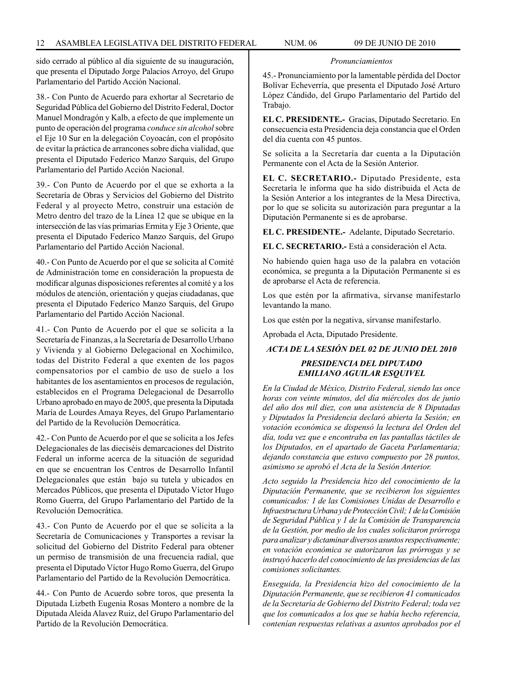sido cerrado al público al día siguiente de su inauguración, que presenta el Diputado Jorge Palacios Arroyo, del Grupo Parlamentario del Partido Acción Nacional.

38.- Con Punto de Acuerdo para exhortar al Secretario de Seguridad Pública del Gobierno del Distrito Federal, Doctor Manuel Mondragón y Kalb, a efecto de que implemente un punto de operación del programa *conduce sin alcohol* sobre el Eje 10 Sur en la delegación Coyoacán, con el propósito de evitar la práctica de arrancones sobre dicha vialidad, que presenta el Diputado Federico Manzo Sarquis, del Grupo Parlamentario del Partido Acción Nacional.

39.- Con Punto de Acuerdo por el que se exhorta a la Secretaría de Obras y Servicios del Gobierno del Distrito Federal y al proyecto Metro, construir una estación de Metro dentro del trazo de la Línea 12 que se ubique en la intersección de las vías primarias Ermita y Eje 3 Oriente, que presenta el Diputado Federico Manzo Sarquis, del Grupo Parlamentario del Partido Acción Nacional.

40.- Con Punto de Acuerdo por el que se solicita al Comité de Administración tome en consideración la propuesta de modificar algunas disposiciones referentes al comité y a los módulos de atención, orientación y quejas ciudadanas, que presenta el Diputado Federico Manzo Sarquis, del Grupo Parlamentario del Partido Acción Nacional.

41.- Con Punto de Acuerdo por el que se solicita a la Secretaría de Finanzas, a la Secretaría de Desarrollo Urbano y Vivienda y al Gobierno Delegacional en Xochimilco, todas del Distrito Federal a que exenten de los pagos compensatorios por el cambio de uso de suelo a los habitantes de los asentamientos en procesos de regulación, establecidos en el Programa Delegacional de Desarrollo Urbano aprobado en mayo de 2005, que presenta la Diputada María de Lourdes Amaya Reyes, del Grupo Parlamentario del Partido de la Revolución Democrática.

42.- Con Punto de Acuerdo por el que se solicita a los Jefes Delegacionales de las dieciséis demarcaciones del Distrito Federal un informe acerca de la situación de seguridad en que se encuentran los Centros de Desarrollo Infantil Delegacionales que están bajo su tutela y ubicados en Mercados Públicos, que presenta el Diputado Víctor Hugo Romo Guerra, del Grupo Parlamentario del Partido de la Revolución Democrática.

43.- Con Punto de Acuerdo por el que se solicita a la Secretaría de Comunicaciones y Transportes a revisar la solicitud del Gobierno del Distrito Federal para obtener un permiso de transmisión de una frecuencia radial, que presenta el Diputado Víctor Hugo Romo Guerra, del Grupo Parlamentario del Partido de la Revolución Democrática.

44.- Con Punto de Acuerdo sobre toros, que presenta la Diputada Lizbeth Eugenia Rosas Montero a nombre de la Diputada Aleida Alavez Ruiz, del Grupo Parlamentario del Partido de la Revolución Democrática.

#### *Pronunciamientos*

45.- Pronunciamiento por la lamentable pérdida del Doctor Bolívar Echeverría, que presenta el Diputado José Arturo López Cándido, del Grupo Parlamentario del Partido del Trabajo.

**EL C. PRESIDENTE.-** Gracias, Diputado Secretario. En consecuencia esta Presidencia deja constancia que el Orden del día cuenta con 45 puntos.

Se solicita a la Secretaría dar cuenta a la Diputación Permanente con el Acta de la Sesión Anterior.

**EL C. SECRETARIO.-** Diputado Presidente, esta Secretaría le informa que ha sido distribuida el Acta de la Sesión Anterior a los integrantes de la Mesa Directiva, por lo que se solicita su autorización para preguntar a la Diputación Permanente si es de aprobarse.

**EL C. PRESIDENTE.-** Adelante, Diputado Secretario.

**EL C. SECRETARIO.-** Está a consideración el Acta.

No habiendo quien haga uso de la palabra en votación económica, se pregunta a la Diputación Permanente si es de aprobarse el Acta de referencia.

Los que estén por la afirmativa, sírvanse manifestarlo levantando la mano.

Los que estén por la negativa, sírvanse manifestarlo.

Aprobada el Acta, Diputado Presidente.

*ACTA DE LA SESIÓN DEL 02 DE JUNIO DEL 2010*

# *PRESIDENCIA DEL DIPUTADO EMILIANO AGUILAR ESQUIVEL*

*En la Ciudad de México, Distrito Federal, siendo las once horas con veinte minutos, del día miércoles dos de junio del año dos mil diez, con una asistencia de 8 Diputadas y Diputados la Presidencia declaró abierta la Sesión; en votación económica se dispensó la lectura del Orden del día, toda vez que e encontraba en las pantallas táctiles de los Diputados, en el apartado de Gaceta Parlamentaria; dejando constancia que estuvo compuesto por 28 puntos, asimismo se aprobó el Acta de la Sesión Anterior.*

*Acto seguido la Presidencia hizo del conocimiento de la Diputación Permanente, que se recibieron los siguientes comunicados: 1 de las Comisiones Unidas de Desarrollo e Infraestructura Urbana y de Protección Civil; 1 de la Comisión de Seguridad Pública y 1 de la Comisión de Transparencia de la Gestión, por medio de los cuales solicitaron prórroga para analizar y dictaminar diversos asuntos respectivamente; en votación económica se autorizaron las prórrogas y se instruyó hacerlo del conocimiento de las presidencias de las comisiones solicitantes.*

*Enseguida, la Presidencia hizo del conocimiento de la Diputación Permanente, que se recibieron 41 comunicados de la Secretaría de Gobierno del Distrito Federal; toda vez que los comunicados a los que se había hecho referencia, contenían respuestas relativas a asuntos aprobados por el*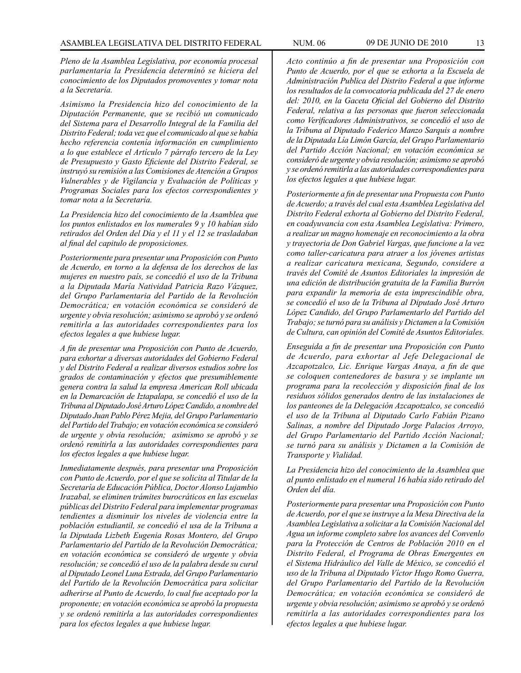*Pleno de la Asamblea Legislativa, por economía procesal parlamentaria la Presidencia determinó se hiciera del conocimiento de los Diputados promoventes y tomar nota a la Secretaría.*

*Asimismo la Presidencia hizo del conocimiento de la Diputación Permanente, que se recibió un comunicado del Sistema para el Desarrollo Integral de la Familia del Distrito Federal; toda vez que el comunicado al que se había hecho referencia contenía información en cumplimiento a lo que establece el Artículo 7 párrafo tercero de la Ley de Presupuesto y Gasto Eficiente del Distrito Federal, se instruyó su remisión a las Comisiones de Atención a Grupos Vulnerables y de Vigilancia y Evaluación de Políticas y Programas Sociales para los efectos correspondientes y tomar nota a la Secretaría.*

*La Presidencia hizo del conocimiento de la Asamblea que los puntos enlistados en los numerales 9 y 10 habían sido retirados del Orden del Día y el 11 y el 12 se trasladaban al final del capitulo de proposiciones.*

*Posteriormente para presentar una Proposición con Punto de Acuerdo, en torno a la defensa de los derechos de las mujeres en nuestro país, se concedió el uso de la Tribuna a la Diputada María Natividad Patricia Razo Vázquez, del Grupo Parlamentaria del Partido de la Revolución Democrática; en votación económica se consideró de urgente y obvia resolución; asimismo se aprobó y se ordenó remitirla a las autoridades correspondientes para los efectos legales a que hubiese lugar.*

*A fin de presentar una Proposición con Punto de Acuerdo, para exhortar a diversas autoridades del Gobierno Federal y del Distrito Federal a realizar diversos estudios sobre los grados de contaminación y efectos que presumiblemente genera contra la salud la empresa American Roll ubicada en la Demarcación de Iztapalapa, se concedió el uso de la Tribuna al Diputado José Arturo López Candido, a nombre del Diputado Juan Pablo Pérez Mejia, del Grupo Parlamentario del Partido del Trabajo; en votación económica se consideró de urgente y obvia resolución; asimismo se aprobó y se ordenó remitirla a las autoridades correspondientes para los efectos legales a que hubiese lugar.*

*Inmediatamente después, para presentar una Proposición con Punto de Acuerdo, por el que se solicita al Titular de la Secretaría de Educación Pública, Doctor Alonso Lujambio Irazabal, se eliminen trámites burocráticos en las escuelas públicas del Distrito Federal para implementar programas tendientes a disminuir los niveles de violencia entre la población estudiantil, se concedió el usa de la Tribuna a la Diputada Lizbeth Eugenia Rosas Montero, del Grupo Parlamentario del Partido de la Revolución Democrática; en votación económica se consideró de urgente y obvia resolución; se concedió el uso de la palabra desde su curul al Diputado Leonel Luna Estrada, del Grupo Parlamentario del Partido de la Revolución Democrática para solicitar adherirse al Punto de Acuerdo, lo cual fue aceptado por la proponente; en votación económica se aprobó la propuesta y se ordenó remitirla a las autoridades correspondientes para los efectos legales a que hubiese lugar.*

*Acto continúo a fin de presentar una Proposición con Punto de Acuerdo, por el que se exhorta a la Escuela de Administración Publica del Distrito Federal a que informe los resultados de la convocatoria publicada del 27 de enero del: 2010, en la Gaceta Oficial del Gobierno del Distrito Federal, relativa a las personas que fueron seleccionada como Verificadores Administrativos, se concedió el uso de la Tribuna al Diputado Federico Manzo Sarquis a nombre de la Diputada Lía Limón García, del Grupo Parlamentario del Partido Acción Nacional; en votación económica se consideró de urgente y obvia resolución; asimismo se aprobó y se ordenó remitirla a las autoridades correspondientes para los efectos legales a que hubiese lugar.*

*Posteriormente a fin de presentar una Propuesta con Punto de Acuerdo; a través del cual esta Asamblea Legislativa del Distrito Federal exhorta al Gobierno del Distrito Federal, en coadyuvancia con esta Asamblea Legislativa: Primero, a realizar un magno homenaje en reconocimiento a la obra y trayectoria de Don Gabriel Vargas, que funcione a la vez como taller-caricatura para atraer a los jóvenes artistas a realizar caricatura mexicana, Segundo, considere a través del Comité de Asuntos Editoriales la impresión de una edición de distribución gratuita de la Familia Burrón para expandir la memoria de esta imprescindible obra, se concedió el uso de la Tribuna al Diputado José Arturo López Candido, del Grupo Parlamentarlo del Partido del Trabajo; se turnó para su análisis y Dictamen a la Comisión de Cultura, can opinión del Comité de Asuntos Editoriales.*

*Enseguida a fin de presentar una Proposición con Punto de Acuerdo, para exhortar al Jefe Delegacional de Azcapotzalco, Lic. Enrique Vargas Anaya, a fin de que se coloquen contenedores de basura y se implante un programa para la recolección y disposición final de los residuos sólidos generados dentro de las instalaciones de los panteones de la Delegación Azcapotzalco, se concedió el uso de la Tribuna al Diputado Carlo Fabián Pizano Salinas, a nombre del Diputado Jorge Palacios Arroyo, del Grupo Parlamentario del Partido Acción Nacional; se turnó para su análisis y Dictamen a la Comisión de Transporte y Vialidad.*

*La Presidencia hizo del conocimiento de la Asamblea que al punto enlistado en el numeral 16 había sido retirado del Orden del día.*

*Posteriormente para presentar una Proposición con Punto de Acuerdo, por el que se instruye a la Mesa Directiva de la Asamblea Legislativa a solicitar a Ia Comisión Nacional del Agua un informe completo sabre los avances del Convenlo para la Protección de Centros de Población 2010 en el Distrito Federal, el Programa de Obras Emergentes en el Sistema Hidráulico del Valle de México, se concedió el uso de la Tribuna al Diputado Víctor Hugo Romo Guerra, del Grupo Parlamentario del Partido de la Revolución Democrática; en votación económica se consideró de urgente y obvia resolución; asimismo se aprobó y se ordenó remitirla a las autoridades correspondientes para los efectos legales a que hubiese lugar.*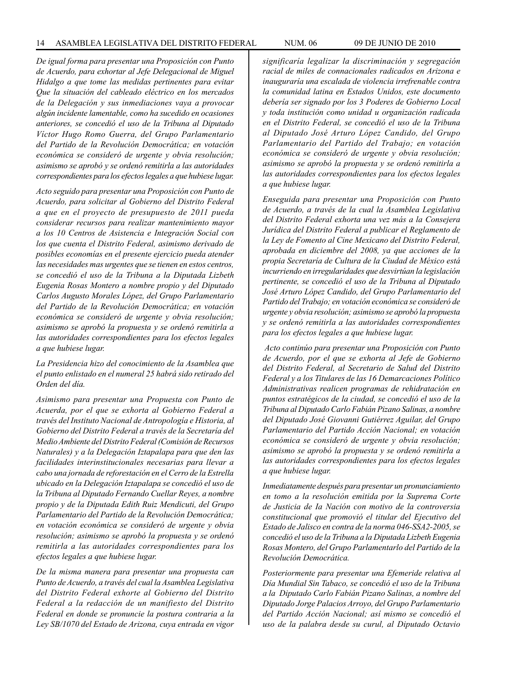*De igual forma para presentar una Proposición con Punto de Acuerdo, para exhortar al Jefe Delegacional de Miguel Hidalgo a que tome las medidas pertinentes para evitar Que la situación del cableado eléctrico en los mercados de la Delegación y sus inmediaciones vaya a provocar algún incidente lamentable, como ha sucedido en ocasiones anteriores, se concedió el uso de la Tribuna al Diputado Víctor Hugo Romo Guerra, del Grupo Parlamentario del Partido de la Revolución Democrática; en votación económica se consideró de urgente y obvia resolución; asimismo se aprobó y se ordenó remitirla a las autoridades correspondientes para los efectos legales a que hubiese lugar.*

*Acto seguido para presentar una Proposición con Punto de Acuerdo, para solicitar al Gobierno del Distrito Federal a que en el proyecto de presupuesto de 2011 pueda considerar recursos para realizar mantenimiento mayor a los 10 Centros de Asistencia e Integración Social con los que cuenta el Distrito Federal, asimismo derivado de posibles economías en el presente ejercicio pueda atender las necesidades mas urgentes que se tienen en estos centros, se concedió el uso de la Tribuna a la Diputada Lizbeth Eugenia Rosas Montero a nombre propio y del Diputado Carlos Augusto Morales López, del Grupo Parlamentario del Partido de la Revolución Democrática; en votación económica se consideró de urgente y obvia resolución; asimismo se aprobó la propuesta y se ordenó remitirla a las autoridades correspondientes para los efectos legales a que hubiese lugar.*

*La Presidencia hizo del conocimiento de la Asamblea que el punto enlistado en el numeral 25 habrá sido retirado del Orden del día.* 

*Asimismo para presentar una Propuesta con Punto de Acuerda, por el que se exhorta al Gobierno Federal a través del Instituto Nacional de Antropología e Historia, al Gobierno del Distrito Federal a través de la Secretaría del Medio Ambiente del Distrito Federal (Comisión de Recursos Naturales) y a la Delegación Iztapalapa para que den las facilidades interinstitucionales necesarias para llevar a cabo una jornada de reforestación en el Cerro de la Estrella ubicado en la Delegación Iztapalapa se concedió el uso de la Tribuna al Diputado Fernando Cuellar Reyes, a nombre propio y de la Diputada Edith Ruiz Mendicuti, del Grupo Parlamentario del Partido de la Revolución Democrática; en votación económica se consideró de urgente y obvia resolución; asimismo se aprobó la propuesta y se ordenó remitirla a las autoridades correspondientes para los efectos legales a que hubiese lugar.*

*De la misma manera para presentar una propuesta can Punto de Acuerdo, a través del cual la Asamblea Legislativa del Distrito Federal exhorte al Gobierno del Distrito Federal a la redacción de un manifiesto del Distrito Federal en donde se pronuncie la postura contraria a la Ley SB/1070 del Estado de Arizona, cuya entrada en vigor*  *significaría legalizar la discriminación y segregación racial de miles de connacionales radicados en Arizona e inauguraría una escalada de violencia irrefrenable contra la comunidad latina en Estados Unidos, este documento debería ser signado por los 3 Poderes de Gobierno Local y toda institución como unidad u organización radicada en el Distrito Federal, se concedió el uso de la Tribuna al Diputado José Arturo López Candido, del Grupo Parlamentario del Partido del Trabajo; en votación económica se consideró de urgente y obvia resolución; asimismo se aprobó la propuesta y se ordenó remitirla a las autoridades correspondientes para los efectos legales a que hubiese lugar.*

*Enseguida para presentar una Proposición con Punto de Acuerdo, a través de la cual la Asamblea Legislativa del Distrito Federal exhorta una vez más a la Consejera Jurídica del Distrito Federal a publicar el Reglamento de la Ley de Fomento al Cine Mexicano del Distrito Federal, aprobada en diciembre del 2008, ya que acciones de la propia Secretaría de Cultura de la Ciudad de México está incurriendo en irregularidades que desvirtúan la legislación pertinente, se concedió el uso de la Tribuna al Diputado José Arturo López Candido, del Grupo Parlamentario del Partido del Trabajo; en votación económica se consideró de urgente y obvia resolución; asimismo se aprobó la propuesta y se ordenó remitirla a las autoridades correspondientes para los efectos legales a que hubiese lugar.*

 *Acto continúo para presentar una Proposición con Punto de Acuerdo, por el que se exhorta al Jefe de Gobierno del Distrito Federal, al Secretario de Salud del Distrito Federal y a los Titulares de las 16 Demarcaciones Político Administrativas realicen programas de rehidratación en puntos estratégicos de la ciudad, se concedió el uso de la Tribuna al Diputado Carlo Fabián Pizano Salinas, a nombre del Diputado José Giovanni Gutiérrez Aguilar, del Grupo Parlamentario del Partido Acción Nacional; en votación económica se consideró de urgente y obvia resolución; asimismo se aprobó la propuesta y se ordenó remitirla a las autoridades correspondientes para los efectos legales a que hubiese lugar.*

*Inmediatamente después para presentar un pronunciamiento en tomo a la resolución emitida por la Suprema Corte de Justicia de Ia Nación con motivo de la controversia constitucional que promovió el titular del Ejecutivo del Estado de Jalisco en contra de la norma 046-SSA2-2005, se concedió el uso de la Tribuna a la Diputada Lizbeth Eugenia Rosas Montero, del Grupo Parlamentarlo del Partido de la Revolución Democrática.*

*Posteriormente para presentar una Efemeride relativa al Día Mundial Sin Tabaco, se concedió el uso de la Tribuna a la Diputado Carlo Fabián Pizano Salinas, a nombre del Diputado Jorge Palacios Arroyo, del Grupo Parlamentario del Partido Acción Nacional; así mismo se concedió el uso de la palabra desde su curul, al Diputado Octavio*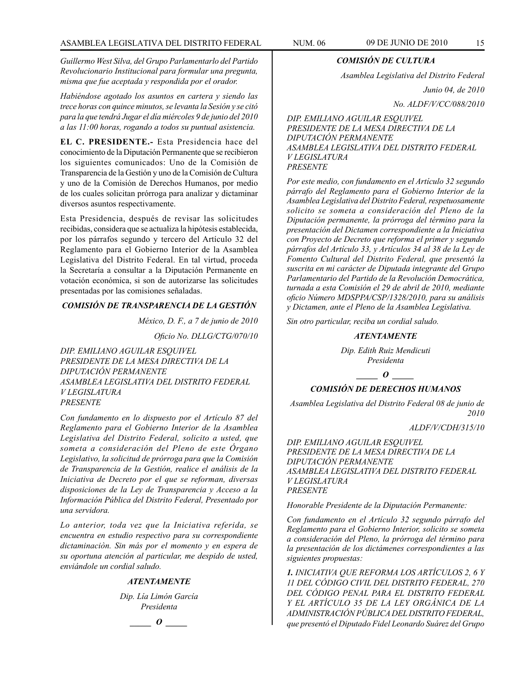*Guillermo West Silva, del Grupo Parlamentarlo del Partido Revolucionario Institucional para formular una pregunta, misma que fue aceptada y respondida por el orador.*

*Habiéndose agotado los asuntos en cartera y siendo las trece horas con quince minutos, se levanta la Sesión y se citó para la que tendrá Jugar el día miércoles 9 de junio del 2010 a las 11:00 horas, rogando a todos su puntual asistencia.*

**EL C. PRESIDENTE.-** Esta Presidencia hace del conocimiento de la Diputación Permanente que se recibieron los siguientes comunicados: Uno de la Comisión de Transparencia de la Gestión y uno de la Comisión de Cultura y uno de la Comisión de Derechos Humanos, por medio de los cuales solicitan prórroga para analizar y dictaminar diversos asuntos respectivamente.

Esta Presidencia, después de revisar las solicitudes recibidas, considera que se actualiza la hipótesis establecida, por los párrafos segundo y tercero del Artículo 32 del Reglamento para el Gobierno Interior de la Asamblea Legislativa del Distrito Federal. En tal virtud, proceda la Secretaría a consultar a la Diputación Permanente en votación económica, si son de autorizarse las solicitudes presentadas por las comisiones señaladas.

# *COMISIÓN DE TRANSPARENCIA DE LA GESTIÓN*

*México, D. F., a 7 de junio de 2010*

 *Oficio No. DLLG/CTG/070/10*

*DIP. EMILIANO AGUILAR ESQUIVEL PRESIDENTE DE LA MESA DIRECTIVA DE LA DIPUTACIÓN PERMANENTE ASAMBLEA LEGISLATIVA DEL DISTRITO FEDERAL V LEGISLATURA PRESENTE*

*Con fundamento en lo dispuesto por el Artículo 87 del Reglamento para el Gobierno Interior de la Asamblea Legislativa del Distrito Federal, solicito a usted, que someta a consideración del Pleno de este Órgano Legislativo, la solicitud de prórroga para que la Comisión de Transparencia de la Gestión, realice el análisis de la Iniciativa de Decreto por el que se reforman, diversas disposiciones de la Ley de Transparencia y Acceso a la Información Pública del Distrito Federal, Presentado por una servidora.*

*Lo anterior, toda vez que la Iniciativa referida, se encuentra en estudio respectivo para su correspondiente dictaminaciòn. Sin más por el momento y en espera de su oportuna atención al particular, me despido de usted, enviándole un cordial saludo.*

# *ATENTAMENTE*

*Dip. Lía Limón García Presidenta*

*\_\_\_\_\_ O \_\_\_\_\_*

# *COMISIÓN DE CULTURA*

*Asamblea Legislativa del Distrito Federal*

*Junio 04, de 2010*

*No. ALDF/V/CC/088/2010*

*DIP. EMILIANO AGUILAR ESQUIVEL PRESIDENTE DE LA MESA DIRECTIVA DE LA DIPUTACIÓN PERMANENTE ASAMBLEA LEGISLATIVA DEL DISTRITO FEDERAL V LEGISLATURA PRESENTE*

*Por este medio, con fundamento en el Artículo 32 segundo párrafo del Reglamento para el Gobierno Interior de la Asamblea Legislativa del Distrito Federal, respetuosamente solicito se someta a consideración del Pleno de la Diputación permanente, la prórroga del término para la presentación del Dictamen correspondiente a la Iniciativa con Proyecto de Decreto que reforma el primer y segundo párrafos del Artículo 33, y Artículos 34 al 38 de la Ley de Fomento Cultural del Distrito Federal, que presentó la suscrita en mi carácter de Diputada integrante del Grupo Parlamentario del Partido de la Revolución Democrática, turnada a esta Comisión el 29 de abril de 2010, mediante oficio Número MDSPPA/CSP/1328/2010, para su análisis y Dictamen, ante el Pleno de la Asamblea Legislativa.*

*Sin otro particular, reciba un cordial saludo.*

# *ATENTAMENTE*

*Dip. Edith Ruiz Mendicuti Presidenta*

 $\overline{\phantom{a}}$  *o*  $\overline{\phantom{a}}$ 

#### *COMISIÓN DE DERECHOS HUMANOS*

*Asamblea Legislativa del Distrito Federal 08 de junio de 2010*

*ALDF/V/CDH/315/10*

*DIP. EMILIANO AGUILAR ESQUIVEL PRESIDENTE DE LA MESA DIRECTIVA DE LA DIPUTACIÓN PERMANENTE ASAMBLEA LEGISLATIVA DEL DISTRITO FEDERAL V LEGISLATURA PRESENTE*

*Honorable Presidente de la Diputación Permanente:*

*Con fundamento en el Artículo 32 segundo párrafo del Reglamento para el Gobierno Interior, solicito se someta a consideración del Pleno, la prórroga del término para la presentación de los dictámenes correspondientes a las siguientes propuestas:*

*1. INICIATIVA QUE REFORMA LOS ARTÍCULOS 2, 6 Y 11 DEL CÓDIGO CIVIL DEL DISTRITO FEDERAL, 270 DEL CÓDIGO PENAL PARA EL DISTRITO FEDERAL Y EL ARTÍCULO 35 DE LA LEY ORGÁNICA DE LA ADMINISTRACIÓN PÚBLICA DEL DISTRITO FEDERAL, que presentó el Diputado Fidel Leonardo Suárez del Grupo*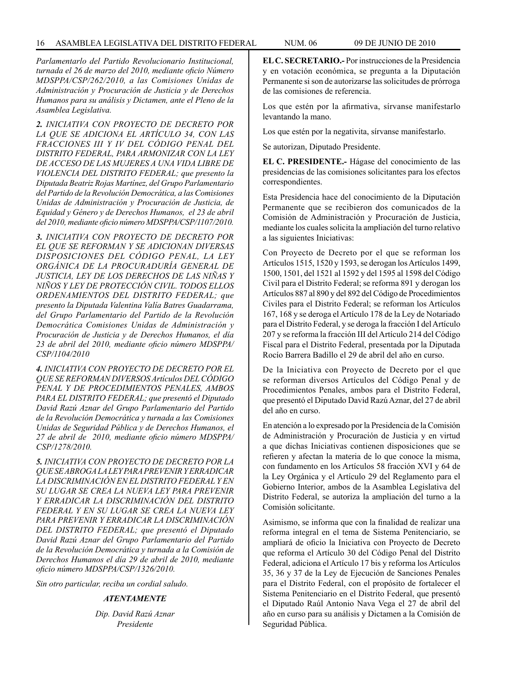*Parlamentarlo del Partido Revolucionario Institucional, turnada el 26 de marzo del 2010, mediante oficio Número MDSPPA/CSP/262/2010, a las Comisiones Unidas de Administración y Procuración de Justicia y de Derechos Humanos para su análisis y Dictamen, ante el Pleno de la Asamblea Legislativa.*

*2. INICIATIVA CON PROYECTO DE DECRETO POR LA QUE SE ADICIONA EL ARTÍCULO 34, CON LAS FRACCIONES III Y IV DEL CÓDIGO PENAL DEL DISTRITO FEDERAL, PARA ARMONIZAR CON LA LEY DE ACCESO DE LAS MUJERES A UNA VIDA LIBRE DE VIOLENCIA DEL DISTRITO FEDERAL; que presento la Diputada Beatriz Rojas Martínez, del Grupo Parlamentario del Partido de la Revolución Democrática, a las Comisiones Unidas de Administración y Procuración de Justicia, de Equidad y Género y de Derechos Humanos, el 23 de abril del 2010, mediante oficio número MDSPPA/CSP/1107/2010.*

*3. INICIATIVA CON PROYECTO DE DECRETO POR EL QUE SE REFORMAN Y SE ADICIONAN DIVERSAS DISPOSICIONES DEL CÓDIGO PENAL, LA LEY ORGÁNICA DE LA PROCURADURÍA GENERAL DE JUSTICIA, LEY DE LOS DERECHOS DE LAS NIÑAS Y NIÑOS Y LEY DE PROTECCIÓN CIVIL. TODOS ELLOS ORDENAMIENTOS DEL DISTRITO FEDERAL; que presento la Diputada Valentina Valía Batres Guadarrama, del Grupo Parlamentario del Partido de la Revolución Democrática Comisiones Unidas de Administración y Procuración de Justicia y de Derechos Humanos, el día 23 de abril del 2010, mediante oficio número MDSPPA/ CSP/1104/2010*

*4. INICIATIVA CON PROYECTO DE DECRETO POR EL QUE SE REFORMAN DIVERSOS Artículos DEL CÓDIGO PENAL Y DE PROCEDIMIENTOS PENALES, AMBOS PARA EL DISTRITO FEDERAL; que presentó el Diputado David Razú Aznar del Grupo Parlamentario del Partido de la Revolución Democrática y turnada a las Comisiones Unidas de Seguridad Pública y de Derechos Humanos, el 27 de abril de 2010, mediante oficio número MDSPPA/ CSP/1278/2010.*

*5. INICIATIVA CON PROYECTO DE DECRETO POR LA QUE SE ABROGA LA LEY PARA PREVENIR Y ERRADICAR LA DISCRIMINACIÓN EN EL DISTRITO FEDERAL Y EN SU LUGAR SE CREA LA NUEVA LEY PARA PREVENIR Y ERRADICAR LA DISCRIMINACIÓN DEL DISTRITO FEDERAL Y EN SU LUGAR SE CREA LA NUEVA LEY PARA PREVENIR Y ERRADICAR LA DISCRIMINACIÓN DEL DISTRITO FEDERAL; que presentó el Diputado David Razú Aznar del Grupo Parlamentario del Partido de la Revolución Democrática y turnada a la Comisión de Derechos Humanos el día 29 de abril de 2010, mediante oficio número MDSPPA/CSP/1326/2010.*

*Sin otro particular, reciba un cordial saludo.* 

#### *ATENTAMENTE*

*Dip. David Razú Aznar Presidente*

**EL C. SECRETARIO.-** Por instrucciones de la Presidencia y en votación económica, se pregunta a la Diputación Permanente si son de autorizarse las solicitudes de prórroga de las comisiones de referencia.

Los que estén por la afirmativa, sírvanse manifestarlo levantando la mano.

Los que estén por la negativita, sírvanse manifestarlo.

Se autorizan, Diputado Presidente.

**EL C. PRESIDENTE.-** Hágase del conocimiento de las presidencias de las comisiones solicitantes para los efectos correspondientes.

Esta Presidencia hace del conocimiento de la Diputación Permanente que se recibieron dos comunicados de la Comisión de Administración y Procuración de Justicia, mediante los cuales solicita la ampliación del turno relativo a las siguientes Iniciativas:

Con Proyecto de Decreto por el que se reforman los Artículos 1515, 1520 y 1593, se derogan los Artículos 1499, 1500, 1501, del 1521 al 1592 y del 1595 al 1598 del Código Civil para el Distrito Federal; se reforma 891 y derogan los Artículos 887 al 890 y del 892 del Código de Procedimientos Civiles para el Distrito Federal; se reforman los Artículos 167, 168 y se deroga el Artículo 178 de la Ley de Notariado para el Distrito Federal, y se deroga la fracción I del Artículo 207 y se reforma la fracción III del Artículo 214 del Código Fiscal para el Distrito Federal, presentada por la Diputada Rocío Barrera Badillo el 29 de abril del año en curso.

De la Iniciativa con Proyecto de Decreto por el que se reforman diversos Artículos del Código Penal y de Procedimientos Penales, ambos para el Distrito Federal, que presentó el Diputado David Razú Aznar, del 27 de abril del año en curso.

En atención a lo expresado por la Presidencia de la Comisión de Administración y Procuración de Justicia y en virtud a que dichas Iniciativas contienen disposiciones que se refieren y afectan la materia de lo que conoce la misma, con fundamento en los Artículos 58 fracción XVI y 64 de la Ley Orgánica y el Artículo 29 del Reglamento para el Gobierno Interior, ambos de la Asamblea Legislativa del Distrito Federal, se autoriza la ampliación del turno a la Comisión solicitante.

Asimismo, se informa que con la finalidad de realizar una reforma integral en el tema de Sistema Penitenciario, se ampliará de oficio la Iniciativa con Proyecto de Decreto que reforma el Artículo 30 del Código Penal del Distrito Federal, adiciona el Artículo 17 bis y reforma los Artículos 35, 36 y 37 de la Ley de Ejecución de Sanciones Penales para el Distrito Federal, con el propósito de fortalecer el Sistema Penitenciario en el Distrito Federal, que presentó el Diputado Raúl Antonio Nava Vega el 27 de abril del año en curso para su análisis y Dictamen a la Comisión de Seguridad Pública.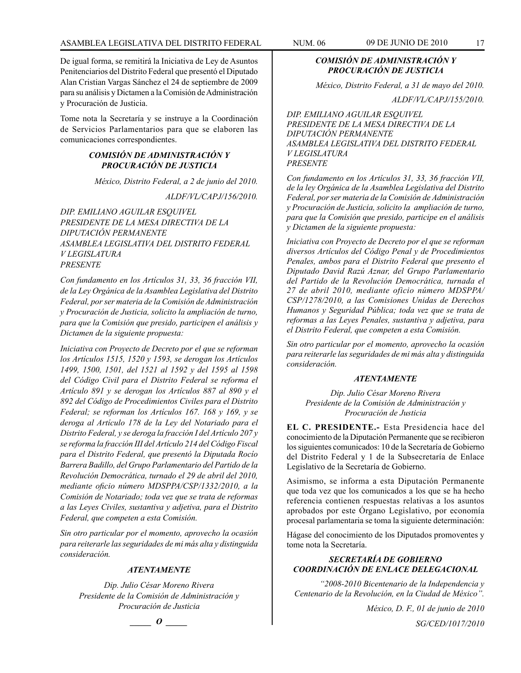De igual forma, se remitirá la Iniciativa de Ley de Asuntos Penitenciarios del Distrito Federal que presentó el Diputado Alan Cristian Vargas Sánchez el 24 de septiembre de 2009 para su análisis y Dictamen a la Comisión de Administración y Procuración de Justicia.

Tome nota la Secretaría y se instruye a la Coordinación de Servicios Parlamentarios para que se elaboren las comunicaciones correspondientes.

#### *COMISIÓN DE ADMINISTRACIÓN Y PROCURACIÓN DE JUSTICIA*

*México, Distrito Federal, a 2 de junio del 2010.*

*ALDF/VL/CAPJ/156/2010.*

*DIP. EMILIANO AGUILAR ESQUIVEL PRESIDENTE DE LA MESA DIRECTIVA DE LA DIPUTACIÓN PERMANENTE ASAMBLEA LEGISLATIVA DEL DISTRITO FEDERAL V LEGISLATURA PRESENTE*

*Con fundamento en los Artículos 31, 33, 36 fracción VII, de la Ley Orgánica de la Asamblea Legislativa del Distrito Federal, por ser materia de la Comisión de Administración y Procuración de Justicia, solicito la ampliación de turno, para que la Comisión que presido, participen el análisis y Dictamen de la siguiente propuesta:*

*Iniciativa con Proyecto de Decreto por el que se reforman los Artículos 1515, 1520 y 1593, se derogan los Artículos 1499, 1500, 1501, del 1521 al 1592 y del 1595 al 1598 del Código Civil para el Distrito Federal se reforma el Artículo 891 y se derogan los Artículos 887 al 890 y el 892 del Código de Procedimientos Civiles para el Distrito Federal; se reforman los Artículos 167. 168 y 169, y se deroga al Artículo 178 de la Ley del Notariado para el Distrito Federal, y se deroga la fracción I del Artículo 207 y se reforma la fracción III del Artículo 214 del Código Fiscal para el Distrito Federal, que presentó la Diputada Rocío Barrera Badillo, del Grupo Parlamentario del Partido de la Revolución Democrática, turnado el 29 de abril del 2010, mediante oficio número MDSPPA/CSP/1332/2010, a la Comisión de Notariado; toda vez que se trata de reformas a las Leyes Civiles, sustantiva y adjetiva, para el Distrito Federal, que competen a esta Comisión.*

*Sin otro particular por el momento, aprovecho la ocasión para reiterarle las seguridades de mi más alta y distinguida consideración.*

# *ATENTAMENTE*

*Dip. Julio César Moreno Rivera Presidente de la Comisión de Administración y Procuración de Justicia*

*COMISIÓN DE ADMINISTRACIÓN Y PROCURACIÓN DE JUSTICIA*

*México, Distrito Federal, a 31 de mayo del 2010.*

*ALDF/VL/CAPJ/155/2010.*

*DIP. EMILIANO AGUILAR ESQUIVEL PRESIDENTE DE LA MESA DIRECTIVA DE LA DIPUTACIÓN PERMANENTE ASAMBLEA LEGISLATIVA DEL DISTRITO FEDERAL V LEGISLATURA PRESENTE*

*Con fundamento en los Artículos 31, 33, 36 fracción VII, de la ley Orgánica de la Asamblea Legislativa del Distrito Federal, por ser materia de la Comisión de Administración y Procuración de Justicia, solicito la ampliación de turno, para que la Comisión que presido, participe en el análisis y Dictamen de la siguiente propuesta:*

*Iniciativa con Proyecto de Decreto por el que se reforman diversos Artículos del Código Penal y de Procedimientos Penales, ambos para el Distrito Federal que presento el Diputado David Razú Aznar, del Grupo Parlamentario del Partido de la Revolución Democrática, turnada el 27 de abril 2010, mediante oficio número MDSPPA/ CSP/1278/2010, a las Comisiones Unidas de Derechos Humanos y Seguridad Pública; toda vez que se trata de reformas a las Leyes Penales, sustantiva y adjetiva, para el Distrito Federal, que competen a esta Comisión.*

*Sin otro particular por el momento, aprovecho la ocasión para reiterarle las seguridades de mi más alta y distinguida consideración.*

# *ATENTAMENTE*

*Dip. Julio César Moreno Rivera Presidente de la Comisión de Administración y Procuración de Justicia*

**EL C. PRESIDENTE.-** Esta Presidencia hace del conocimiento de la Diputación Permanente que se recibieron los siguientes comunicados: 10 de la Secretaría de Gobierno del Distrito Federal y 1 de la Subsecretaría de Enlace Legislativo de la Secretaría de Gobierno.

Asimismo, se informa a esta Diputación Permanente que toda vez que los comunicados a los que se ha hecho referencia contienen respuestas relativas a los asuntos aprobados por este Órgano Legislativo, por economía procesal parlamentaria se toma la siguiente determinación:

Hágase del conocimiento de los Diputados promoventes y tome nota la Secretaría.

# *SECRETARÍA DE GOBIERNO COORDINACIÓN DE ENLACE DELEGACIONAL*

*"2008-2010 Bicentenario de la Independencia y Centenario de la Revolución, en la Ciudad de México".*

*México, D. F., 01 de junio de 2010*

*SG/CED/1017/2010*

*\_\_\_\_\_ O \_\_\_\_\_*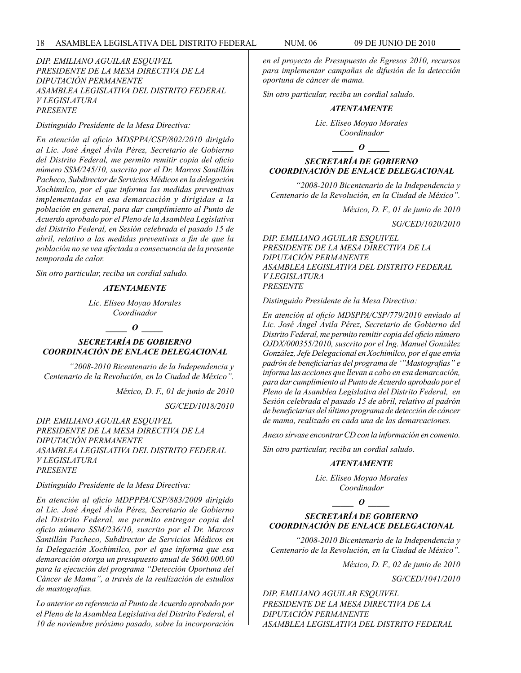#### *DIP. EMILIANO AGUILAR ESQUIVEL PRESIDENTE DE LA MESA DIRECTIVA DE LA DIPUTACIÓN PERMANENTE ASAMBLEA LEGISLATIVA DEL DISTRITO FEDERAL V LEGISLATURA PRESENTE*

*Distinguido Presidente de la Mesa Directiva:*

*En atención al oficio MDSPPA/CSP/802/2010 dirigido al Lic. José Ángel Ávila Pérez, Secretario de Gobierno del Distrito Federal, me permito remitir copia del oficio número SSM/245/10, suscrito por el Dr. Marcos Santillán Pacheco, Subdirector de Servicios Médicos en la delegación Xochimilco, por el que informa las medidas preventivas implementadas en esa demarcación y dirigidas a la población en general, para dar cumplimiento al Punto de Acuerdo aprobado por el Pleno de la Asamblea Legislativa del Distrito Federal, en Sesión celebrada el pasado 15 de abril, relativo a las medidas preventivas a fin de que la población no se vea afectada a consecuencia de la presente temporada de calor.*

*Sin otro particular, reciba un cordial saludo.*

# *ATENTAMENTE*

*Lic. Eliseo Moyao Morales Coordinador*

*\_\_\_\_\_ O \_\_\_\_\_*

*SECRETARÍA DE GOBIERNO COORDINACIÓN DE ENLACE DELEGACIONAL*

*"2008-2010 Bicentenario de la Independencia y Centenario de la Revolución, en la Ciudad de México".*

*México, D. F., 01 de junio de 2010*

*SG/CED/1018/2010*

*DIP. EMILIANO AGUILAR ESQUIVEL PRESIDENTE DE LA MESA DIRECTIVA DE LA DIPUTACIÓN PERMANENTE ASAMBLEA LEGISLATIVA DEL DISTRITO FEDERAL V LEGISLATURA PRESENTE*

*Distinguido Presidente de la Mesa Directiva:*

*En atención al oficio MDPPPA/CSP/883/2009 dirigido al Lic. José Ángel Ávila Pérez, Secretario de Gobierno del Distrito Federal, me permito entregar copia del oficio número SSM/236/10, suscrito por el Dr. Marcos Santillán Pacheco, Subdirector de Servicios Médicos en la Delegación Xochimilco, por el que informa que esa demarcación otorga un presupuesto anual de \$600.000.00 para la ejecución del programa "Detección Oportuna del Cáncer de Mama", a través de la realización de estudios de mastografias.*

*Lo anterior en referencia al Punto de Acuerdo aprobado por el Pleno de la Asamblea Legislativa del Distrito Federal, el 10 de noviembre próximo pasado, sobre la incorporación*  *en el proyecto de Presupuesto de Egresos 2010, recursos para implementar campañas de difusión de la detección oportuna de cáncer de mama.*

*Sin otro particular, reciba un cordial saludo.*

#### *ATENTAMENTE*

*Lic. Eliseo Moyao Morales Coordinador*

*\_\_\_\_\_ O \_\_\_\_\_*

# *SECRETARÍA DE GOBIERNO COORDINACIÓN DE ENLACE DELEGACIONAL*

*"2008-2010 Bicentenario de la Independencia y Centenario de la Revolución, en la Ciudad de México".*

*México, D. F., 01 de junio de 2010*

*SG/CED/1020/2010*

*DIP. EMILIANO AGUILAR ESQUIVEL PRESIDENTE DE LA MESA DIRECTIVA DE LA DIPUTACIÓN PERMANENTE ASAMBLEA LEGISLATIVA DEL DISTRITO FEDERAL V LEGISLATURA PRESENTE*

*Distinguido Presidente de la Mesa Directiva:*

*En atención al oficio MDSPPA/CSP/779/2010 enviado al Lic. José Ángel Ávila Pérez, Secretario de Gobierno del Distrito Federal, me permito remitir copia del oficio número OJDX/000355/2010, suscrito por el Ing. Manuel González González, Jefe Delegacional en Xochimilco, por el que envía padrón de beneficiarias del programa de '"Mastografias" e informa las acciones que llevan a cabo en esa demarcación, para dar cumplimiento al Punto de Acuerdo aprobado por el Pleno de la Asamblea Legislativa del Distrito Federal, en Sesión celebrada el pasado 15 de abril, relativo al padrón de beneficiarias del último programa de detección de cáncer de mama, realizado en cada una de las demarcaciones.*

*Anexo sírvase encontrar CD con la información en comento.*

*Sin otro particular, reciba un cordial saludo.*

#### *ATENTAMENTE*

*Lic. Eliseo Moyao Morales Coordinador*

#### *\_\_\_\_\_ O \_\_\_\_\_*

# *SECRETARÍA DE GOBIERNO COORDINACIÓN DE ENLACE DELEGACIONAL*

*"2008-2010 Bicentenario de la Independencia y Centenario de la Revolución, en la Ciudad de México".*

*México, D. F., 02 de junio de 2010*

*SG/CED/1041/2010*

*DIP. EMILIANO AGUILAR ESQUIVEL PRESIDENTE DE LA MESA DIRECTIVA DE LA DIPUTACIÓN PERMANENTE ASAMBLEA LEGISLATIVA DEL DISTRITO FEDERAL*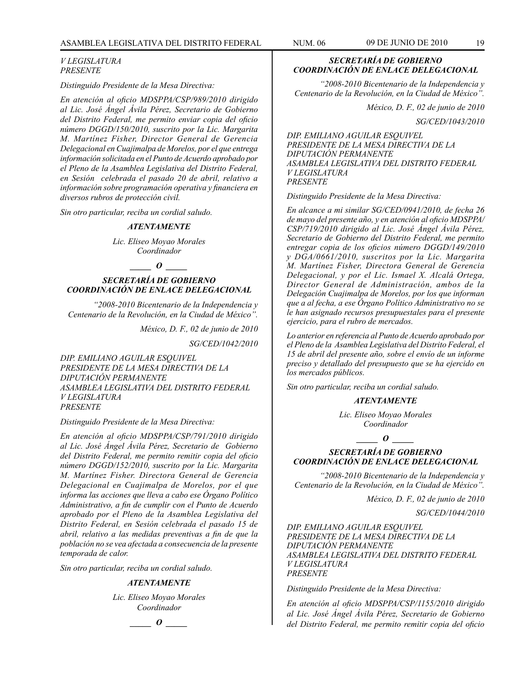#### *V LEGISLATURA PRESENTE*

*Distinguido Presidente de la Mesa Directiva:*

*En atención al oficio MDSPPA/CSP/989/2010 dirigido al Lic. José Ángel Ávila Pérez, Secretario de Gobierno del Distrito Federal, me permito enviar copia del oficio número DGGD/150/2010, suscrito por la Lic. Margarita M. Martínez Fisher, Director General de Gerencia Delegacional en Cuajimalpa de Morelos, por el que entrega información solicitada en el Punto de Acuerdo aprobado por el Pleno de la Asamblea Legislativa del Distrito Federal, en Sesión celebrada el pasado 20 de abril, relativo a información sobre programación operativa y financiera en diversos rubros de protección civil.*

*Sin otro particular, reciba un cordial saludo.*

#### *ATENTAMENTE*

*Lic. Eliseo Moyao Morales Coordinador*

*\_\_\_\_\_ O \_\_\_\_\_*

# *SECRETARÍA DE GOBIERNO COORDINACIÓN DE ENLACE DELEGACIONAL*

*"2008-2010 Bicentenario de la Independencia y Centenario de la Revolución, en la Ciudad de México".*

*México, D. F., 02 de junio de 2010*

*SG/CED/1042/2010*

*DIP. EMILIANO AGUILAR ESQUIVEL PRESIDENTE DE LA MESA DIRECTIVA DE LA DIPUTACIÓN PERMANENTE ASAMBLEA LEGISLATIVA DEL DISTRITO FEDERAL V LEGISLATURA PRESENTE*

*Distinguido Presidente de la Mesa Directiva:*

*En atención al oficio MDSPPA/CSP/791/2010 dirigido al Lic. José Ángel Ávila Pérez, Secretario de Gobierno del Distrito Federal, me permito remitir copia del oficio número DGGD/152/2010, suscrito por la Lic. Margarita M. Martínez Fisher. Directora General de Gerencia Delegacional en Cuajimalpa de Morelos, por el que informa las acciones que lleva a cabo ese Órgano Político Administrativo, a fin de cumplir con el Punto de Acuerdo aprobado por el Pleno de la Asamblea Legislativa del Distrito Federal, en Sesión celebrada el pasado 15 de abril, relativo a las medidas preventivas a fin de que la población no se vea afectada a consecuencia de la presente temporada de calor.*

*Sin otro particular, reciba un cordial saludo.*

#### *ATENTAMENTE*

*Lic. Eliseo Moyao Morales Coordinador*

*\_\_\_\_\_ O \_\_\_\_\_*

# *SECRETARÍA DE GOBIERNO COORDINACIÓN DE ENLACE DELEGACIONAL*

*"2008-2010 Bicentenario de la Independencia y Centenario de la Revolución, en la Ciudad de México".*

*México, D. F., 02 de junio de 2010*

*SG/CED/1043/2010*

*DIP. EMILIANO AGUILAR ESQUIVEL PRESIDENTE DE LA MESA DIRECTIVA DE LA DIPUTACIÓN PERMANENTE ASAMBLEA LEGISLATIVA DEL DISTRITO FEDERAL V LEGISLATURA PRESENTE*

*Distinguido Presidente de la Mesa Directiva:*

*En alcance a mi similar SG/CED/0941/2010, de fecha 26 de mayo del presente año, y en atención al oficio MDSPPA/ CSP/719/2010 dirigido al Lic. José Ángel Ávila Pérez, Secretario de Gobierno del Distrito Federal, me permito entregar copia de los oficios número DGGD/149/2010 y DGA/0661/2010, suscritos por la Lic. Margarita M. Martínez Fisher, Directora General de Gerencia Delegacional, y por el Lic. Ismael X. Alcalá Ortega, Director General de Administración, ambos de la Delegación Cuajimalpa de Morelos, por los que informan que a al fecha, a ese Órgano Político Administrativo no se le han asignado recursos presupuestales para el presente ejercicio, para el rubro de mercados.*

*Lo anterior en referencia al Punto de Acuerdo aprobado por el Pleno de la Asamblea Legislativa del Distrito Federal, el 15 de abril del presente año, sobre el envío de un informe preciso y detallado del presupuesto que se ha ejercido en los mercados públicos.*

*Sin otro particular, reciba un cordial saludo.*

#### *ATENTAMENTE*

*Lic. Eliseo Moyao Morales Coordinador*

 $\bm{o}$ 

# *SECRETARÍA DE GOBIERNO COORDINACIÓN DE ENLACE DELEGACIONAL*

*"2008-2010 Bicentenario de la Independencia y Centenario de la Revolución, en la Ciudad de México".*

*México, D. F., 02 de junio de 2010*

*SG/CED/1044/2010*

*DIP. EMILIANO AGUILAR ESQUIVEL PRESIDENTE DE LA MESA DIRECTIVA DE LA DIPUTACIÓN PERMANENTE ASAMBLEA LEGISLATIVA DEL DISTRITO FEDERAL V LEGISLATURA PRESENTE*

*Distinguido Presidente de la Mesa Directiva:*

*En atención al oficio MDSPPA/CSP/1155/2010 dirigido al Lic. José Ángel Ávila Pérez, Secretario de Gobierno del Distrito Federal, me permito remitir copia del oficio*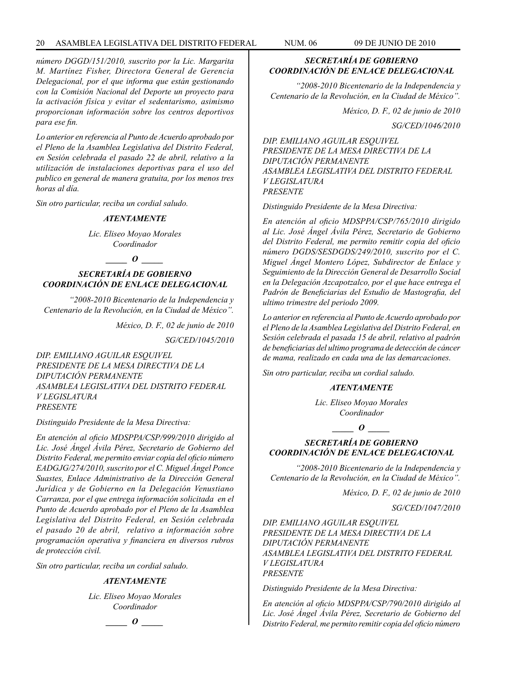# 20 ASAMBLEA LEGISLATIVA DEL DISTRITO FEDERAL NUM. 06 09 de JUNIo de 2010

*número DGGD/151/2010, suscrito por la Lic. Margarita M. Martínez Fisher, Directora General de Gerencia Delegacional, por el que informa que están gestionando con la Comisión Nacional del Deporte un proyecto para la activación física y evitar el sedentarismo, asimismo proporcionan información sobre los centros deportivos para ese fin.*

*Lo anterior en referencia al Punto de Acuerdo aprobado por el Pleno de la Asamblea Legislativa del Distrito Federal, en Sesión celebrada el pasado 22 de abril, relativo a la utilización de instalaciones deportivas para el uso del publico en general de manera gratuita, por los menos tres horas al día.*

*Sin otro particular, reciba un cordial saludo.*

#### *ATENTAMENTE*

*Lic. Eliseo Moyao Morales Coordinador*

# *\_\_\_\_\_ O \_\_\_\_\_*

# *SECRETARÍA DE GOBIERNO COORDINACIÓN DE ENLACE DELEGACIONAL*

*"2008-2010 Bicentenario de la Independencia y Centenario de la Revolución, en la Ciudad de México".*

*México, D. F., 02 de junio de 2010*

*SG/CED/1045/2010*

*DIP. EMILIANO AGUILAR ESQUIVEL PRESIDENTE DE LA MESA DIRECTIVA DE LA DIPUTACIÓN PERMANENTE ASAMBLEA LEGISLATIVA DEL DISTRITO FEDERAL V LEGISLATURA PRESENTE*

*Distinguido Presidente de la Mesa Directiva:*

*En atención al oficio MDSPPA/CSP/999/2010 dirigido al Lic. José Ángel Ávila Pérez, Secretario de Gobierno del Distrito Federal, me permito enviar copia del oficio número EADGJG/274/2010, suscrito por el C. Miguel Ángel Ponce Suastes, Enlace Administrativo de la Dirección General Jurídica y de Gobierno en la Delegación Venustiano Carranza, por el que entrega información solicitada en el Punto de Acuerdo aprobado por el Pleno de la Asamblea Legislativa del Distrito Federal, en Sesión celebrada el pasado 20 de abril, relativo a información sobre programación operativa y financiera en diversos rubros de protección civil.*

*Sin otro particular, reciba un cordial saludo.*

#### *ATENTAMENTE*

*Lic. Eliseo Moyao Morales Coordinador*



# *SECRETARÍA DE GOBIERNO COORDINACIÓN DE ENLACE DELEGACIONAL*

*"2008-2010 Bicentenario de la Independencia y Centenario de la Revolución, en la Ciudad de México".*

*México, D. F., 02 de junio de 2010*

*SG/CED/1046/2010*

*DIP. EMILIANO AGUILAR ESQUIVEL PRESIDENTE DE LA MESA DIRECTIVA DE LA DIPUTACIÓN PERMANENTE ASAMBLEA LEGISLATIVA DEL DISTRITO FEDERAL V LEGISLATURA PRESENTE*

*Distinguido Presidente de la Mesa Directiva:*

*En atención al oficio MDSPPA/CSP/765/2010 dirigido al Lic. José Ángel Ávila Pérez, Secretario de Gobierno del Distrito Federal, me permito remitir copia del oficio número DGDS/SESDGDS/249/2010, suscrito por el C. Miguel Ángel Montero López, Subdirector de Enlace y Seguimiento de la Dirección General de Desarrollo Social en la Delegación Azcapotzalco, por el que hace entrega el Padrón de Beneficiarias del Estudio de Mastografia, del ultimo trimestre del periodo 2009.*

*Lo anterior en referencia al Punto de Acuerdo aprobado por el Pleno de la Asamblea Legislativa del Distrito Federal, en Sesión celebrada el pasada 15 de abril, relativo al padrón de beneficiarias del ultimo programa de detección de cáncer de mama, realizado en cada una de las demarcaciones.*

*Sin otro particular, reciba un cordial saludo.*

#### *ATENTAMENTE*

*Lic. Eliseo Moyao Morales Coordinador*

*\_\_\_\_\_ O \_\_\_\_\_*

# *SECRETARÍA DE GOBIERNO COORDINACIÓN DE ENLACE DELEGACIONAL*

*"2008-2010 Bicentenario de la Independencia y Centenario de la Revolución, en la Ciudad de México".*

*México, D. F., 02 de junio de 2010*

*SG/CED/1047/2010*

*DIP. EMILIANO AGUILAR ESQUIVEL PRESIDENTE DE LA MESA DIRECTIVA DE LA DIPUTACIÓN PERMANENTE ASAMBLEA LEGISLATIVA DEL DISTRITO FEDERAL V LEGISLATURA PRESENTE*

*Distinguido Presidente de la Mesa Directiva:*

*En atención al oficio MDSPPA/CSP/790/2010 dirigido al Lic. José Ángel Ávila Pérez, Secretario de Gobierno del Distrito Federal, me permito remitir copia del oficio número*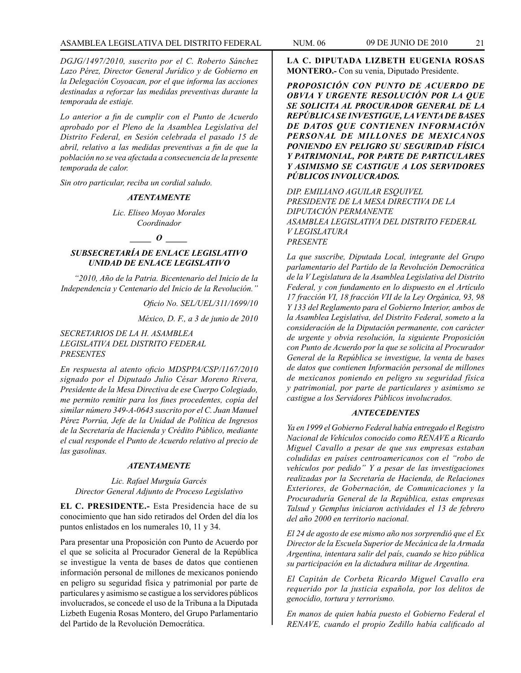*DGJG/1497/2010, suscrito por el C. Roberto Sánchez Lazo Pérez, Director General Jurídico y de Gobierno en la Delegación Coyoacan, por el que informa las acciones destinadas a reforzar las medidas preventivas durante la temporada de estiaje.*

*Lo anterior a fin de cumplir con el Punto de Acuerdo aprobado por el Pleno de la Asamblea Legislativa del Distrito Federal, en Sesión celebrada el pasado 15 de abril, relativo a las medidas preventivas a fin de que la población no se vea afectada a consecuencia de la presente temporada de calor.*

*Sin otro particular, reciba un cordial saludo.*

#### *ATENTAMENTE*

*Lic. Eliseo Moyao Morales Coordinador*

#### *\_\_\_\_\_ O \_\_\_\_\_*

# *SUBSECRETARÍA DE ENLACE LEGISLATIVO UNIDAD DE ENLACE LEGISLATIVO*

*"2010, Año de la Patria. Bicentenario del Inicio de la Independencia y Centenario del Inicio de la Revolución."*

*Oficio No. SEL/UEL/311/1699/10*

*México, D. F., a 3 de junio de 2010*

#### *SECRETARIOS DE LA H. ASAMBLEA LEGISLATIVA DEL DISTRITO FEDERAL PRESENTES*

*En respuesta al atento oficio MDSPPA/CSP/1167/2010 signado por el Diputado Julio César Moreno Rivera, Presidente de la Mesa Directiva de ese Cuerpo Colegiado, me permito remitir para los fines procedentes, copia del similar número 349-A-0643 suscrito por el C. Juan Manuel Pérez Porrúa, Jefe de la Unidad de Política de Ingresos de la Secretaría de Hacienda y Crédito Público, mediante el cual responde el Punto de Acuerdo relativo al precio de las gasolinas.*

#### *ATENTAMENTE*

# *Lic. Rafael Murguía Garcés Director General Adjunto de Proceso Legislativo*

**EL C. PRESIDENTE.-** Esta Presidencia hace de su conocimiento que han sido retirados del Orden del día los puntos enlistados en los numerales 10, 11 y 34.

Para presentar una Proposición con Punto de Acuerdo por el que se solicita al Procurador General de la República se investigue la venta de bases de datos que contienen información personal de millones de mexicanos poniendo en peligro su seguridad física y patrimonial por parte de particulares y asimismo se castigue a los servidores públicos involucrados, se concede el uso de la Tribuna a la Diputada Lizbeth Eugenia Rosas Montero, del Grupo Parlamentario del Partido de la Revolución Democrática.

**LA C. DIPUTADA LIZBETH EUGENIA ROSAS MONTERO.-** Con su venia, Diputado Presidente.

*PROPOSICIÓN CON PUNTO DE ACUERDO DE OBVIA Y URGENTE RESOLUCIÓN POR LA QUE SE SOLICITA AL PROCURADOR GENERAL DE LA REPÚBLICA SE INVESTIGUE, LA VENTA DE BASES DE DATOS QUE CONTIENEN INFORMACIÓN PERSONAL DE MILLONES DE MEXICANOS PONIENDO EN PELIGRO SU SEGURIDAD FÍSICA Y PATRIMONIAL, POR PARTE DE PARTICULARES Y ASIMISMO SE CASTIGUE A LOS SERVIDORES PÚBLICOS INVOLUCRADOS.*

*DIP. EMILIANO AGUILAR ESQUIVEL PRESIDENTE DE LA MESA DIRECTIVA DE LA DIPUTACIÓN PERMANENTE ASAMBLEA LEGISLATIVA DEL DISTRITO FEDERAL V LEGISLATURA PRESENTE*

*La que suscribe, Diputada Local, integrante del Grupo parlamentario del Partido de la Revolución Democrática de la V Legislatura de la Asamblea Legislativa del Distrito Federal, y con fundamento en lo dispuesto en el Artículo 17 fracción VI, 18 fracción VII de la Ley Orgánica, 93, 98 Y 133 del Reglamento para el Gobierno Interior, ambos de la Asamblea Legislativa, del Distrito Federal, someto a la consideración de la Diputación permanente, con carácter de urgente y obvia resolución, la siguiente Proposición con Punto de Acuerdo por la que se solicita al Procurador General de la República se investigue, la venta de bases de datos que contienen Información personal de millones de mexicanos poniendo en peligro su seguridad física y patrimonial, por parte de particulares y asimismo se castigue a los Servidores Públicos involucrados.*

#### *ANTECEDENTES*

*Ya en 1999 el Gobierno Federal había entregado el Registro Nacional de Vehículos conocido como RENAVE a Ricardo Miguel Cavallo a pesar de que sus empresas estaban coludidas en países centroamericanos con el "robo de vehículos por pedido" Y a pesar de las investigaciones realizadas por la Secretaría de Hacienda, de Relaciones Exteriores, de Gobernación, de Comunicaciones y la Procuraduría General de la República, estas empresas Talsud y Gemplus iniciaron actividades el 13 de febrero del año 2000 en territorio nacional.*

*El 24 de agosto de ese mismo año nos sorprendió que el Ex Director de la Escuela Superior de Mecánica de la Armada Argentina, intentara salir del país, cuando se hizo pública su participación en la dictadura militar de Argentina.*

*El Capitán de Corbeta Ricardo Miguel Cavallo era requerido por la justicia española, por los delitos de genocidio, tortura y terrorismo.*

*En manos de quien había puesto el Gobierno Federal el RENAVE, cuando el propio Zedillo había calificado al*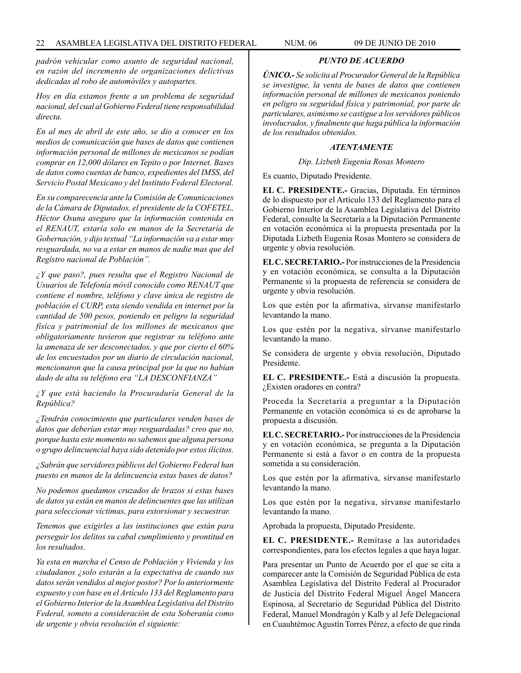*padrón vehicular como asunto de seguridad nacional, en razón del incremento de organizaciones delictivas dedicadas al robo de automóviles y autopartes.*

*Hoy en día estamos frente a un problema de seguridad nacional, del cual al Gobierno Federal tiene responsabilidad directa.*

*En al mes de abril de este año, se dio a conocer en los medios de comunicación que bases de datos que contienen información personal de millones de mexicanos se podían comprar en 12,000 dólares en Tepito o por Internet. Bases de datos como cuentas de banco, expedientes del IMSS, del Servicio Postal Mexicano y del Instituto Federal Electoral.*

*En su comparecencia ante la Comisión de Comunicaciones de la Cámara de Diputados, el presidente de la COFETEL, Héctor Osuna aseguro que la información contenida en el RENAUT, estaría solo en manos de la Secretaría de Gobernación, y dijo textual "La información va a estar muy resguardada, no va a estar en manos de nadie mas que del Registro nacional de Población".*

*¿Y que paso?, pues resulta que el Registro Nacional de Usuarios de Telefonía móvil conocido como RENAUT que contiene el nombre, teléfono y clave única de registro de población el CURP, esta siendo vendida en internet por la cantidad de 500 pesos, poniendo en peligro la seguridad física y patrimonial de los millones de mexicanos que obligatoriamente tuvieron que registrar su teléfono ante la amenaza de ser desconectados, y que por cierto el 60% de los encuestados por un diario de circulación nacional, mencionaron que la causa principal por la que no habían dado de alta su teléfono era "LA DESCONFIANZA"*

*¿Y que está haciendo la Procuraduría General de la República?*

*¿Tendrán conocimiento que particulares venden bases de datos que deberían estar muy resguardadas? creo que no, porque hasta este momento no sabemos que alguna persona o grupo delincuencial haya sido detenido por estos ilícitos.*

*¿Sabrán que servidores públicos del Gobierno Federal han puesto en manos de la delincuencia estas bases de datos?*

*No podemos quedamos cruzados de brazos si estas bases de datos ya están en manos de delincuentes que las utilizan para seleccionar victimas, para extorsionar y secuestrar.*

*Tenemos que exigirles a las instituciones que están para perseguir los delitos su cabal cumplimiento y prontitud en los resultados.*

*Ya esta en marcha el Censo de Población y Vivienda y los ciudadanos ¿solo estarán a la expectativa de cuando sus datos serán vendidos al mejor postor? Por lo anteriormente expuesto y con base en el Artículo 133 del Reglamento para el Gobierno Interior de la Asamblea Legislativa del Distrito Federal, someto a consideración de esta Soberanía como de urgente y obvia resolución el siguiente:*

*ÚNICO.- Se solicita al Procurador General de la República se investigue, la venta de bases de datos que contienen información personal de millones de mexicanos poniendo en peligro su seguridad física y patrimonial, por parte de particulares, asimismo se castigue a los servidores públicos involucrados, y finalmente que haga pública la información de los resultados obtenidos.*

*PUNTO DE ACUERDO*

#### *ATENTAMENTE*

*Dip. Lizbeth Eugenia Rosas Montero*

Es cuanto, Diputado Presidente.

**EL C. PRESIDENTE.-** Gracias, Diputada. En términos de lo dispuesto por el Artículo 133 del Reglamento para el Gobierno Interior de la Asamblea Legislativa del Distrito Federal, consulte la Secretaría a la Diputación Permanente en votación económica si la propuesta presentada por la Diputada Lizbeth Eugenia Rosas Montero se considera de urgente y obvia resolución.

**EL C. SECRETARIO.-** Por instrucciones de la Presidencia y en votación económica, se consulta a la Diputación Permanente si la propuesta de referencia se considera de urgente y obvia resolución.

Los que estén por la afirmativa, sírvanse manifestarlo levantando la mano.

Los que estén por la negativa, sírvanse manifestarlo levantando la mano.

Se considera de urgente y obvia resolución, Diputado Presidente.

**EL C. PRESIDENTE.-** Está a discusión la propuesta. ¿Existen oradores en contra?

Proceda la Secretaría a preguntar a la Diputación Permanente en votación económica si es de aprobarse la propuesta a discusión.

**EL C. SECRETARIO.-** Por instrucciones de la Presidencia y en votación económica, se pregunta a la Diputación Permanente si está a favor o en contra de la propuesta sometida a su consideración.

Los que estén por la afirmativa, sírvanse manifestarlo levantando la mano.

Los que estén por la negativa, sírvanse manifestarlo levantando la mano.

Aprobada la propuesta, Diputado Presidente.

**EL C. PRESIDENTE.-** Remítase a las autoridades correspondientes, para los efectos legales a que haya lugar.

Para presentar un Punto de Acuerdo por el que se cita a comparecer ante la Comisión de Seguridad Pública de esta Asamblea Legislativa del Distrito Federal al Procurador de Justicia del Distrito Federal Miguel Ángel Mancera Espinosa, al Secretario de Seguridad Pública del Distrito Federal, Manuel Mondragón y Kalb y al Jefe Delegacional en Cuauhtémoc Agustín Torres Pérez, a efecto de que rinda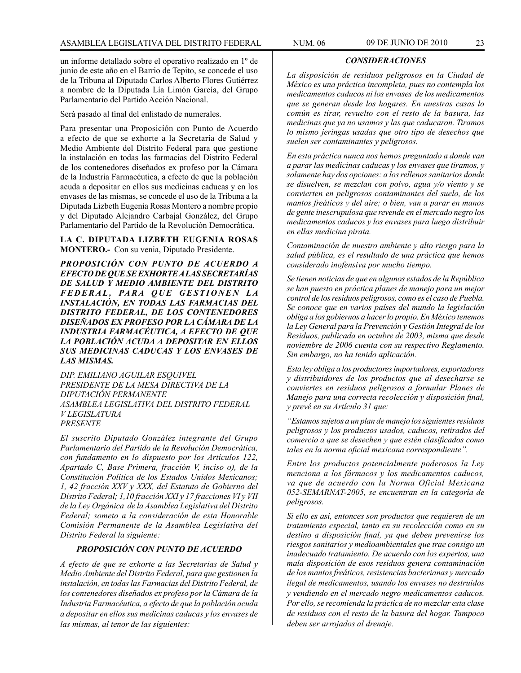un informe detallado sobre el operativo realizado en 1º de junio de este año en el Barrio de Tepito, se concede el uso de la Tribuna al Diputado Carlos Alberto Flores Gutiérrez a nombre de la Diputada Lía Limón García, del Grupo Parlamentario del Partido Acción Nacional.

Será pasado al final del enlistado de numerales.

Para presentar una Proposición con Punto de Acuerdo a efecto de que se exhorte a la Secretaría de Salud y Medio Ambiente del Distrito Federal para que gestione la instalación en todas las farmacias del Distrito Federal de los contenedores diseñados ex profeso por la Cámara de la Industria Farmacéutica, a efecto de que la población acuda a depositar en ellos sus medicinas caducas y en los envases de las mismas, se concede el uso de la Tribuna a la Diputada Lizbeth Eugenia Rosas Montero a nombre propio y del Diputado Alejandro Carbajal González, del Grupo Parlamentario del Partido de la Revolución Democrática.

**LA C. DIPUTADA LIZBETH EUGENIA ROSAS MONTERO.-** Con su venia, Diputado Presidente.

*PROPOSICIÓN CON PUNTO DE ACUERDO A EFECTO DE QUE SE EXHORTE A LAS SECRETARÍAS DE SALUD Y MEDIO AMBIENTE DEL DISTRITO*   $FEDERAL$ , PARA QUE GESTIONEN LA *INSTALACIÓN, EN TODAS LAS FARMACIAS DEL DISTRITO FEDERAL, DE LOS CONTENEDORES DISEÑADOS EX PROFESO POR LA CÁMARA DE LA INDUSTRIA FARMACÉUTICA, A EFECTO DE QUE LA POBLACIÓN ACUDA A DEPOSITAR EN ELLOS SUS MEDICINAS CADUCAS Y LOS ENVASES DE LAS MISMAS.*

*DIP. EMILIANO AGUILAR ESQUIVEL PRESIDENTE DE LA MESA DIRECTIVA DE LA DIPUTACIÓN PERMANENTE ASAMBLEA LEGISLATIVA DEL DISTRITO FEDERAL V LEGISLATURA PRESENTE*

*El suscrito Diputado González integrante del Grupo Parlamentario del Partido de la Revolución Democrática, con fundamento en lo dispuesto por los Artículos 122, Apartado C, Base Primera, fracción V, inciso o), de la Constitución Política de los Estados Unidos Mexicanos; 1, 42 fracción XXV y XXX, del Estatuto de Gobierno del Distrito Federal; 1,10 fracción XXI y 17 fracciones VI y VII de la Ley Orgánica de la Asamblea Legislativa del Distrito Federal; someto a la consideración de esta Honorable Comisión Permanente de la Asamblea Legislativa del Distrito Federal la siguiente:*

#### *PROPOSICIÓN CON PUNTO DE ACUERDO*

*A efecto de que se exhorte a las Secretarías de Salud y Medio Ambiente del Distrito Federal, para que gestionen la instalación, en todas las Farmacias del Distrito Federal, de los contenedores diseñados ex profeso por la Cámara de la Industria Farmacéutica, a efecto de que la población acuda a depositar en ellos sus medicinas caducas y los envases de las mismas, al tenor de las siguientes:*

*CONSIDERACIONES*

*La disposición de residuos peligrosos en la Ciudad de México es una práctica incompleta, pues no contempla los medicamentos caducos ni los envases de los medicamentos que se generan desde los hogares. En nuestras casas lo común es tirar, revuelto con el resto de la basura, las medicinas que ya no usamos y las que caducaron. Tiramos lo mismo jeringas usadas que otro tipo de desechos que suelen ser contaminantes y peligrosos.*

*En esta práctica nunca nos hemos preguntado a donde van a parar las medicinas caducas y los envases que tiramos, y solamente hay dos opciones: a los rellenos sanitarios donde se disuelven, se mezclan con polvo, agua y/o viento y se convierten en peligrosos contaminantes del suelo, de los mantos freáticos y del aire; o bien, van a parar en manos de gente inescrupulosa que revende en el mercado negro los medicamentos caducos y los envases para luego distribuir en ellas medicina pirata.*

*Contaminación de nuestro ambiente y alto riesgo para la salud pública, es el resultado de una práctica que hemos considerado inofensiva por mucho tiempo.*

*Se tienen noticias de que en algunos estados de la República se han puesto en práctica planes de manejo para un mejor control de los residuos peligrosos, como es el caso de Puebla. Se conoce que en varios países del mundo la legislación obliga a los gobiernos a hacer lo propio. En México tenemos la Ley General para la Prevención y Gestión Integral de los Residuos, publicada en octubre de 2003, misma que desde noviembre de 2006 cuenta con su respectivo Reglamento. Sin embargo, no ha tenido aplicación.*

*Esta ley obliga a los productores importadores, exportadores y distribuidores de los productos que al desecharse se conviertes en residuos peligrosos a formular Planes de Manejo para una correcta recolección y disposición final, y prevé en su Artículo 31 que:*

*"Estamos sujetos a un plan de manejo los siguientes residuos peligrosos y los productos usados, caducos, retirados del comercio a que se desechen y que estén clasificados como tales en la norma oficial mexicana correspondiente".*

*Entre los productos potencialmente poderosos la Ley menciona a los fármacos y los medicamentos caducos, va que de acuerdo con la Norma Oficial Mexicana 052-SEMARNAT-2005, se encuentran en la categoría de peligrosos.*

*Si ello es así, entonces son productos que requieren de un tratamiento especial, tanto en su recolección como en su destino a disposición final, ya que deben prevenirse los riesgos sanitarios y medioambientales que trae consigo un inadecuado tratamiento. De acuerdo con los expertos, una mala disposición de esos residuos genera contaminación de los mantos freáticos, resistencias bacterianas y mercado ilegal de medicamentos, usando los envases no destruidos y vendiendo en el mercado negro medicamentos caducos. Por ello, se recomienda la práctica de no mezclar esta clase de residuos con el resto de la basura del hogar. Tampoco deben ser arrojados al drenaje.*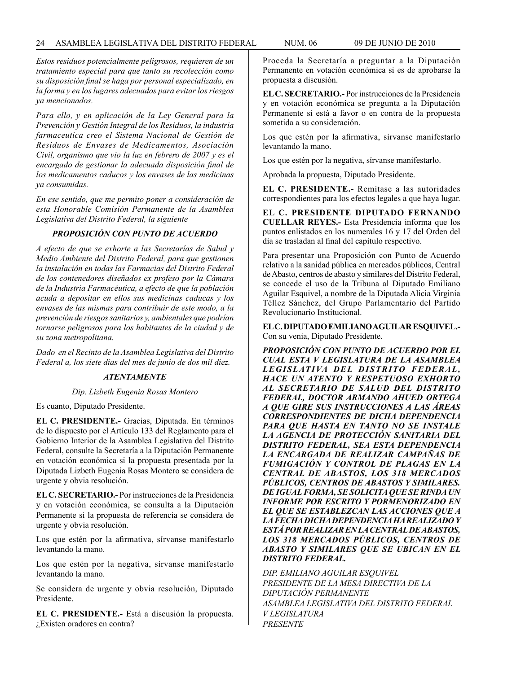*Estos residuos potencialmente peligrosos, requieren de un tratamiento especial para que tanto su recolección como su disposición final se haga por personal especializado, en la forma y en los lugares adecuados para evitar los riesgos ya mencionados.*

*Para ello, y en aplicación de la Ley General para la Prevención y Gestión Integral de los Residuos, la industria farmaceutica creo el Sistema Nacional de Gestión de Residuos de Envases de Medicamentos, Asociación Civil, organismo que vio la luz en febrero de 2007 y es el encargado de gestionar la adecuada disposición final de los medicamentos caducos y los envases de las medicinas ya consumidas.*

*En ese sentido, que me permito poner a consideración de esta Honorable Comisión Permanente de la Asamblea Legislativa del Distrito Federal, la siguiente*

# *PROPOSICIÓN CON PUNTO DE ACUERDO*

*A efecto de que se exhorte a las Secretarías de Salud y Medio Ambiente del Distrito Federal, para que gestionen la instalación en todas las Farmacias del Distrito Federal de los contenedores diseñados ex profeso por la Cámara de la Industria Farmacéutica, a efecto de que la población acuda a depositar en ellos sus medicinas caducas y los envases de las mismas para contribuir de este modo, a la prevención de riesgos sanitarios y, ambientales que podrían tornarse peligrosos para los habitantes de la ciudad y de su zona metropolitana.*

*Dado en el Recinto de la Asamblea Legislativa del Distrito Federal a, los siete días del mes de junio de dos mil diez.*

#### *ATENTAMENTE*

*Dip. Lizbeth Eugenia Rosas Montero*

Es cuanto, Diputado Presidente.

**EL C. PRESIDENTE.-** Gracias, Diputada. En términos de lo dispuesto por el Artículo 133 del Reglamento para el Gobierno Interior de la Asamblea Legislativa del Distrito Federal, consulte la Secretaría a la Diputación Permanente en votación económica si la propuesta presentada por la Diputada Lizbeth Eugenia Rosas Montero se considera de urgente y obvia resolución.

**EL C. SECRETARIO.-** Por instrucciones de la Presidencia y en votación económica, se consulta a la Diputación Permanente si la propuesta de referencia se considera de urgente y obvia resolución.

Los que estén por la afirmativa, sírvanse manifestarlo levantando la mano.

Los que estén por la negativa, sírvanse manifestarlo levantando la mano.

Se considera de urgente y obvia resolución, Diputado Presidente.

**EL C. PRESIDENTE.-** Está a discusión la propuesta. ¿Existen oradores en contra?

Proceda la Secretaría a preguntar a la Diputación Permanente en votación económica si es de aprobarse la propuesta a discusión.

**EL C. SECRETARIO.-** Por instrucciones de la Presidencia y en votación económica se pregunta a la Diputación Permanente si está a favor o en contra de la propuesta sometida a su consideración.

Los que estén por la afirmativa, sírvanse manifestarlo levantando la mano.

Los que estén por la negativa, sírvanse manifestarlo.

Aprobada la propuesta, Diputado Presidente.

**EL C. PRESIDENTE.-** Remítase a las autoridades correspondientes para los efectos legales a que haya lugar.

**EL C. PRESIDENTE DIPUTADO FERNANDO CUELLAR REYES.-** Esta Presidencia informa que los puntos enlistados en los numerales 16 y 17 del Orden del día se trasladan al final del capítulo respectivo.

Para presentar una Proposición con Punto de Acuerdo relativo a la sanidad pública en mercados públicos, Central de Abasto, centros de abasto y similares del Distrito Federal, se concede el uso de la Tribuna al Diputado Emiliano Aguilar Esquivel, a nombre de la Diputada Alicia Virginia Téllez Sánchez, del Grupo Parlamentario del Partido Revolucionario Institucional.

**EL C. DIPUTADO EMILIANO AGUILAR ESQUIVEL.-** Con su venia, Diputado Presidente.

*PROPOSICIÓN CON PUNTO DE ACUERDO POR EL CUAL ESTA V LEGISLATURA DE LA ASAMBLEA LEGISLATIVA DEL DISTRITO FEDERAL, HACE UN ATENTO Y RESPETUOSO EXHORTO AL SECRETARIO DE SALUD DEL DISTRITO FEDERAL, DOCTOR ARMANDO AHUED ORTEGA A QUE GIRE SUS INSTRUCCIONES A LAS ÁREAS CORRESPONDIENTES DE DICHA DEPENDENCIA PARA QUE HASTA EN TANTO NO SE INSTALE LA AGENCIA DE PROTECCIÓN SANITARIA DEL DISTRITO FEDERAL, SEA ESTA DEPENDENCIA LA ENCARGADA DE REALIZAR CAMPAÑAS DE FUMIGACIÓN Y CONTROL DE PLAGAS EN LA CENTRAL DE ABASTOS, LOS 318 MERCADOS PÚBLICOS, CENTROS DE ABASTOS Y SIMILARES. DE IGUAL FORMA, SE SOLICITA QUE SE RINDA UN INFORME POR ESCRITO Y PORMENORIZADO EN EL QUE SE ESTABLEZCAN LAS ACCIONES QUE A LA FECHA DICHA DEPENDENCIA HA REALIZADO Y ESTÁ POR REALIZAR EN LA CENTRAL DE ABASTOS, LOS 318 MERCADOS PÚBLICOS, CENTROS DE ABASTO Y SIMILARES QUE SE UBICAN EN EL DISTRITO FEDERAL.*

*DIP. EMILIANO AGUILAR ESQUIVEL PRESIDENTE DE LA MESA DIRECTIVA DE LA DIPUTACIÓN PERMANENTE ASAMBLEA LEGISLATIVA DEL DISTRITO FEDERAL V LEGISLATURA PRESENTE*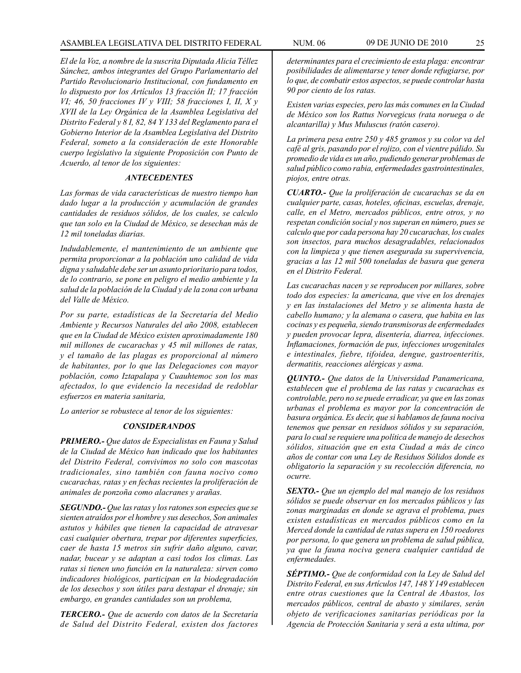*El de la Voz, a nombre de la suscrita Diputada Alicia Téllez Sánchez, ambos integrantes del Grupo Parlamentario del Partido Revolucionario Institucional, con fundamento en lo dispuesto por los Artículos 13 fracción II; 17 fracción VI; 46, 50 fracciones IV y VIII; 58 fracciones I, II, X y XVII de la Ley Orgánica de la Asamblea Legislativa del Distrito Federal y 8 I, 82, 84 Y 133 del Reglamento para el Gobierno Interior de la Asamblea Legislativa del Distrito Federal, someto a la consideración de este Honorable cuerpo legislativo la siguiente Proposición con Punto de Acuerdo, al tenor de los siguientes:*

# *ANTECEDENTES*

*Las formas de vida características de nuestro tiempo han dado lugar a la producción y acumulación de grandes cantidades de residuos sólidos, de los cuales, se calculo que tan solo en la Ciudad de México, se desechan más de 12 mil toneladas diarias.*

*Indudablemente, el mantenimiento de un ambiente que permita proporcionar a la población uno calidad de vida digna y saludable debe ser un asunto prioritario para todos, de lo contrario, se pone en peligro el medio ambiente y la salud de la población de la Ciudad y de la zona con urbana del Valle de México.*

*Por su parte, estadísticas de la Secretaría del Medio Ambiente y Recursos Naturales del año 2008, establecen que en la Ciudad de México existen aproximadamente 180 mil millones de cucarachas y 45 mil millones de ratas, y el tamaño de las plagas es proporcional al número de habitantes, por lo que las Delegaciones con mayor población, como Iztapalapa y Cuauhtemoc son los mas afectados, lo que evidencio la necesidad de redoblar esfuerzos en materia sanitaria,*

*Lo anterior se robustece al tenor de los siguientes:*

#### *CONSIDERANDOS*

*PRIMERO.- Que datos de Especialistas en Fauna y Salud de la Ciudad de México han indicado que los habitantes del Distrito Federal, convivimos no solo con mascotas tradicionales, sino también con fauna nocivo como cucarachas, ratas y en fechas recientes la proliferación de animales de ponzoña como alacranes y arañas.*

*SEGUNDO.- Que las ratas y los ratones son especies que se sienten atraídos por el hombre y sus desechos, Son animales astutos y hábiles que tienen la capacidad de atravesar casi cualquier obertura, trepar por diferentes superficies, caer de hasta 15 metros sin sufrir daño alguno, cavar, nadar, bucear y se adaptan a casi todos los climas. Las ratas si tienen uno función en la naturaleza: sirven como indicadores biológicos, participan en la biodegradación de los desechos y son útiles para destapar el drenaje; sin embargo, en grandes cantidades son un problema,*

*TERCERO.- Que de acuerdo con datos de la Secretaría de Salud del Distrito Federal, existen dos factores* 

*determinantes para el crecimiento de esta plaga: encontrar posibilidades de alimentarse y tener donde refugiarse, por lo que, de combatir estos aspectos, se puede controlar hasta 90 por ciento de los ratas.*

*Existen varias especies, pero las más comunes en la Ciudad de México son los Rattus Norvegicus (rata noruega o de alcantarilla) y Mus Muluscus (ratón casero).*

*La primera pesa entre 250 y 485 gramos y su color va del café al gris, pasando por el rojizo, con el vientre pálido. Su promedio de vida es un año, pudiendo generar problemas de salud público como rabia, enfermedades gastrointestinales, piojos, entre otras.*

*CUARTO.- Que la proliferación de cucarachas se da en cualquier parte, casas, hoteles, oficinas, escuelas, drenaje, calle, en el Metro, mercados públicos, entre otros, y no respetan condición social y nos superan en número, pues se calculo que por cada persona hay 20 cucarachas, los cuales son insectos, para muchos desagradables, relacionados con la limpieza y que tienen asegurada su supervivencia, gracias a las 12 mil 500 toneladas de basura que genera en el Distrito Federal.*

*Las cucarachas nacen y se reproducen por millares, sobre todo dos especies: la americana, que vive en los drenajes y en las instalaciones del Metro y se alimenta hasta de cabello humano; y la alemana o casera, que habita en las cocinas y es pequeña, siendo transmisoras de enfermedades y pueden provocar lepra, disentería, diarrea, infecciones. Inflamaciones, formación de pus, infecciones urogenitales e intestinales, fiebre, tifoidea, dengue, gastroenteritis, dermatitis, reacciones alérgicas y asma.*

*QUINTO.- Que datos de la Universidad Panamericana, establecen que el problema de las ratas y cucarachas es controlable, pero no se puede erradicar, ya que en las zonas urbanas el problema es mayor por la concentración de basura orgánica. Es decir, que si hablamos de fauna nociva tenemos que pensar en residuos sólidos y su separación, para lo cual se requiere una política de manejo de desechos sólidos, situación que en esta Ciudad a más de cinco años de contar con una Ley de Residuos Sólidos donde es obligatorio la separación y su recolección diferencia, no ocurre.*

*SEXTO.- Que un ejemplo del mal manejo de los residuos sólidos se puede observar en los mercados públicos y las zonas marginadas en donde se agrava el problema, pues existen estadísticas en mercados públicos como en la Merced donde la cantidad de ratas supera en 150 roedores por persona, lo que genera un problema de salud pública, ya que la fauna nociva genera cualquier cantidad de enfermedades.*

*SÉPTIMO.- Que de conformidad con la Ley de Salud del Distrito Federal, en sus Artículos 147, 148 Y 149 establecen entre otras cuestiones que la Central de Abastos, los mercados públicos, central de abasto y similares, serán objeto de verificaciones sanitarias periódicas por la Agencia de Protección Sanitaria y será a esta ultima, por*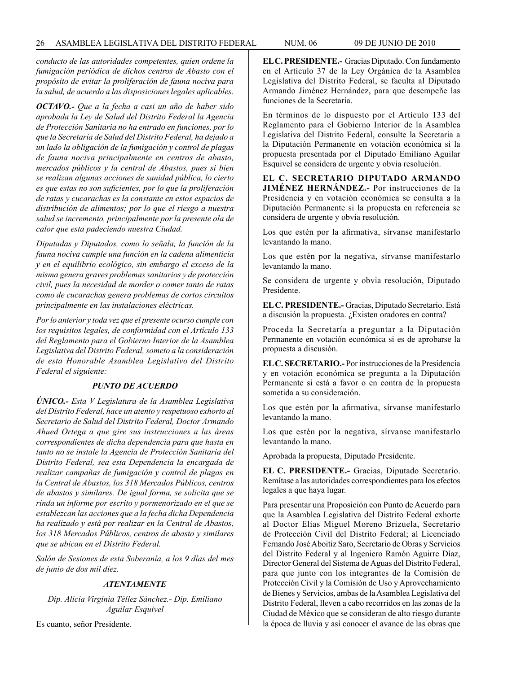*conducto de las autoridades competentes, quien ordene la fumigación periódica de dichos centros de Abasto con el propósito de evitar la proliferación de fauna nociva para la salud, de acuerdo a las disposiciones legales aplicables.*

*OCTAVO.- Que a la fecha a casi un año de haber sido aprobada la Ley de Salud del Distrito Federal la Agencia de Protección Sanitaria no ha entrado en funciones, por lo que la Secretaría de Salud del Distrito Federal, ha dejado a un lado la obligación de la fumigación y control de plagas de fauna nociva principalmente en centros de abasto, mercados públicos y la central de Abastos, pues si bien se realizan algunas acciones de sanidad pública, lo cierto es que estas no son suficientes, por lo que la proliferación de ratas y cucarachas es la constante en estos espacios de distribución de alimentos; por lo que el riesgo a nuestra salud se incremento, principalmente por la presente ola de calor que esta padeciendo nuestra Ciudad.*

*Diputadas y Diputados, como lo señala, la función de la fauna nociva cumple una función en la cadena alimenticia y en el equilibrio ecológico, sin embargo el exceso de la misma genera graves problemas sanitarios y de protección civil, pues la necesidad de morder o comer tanto de ratas como de cucarachas genera problemas de cortos circuitos principalmente en las instalaciones eléctricas.*

*Por lo anterior y toda vez que el presente ocurso cumple con los requisitos legales, de conformidad con el Artículo 133 del Reglamento para el Gobierno Interior de la Asamblea Legislativa del Distrito Federal, someto a la consideración de esta Honorable Asamblea Legislativo del Distrito Federal el siguiente:*

# *PUNTO DE ACUERDO*

*ÚNICO.- Esta V Legislatura de la Asamblea Legislativa del Distrito Federal, hace un atento y respetuoso exhorto al Secretario de Salud del Distrito Federal, Doctor Armando Ahued Ortega a que gire sus instrucciones a las áreas correspondientes de dicha dependencia para que hasta en tanto no se instale la Agencia de Protección Sanitaria del Distrito Federal, sea esta Dependencia la encargada de realizar campañas de fumigación y control de plagas en la Central de Abastos, los 318 Mercados Públicos, centros de abastos y similares. De igual forma, se solicita que se rinda un informe por escrito y pormenorizado en el que se establezcan las acciones que a la fecha dicha Dependencia ha realizado y está por realizar en la Central de Abastos, los 318 Mercados Públicos, centros de abasto y similares que se ubican en el Distrito Federal.*

*Salón de Sesiones de esta Soberanía, a los 9 días del mes de junio de dos mil diez.*

# *ATENTAMENTE*

*Dip. Alicia Virginia Téllez Sánchez.- Dip. Emiliano Aguilar Esquivel*

Es cuanto, señor Presidente.

**EL C. PRESIDENTE.-** Gracias Diputado. Con fundamento en el Artículo 37 de la Ley Orgánica de la Asamblea Legislativa del Distrito Federal, se faculta al Diputado Armando Jiménez Hernández, para que desempeñe las funciones de la Secretaría.

En términos de lo dispuesto por el Artículo 133 del Reglamento para el Gobierno Interior de la Asamblea Legislativa del Distrito Federal, consulte la Secretaría a la Diputación Permanente en votación económica si la propuesta presentada por el Diputado Emiliano Aguilar Esquivel se considera de urgente y obvia resolución.

**EL C. SECRETARIO DIPUTADO ARMANDO JIMÉNEZ HERNÁNDEZ.-** Por instrucciones de la Presidencia y en votación económica se consulta a la Diputación Permanente si la propuesta en referencia se considera de urgente y obvia resolución.

Los que estén por la afirmativa, sírvanse manifestarlo levantando la mano.

Los que estén por la negativa, sírvanse manifestarlo levantando la mano.

Se considera de urgente y obvia resolución, Diputado Presidente.

**EL C. PRESIDENTE.-** Gracias, Diputado Secretario. Está a discusión la propuesta. ¿Existen oradores en contra?

Proceda la Secretaría a preguntar a la Diputación Permanente en votación económica si es de aprobarse la propuesta a discusión.

**EL C. SECRETARIO.-** Por instrucciones de la Presidencia y en votación económica se pregunta a la Diputación Permanente si está a favor o en contra de la propuesta sometida a su consideración.

Los que estén por la afirmativa, sírvanse manifestarlo levantando la mano.

Los que estén por la negativa, sírvanse manifestarlo levantando la mano.

Aprobada la propuesta, Diputado Presidente.

**EL C. PRESIDENTE.-** Gracias, Diputado Secretario. Remítase a las autoridades correspondientes para los efectos legales a que haya lugar.

Para presentar una Proposición con Punto de Acuerdo para que la Asamblea Legislativa del Distrito Federal exhorte al Doctor Elías Miguel Moreno Brizuela, Secretario de Protección Civil del Distrito Federal; al Licenciado Fernando José Aboitiz Saro, Secretario de Obras y Servicios del Distrito Federal y al Ingeniero Ramón Aguirre Díaz, Director General del Sistema de Aguas del Distrito Federal, para que junto con los integrantes de la Comisión de Protección Civil y la Comisión de Uso y Aprovechamiento de Bienes y Servicios, ambas de la Asamblea Legislativa del Distrito Federal, lleven a cabo recorridos en las zonas de la Ciudad de México que se consideran de alto riesgo durante la época de lluvia y así conocer el avance de las obras que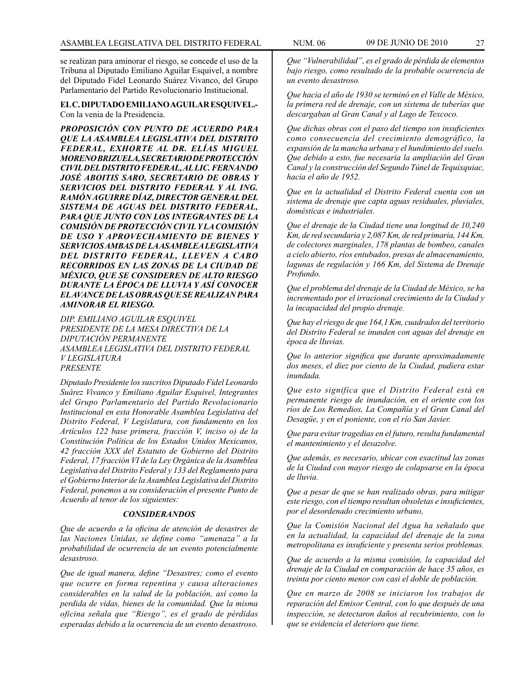se realizan para aminorar el riesgo, se concede el uso de la Tribuna al Diputado Emiliano Aguilar Esquivel, a nombre del Diputado Fidel Leonardo Suárez Vivanco, del Grupo Parlamentario del Partido Revolucionario Institucional.

**EL C. DIPUTADO EMILIANO AGUILAR ESQUIVEL.-** Con la venia de la Presidencia.

*PROPOSICIÓN CON PUNTO DE ACUERDO PARA QUE LA ASAMBLEA LEGISLATIVA DEL DISTRITO FEDERAL, EXHORTE AL DR. ELÍAS MIGUEL MORENO BRIZUELA, SECRETARIO DE PROTECCIÓN CIVIL DEL DISTRITO FEDERAL, AL LIC. FERNANDO JOSÉ ABOITIS SARO, SECRETARIO DE OBRAS Y SERVICIOS DEL DISTRITO FEDERAL Y AL ING. RAMÓN AGUIRRE DÍAZ, DIRECTOR GENERAL DEL SISTEMA DE AGUAS DEL DISTRITO FEDERAL, PARA QUE JUNTO CON LOS INTEGRANTES DE LA COMISIÓN DE PROTECCIÓN CIVIL Y LA COMISIÓN DE USO Y APROVECHAMIENTO DE BIENES Y SERVICIOS AMBAS DE LA ASAMBLEA LEGISLATIVA DEL DISTRITO FEDERAL, LLEVEN A CABO RECORRIDOS EN LAS ZONAS DE LA CIUDAD DE MÉXICO, QUE SE CONSIDEREN DE ALTO RIESGO DURANTE LA ÉPOCA DE LLUVIA Y ASÍ CONOCER EL AVANCE DE LAS OBRAS QUE SE REALIZAN PARA AMINORAR EL RIESGO.*

*DIP. EMILIANO AGUILAR ESQUIVEL PRESIDENTE DE LA MESA DIRECTIVA DE LA DIPUTACIÓN PERMANENTE ASAMBLEA LEGISLATIVA DEL DISTRITO FEDERAL V LEGISLATURA PRESENTE*

*Diputado Presidente los suscritos Diputado Fidel Leonardo Suárez Vivanco y Emiliano Aguilar Esquivel, Integrantes del Grupo Parlamentario del Partido Revolucionario Institucional en esta Honorable Asamblea Legislativa del Distrito Federal, V Legislatura, con fundamento en los Artículos 122 base primera, fracción V, inciso o) de la Constitución Política de los Estados Unidos Mexicanos, 42 fracción XXX del Estatuto de Gobierno del Distrito Federal, 17 fracción VI de la Ley Orgánica de la Asamblea Legislativa del Distrito Federal y 133 del Reglamento para el Gobierno Interior de la Asamblea Legislativa del Distrito Federal, ponemos a su consideración el presente Punto de Acuerdo al tenor de los siguientes:*

# *CONSIDERANDOS*

*Que de acuerdo a la oficina de atención de desastres de las Naciones Unidas, se define como "amenaza" a la probabilidad de ocurrencia de un evento potencialmente desastroso.*

*Que de igual manera, define "Desastres; como el evento que ocurre en forma repentina y causa alteraciones considerables en la salud de la población, así como la perdida de vidas, bienes de la comunidad. Que la misma oficina señala que "Riesgo", es el grado de pérdidas esperadas debido a la ocurrencia de un evento desastroso.*

*Que "Vulnerabilidad", es el grado de pérdida de elementos bajo riesgo, como resultado de la probable ocurrencia de un evento desastroso.*

*Que hacia el año de 1930 se terminó en el Valle de México, la primera red de drenaje, con un sistema de tuberías que descargaban al Gran Canal y al Lago de Texcoco.*

*Que dichas obras con el paso del tiempo son insuficientes como consecuencia del crecimiento demográfico, la expansión de la mancha urbana y el hundimiento del suelo. Que debido a esto, fue necesaria la ampliación del Gran Canal y la construcción del Segundo Túnel de Tequixquiac, hacia el año de 1952.*

*Que en la actualidad el Distrito Federal cuenta con un sistema de drenaje que capta aguas residuales, pluviales, domésticas e industriales.*

*Que el drenaje de la Ciudad tiene una longitud de 10,240 Km, de red secundaria y 2,087 Km, de red primaria, 144 Km, de colectores marginales, 178 plantas de bombeo, canales a cielo abierto, ríos entubados, presas de almacenamiento, lagunas de regulación y 166 Km, del Sistema de Drenaje Profundo.*

*Que el problema del drenaje de la Ciudad de México, se ha incrementado por el irracional crecimiento de la Ciudad y la incapacidad del propio drenaje.*

*Que hay el riesgo de que 164,1 Km, cuadrados del territorio del Distrito Federal se inunden con aguas del drenaje en época de lIuvias.*

*Que lo anterior significa que durante aproximadamente dos meses, el diez por ciento de la Ciudad, pudiera estar inundada.*

*Que esto significa que el Distrito Federal está en permanente riesgo de inundación, en el oriente con los ríos de Los Remedios, La Compañía y el Gran Canal del Desagüe, y en el poniente, con el río San Javier.*

*Que para evitar tragedias en el futuro, resulta fundamental el mantenimiento y el desazolve.*

*Que además, es necesario, ubicar con exactitud las zonas de la Ciudad con mayor riesgo de colapsarse en la época de lluvia.*

*Que a pesar de que se han realizado obras, para mitigar este riesgo, con el tiempo resultan obsoletas e insuficientes, por el desordenado crecimiento urbano,*

*Que la Comisión Nacional del Agua ha señalado que en la actualidad, la capacidad del drenaje de la zona metropolitana es insuficiente y presenta serios problemas.*

*Que de acuerdo a la misma comisión, la capacidad del drenaje de la Ciudad en comparación de hace 35 años, es treinta por ciento menor con casi el doble de población.*

*Que en marzo de 2008 se iniciaron los trabajos de reparación del Emisor Central, con lo que después de una inspección, se detectaron daños al recubrimiento, con lo que se evidencia el deterioro que tiene.*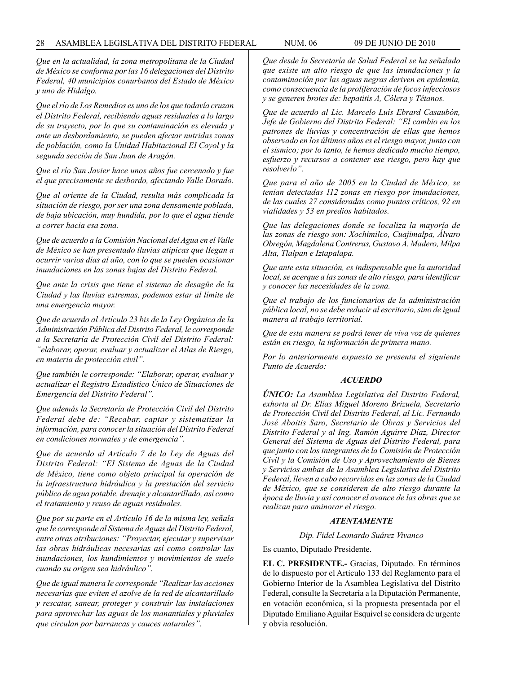*Que en la actualidad, la zona metropolitana de la Ciudad de México se conforma por las 16 delegaciones del Distrito Federal, 40 municipios conurbanos del Estado de México y uno de Hidalgo.*

*Que el río de Los Remedios es uno de los que todavía cruzan el Distrito Federal, recibiendo aguas residuales a lo largo de su trayecto, por lo que su contaminación es elevada y ante un desbordamiento, se pueden afectar nutridas zonas de población, como la Unidad Habitacional EI Coyol y la segunda sección de San Juan de Aragón.*

*Que el río San Javier hace unos años fue cercenado y fue el que precisamente se desbordo, afectando Valle Dorado.*

*Que al oriente de la Ciudad, resulta más complicada la situación de riesgo, por ser una zona densamente poblada, de baja ubicación, muy hundida, por lo que el agua tiende a correr hacia esa zona.*

*Que de acuerdo a la Comisión Nacional del Agua en el Valle de México se han presentado lluvias atípicas que lIegan a ocurrir varios días al año, con lo que se pueden ocasionar inundaciones en las zonas bajas del Distrito Federal.*

*Que ante la crisis que tiene el sistema de desagüe de la Ciudad y las lluvias extremas, podemos estar al límite de una emergencia mayor.*

*Que de acuerdo al Artículo 23 bis de la Ley Orgánica de la Administración Pública del Distrito Federal, le corresponde a la Secretaría de Protección Civil del Distrito Federal: "elaborar, operar, evaluar y actualizar el Atlas de Riesgo, en materia de protección civil".*

*Que también le corresponde: "Elaborar, operar, evaluar y actualizar el Registro Estadístico Único de Situaciones de Emergencia del Distrito Federal".*

*Que además la Secretaría de Protección Civil del Distrito Federal debe de: "Recabar, captar y sistematizar la información, para conocer la situación del Distrito Federal en condiciones normales y de emergencia".*

*Que de acuerdo al Artículo 7 de la Ley de Aguas del Distrito Federal: "EI Sistema de Aguas de la Ciudad de México, tiene como objeto principal la operación de la infraestructura hidráulica y la prestación del servicio público de agua potable, drenaje y alcantarillado, así como el tratamiento y reuso de aguas residuales.*

*Que por su parte en el Artículo 16 de la misma ley, señala que Ie corresponde al Sistema de Aguas del Distrito Federal, entre otras atribuciones: "Proyectar, ejecutar y supervisar las obras hidráulicas necesarias así como controlar las inundaciones, los hundimientos y movimientos de suelo cuando su origen sea hidráulico".*

*Que de igual manera Ie corresponde "Realizar las acciones necesarias que eviten el azolve de la red de alcantarillado y rescatar, sanear, proteger y construir las instalaciones para aprovechar las aguas de los manantiales y pluviales que circulan por barrancas y cauces naturales".*

*Que desde la Secretaría de Salud Federal se ha señalado que existe un alto riesgo de que las inundaciones y la contaminación por las aguas negras deriven en epidemia, como consecuencia de la proliferación de focos infecciosos y se generen brotes de: hepatitis A, Cólera y Tétanos.*

*Que de acuerdo al Lic. Marcelo Luís Ebrard Casaubón, Jefe de Gobierno del Distrito Federal: "El cambio en los patrones de lluvias y concentración de ellas que hemos observado en los últimos años es el riesgo mayor, junto con el sísmico; por lo tanto, le hemos dedicado mucho tiempo, esfuerzo y recursos a contener ese riesgo, pero hay que resolverlo".*

*Que para el año de 2005 en la Ciudad de México, se tenían detectadas 112 zonas en riesgo por inundaciones, de las cuales 27 consideradas como puntos críticos, 92 en vialidades y 53 en predios habitados.*

*Que las delegaciones donde se localiza la mayoría de las zonas de riesgo son: Xochimilco, Cuajimalpa, Álvaro Obregón, Magdalena Contreras, Gustavo A. Madero, Milpa Alta, Tlalpan e Iztapalapa.*

*Que ante esta situación, es indispensable que la autoridad local, se acerque a las zonas de alto riesgo, para identificar y conocer las necesidades de la zona.*

*Que el trabajo de los funcionarios de la administración pública local, no se debe reducir al escritorio, sino de igual manera al trabajo territorial.*

*Que de esta manera se podrá tener de viva voz de quienes están en riesgo, la información de primera mano.*

*Por lo anteriormente expuesto se presenta el siguiente Punto de Acuerdo:*

#### *ACUERDO*

*ÚNICO: La Asamblea Legislativa del Distrito Federal, exhorta al Dr. Elías Miguel Moreno Brizuela, Secretario de Protección Civil del Distrito Federal, al Lic. Fernando José Aboitis Saro, Secretario de Obras y Servicios del Distrito Federal y al Ing. Ramón Aguirre Díaz, Director General del Sistema de Aguas del Distrito Federal, para que junto con los integrantes de la Comisión de Protección Civil y la Comisión de Uso y Aprovechamiento de Bienes y Servicios ambas de la Asamblea Legislativa del Distrito Federal, lleven a cabo recorridos en las zonas de la Ciudad de México, que se consideren de alto riesgo durante la época de lluvia y así conocer el avance de las obras que se realizan para aminorar el riesgo.*

#### *ATENTAMENTE*

*Dip. Fidel Leonardo Suárez Vivanco*

Es cuanto, Diputado Presidente.

**EL C. PRESIDENTE.-** Gracias, Diputado. En términos de lo dispuesto por el Artículo 133 del Reglamento para el Gobierno Interior de la Asamblea Legislativa del Distrito Federal, consulte la Secretaría a la Diputación Permanente, en votación económica, si la propuesta presentada por el Diputado Emiliano Aguilar Esquivel se considera de urgente y obvia resolución.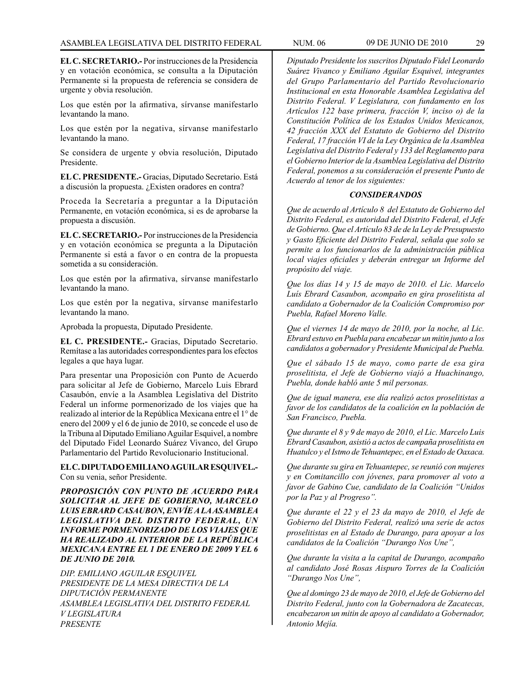**EL C. SECRETARIO.-** Por instrucciones de la Presidencia y en votación económica, se consulta a la Diputación Permanente si la propuesta de referencia se considera de urgente y obvia resolución.

Los que estén por la afirmativa, sírvanse manifestarlo levantando la mano.

Los que estén por la negativa, sírvanse manifestarlo levantando la mano.

Se considera de urgente y obvia resolución, Diputado Presidente.

**EL C. PRESIDENTE.-** Gracias, Diputado Secretario. Está a discusión la propuesta. ¿Existen oradores en contra?

Proceda la Secretaría a preguntar a la Diputación Permanente, en votación económica, si es de aprobarse la propuesta a discusión.

**EL C. SECRETARIO.-** Por instrucciones de la Presidencia y en votación económica se pregunta a la Diputación Permanente si está a favor o en contra de la propuesta sometida a su consideración.

Los que estén por la afirmativa, sírvanse manifestarlo levantando la mano.

Los que estén por la negativa, sírvanse manifestarlo levantando la mano.

Aprobada la propuesta, Diputado Presidente.

**EL C. PRESIDENTE.-** Gracias, Diputado Secretario. Remítase a las autoridades correspondientes para los efectos legales a que haya lugar.

Para presentar una Proposición con Punto de Acuerdo para solicitar al Jefe de Gobierno, Marcelo Luis Ebrard Casaubón, envíe a la Asamblea Legislativa del Distrito Federal un informe pormenorizado de los viajes que ha realizado al interior de la República Mexicana entre el 1° de enero del 2009 y el 6 de junio de 2010, se concede el uso de la Tribuna al Diputado Emiliano Aguilar Esquivel, a nombre del Diputado Fidel Leonardo Suárez Vivanco, del Grupo Parlamentario del Partido Revolucionario Institucional.

**EL C. DIPUTADO EMILIANO AGUILAR ESQUIVEL.-**  Con su venia, señor Presidente.

*PROPOSICIÓN CON PUNTO DE ACUERDO PARA SOLICITAR AL JEFE DE GOBIERNO, MARCELO LUIS EBRARD CASAUBON, ENVÍE A LA ASAMBLEA LEGISLATIVA DEL DISTRITO FEDERAL, UN INFORME PORMENORIZADO DE LOS VIAJES QUE HA REALIZADO AL INTERIOR DE LA REPÚBLICA MEXICANA ENTRE EL 1 DE ENERO DE 2009 Y EL 6 DE JUNIO DE 2010.*

*DIP. EMILIANO AGUILAR ESQUIVEL PRESIDENTE DE LA MESA DIRECTIVA DE LA DIPUTACIÓN PERMANENTE ASAMBLEA LEGISLATIVA DEL DISTRITO FEDERAL V LEGISLATURA PRESENTE*

*Diputado Presidente los suscritos Diputado Fidel Leonardo Suárez Vivanco y Emiliano Aguilar Esquivel, integrantes del Grupo Parlamentario del Partido Revolucionario Institucional en esta Honorable Asamblea Legislativa del Distrito Federal. V Legislatura, con fundamento en los Artículos 122 base primera, fracción V, inciso o) de la Constitución Política de los Estados Unidos Mexicanos, 42 fracción XXX del Estatuto de Gobierno del Distrito Federal, 17 fracción VI de la Ley Orgánica de la Asamblea Legislativa del Distrito Federal y 133 del Reglamento para el Gobierno Interior de la Asamblea Legislativa del Distrito Federal, ponemos a su consideración el presente Punto de Acuerdo al tenor de los siguientes:*

#### *CONSIDERANDOS*

*Que de acuerdo al Artículo 8 del Estatuto de Gobierno del Distrito Federal, es autoridad del Distrito Federal, el Jefe de Gobierno. Que el Artículo 83 de de la Ley de Presupuesto y Gasto Eficiente del Distrito Federal, señala que solo se permite a los funcionarlos de la administración pública local viajes oficiales y deberán entregar un Informe del propósito del viaje.*

*Que los días 14 y 15 de mayo de 2010. el Lic. Marcelo Luís Ebrard Casaubon, acompaño en gira proselitista al candidato a Gobernador de la Coalición Compromiso por Puebla, Rafael Moreno Valle.*

*Que el viernes 14 de mayo de 2010, por la noche, al Lic. Ebrard estuvo en Puebla para encabezar un mitin junto a los candidatos a gobernador y Presidente Municipal de Puebla.*

*Que el sábado 15 de mayo, como parte de esa gira proselitista, el Jefe de Gobierno viajó a Huachinango, Puebla, donde habló ante 5 mil personas.*

*Que de igual manera, ese día realizó actos proselitistas a favor de los candidatos de la coalición en la población de San Francisco, Puebla.*

*Que durante el 8 y 9 de mayo de 2010, el Lic. Marcelo Luis Ebrard Casaubon, asistió a actos de campaña proselitista en Huatulco y el Istmo de Tehuantepec, en el Estado de Oaxaca.*

*Que durante su gira en Tehuantepec, se reunió con mujeres y en Comitancillo con jóvenes, para promover al voto a favor de Gabino Cue, candidato de la Coalición "Unidos por la Paz y al Progreso".*

*Que durante el 22 y el 23 da mayo de 2010, el Jefe de Gobierno del Distrito Federal, realizó una serie de actos proselitistas en al Estado de Durango, para apoyar a los candidatos de la Coalición "Durango Nos Une",*

*Que durante la visita a la capital de Durango, acompaño al candidato José Rosas Aispuro Torres de la Coalición "Durango Nos Une",*

*Que al domingo 23 de mayo de 2010, el Jefe de Gobierno del Distrito Federal, junto con la Gobernadora de Zacatecas, encabezaron un mitin de apoyo al candidato a Gobernador, Antonio Mejía.*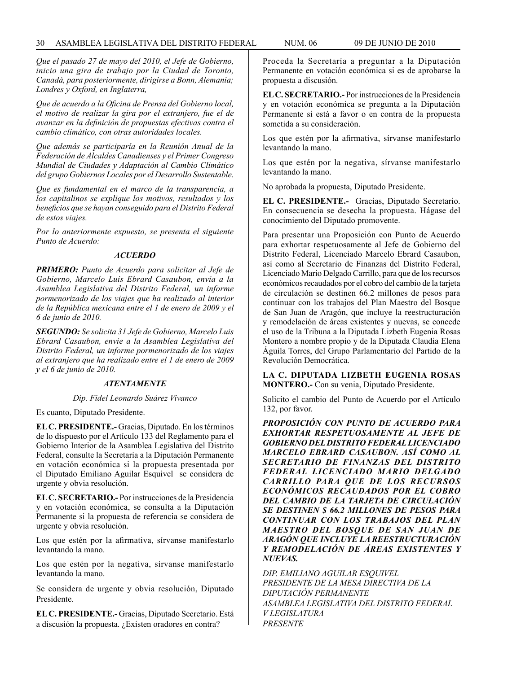*Que el pasado 27 de mayo del 2010, el Jefe de Gobierno, inicio una gira de trabajo por la Ciudad de Toronto, Canadá, para posteriormente, dirigirse a Bonn, Alemania; Londres y Oxford, en Inglaterra,*

*Que de acuerdo a la Oficina de Prensa del Gobierno local, el motivo de realizar la gira por el extranjero, fue el de avanzar en la definición de propuestas efectivas contra el cambio climático, con otras autoridades locales.*

*Que además se participaría en la Reunión Anual de la Federación de Alcaldes Canadienses y el Primer Congreso Mundial de Ciudades y Adaptación al Cambio Climático del grupo Gobiernos Locales por el Desarrollo Sustentable.*

*Que es fundamental en el marco de la transparencia, a los capitalinos se explique los motivos, resultados y los beneficios que se hayan conseguido para el Distrito Federal de estos viajes.*

*Por lo anteriormente expuesto, se presenta el siguiente Punto de Acuerdo:*

#### *ACUERDO*

*PRIMERO: Punto de Acuerdo para solicitar al Jefe de Gobierno, Marcelo Luís Ebrard Casaubon, envía a la Asamblea Legislativa del Distrito Federal, un informe pormenorizado de los viajes que ha realizado al interior de la República mexicana entre el 1 de enero de 2009 y el 6 de junio de 2010.*

*SEGUNDO: Se solicita 31 Jefe de Gobierno, Marcelo Luis Ebrard Casaubon, envíe a la Asamblea Legislativa del Distrito Federal, un informe pormenorizado de los viajes al extranjero que ha realizado entre el 1 de enero de 2009 y el 6 de junio de 2010.*

#### *ATENTAMENTE*

#### *Dip. Fidel Leonardo Suárez Vivanco*

Es cuanto, Diputado Presidente.

**EL C. PRESIDENTE.-** Gracias, Diputado. En los términos de lo dispuesto por el Artículo 133 del Reglamento para el Gobierno Interior de la Asamblea Legislativa del Distrito Federal, consulte la Secretaría a la Diputación Permanente en votación económica si la propuesta presentada por el Diputado Emiliano Aguilar Esquivel se considera de urgente y obvia resolución.

**EL C. SECRETARIO.-** Por instrucciones de la Presidencia y en votación económica, se consulta a la Diputación Permanente si la propuesta de referencia se considera de urgente y obvia resolución.

Los que estén por la afirmativa, sírvanse manifestarlo levantando la mano.

Los que estén por la negativa, sírvanse manifestarlo levantando la mano.

Se considera de urgente y obvia resolución, Diputado Presidente.

**EL C. PRESIDENTE.-** Gracias, Diputado Secretario. Está a discusión la propuesta. ¿Existen oradores en contra?

Proceda la Secretaría a preguntar a la Diputación Permanente en votación económica si es de aprobarse la propuesta a discusión.

**EL C. SECRETARIO.-** Por instrucciones de la Presidencia y en votación económica se pregunta a la Diputación Permanente si está a favor o en contra de la propuesta sometida a su consideración.

Los que estén por la afirmativa, sírvanse manifestarlo levantando la mano.

Los que estén por la negativa, sírvanse manifestarlo levantando la mano.

No aprobada la propuesta, Diputado Presidente.

**EL C. PRESIDENTE.-** Gracias, Diputado Secretario. En consecuencia se desecha la propuesta. Hágase del conocimiento del Diputado promovente.

Para presentar una Proposición con Punto de Acuerdo para exhortar respetuosamente al Jefe de Gobierno del Distrito Federal, Licenciado Marcelo Ebrard Casaubon, así como al Secretario de Finanzas del Distrito Federal, Licenciado Mario Delgado Carrillo, para que de los recursos económicos recaudados por el cobro del cambio de la tarjeta de circulación se destinen 66.2 millones de pesos para continuar con los trabajos del Plan Maestro del Bosque de San Juan de Aragón, que incluye la reestructuración y remodelación de áreas existentes y nuevas, se concede el uso de la Tribuna a la Diputada Lizbeth Eugenia Rosas Montero a nombre propio y de la Diputada Claudia Elena Águila Torres, del Grupo Parlamentario del Partido de la Revolución Democrática.

**LA C. DIPUTADA LIZBETH EUGENIA ROSAS MONTERO.-** Con su venia, Diputado Presidente.

Solicito el cambio del Punto de Acuerdo por el Artículo 132, por favor.

*PROPOSICIÓN CON PUNTO DE ACUERDO PARA EXHORTAR RESPETUOSAMENTE AL JEFE DE GOBIERNO DEL DISTRITO FEDERAL LICENCIADO MARCELO EBRARD CASAUBON. ASÍ COMO AL SECRETARIO DE FINANZAS DEL DISTRITO FEDERAL LICENCIADO MARIO DELGADO CARRILLO PARA QUE DE LOS RECURSOS ECONÓMICOS RECAUDADOS POR EL COBRO DEL CAMBIO DE LA TARJETA DE CIRCULACIÓN SE DESTINEN \$ 66.2 MILLONES DE PESOS PARA CONTINUAR CON LOS TRABAJOS DEL PLAN MAESTRO DEL BOSQUE DE SAN JUAN DE ARAGÓN QUE INCLUYE LA REESTRUCTURACIÓN Y REMODELACIÓN DE ÁREAS EXISTENTES Y NUEVAS.*

*DIP. EMILIANO AGUILAR ESQUIVEL PRESIDENTE DE LA MESA DIRECTIVA DE LA DIPUTACIÓN PERMANENTE ASAMBLEA LEGISLATIVA DEL DISTRITO FEDERAL V LEGISLATURA PRESENTE*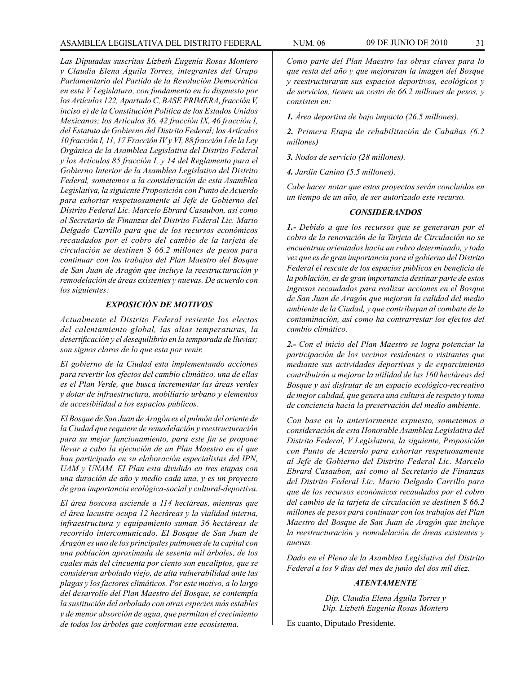# ASAMBLEA LEGISLATIVA DEL DISTRITO FEDERAL NUM. 06 09 de JUNIo DE 2010 31

*Las Diputadas suscritas Lizbeth Eugenia Rosas Montero y Claudia Elena Águila Torres, integrantes del Grupo Parlamentario del Partido de la Revolución Democrática en esta V Legislatura, con fundamento en lo dispuesto por los Artículos 122, Apartado C, BASE PRIMERA, fracción V, inciso e) de la Constitución Política de los Estados Unidos Mexicanos; los Artículos 36, 42 fracción IX, 46 fracción I, del Estatuto de Gobierno del Distrito Federal; los Artículos 10 fracción I, 11, 17 Fracción IV y VI, 88 fracción I de la Ley Orgánica de la Asamblea Legislativa del Distrito Federal y los Artículos 85 fracción I, y 14 del Reglamento para el Gobierno Interior de la Asamblea Legislativa del Distrito Federal, sometemos a la consideración de esta Asamblea Legislativa, la siguiente Proposición con Punto de Acuerdo para exhortar respetuosamente al Jefe de Gobierno del Distrito Federal Lic. Marcelo Ebrard Casaubon, así como al Secretario de Finanzas del Distrito Federal Lic. Mario Delgado Carrillo para que de los recursos económicos recaudados por el cobro del cambio de la tarjeta de circulación se destinen \$ 66.2 millones de pesos para continuar con los trabajos del Plan Maestro del Bosque de San Juan de Aragón que incluye la reestructuración y remodelación de áreas existentes y nuevas. De acuerdo con los siguientes:* 

# *EXPOSICIÓN DE MOTIVOS*

*Actualmente el Distrito Federal resiente los electos del calentamiento global, las altas temperaturas, la desertificación y el desequilibrio en la temporada de lluvias; son signos claros de lo que esta por venir.*

*El gobierno de la Ciudad esta implementando acciones para revertir los efectos del cambio climático, una de ellas es el Plan Verde, que busca incrementar las áreas verdes y dotar de infraestructura, mobiliario urbano y elementos de accesibilidad a los espacios públicos.*

*El Bosque de San Juan de Aragón es el pulmón del oriente de la Ciudad que requiere de remodelación y reestructuración para su mejor funcionamiento, para este fin se propone llevar a cabo la ejecución de un Plan Maestro en el que han participado en su elaboración especialistas del IPN, UAM y UNAM. EI Plan esta dividido en tres etapas con una duración de año y medio cada una, y es un proyecto de gran importancia ecológica-social y cultural-deportiva.*

*El área boscosa asciende a 114 hectáreas, mientras que el área lacustre ocupa 12 hectáreas y la vialidad interna, infraestructura y equipamiento suman 36 hectáreas de recorrido intercomunicado. EI Bosque de San Juan de Aragón es uno de los principales pulmones de la capital con una población aproximada de sesenta mil árboles, de los cuales más del cincuenta por ciento son eucaliptos, que se consideran arbolado viejo, de alta vulnerabilidad ante las plagas y los factores climáticos. Por este motivo, a lo largo del desarrollo del Plan Maestro del Bosque, se contempla la sustitución del arbolado con otras especies más estables y de menor absorción de agua, que permitan el crecimiento de todos los árboles que conforman este ecosistema.*

*Como parte del Plan Maestro las obras claves para lo que resta del año y que mejoraran la imagen del Bosque y reestructuraran sus espacios deportivos, ecológicos y de servicios, tienen un costo de 66.2 millones de pesos, y consisten en:*

*1. Área deportiva de bajo impacto (26.5 millones).*

*2. Primera Etapa de rehabilitación de Cabañas (6.2 millones)*

*3. Nodos de servicio (28 millones).*

*4. Jardín Canino (5.5 millones).*

*Cabe hacer notar que estos proyectos serán concluidos en un tiempo de un año, de ser autorizado este recurso.*

# *CONSIDERANDOS*

*1.- Debido a que los recursos que se generaran por el cobro de la renovación de la Tarjeta de Circulación no se encuentran orientados hacia un rubro determinado, y toda vez que es de gran importancia para el gobierno del Distrito Federal el rescate de los espacios públicos en beneficia de la población, es de gran importancia destinar parte de estos ingresos recaudados para realizar acciones en el Bosque de San Juan de Aragón que mejoran la calidad del medio ambiente de la Ciudad, y que contribuyan al combate de la contaminación, así como ha contrarrestar los efectos del cambio climático.*

*2.- Con el inicio del Plan Maestro se logra potenciar la participación de los vecinos residentes o visitantes que mediante sus actividades deportivas y de esparcimiento contribuirán a mejorar la utilidad de las 160 hectáreas del Bosque y así disfrutar de un espacio ecológico-recreativo de mejor calidad, que genera una cultura de respeto y toma de conciencia hacia la preservación del medio ambiente.*

*Con base en lo anteriormente expuesto, sometemos a consideración de esta Honorable Asamblea Legislativa del Distrito Federal, V Legislatura, la siguiente, Proposición con Punto de Acuerdo para exhortar respetuosamente al Jefe de Gobierno del Distrito Federal Lic. Marcelo Ebrard Casaubon, así como al Secretario de Finanzas del Distrito Federal Lic. Mario Delgado Carrillo para que de los recursos económicos recaudados por el cobro del cambio de la tarjeta de circulación se destinen \$ 66.2 millones de pesos para continuar con los trabajos del Plan Maestro del Bosque de San Juan de Aragón que incluye la reestructuración y remodelación de áreas existentes y nuevas.*

*Dado en el Pleno de la Asamblea Legislativa del Distrito Federal a los 9 días del mes de junio del dos mil diez.*

#### *ATENTAMENTE*

*Dip. Claudia Elena Águila Torres y Dip. Lizbeth Eugenia Rosas Montero*

Es cuanto, Diputado Presidente.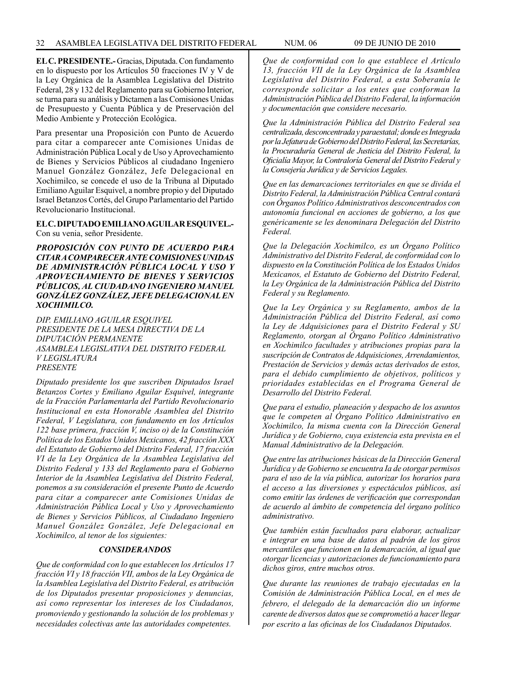**EL C. PRESIDENTE.-** Gracias, Diputada. Con fundamento en lo dispuesto por los Artículos 50 fracciones IV y V de la Ley Orgánica de la Asamblea Legislativa del Distrito Federal, 28 y 132 del Reglamento para su Gobierno Interior, se turna para su análisis y Dictamen a las Comisiones Unidas de Presupuesto y Cuenta Pública y de Preservación del Medio Ambiente y Protección Ecológica.

Para presentar una Proposición con Punto de Acuerdo para citar a comparecer ante Comisiones Unidas de Administración Pública Local y de Uso y Aprovechamiento de Bienes y Servicios Públicos al ciudadano Ingeniero Manuel González González, Jefe Delegacional en Xochimilco, se concede el uso de la Tribuna al Diputado Emiliano Aguilar Esquivel, a nombre propio y del Diputado Israel Betanzos Cortés, del Grupo Parlamentario del Partido Revolucionario Institucional.

#### **EL C. DIPUTADO EMILIANO AGUILAR ESQUIVEL.-** Con su venia, señor Presidente.

*PROPOSICIÓN CON PUNTO DE ACUERDO PARA CITAR A COMPARECER ANTE COMISIONES UNIDAS DE ADMINISTRACIÓN PÚBLICA LOCAL Y USO Y APROVECHAMIENTO DE BIENES Y SERVICIOS PÚBLICOS, AL CIUDADANO INGENIERO MANUEL GONZÁLEZ GONZÁLEZ, JEFE DELEGACIONAL EN XOCHIMILCO.*

*DIP. EMILIANO AGUILAR ESQUIVEL PRESIDENTE DE LA MESA DIRECTIVA DE LA DIPUTACIÓN PERMANENTE ASAMBLEA LEGISLATIVA DEL DISTRITO FEDERAL V LEGISLATURA PRESENTE*

*Diputado presidente los que suscriben Diputados Israel Betanzos Cortes y Emiliano Aguilar Esquivel, integrante de la Fracción Parlamentarla del Partido Revolucionario Institucional en esta Honorable Asamblea del Distrito Federal, V Legislatura, con fundamento en los Artículos 122 base primera, fracción V, inciso o) de la Constitución Política de los Estados Unidos Mexicanos, 42 fracción XXX del Estatuto de Gobierno del Distrito Federal, 17 fracción VI de la Ley Orgánica de la Asamblea Legislativa del Distrito Federal y 133 del Reglamento para el Gobierno Interior de la Asamblea Legislativa del Distrito Federal, ponemos a su consideración el presente Punto de Acuerdo para citar a comparecer ante Comisiones Unidas de Administración Pública Local y Uso y Aprovechamiento de Bienes y Servicios Públicos, al Ciudadano Ingeniero Manuel González González, Jefe Delegacional en Xochimilco, al tenor de los siguientes:*

#### *CONSIDERANDOS*

*Que de conformidad con lo que establecen los Artículos 17 fracción VI y 18 fracción VII, ambos de la Ley Orgánica de la Asamblea Legislativa del Distrito Federal, es atribución de los Diputados presentar proposiciones y denuncias, así como representar los intereses de los Ciudadanos, promoviendo y gestionando la solución de los problemas y necesidades colectivas ante las autoridades competentes.*

*Que de conformidad con lo que establece el Artículo 13, fracción VII de la Ley Orgánica de la Asamblea Legislativa del Distrito Federal, a esta Soberanía le corresponde solicitar a los entes que conforman la Administración Pública del Distrito Federal, la información y documentación que considere necesario.*

*Que la Administración Pública del Distrito Federal sea centralizada, desconcentrada y paraestatal; donde es Integrada por la Jefatura de Gobierno del Distrito Federal, las Secretarías, la Procuraduría General de Justicia del Distrito Federal, la Oficialía Mayor, la Contraloría General del Distrito Federal y la Consejería Jurídica y de Servicios Legales.*

*Que en las demarcaciones territoriales en que se divida el Distrito Federal, la Administración Pública Central contará con Órganos Político Administrativos desconcentrados con autonomía funcional en acciones de gobierno, a los que genéricamente se les denominara Delegación del Distrito Federal.*

*Que la Delegación Xochimilco, es un Órgano Político Administrativo del Distrito Federal, de conformidad con lo dispuesto en la Constitución Política de los Estados Unidos Mexicanos, el Estatuto de Gobierno del Distrito Federal, la Ley Orgánica de la Administración Pública del Distrito Federal y su Reglamento.* 

*Que la Ley Orgánica y su Reglamento, ambos de la Administración Pública del Distrito Federal, así como la Ley de Adquisiciones para el Distrito Federal y SU Reglamento, otorgan al Órgano Político Administrativo en Xochimilco facultades y atribuciones propias para la suscripción de Contratos de Adquisiciones, Arrendamientos, Prestación de Servicios y demás actas derivados de estos, para el debido cumplimiento de objetivos, políticos y prioridades establecidas en el Programa General de Desarrollo del Distrito Federal.*

*Que para el estudio, planeación y despacho de los asuntos que le competen al Órgano Político Administrativo en Xochimilco, Ia misma cuenta con la Dirección General Jurídica y de Gobierno, cuya existencia esta prevista en el Manual Administrativo de la Delegación.*

*Que entre las atribuciones básicas de la Dirección General Jurídica y de Gobierno se encuentra Ia de otorgar permisos para el uso de la vía pública, autorizar los horarios para el acceso a las diversiones y espectáculos públicos, así como emitir las órdenes de verificación que correspondan de acuerdo al ámbito de competencia del órgano político administrativo.*

*Que también están facultados para elaborar, actualizar e integrar en una base de datos al padrón de los giros mercantiles que funcionen en la demarcación, al igual que otorgar licencias y autorizaciones de funcionamiento para dichos giros, entre muchos otros.*

*Que durante las reuniones de trabajo ejecutadas en la Comisión de Administración Pública Local, en el mes de febrero, el delegado de la demarcación dio un informe carente de diversos datos que se comprometió a hacer llegar por escrito a las oficinas de los Ciudadanos Diputados.*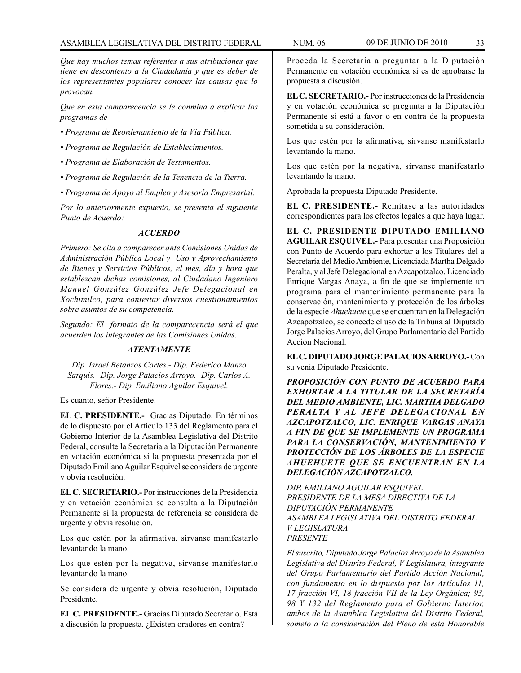*Que hay muchos temas referentes a sus atribuciones que tiene en descontento a la Ciudadanía y que es deber de los representantes populares conocer las causas que lo provocan.*

*Que en esta comparecencia se le conmina a explicar los programas de*

- *Programa de Reordenamiento de la Vía Pública.*
- *Programa de Regulación de Establecimientos.*
- *Programa de Elaboración de Testamentos.*
- *Programa de Regulación de la Tenencia de la Tierra.*
- *Programa de Apoyo al Empleo y Asesoría Empresarial.*

*Por lo anteriormente expuesto, se presenta el siguiente Punto de Acuerdo:*

#### *ACUERDO*

*Primero: Se cita a comparecer ante Comisiones Unidas de Administración Pública Local y Uso y Aprovechamiento de Bienes y Servicios Públicos, el mes, día y hora que establezcan dichas comisiones, al Ciudadano Ingeniero Manuel González González Jefe Delegacional en Xochimilco, para contestar diversos cuestionamientos sobre asuntos de su competencia.*

*Segundo: El formato de la comparecencia será el que acuerden los integrantes de las Comisiones Unidas.*

#### *ATENTAMENTE*

*Dip. Israel Betanzos Cortes.- Dip. Federico Manzo Sarquis.- Dip. Jorge Palacios Arroyo.- Dip. Carlos A. Flores.- Dip. Emiliano Aguilar Esquivel.*

Es cuanto, señor Presidente.

**EL C. PRESIDENTE.-** Gracias Diputado. En términos de lo dispuesto por el Artículo 133 del Reglamento para el Gobierno Interior de la Asamblea Legislativa del Distrito Federal, consulte la Secretaría a la Diputación Permanente en votación económica si la propuesta presentada por el Diputado Emiliano Aguilar Esquivel se considera de urgente y obvia resolución.

**EL C. SECRETARIO.-** Por instrucciones de la Presidencia y en votación económica se consulta a la Diputación Permanente si la propuesta de referencia se considera de urgente y obvia resolución.

Los que estén por la afirmativa, sírvanse manifestarlo levantando la mano.

Los que estén por la negativa, sírvanse manifestarlo levantando la mano.

Se considera de urgente y obvia resolución, Diputado Presidente.

**EL C. PRESIDENTE.-** Gracias Diputado Secretario. Está a discusión la propuesta. ¿Existen oradores en contra?

Proceda la Secretaría a preguntar a la Diputación Permanente en votación económica si es de aprobarse la propuesta a discusión.

**EL C. SECRETARIO.-** Por instrucciones de la Presidencia y en votación económica se pregunta a la Diputación Permanente si está a favor o en contra de la propuesta sometida a su consideración.

Los que estén por la afirmativa, sírvanse manifestarlo levantando la mano.

Los que estén por la negativa, sírvanse manifestarlo levantando la mano.

Aprobada la propuesta Diputado Presidente.

**EL C. PRESIDENTE.-** Remítase a las autoridades correspondientes para los efectos legales a que haya lugar.

**EL C. PRESIDENTE DIPUTADO EMILIANO AGUILAR ESQUIVEL.-** Para presentar una Proposición con Punto de Acuerdo para exhortar a los Titulares del a Secretaría del Medio Ambiente, Licenciada Martha Delgado Peralta, y al Jefe Delegacional en Azcapotzalco, Licenciado Enrique Vargas Anaya, a fin de que se implemente un programa para el mantenimiento permanente para la conservación, mantenimiento y protección de los árboles de la especie *Ahuehuete* que se encuentran en la Delegación Azcapotzalco, se concede el uso de la Tribuna al Diputado Jorge Palacios Arroyo, del Grupo Parlamentario del Partido Acción Nacional.

**EL C. DIPUTADO JORGE PALACIOS ARROYO.-** Con su venia Diputado Presidente.

*PROPOSICIÓN CON PUNTO DE ACUERDO PARA EXHORTAR A LA TITULAR DE LA SECRETARÍA DEL MEDIO AMBIENTE, LIC. MARTHA DELGADO PERALTA Y AL JEFE DELEGACIONAL EN AZCAPOTZALCO, LIC. ENRIQUE VARGAS ANAYA A FIN DE QUE SE IMPLEMENTE UN PROGRAMA PARA LA CONSERVACIÓN, MANTENIMIENTO Y PROTECCIÓN DE LOS ÁRBOLES DE LA ESPECIE AHUEHUETE QUE SE ENCUENTRAN EN LA DELEGACIÓN AZCAPOTZALCO.*

*DIP. EMILIANO AGUILAR ESQUIVEL PRESIDENTE DE LA MESA DIRECTIVA DE LA DIPUTACIÓN PERMANENTE ASAMBLEA LEGISLATIVA DEL DISTRITO FEDERAL V LEGISLATURA PRESENTE*

*El suscrito, Diputado Jorge Palacios Arroyo de la Asamblea Legislativa del Distrito Federal, V Legislatura, integrante del Grupo Parlamentario del Partido Acción Nacional, con fundamento en lo dispuesto por los Artículos 11, 17 fracción VI, 18 fracción VII de la Ley Orgánica; 93, 98 Y 132 del Reglamento para el Gobierno Interior, ambos de la Asamblea Legislativa del Distrito Federal, someto a la consideración del Pleno de esta Honorable*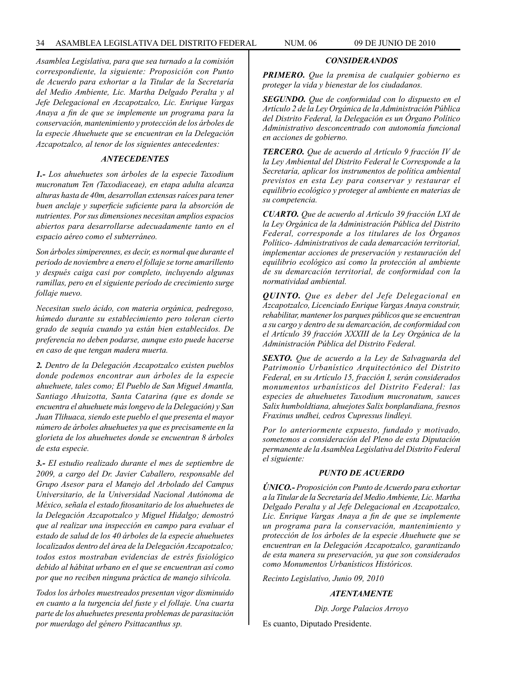*Asamblea Legislativa, para que sea turnado a la comisión correspondiente, la siguiente: Proposición con Punto de Acuerdo para exhortar a la Titular de la Secretaría del Medio Ambiente, Lic. Martha Delgado Peralta y al Jefe Delegacional en Azcapotzalco, Lic. Enrique Vargas Anaya a fin de que se implemente un programa para la conservación, mantenimiento y protección de los árboles de la especie Ahuehuete que se encuentran en la Delegación Azcapotzalco, al tenor de los siguientes antecedentes:*

# *ANTECEDENTES*

*1.- Los ahuehuetes son árboles de la especie Taxodium mucronatum Ten (Taxodiaceae), en etapa adulta alcanza alturas hasta de 40m, desarrollan extensas raíces para tener buen anclaje y superficie suficiente para la absorción de nutrientes. Por sus dimensiones necesitan amplios espacios abiertos para desarrollarse adecuadamente tanto en el espacio aéreo como el subterráneo.* 

*Son árboles simiperennes, es decir, es normal que durante el periodo de noviembre a enero el follaje se torne amarillento y después caiga casi por completo, incluyendo algunas ramillas, pero en el siguiente período de crecimiento surge follaje nuevo.*

*Necesitan suelo ácido, con materia orgánica, pedregoso, húmedo durante su establecimiento pero toleran cierto grado de sequía cuando ya están bien establecidos. De preferencia no deben podarse, aunque esto puede hacerse en caso de que tengan madera muerta.*

*2. Dentro de la Delegación Azcapotzalco existen pueblos donde podemos encontrar aun árboles de la especie ahuehuete, tales como; El Pueblo de San Miguel Amantla, Santiago Ahuizotta, Santa Catarina (que es donde se encuentra el ahuehuete más longevo de la Delegación) y San Juan Tlihuaca, siendo este pueblo el que presenta el mayor número de árboles ahuehuetes ya que es precisamente en la glorieta de los ahuehuetes donde se encuentran 8 árboles de esta especie.*

*3.- EI estudio realizado durante el mes de septiembre de 2009, a cargo del Dr. Javier Caballero, responsable del Grupo Asesor para el Manejo del Arbolado del Campus Universitario, de la Universidad Nacional Autónoma de México, señala el estado fitosanitario de los ahuehuetes de la Delegación Azcapotzalco y Miguel Hidalgo; demostró que al realizar una inspección en campo para evaluar el estado de salud de los 40 árboles de la especie ahuehuetes localizados dentro del área de la Delegación Azcapotzalco; todos estos mostraban evidencias de estrés fisiológico debido al hábitat urbano en el que se encuentran así como por que no reciben ninguna práctica de manejo silvícola.*

*Todos los árboles muestreados presentan vigor disminuido en cuanto a la turgencia del fuste y el follaje. Una cuarta parte de los ahuehuetes presenta problemas de parasitación por muerdago del género Psittacanthus sp.*

#### *CONSIDERANDOS*

*PRIMERO. Que la premisa de cualquier gobierno es proteger la vida y bienestar de los ciudadanos.*

*SEGUNDO. Que de conformidad con lo dispuesto en el Artículo 2 de la Ley Orgánica de la Administración Pública del Distrito Federal, la Delegación es un Órgano Político Administrativo desconcentrado con autonomía funcional en acciones de gobierno.*

*TERCERO. Que de acuerdo al Artículo 9 fracción IV de la Ley Ambiental del Distrito Federal le Corresponde a la Secretaría, aplicar los instrumentos de política ambiental previstos en esta Ley para conservar y restaurar el equilibrio ecológico y proteger al ambiente en materias de su competencia.*

*CUARTO. Que de acuerdo al Artículo 39 fracción LXI de la Ley Orgánica de la Administración Pública del Distrito Federal, corresponde a los titulares de los Órganos Político- Administrativos de cada demarcación territorial, implementar acciones de preservación y restauración del equilibrio ecológico así como la protección al ambiente de su demarcación territorial, de conformidad con la normatividad ambiental.*

*QUINTO. Que es deber del Jefe Delegacional en Azcapotzalco, Licenciado Enrique Vargas Anaya construir, rehabilitar, mantener los parques públicos que se encuentran a su cargo y dentro de su demarcación, de conformidad con el Artículo 39 fracción XXXIII de la Ley Orgánica de la Administración Pública del Distrito Federal.*

*SEXTO. Que de acuerdo a la Ley de Salvaguarda del Patrimonio Urbanístico Arquitectónico del Distrito Federal, en su Artículo 15, fracción I, serán considerados monumentos urbanísticos del Distrito Federal: las especies de ahuehuetes Taxodium mucronatum, sauces Salix humboldtiana, ahuejotes Salix bonplandiana, fresnos Fraxinus undhei, cedros Cupressus lindleyi.*

*Por lo anteriormente expuesto, fundado y motivado, sometemos a consideración del Pleno de esta Diputación permanente de la Asamblea Legislativa del Distrito Federal el siguiente:*

#### *PUNTO DE ACUERDO*

*ÚNICO.- Proposición con Punto de Acuerdo para exhortar a la Titular de la Secretaría del Medio Ambiente, Lic. Martha Delgado Peralta y al Jefe Delegacional en Azcapotzalco, Lic. Enrique Vargas Anaya a fin de que se implemente un programa para la conservación, mantenimiento y protección de los árboles de la especie Ahuehuete que se encuentran en la Delegación Azcapotzalco, garantizando de esta manera su preservación, ya que son considerados como Monumentos Urbanísticos Históricos.*

*Recinto Legislativo, Junio 09, 2010*

### *ATENTAMENTE*

*Dip. Jorge Palacios Arroyo*

Es cuanto, Diputado Presidente.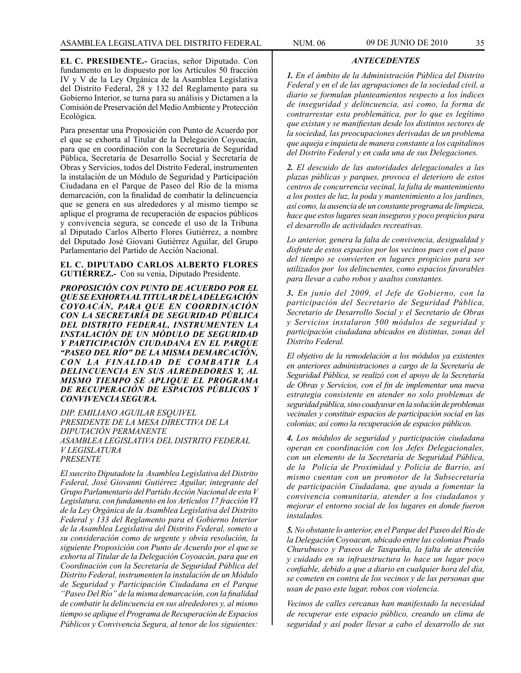**EL C. PRESIDENTE.-** Gracias, señor Diputado. Con fundamento en lo dispuesto por los Artículos 50 fracción IV y V de la Ley Orgánica de la Asamblea Legislativa del Distrito Federal, 28 y 132 del Reglamento para su Gobierno Interior, se turna para su análisis y Dictamen a la Comisión de Preservación del Medio Ambiente y Protección Ecológica.

Para presentar una Proposición con Punto de Acuerdo por el que se exhorta al Titular de la Delegación Coyoacán, para que en coordinación con la Secretaría de Seguridad Pública, Secretaría de Desarrollo Social y Secretaría de Obras y Servicios, todos del Distrito Federal, instrumenten la instalación de un Módulo de Seguridad y Participación Ciudadana en el Parque de Paseo del Río de la misma demarcación, con la finalidad de combatir la delincuencia que se genera en sus alrededores y al mismo tiempo se aplique el programa de recuperación de espacios públicos y convivencia segura, se concede el uso de la Tribuna al Diputado Carlos Alberto Flores Gutiérrez, a nombre del Diputado José Giovani Gutiérrez Aguilar, del Grupo Parlamentario del Partido de Acción Nacional.

**EL C. DIPUTADO CARLOS ALBERTO FLORES GUTIÉRREZ.-** Con su venia, Diputado Presidente.

*PROPOSICIÓN CON PUNTO DE ACUERDO POR EL QUE SE EXHORTA AL TITULAR DE LA DELEGACIÓN COYOACÁN, PARA QUE EN COORDINACIÓN CON LA SECRETARÍA DE SEGURIDAD PÚBLICA DEL DISTRITO FEDERAL, INSTRUMENTEN LA INSTALACIÓN DE UN MÓDULO DE SEGURIDAD Y PARTICIPACIÓN CIUDADANA EN EL PARQUE "PASEO DEL RÍO" DE LA MISMA DEMARCACIÓN,*   $CON$  LA FINALIDAD DE COMBATIR LA *DELINCUENCIA EN SUS ALREDEDORES Y, AL MISMO TIEMPO SE APLIQUE EL PROGRAMA DE RECUPERACIÓN DE ESPACIOS PÚBLICOS Y CONVIVENCIA SEGURA.*

*DIP. EMILIANO AGUILAR ESQUIVEL PRESIDENTE DE LA MESA DIRECTIVA DE LA DIPUTACIÓN PERMANENTE ASAMBLEA LEGISLATIVA DEL DISTRITO FEDERAL V LEGISLATURA PRESENTE*

*El suscrito Diputadote la Asamblea Legislativa del Distrito Federal, José Giovanni Gutiérrez Aguilar, integrante del Grupo Parlamentario del Partido Acción Nacional de esta V Legislatura, con fundamento en los Artículos 17 fracción VI de la Ley Orgánica de la Asamblea Legislativa del Distrito Federal y 133 del Reglamento para el Gobierno Interior de la Asamblea Legislativa del Distrito Federal, someto a su consideración como de urgente y obvia resolución, la siguiente Proposición con Punto de Acuerdo por el que se exhorta al Titular de la Delegación Coyoacán, para que en Coordinación con la Secretaría de Seguridad Pública del Distrito Federal, instrumenten la instalación de un Módulo de Seguridad y Participación Ciudadana en el Parque "Paseo Del Río" de la misma demarcación, con la finalidad de combatir la delincuencia en sus alrededores y, al mismo tiempo se aplique el Programa de Recuperación de Espacios Públicos y Convivencia Segura, al tenor de los siguientes:*

#### *ANTECEDENTES*

*1. En el ámbito de la Administración Pública del Distrito Federal y en el de las agrupaciones de la sociedad civil, a diario se formulan planteamientos respecto a los índices de inseguridad y delincuencia, así como, la forma de contrarrestar esta problemática, por lo que es legítimo que existan y se manifiestan desde los distintos sectores de la sociedad, las preocupaciones derivadas de un problema que aqueja e inquieta de manera constante a los capitalinos del Distrito Federal y en cada una de sus Delegaciones.*

*2. El descuido de las autoridades delegacionales a las plazas públicas y parques, provoca el deterioro de estos centros de concurrencia vecinal, la falta de mantenimiento a los postes de luz, la poda y mantenimiento a los jardines, así como, la ausencia de un constante programa de limpieza, hace que estos lugares sean inseguros y poco propicios para el desarrollo de actividades recreativas.*

*Lo anterior, genera la falta de convivencia, desigualdad y disfrute de estos espacios por los vecinos pues con el paso del tiempo se convierten en lugares propicios para ser utilizados por los delincuentes, como espacios favorables para llevar a cabo robos y asaltos constantes.*

*3. En junio del 2009, el Jefe de Gobierno, con la participación del Secretario de Seguridad Pública, Secretario de Desarrollo Social y el Secretario de Obras y Servicios instalaron 500 módulos de seguridad y participación ciudadana ubicados en distintas, zonas del Distrito Federal.*

*El objetivo de la remodelación a los módulos ya existentes en anteriores administraciones a cargo de la Secretaría de Seguridad Pública, se realizó con el apoyo de la Secretaría de Obras y Servicios, con el fin de implementar una nueva estrategia consistente en atender no solo problemas de seguridad pública, sino coadyuvar en la solución de problemas vecinales y constituir espacios de participación social en las colonias; así como la recuperación de espacios públicos.*

*4. Los módulos de seguridad y participación ciudadana operan en coordinación con los Jefes Delegacionales, con un elemento de la Secretaría de Seguridad Pública, de la Policía de Proximidad y Policía de Barrio, así mismo cuentan con un promotor de la Subsecretaría de participación Ciudadana, que ayuda a fomentar la convivencia comunitaria, atender a los ciudadanos y mejorar el entorno social de los lugares en donde fueron instalados.*

*5. No obstante lo anterior, en el Parque del Paseo del Río de la Delegación Coyoacan, ubicado entre las colonias Prado Churubusco y Paseos de Taxqueña, la falta de atención y cuidado en su infraestructura lo hace un lugar poco confiable, debido a que a diario en cualquier hora del día, se cometen en contra de los vecinos y de las personas que usan de paso este lugar, robos con violencia.*

*Vecinos de calles cercanas han manifestado la necesidad de recuperar este espacio público, creando un clima de seguridad y así poder llevar a cabo el desarrollo de sus*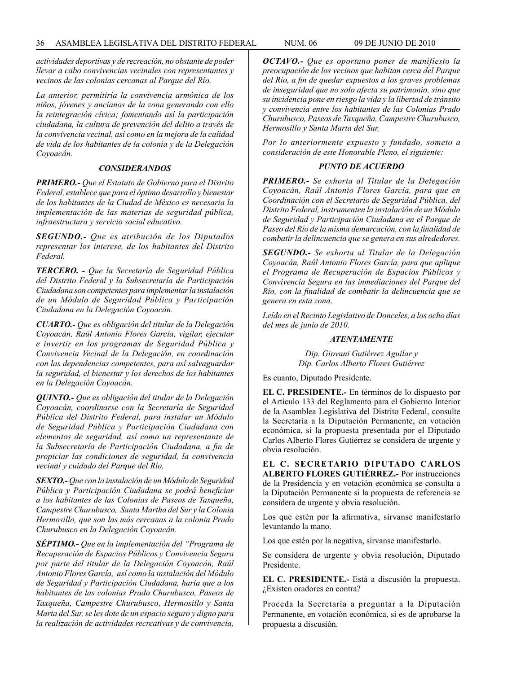*actividades deportivas y de recreación, no obstante de poder llevar a cabo convivencias vecinales con representantes y vecinos de las colonias cercanas al Parque del Río.*

*La anterior, permitiría la convivencia armónica de los niños, jóvenes y ancianos de la zona generando con ello la reintegración cívica; fomentando así la participación ciudadana, la cultura de prevención del delito a través de la convivencia vecinal, así como en la mejora de la calidad de vida de los habitantes de la colonia y de la Delegación Coyoacán.*

#### *CONSIDERANDOS*

*PRIMERO.- Que el Estatuto de Gobierno para el Distrito Federal, establece que para el óptimo desarrollo y bienestar de los habitantes de la Ciudad de México es necesaria la implementación de las materias de seguridad pública, infraestructura y servicio social educativo.*

*SEGUNDO.- Que es atribución de los Diputados representar los interese, de los habitantes del Distrito Federal.*

*TERCERO. - Que la Secretaría de Seguridad Pública del Distrito Federal y la Subsecretaría de Participación Ciudadana son competentes para implementar la instalación de un Módulo de Seguridad Pública y Participación Ciudadana en la Delegación Coyoacán.*

*CUARTO.- Que es obligación del titular de la Delegación Coyoacán, Raúl Antonio Flores García, vigilar, ejecutar e invertir en los programas de Seguridad Pública y Convivencia Vecinal de la Delegación, en coordinación con las dependencias competentes, para así salvaguardar la seguridad, el bienestar y los derechos de los habitantes en la Delegación Coyoacán.*

*QUINTO.- Que es obligación del titular de la Delegación Coyoacán, coordinarse con la Secretaría de Seguridad Pública del Distrito Federal, para instalar un Módulo de Seguridad Pública y Participación Ciudadana con elementos de seguridad, así como un representante de la Subsecretaría de Participación Ciudadana, a fin de propiciar las condiciones de seguridad, la convivencia vecinal y cuidado del Parque del Río.*

*SEXTO.- Que con la instalación de un Módulo de Seguridad Pública y Participación Ciudadana se podrá beneficiar a los habitantes de las Colonias de Paseos de Taxqueña, Campestre Churubusco, Santa Martha del Sur y la Colonia Hermosillo, que son las más cercanas a la colonia Prado Churubusco en la Delegación Coyoacán.*

*SÉPTIMO.- Que en la implementación del "Programa de Recuperación de Espacios Públicos y Convivencia Segura por parte del titular de la Delegación Coyoacán, Raúl Antonio Flores García, así como la instalación del Módulo de Seguridad y Participación Ciudadana, haría que a los habitantes de las colonias Prado Churubusco, Paseos de Taxqueña, Campestre Churubusco, Hermosillo y Santa Marta del Sur, se les dote de un espacio seguro y digno para la realización de actividades recreativas y de convivencia,*

*OCTAVO.- Que es oportuno poner de manifiesto la preocupación de los vecinos que habitan cerca del Parque del Río, a fin de quedar expuestos a los graves problemas de inseguridad que no solo afecta su patrimonio, sino que su incidencia pone en riesgo la vida y la libertad de tránsito y convivencia entre los habitantes de las Colonias Prado Churubusco, Paseos de Taxqueña, Campestre Churubusco, Hermosillo y Santa Marta del Sur.*

*Por lo anteriormente expuesto y fundado, someto a consideración de este Honorable Pleno, el siguiente:*

### *PUNTO DE ACUERDO*

*PRIMERO.- Se exhorta al Titular de la Delegación Coyoacán, Raúl Antonio Flores García, para que en Coordinación con el Secretario de Seguridad Pública, del Distrito Federal, instrumenten la instalación de un Módulo de Seguridad y Participación Ciudadana en el Parque de Paseo del Río de la misma demarcación, con la finalidad de combatir la delincuencia que se genera en sus alrededores.* 

*SEGUNDO.- Se exhorta al Titular de la Delegación Coyoacán, Raúl Antonio Flores García, para que aplique el Programa de Recuperación de Espacios Públicos y Convivencia Segura en las inmediaciones del Parque del Río, con la finalidad de combatir la delincuencia que se genera en esta zona.*

*Leído en el Recinto Legislativo de Donceles, a los ocho días del mes de junio de 2010.*

#### *ATENTAMENTE*

*Dip. Giovani Gutiérrez Aguilar y Dip. Carlos Alberto Flores Gutiérrez*

Es cuanto, Diputado Presidente.

**EL C. PRESIDENTE.-** En términos de lo dispuesto por el Artículo 133 del Reglamento para el Gobierno Interior de la Asamblea Legislativa del Distrito Federal, consulte la Secretaría a la Diputación Permanente, en votación económica, si la propuesta presentada por el Diputado Carlos Alberto Flores Gutiérrez se considera de urgente y obvia resolución.

**EL C. SECRETARIO DIPUTADO CARLOS ALBERTO FLORES GUTIÉRREZ.-** Por instrucciones de la Presidencia y en votación económica se consulta a la Diputación Permanente si la propuesta de referencia se considera de urgente y obvia resolución.

Los que estén por la afirmativa, sírvanse manifestarlo levantando la mano.

Los que estén por la negativa, sírvanse manifestarlo.

Se considera de urgente y obvia resolución, Diputado Presidente.

**EL C. PRESIDENTE.-** Está a discusión la propuesta. ¿Existen oradores en contra?

Proceda la Secretaría a preguntar a la Diputación Permanente, en votación económica, si es de aprobarse la propuesta a discusión.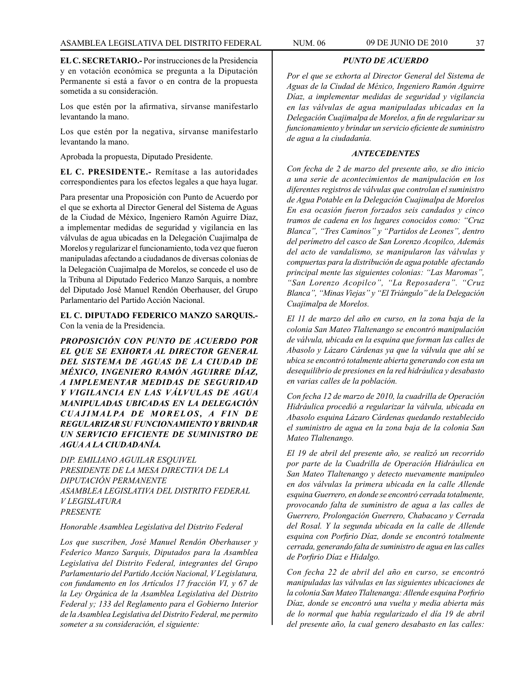**EL C. SECRETARIO.-** Por instrucciones de la Presidencia y en votación económica se pregunta a la Diputación Permanente si está a favor o en contra de la propuesta sometida a su consideración.

Los que estén por la afirmativa, sírvanse manifestarlo levantando la mano.

Los que estén por la negativa, sírvanse manifestarlo levantando la mano.

Aprobada la propuesta, Diputado Presidente.

**EL C. PRESIDENTE.-** Remítase a las autoridades correspondientes para los efectos legales a que haya lugar.

Para presentar una Proposición con Punto de Acuerdo por el que se exhorta al Director General del Sistema de Aguas de la Ciudad de México, Ingeniero Ramón Aguirre Díaz, a implementar medidas de seguridad y vigilancia en las válvulas de agua ubicadas en la Delegación Cuajimalpa de Morelos y regularizar el funcionamiento, toda vez que fueron manipuladas afectando a ciudadanos de diversas colonias de la Delegación Cuajimalpa de Morelos, se concede el uso de la Tribuna al Diputado Federico Manzo Sarquis, a nombre del Diputado José Manuel Rendón Oberhauser, del Grupo Parlamentario del Partido Acción Nacional.

**EL C. DIPUTADO FEDERICO MANZO SARQUIS.-**  Con la venia de la Presidencia.

*PROPOSICIÓN CON PUNTO DE ACUERDO POR EL QUE SE EXHORTA AL DIRECTOR GENERAL DEL SISTEMA DE AGUAS DE LA CIUDAD DE MÉXICO, INGENIERO RAMÓN AGUIRRE DÍAZ, A IMPLEMENTAR MEDIDAS DE SEGURIDAD Y VIGILANCIA EN LAS VÁLVULAS DE AGUA MANIPULADAS UBICADAS EN LA DELEGACIÓN*  CUAJIMALPA DE MORELOS, A FIN DE *REGULARIZAR SU FUNCIONAMIENTO Y BRINDAR UN SERVICIO EFICIENTE DE SUMINISTRO DE AGUA A LA CIUDADANÍA.*

*DIP. EMILIANO AGUILAR ESQUIVEL PRESIDENTE DE LA MESA DIRECTIVA DE LA DIPUTACIÓN PERMANENTE ASAMBLEA LEGISLATIVA DEL DISTRITO FEDERAL V LEGISLATURA PRESENTE*

### *Honorable Asamblea Legislativa del Distrito Federal*

*Los que suscriben, José Manuel Rendón Oberhauser y Federico Manzo Sarquis, Diputados para la Asamblea Legislativa del Distrito Federal, integrantes del Grupo Parlamentario del Partido Acción Nacional, V Legislatura, con fundamento en los Artículos 17 fracción VI, y 67 de la Ley Orgánica de la Asamblea Legislativa del Distrito Federal y; 133 del Reglamento para el Gobierno Interior de la Asamblea Legislativa del Distrito Federal, me permito someter a su consideración, el siguiente:*

*Por el que se exhorta al Director General del Sistema de Aguas de la Ciudad de México, Ingeniero Ramón Aguirre Díaz, a implementar medidas de seguridad y vigilancia en las válvulas de agua manipuladas ubicadas en la Delegación Cuajimalpa de Morelos, a fin de regularizar su funcionamiento y brindar un servicio eficiente de suministro de agua a la ciudadanía.*

*PUNTO DE ACUERDO*

### *ANTECEDENTES*

*Con fecha de 2 de marzo del presente año, se dio inicio a una serie de acontecimientos de manipulación en los diferentes registros de válvulas que controlan el suministro de Agua Potable en la Delegación Cuajimalpa de Morelos En esa ocasión fueron forzados seis candados y cinco tramos de cadena en los lugares conocidos como: "Cruz Blanca", "Tres Caminos" y "Partidos de Leones", dentro del perímetro del casco de San Lorenzo Acopilco, Además del acto de vandalismo, se manipularon las válvulas y compuertas para la distribución de agua potable afectando principal mente las siguientes colonias: "Las Maromas", "San Lorenzo Acopilco", "La Reposadera". "Cruz Blanca", "Minas Viejas" y "El Triángulo" de la Delegación Cuajimalpa de Morelos.*

*El 11 de marzo del año en curso, en la zona baja de la colonia San Mateo Tlaltenango se encontró manipulación de válvula, ubicada en la esquina que forman las calles de Abasolo y Lázaro Cárdenas ya que la válvula que ahí se ubica se encontró totalmente abierta generando con esta un desequilibrio de presiones en la red hidráulica y desabasto en varias calles de la población.* 

*Con fecha 12 de marzo de 2010, la cuadrilla de Operación Hidráulica procedió a regularizar la válvula, ubicada en Abasolo esquina Lázaro Cárdenas quedando restablecido el suministro de agua en la zona baja de la colonia San Mateo Tlaltenango.*

*El 19 de abril del presente año, se realizó un recorrido por parte de la Cuadrilla de Operación Hidráulica en San Mateo Tlaltenango y detecto nuevamente manipuleo en dos válvulas la primera ubicada en la calle Allende esquina Guerrero, en donde se encontró cerrada totalmente, provocando falta de suministro de agua a las calles de Guerrero, Prolongación Guerrero, Chabacano y Cerrada del Rosal. Y la segunda ubicada en la calle de Allende esquina con Porfirio Díaz, donde se encontró totalmente cerrada, generando falta de suministro de agua en las calles de Porfirio Díaz e Hidalgo.*

*Con fecha 22 de abril del año en curso, se encontró manipuladas las válvulas en las siguientes ubicaciones de la colonia San Mateo Tlaltenanga: Allende esquina Porfirio Díaz, donde se encontró una vuelta y media abierta más de lo normal que había regularizado el día 19 de abril del presente año, la cual genero desabasto en las calles:*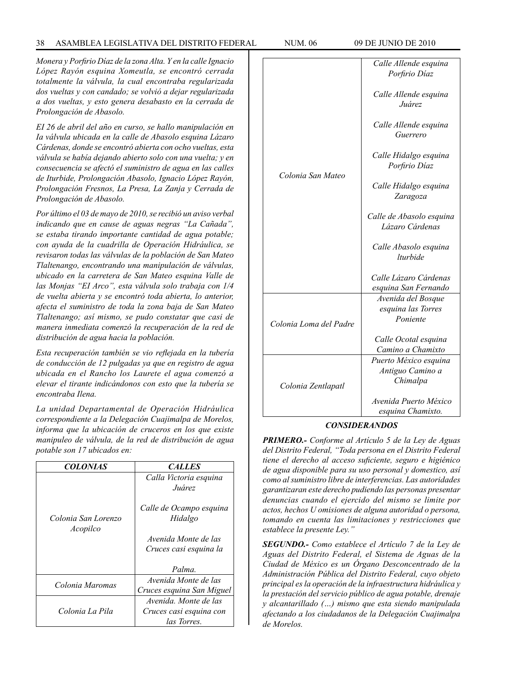# 38 ASAMBLEA LEGISLATIVA DEL DISTRITO FEDERAL NUM. 06 09 de JUNIo de 2010

*Monera y Porfirio Díaz de la zona Alta. Y en la calle Ignacio López Rayón esquina Xomeutla, se encontró cerrada totalmente la válvula, la cual encontraba regularizada dos vueltas y con candado; se volvió a dejar regularizada a dos vueltas, y esto genera desabasto en la cerrada de Prolongación de Abasolo.*

*EI 26 de abril del año en curso, se hallo manipulación en Ia válvula ubicada en la calle de Abasolo esquina Lázaro Cárdenas, donde se encontró abierta con ocho vueltas, esta válvula se había dejando abierto solo con una vuelta; y en consecuencia se afectó el suministro de agua en las calles de Iturbide, Prolongación Abasolo, Ignacio López Rayón, Prolongación Fresnos, La Presa, La Zanja y Cerrada de Prolongación de Abasolo.*

*Por último el 03 de mayo de 2010, se recibió un aviso verbal indicando que en cause de aguas negras "La Cañada", se estaba tirando importante cantidad de agua potable; con ayuda de la cuadrilla de Operación Hidráulica, se revisaron todas las válvulas de la población de San Mateo Tlaltenango, encontrando una manipulación de válvulas, ubicado en la carretera de San Mateo esquina Valle de las Monjas "EI Arco", esta válvula solo trabaja con 1/4 de vuelta abierta y se encontró toda abierta, lo anterior, afecta el suministro de toda la zona baja de San Mateo Tlaltenango; así mismo, se pudo constatar que casi de manera inmediata comenzó la recuperación de la red de distribución de agua hacia la población.*

*Esta recuperación también se vio reflejada en la tubería de conducción de 12 pulgadas ya que en registro de agua ubicada en el Rancho los Laurete el agua comenzó a elevar el tirante indicándonos con esto que la tubería se encontraba Ilena.*

*La unidad Departamental de Operación Hidráulica correspondiente a la Delegación Cuajimalpa de Morelos, informa que la ubicación de cruceros en los que existe manipuleo de válvula, de la red de distribución de agua potable son 17 ubicados en:*

| <i><b>COLONIAS</b></i>          | <b>CALLES</b>                                                  |  |  |  |
|---------------------------------|----------------------------------------------------------------|--|--|--|
|                                 | Calla Victoria esquina<br><i>Juárez</i>                        |  |  |  |
| Colonia San Lorenzo<br>Acopilco | Calle de Ocampo esquina<br>Hidalgo                             |  |  |  |
|                                 | Avenida Monte de las<br>Cruces casi esquina la                 |  |  |  |
|                                 | Palma.                                                         |  |  |  |
| Colonia Maromas                 | Avenida Monte de las<br>Cruces esquina San Miguel              |  |  |  |
| Colonia La Pila                 | Avenida Monte de las<br>Cruces casi esquina con<br>las Torres. |  |  |  |

|                        | Calle Allende esquina                         |  |  |  |
|------------------------|-----------------------------------------------|--|--|--|
|                        | Porfirio Díaz                                 |  |  |  |
| Colonia San Mateo      | Calle Allende esquina<br>Juárez               |  |  |  |
|                        | Calle Allende esquina<br>Guerrero             |  |  |  |
|                        | Calle Hidalgo esquina<br>Porfirio Díaz        |  |  |  |
|                        | Calle Hidalgo esquina<br>Zaragoza             |  |  |  |
|                        | Calle de Abasolo esquina<br>Lázaro Cárdenas   |  |  |  |
|                        | Calle Abasolo esquina<br><i>lturbide</i>      |  |  |  |
|                        | Calle Lázaro Cárdenas<br>esquina San Fernando |  |  |  |
|                        | Avenida del Bosque                            |  |  |  |
| Colonia Loma del Padre | esquina las Torres                            |  |  |  |
|                        | Poniente                                      |  |  |  |
|                        | Calle Ocotal esquina                          |  |  |  |
|                        | Camino a Chamixto                             |  |  |  |
| Colonia Zentlapatl     | Puerto México esquina                         |  |  |  |
|                        | Antiguo Camino a                              |  |  |  |
|                        | Chimalpa                                      |  |  |  |
|                        | Avenida Puerto México                         |  |  |  |
|                        | esquina Chamixto.                             |  |  |  |

### *CONSIDERANDOS*

*PRIMERO.- Conforme al Artículo 5 de la Ley de Aguas del Distrito Federal, "Toda persona en el Distrito Federal tiene el derecho al acceso suficiente, seguro e higiénico de agua disponible para su uso personal y domestico, así como al suministro libre de interferencias. Las autoridades garantizaran este derecho pudiendo las personas presentar denuncias cuando el ejercido del mismo se limite por actos, hechos U omisiones de alguna autoridad o persona, tomando en cuenta las limitaciones y restricciones que establece la presente Ley."*

*SEGUNDO.- Como establece el Artículo 7 de la Ley de Aguas del Distrito Federal, el Sistema de Aguas de la Ciudad de México es un Órgano Desconcentrado de la Administración Pública del Distrito Federal, cuyo objeto principal es la operación de la infraestructura hidráulica y la prestación del servicio público de agua potable, drenaje y alcantarillado (…) mismo que esta siendo manipulada afectando a los ciudadanos de la Delegación Cuajimalpa de Morelos.*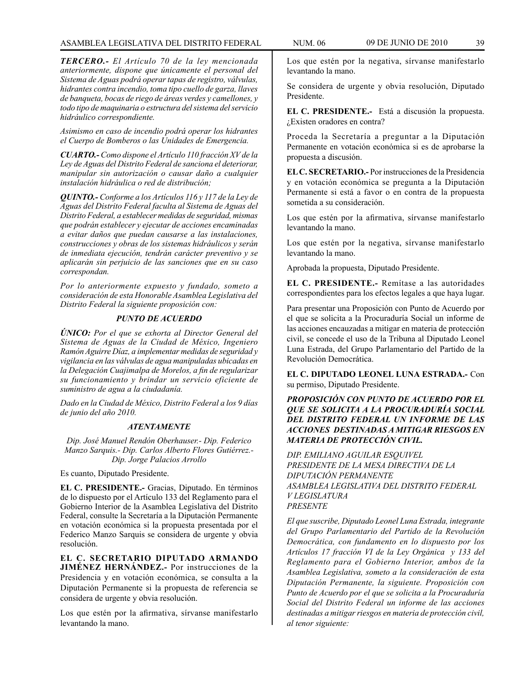*TERCERO.- El Artículo 70 de la ley mencionada anteriormente, dispone que únicamente el personal del Sistema de Aguas podrá operar tapas de registro, válvulas, hidrantes contra incendio, toma tipo cuello de garza, llaves de banqueta, bocas de riego de áreas verdes y camellones, y todo tipo de maquinaria o estructura del sistema del servicio hidráulico correspondiente.*

*Asimismo en caso de incendio podrá operar los hidrantes el Cuerpo de Bomberos o las Unidades de Emergencia.*

*CUARTO.- Como dispone el Artículo 110 fracción XV de la Ley de Aguas del Distrito Federal de sanciona el deteriorar, manipular sin autorización o causar daño a cualquier instalación hidráulica o red de distribución;*

*QUINTO.- Conforme a los Artículos 116 y 117 de la Ley de Aguas del Distrito Federal faculta al Sistema de Aguas del Distrito Federal, a establecer medidas de seguridad, mismas que podrán establecer y ejecutar de acciones encaminadas a evitar daños que puedan causarse a las instalaciones, construcciones y obras de los sistemas hidráulicos y serán de inmediata ejecución, tendrán carácter preventivo y se aplicarán sin perjuicio de las sanciones que en su caso correspondan.*

*Por lo anteriormente expuesto y fundado, someto a consideración de esta Honorable Asamblea Legislativa del Distrito Federal la siguiente proposición con:*

# *PUNTO DE ACUERDO*

*ÚNICO: Por el que se exhorta al Director General del Sistema de Aguas de la Ciudad de México, Ingeniero Ramón Aguirre Díaz, a implementar medidas de seguridad y vigilancia en las válvulas de agua manipuladas ubicadas en la Delegación Cuajimalpa de Morelos, a fin de regularizar su funcionamiento y brindar un servicio eficiente de suministro de agua a la ciudadanía.*

*Dado en la Ciudad de México, Distrito Federal a los 9 días de junio del año 2010.*

# *ATENTAMENTE*

*Dip. José Manuel Rendón Oberhauser.- Dip. Federico Manzo Sarquis.- Dip. Carlos Alberto Flores Gutiérrez.- Dip. Jorge Palacios Arrollo*

Es cuanto, Diputado Presidente.

**EL C. PRESIDENTE.-** Gracias, Diputado. En términos de lo dispuesto por el Artículo 133 del Reglamento para el Gobierno Interior de la Asamblea Legislativa del Distrito Federal, consulte la Secretaría a la Diputación Permanente en votación económica si la propuesta presentada por el Federico Manzo Sarquis se considera de urgente y obvia resolución.

**EL C. SECRETARIO DIPUTADO ARMANDO JIMÉNEZ HERNÁNDEZ.-** Por instrucciones de la Presidencia y en votación económica, se consulta a la Diputación Permanente si la propuesta de referencia se considera de urgente y obvia resolución.

Los que estén por la afirmativa, sírvanse manifestarlo levantando la mano.

Los que estén por la negativa, sírvanse manifestarlo levantando la mano.

Se considera de urgente y obvia resolución, Diputado Presidente.

**EL C. PRESIDENTE.-** Está a discusión la propuesta. ¿Existen oradores en contra?

Proceda la Secretaría a preguntar a la Diputación Permanente en votación económica si es de aprobarse la propuesta a discusión.

**EL C. SECRETARIO.-** Por instrucciones de la Presidencia y en votación económica se pregunta a la Diputación Permanente si está a favor o en contra de la propuesta sometida a su consideración.

Los que estén por la afirmativa, sírvanse manifestarlo levantando la mano.

Los que estén por la negativa, sírvanse manifestarlo levantando la mano.

Aprobada la propuesta, Diputado Presidente.

**EL C. PRESIDENTE.-** Remítase a las autoridades correspondientes para los efectos legales a que haya lugar.

Para presentar una Proposición con Punto de Acuerdo por el que se solicita a la Procuraduría Social un informe de las acciones encauzadas a mitigar en materia de protección civil, se concede el uso de la Tribuna al Diputado Leonel Luna Estrada, del Grupo Parlamentario del Partido de la Revolución Democrática.

**EL C. DIPUTADO LEONEL LUNA ESTRADA.-** Con su permiso, Diputado Presidente.

# *PROPOSICIÓN CON PUNTO DE ACUERDO POR EL QUE SE SOLICITA A LA PROCURADURÍA SOCIAL DEL DISTRITO FEDERAL UN INFORME DE LAS ACCIONES DESTINADAS A MITIGAR RIESGOS EN MATERIA DE PROTECCIÓN CIVIL.*

*DIP. EMILIANO AGUILAR ESQUIVEL PRESIDENTE DE LA MESA DIRECTIVA DE LA DIPUTACIÓN PERMANENTE ASAMBLEA LEGISLATIVA DEL DISTRITO FEDERAL V LEGISLATURA PRESENTE*

*El que suscribe, Diputado Leonel Luna Estrada, integrante del Grupo Parlamentario del Partido de la Revolución Democrática, con fundamento en lo dispuesto por los Artículos 17 fracción VI de la Ley Orgánica y 133 del Reglamento para el Gobierno Interior, ambos de la Asamblea Legislativa, someto a la consideración de esta Diputación Permanente, la siguiente. Proposición con Punto de Acuerdo por el que se solicita a la Procuraduría Social del Distrito Federal un informe de las acciones destinadas a mitigar riesgos en materia de protección civil, al tenor siguiente:*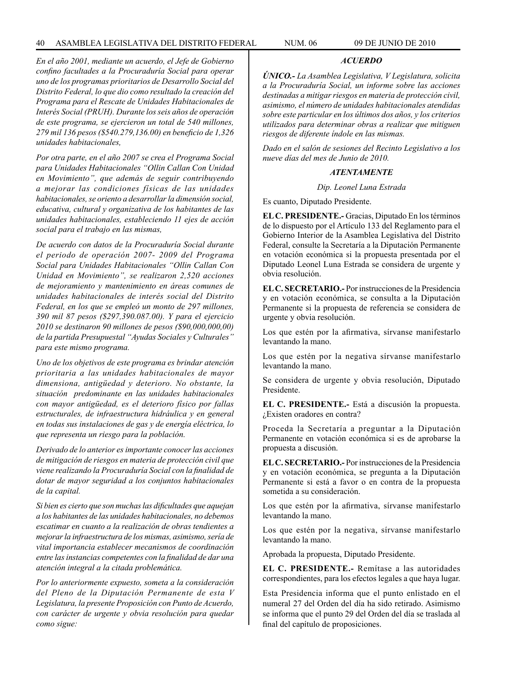*En el año 2001, mediante un acuerdo, el Jefe de Gobierno confino facultades a la Procuraduría Social para operar uno de los programas prioritarios de Desarrollo Social del Distrito Federal, lo que dio como resultado la creación del Programa para el Rescate de Unidades Habitacionales de Interés Social (PRUH). Durante los seis años de operación de este programa, se ejercieron un total de 540 millones, 279 mil 136 pesos (\$540.279,136.00) en beneficio de 1,326 unidades habitacionales,*

*Por otra parte, en el año 2007 se crea el Programa Social para Unidades Habitacionales "Ollin Callan Con Unidad en Movimiento", que además de seguir contribuyendo a mejorar las condiciones físicas de las unidades habitacionales, se oriento a desarrollar la dimensión social, educativa, cultural y organizativa de los habitantes de las unidades habitacionales, estableciendo 11 ejes de acción social para el trabajo en las mismas,*

*De acuerdo con datos de la Procuraduría Social durante el periodo de operación 2007- 2009 del Programa Social para Unidades Habitacionales "Ollin Callan Con Unidad en Movimiento", se realizaron 2,520 acciones de mejoramiento y mantenimiento en áreas comunes de unidades habitacionales de interés social del Distrito Federal, en los que se empleó un monto de 297 millones, 390 mil 87 pesos (\$297,390.087.00). Y para el ejercicio 2010 se destinaron 90 millones de pesos (\$90,000,000,00) de la partida Presupuestal "Ayudas Sociales y Culturales" para este mismo programa.*

*Uno de los objetivos de este programa es brindar atención prioritaria a las unidades habitacionales de mayor dimensiona, antigüedad y deterioro. No obstante, la situación predominante en las unidades habitacionales con mayor antigüedad, es el deterioro físico por fallas estructurales, de infraestructura hidráulica y en general en todas sus instalaciones de gas y de energía eléctrica, lo que representa un riesgo para la población.*

*Derivado de lo anterior es importante conocer las acciones de mitigación de riesgos en materia de protección civil que viene realizando la Procuraduría Social con la finalidad de dotar de mayor seguridad a los conjuntos habitacionales de la capital.*

*Si bien es cierto que son muchas las dificultades que aquejan a los habitantes de las unidades habitacionales, no debemos escatimar en cuanto a la realización de obras tendientes a mejorar la infraestructura de los mismas, asimismo, sería de vital importancia establecer mecanismos de coordinación entre las instancias competentes con la finalidad de dar una atención integral a la citada problemática.*

*Por lo anteriormente expuesto, someta a la consideración del Pleno de la Diputación Permanente de esta V Legislatura, la presente Proposición con Punto de Acuerdo, con carácter de urgente y obvia resolución para quedar como sigue:*

# *ACUERDO*

*ÚNICO.- La Asamblea Legislativa, V Legislatura, solicita a la Procuraduría Social, un informe sobre las acciones destinadas a mitigar riesgos en materia de protección civil, asimismo, el número de unidades habitacionales atendidas sobre este particular en los últimos dos años, y los criterios utilizados para determinar obras a realizar que mitiguen riesgos de diferente índole en las mismas.*

*Dado en el salón de sesiones del Recinto Legislativo a los nueve días del mes de Junio de 2010.*

# *ATENTAMENTE*

*Dip. Leonel Luna Estrada*

Es cuanto, Diputado Presidente.

**EL C. PRESIDENTE.-** Gracias, Diputado En los términos de lo dispuesto por el Artículo 133 del Reglamento para el Gobierno Interior de la Asamblea Legislativa del Distrito Federal, consulte la Secretaría a la Diputación Permanente en votación económica si la propuesta presentada por el Diputado Leonel Luna Estrada se considera de urgente y obvia resolución.

**EL C. SECRETARIO.-** Por instrucciones de la Presidencia y en votación económica, se consulta a la Diputación Permanente si la propuesta de referencia se considera de urgente y obvia resolución.

Los que estén por la afirmativa, sírvanse manifestarlo levantando la mano.

Los que estén por la negativa sírvanse manifestarlo levantando la mano.

Se considera de urgente y obvia resolución, Diputado Presidente.

**EL C. PRESIDENTE.-** Está a discusión la propuesta. ¿Existen oradores en contra?

Proceda la Secretaría a preguntar a la Diputación Permanente en votación económica si es de aprobarse la propuesta a discusión.

**EL C. SECRETARIO.-** Por instrucciones de la Presidencia y en votación económica, se pregunta a la Diputación Permanente si está a favor o en contra de la propuesta sometida a su consideración.

Los que estén por la afirmativa, sírvanse manifestarlo levantando la mano.

Los que estén por la negativa, sírvanse manifestarlo levantando la mano.

Aprobada la propuesta, Diputado Presidente.

**EL C. PRESIDENTE.-** Remítase a las autoridades correspondientes, para los efectos legales a que haya lugar.

Esta Presidencia informa que el punto enlistado en el numeral 27 del Orden del día ha sido retirado. Asimismo se informa que el punto 29 del Orden del día se traslada al final del capítulo de proposiciones.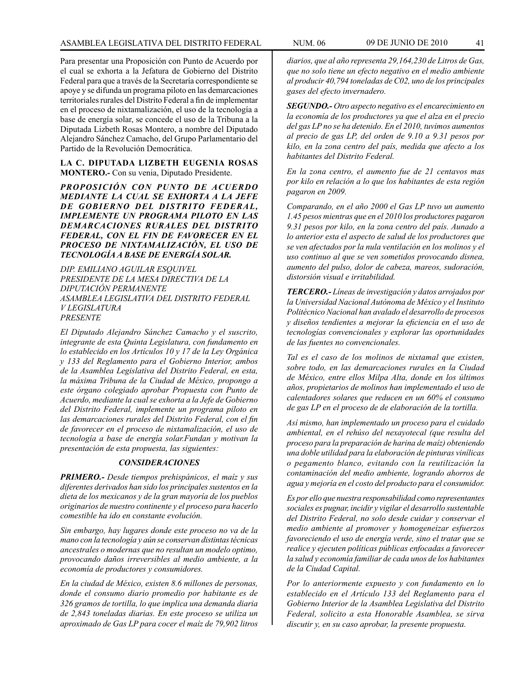Para presentar una Proposición con Punto de Acuerdo por el cual se exhorta a la Jefatura de Gobierno del Distrito Federal para que a través de la Secretaría correspondiente se apoye y se difunda un programa piloto en las demarcaciones territoriales rurales del Distrito Federal a fin de implementar en el proceso de nixtamalización, el uso de la tecnología a base de energía solar, se concede el uso de la Tribuna a la Diputada Lizbeth Rosas Montero, a nombre del Diputado Alejandro Sánchez Camacho, del Grupo Parlamentario del Partido de la Revolución Democrática.

**LA C. DIPUTADA LIZBETH EUGENIA ROSAS MONTERO.-** Con su venia, Diputado Presidente.

*PROPOSICIÓN CON PUNTO DE ACUERDO MEDIANTE LA CUAL SE EXHORTA A LA JEFE DE GOBIERNO DEL DISTRITO FEDERAL, IMPLEMENTE UN PROGRAMA PILOTO EN LAS DEMARCACIONES RURALES DEL DISTRITO FEDERAL, CON EL FIN DE FAVORECER EN EL PROCESO DE NIXTAMALIZACIÓN, EL USO DE TECNOLOGÍA A BASE DE ENERGÍA SOLAR.*

*DIP. EMILIANO AGUILAR ESQUIVEL PRESIDENTE DE LA MESA DIRECTIVA DE LA DIPUTACIÓN PERMANENTE ASAMBLEA LEGISLATIVA DEL DISTRITO FEDERAL V LEGISLATURA PRESENTE*

*El Diputado Alejandro Sánchez Camacho y el suscrito, integrante de esta Quinta Legislatura, con fundamento en lo establecido en los Artículos 10 y 17 de la Ley Orgánica y 133 del Reglamento para el Gobierno Interior, ambos de la Asamblea Legislativa del Distrito Federal, en esta, la máxima Tribuna de la Ciudad de México, propongo a este órgano colegiado aprobar Propuesta con Punto de Acuerdo, mediante la cual se exhorta a la Jefe de Gobierno del Distrito Federal, implemente un programa piloto en las demarcaciones rurales del Distrito Federal, con el fin de favorecer en el proceso de nixtamalización, el uso de tecnología a base de energía solar.Fundan y motivan la presentación de esta propuesta, las siguientes:* 

# *CONSIDERACIONES*

*PRIMERO.- Desde tiempos prehispánicos, el maíz y sus diferentes derivados han sido los principales sustentos en la dieta de los mexicanos y de la gran mayoría de los pueblos originarios de nuestro continente y el proceso para hacerlo comestible ha ido en constante evolución.*

*Sin embargo, hay lugares donde este proceso no va de la mano con la tecnología y aún se conservan distintas técnicas ancestrales o modernas que no resultan un modelo optimo, provocando daños irreversibles al medio ambiente, a la economía de productores y consumidores.*

*En la ciudad de México, existen 8.6 millones de personas, donde el consumo diario promedio por habitante es de 326 gramos de tortilla, lo que implica una demanda diaria de 2,843 toneladas diarias. En este proceso se utiliza un aproximado de Gas LP para cocer el maíz de 79,902 litros*  *diarios, que al año representa 29,164,230 de Litros de Gas, que no solo tiene un efecto negativo en el medio ambiente al producir 40,794 toneladas de C02, uno de los principales gases del efecto invernadero.*

*SEGUNDO.- Otro aspecto negativo es el encarecimiento en la economía de los productores ya que el alza en el precio del gas LP no se ha detenido. En el 2010, tuvimos aumentos al precio de gas LP, del orden de 9.10 a 9.31 pesos por kilo, en la zona centro del país, medida que afecto a los habitantes del Distrito Federal.*

*En la zona centro, el aumento fue de 21 centavos mas por kilo en relación a lo que los habitantes de esta región pagaron en 2009.*

*Comparando, en el año 2000 el Gas LP tuvo un aumento 1.45 pesos mientras que en el 2010 los productores pagaron 9.31 pesos por kilo, en la zona centro del país. Aunado a lo anterior esta el aspecto de salud de los productores que se ven afectados por la nula ventilación en los molinos y el uso continuo al que se ven sometidos provocando disnea, aumento del pulso, dolor de cabeza, mareos, sudoración, distorsión visual e irritabilidad.* 

*TERCERO.- Líneas de investigación y datos arrojados por la Universidad Nacional Autónoma de México y el Instituto Politécnico Nacional han avalado el desarrollo de procesos y diseños tendientes a mejorar la eficiencia en el uso de tecnologías convencionales y explorar las oportunidades de las fuentes no convencionales.*

*Tal es el caso de los molinos de nixtamal que existen, sobre todo, en las demarcaciones rurales en la Ciudad de México, entre ellos Milpa Alta, donde en los últimos años, propietarios de molinos han implementado el uso de calentadores solares que reducen en un 60% el consumo de gas LP en el proceso de de elaboración de la tortilla.*

*Así mismo, han implementado un proceso para el cuidado ambiental, en el rehúso del nexayotecal (que resulta del proceso para la preparación de harina de maíz) obteniendo una doble utilidad para la elaboración de pinturas vinílicas o pegamento blanco, evitando con la reutilización la contaminación del medio ambiente, logrando ahorros de agua y mejoría en el costo del producto para el consumidor.*

*Es por ello que nuestra responsabilidad como representantes sociales es pugnar, incidir y vigilar el desarrollo sustentable del Distrito Federal, no solo desde cuidar y conservar el medio ambiente al promover y homogeneizar esfuerzos favoreciendo el uso de energía verde, sino el tratar que se realice y ejecuten políticas públicas enfocadas a favorecer la salud y economía familiar de cada unos de los habitantes de la Ciudad Capital.*

*Por lo anteriormente expuesto y con fundamento en lo establecido en el Artículo 133 del Reglamento para el Gobierno Interior de la Asamblea Legislativa del Distrito Federal, solicito a esta Honorable Asamblea, se sirva discutir y, en su caso aprobar, la presente propuesta.*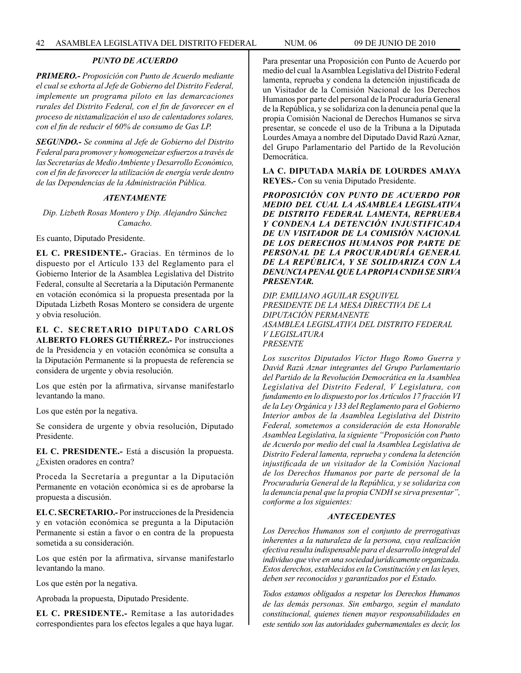# *PUNTO DE ACUERDO*

*PRIMERO.- Proposición con Punto de Acuerdo mediante el cual se exhorta al Jefe de Gobierno del Distrito Federal, implemente un programa piloto en las demarcaciones rurales del Distrito Federal, con el fin de favorecer en el proceso de nixtamalización el uso de calentadores solares, con el fin de reducir el 60% de consumo de Gas LP.*

*SEGUNDO.- Se conmina al Jefe de Gobierno del Distrito Federal para promover y homogeneizar esfuerzos a través de las Secretarías de Medio Ambiente y Desarrollo Económico, con el fin de favorecer la utilización de energía verde dentro de las Dependencias de la Administración Pública.*

### *ATENTAMENTE*

*Dip. Lizbeth Rosas Montero y Dip. Alejandro Sánchez Camacho.*

Es cuanto, Diputado Presidente.

**EL C. PRESIDENTE.-** Gracias. En términos de lo dispuesto por el Artículo 133 del Reglamento para el Gobierno Interior de la Asamblea Legislativa del Distrito Federal, consulte al Secretaría a la Diputación Permanente en votación económica si la propuesta presentada por la Diputada Lizbeth Rosas Montero se considera de urgente y obvia resolución.

**EL C. SECRETARIO DIPUTADO CARLOS ALBERTO FLORES GUTIÉRREZ.-** Por instrucciones de la Presidencia y en votación económica se consulta a la Diputación Permanente si la propuesta de referencia se considera de urgente y obvia resolución.

Los que estén por la afirmativa, sírvanse manifestarlo levantando la mano.

Los que estén por la negativa.

Se considera de urgente y obvia resolución, Diputado Presidente.

**EL C. PRESIDENTE.-** Está a discusión la propuesta. ¿Existen oradores en contra?

Proceda la Secretaría a preguntar a la Diputación Permanente en votación económica si es de aprobarse la propuesta a discusión.

**EL C. SECRETARIO.-** Por instrucciones de la Presidencia y en votación económica se pregunta a la Diputación Permanente si están a favor o en contra de la propuesta sometida a su consideración.

Los que estén por la afirmativa, sírvanse manifestarlo levantando la mano.

Los que estén por la negativa.

Aprobada la propuesta, Diputado Presidente.

**EL C. PRESIDENTE.-** Remítase a las autoridades correspondientes para los efectos legales a que haya lugar. Para presentar una Proposición con Punto de Acuerdo por medio del cual la Asamblea Legislativa del Distrito Federal lamenta, reprueba y condena la detención injustificada de un Visitador de la Comisión Nacional de los Derechos Humanos por parte del personal de la Procuraduría General de la República, y se solidariza con la denuncia penal que la propia Comisión Nacional de Derechos Humanos se sirva presentar, se concede el uso de la Tribuna a la Diputada Lourdes Amaya a nombre del Diputado David Razú Aznar, del Grupo Parlamentario del Partido de la Revolución Democrática.

**LA C. DIPUTADA MARÍA DE LOURDES AMAYA REYES.-** Con su venia Diputado Presidente.

*PROPOSICIÓN CON PUNTO DE ACUERDO POR MEDIO DEL CUAL LA ASAMBLEA LEGISLATIVA DE DISTRITO FEDERAL LAMENTA, REPRUEBA Y CONDENA LA DETENCIÓN INJUSTIFICADA DE UN VISITADOR DE LA COMISIÓN NACIONAL DE LOS DERECHOS HUMANOS POR PARTE DE PERSONAL DE LA PROCURADURÍA GENERAL DE LA REPÚBLICA, Y SE SOLIDARIZA CON LA DENUNCIA PENAL QUE LA PROPIA CNDH SE SIRVA PRESENTAR.*

*DIP. EMILIANO AGUILAR ESQUIVEL PRESIDENTE DE LA MESA DIRECTIVA DE LA DIPUTACIÓN PERMANENTE ASAMBLEA LEGISLATIVA DEL DISTRITO FEDERAL V LEGISLATURA PRESENTE*

*Los suscritos Diputados Víctor Hugo Romo Guerra y David Razú Aznar integrantes del Grupo Parlamentario del Partido de la Revolución Democrática en la Asamblea Legislativa del Distrito Federal, V Legislatura, con fundamento en lo dispuesto por los Artículos 17 fracción VI de la Ley Orgánica y 133 del Reglamento para el Gobierno Interior ambos de la Asamblea Legislativa del Distrito Federal, sometemos a consideración de esta Honorable Asamblea Legislativa, la siguiente "Proposición con Punto de Acuerdo por medio del cual la Asamblea Legislativa de Distrito Federal lamenta, reprueba y condena la detención injustificada de un visitador de la Comisión Nacional de los Derechos Humanos por parte de personal de la Procuraduría General de la República, y se solidariza con la denuncia penal que la propia CNDH se sirva presentar", conforme a los siguientes:* 

# *ANTECEDENTES*

*Los Derechos Humanos son el conjunto de prerrogativas inherentes a la naturaleza de la persona, cuya realización efectiva resulta indispensable para el desarrollo integral del individuo que vive en una sociedad jurídicamente organizada. Estos derechos, establecidos en la Constitución y en las leyes, deben ser reconocidos y garantizados por el Estado.*

*Todos estamos obligados a respetar los Derechos Humanos de las demás personas. Sin embargo, según el mandato constitucional, quienes tienen mayor responsabilidades en este sentido son las autoridades gubernamentales es decir, los*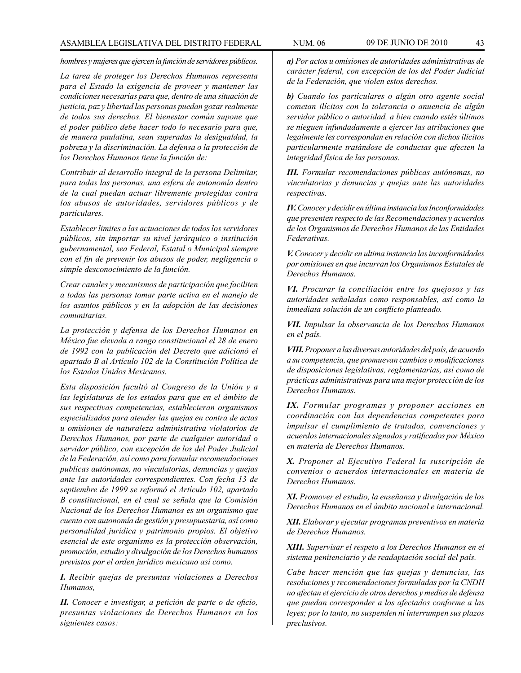*hombres y mujeres que ejercen la función de servidores públicos.*

*La tarea de proteger los Derechos Humanos representa para el Estado la exigencia de proveer y mantener las condiciones necesarias para que, dentro de una situación de justicia, paz y libertad las personas puedan gozar realmente de todos sus derechos. El bienestar común supone que el poder público debe hacer todo lo necesario para que, de manera paulatina, sean superadas la desigualdad, la pobreza y la discriminación. La defensa o la protección de los Derechos Humanos tiene la función de:*

*Contribuir al desarrollo integral de la persona Delimitar, para todas las personas, una esfera de autonomía dentro de la cual puedan actuar libremente protegidas contra los abusos de autoridades, servidores públicos y de particulares.*

*Establecer limites a las actuaciones de todos los servidores públicos, sin importar su nivel jerárquico o institución gubernamental, sea Federal, Estatal o Municipal siempre con el fin de prevenir los abusos de poder, negligencia o simple desconocimiento de la función.*

*Crear canales y mecanismos de participación que faciliten a todas las personas tomar parte activa en el manejo de los asuntos públicos y en la adopción de las decisiones comunitarias.*

*La protección y defensa de los Derechos Humanos en México fue elevada a rango constitucional el 28 de enero de 1992 con la publicación del Decreto que adicionó el apartado B al Artículo 102 de la Constitución Política de los Estados Unidos Mexicanos.*

*Esta disposición facultó al Congreso de la Unión y a las legislaturas de los estados para que en el ámbito de sus respectivas competencias, establecieran organismos especializados para atender las quejas en contra de actas u omisiones de naturaleza administrativa violatorios de Derechos Humanos, por parte de cualquier autoridad o servidor público, con excepción de los del Poder Judicial de la Federación, así como para formular recomendaciones publicas autónomas, no vinculatorias, denuncias y quejas ante las autoridades correspondientes. Con fecha 13 de septiembre de 1999 se reformó el Artículo 102, apartado B constitucional, en el cual se señala que la Comisión Nacional de los Derechos Humanos es un organismo que cuenta con autonomía de gestión y presupuestaria, así como personalidad jurídica y patrimonio propios. El objetivo esencial de este organismo es la protección observación, promoción, estudio y divulgación de los Derechos humanos previstos por el orden jurídico mexicano así como.*

*I. Recibir quejas de presuntas violaciones a Derechos Humanos,*

*II. Conocer e investigar, a petición de parte o de oficio, presuntas violaciones de Derechos Humanos en los siguientes casos:*

*a) Por actos u omisiones de autoridades administrativas de carácter federal, con excepción de los del Poder Judicial de la Federación, que violen estos derechos.*

*b) Cuando los particulares o algún otro agente social cometan ilícitos con la tolerancia o anuencia de algún servidor público o autoridad, a bien cuando estés últimos se nieguen infundadamente a ejercer las atribuciones que legalmente les correspondan en relación con dichos ilícitos particularmente tratándose de conductas que afecten la integridad física de las personas.*

*III. Formular recomendaciones públicas autónomas, no vinculatorias y denuncias y quejas ante las autoridades respectivas.*

*IV. Conocer y decidir en última instancia las Inconformidades que presenten respecto de las Recomendaciones y acuerdos de los Organismos de Derechos Humanos de las Entidades Federativas.*

*V. Conocer y decidir en ultima instancia las inconformidades por omisiones en que incurran los Organismos Estatales de Derechos Humanos.*

*VI. Procurar la conciliación entre los quejosos y las autoridades señaladas como responsables, así como la inmediata solución de un conflicto planteado.*

*VII. Impulsar la observancia de los Derechos Humanos en el país.*

*VIII. Proponer a las diversas autoridades del país, de acuerdo a su competencia, que promuevan cambios o modificaciones de disposiciones legislativas, reglamentarias, así como de prácticas administrativas para una mejor protección de los Derechos Humanos.*

*IX. Formular programas y proponer acciones en coordinación con las dependencias competentes para impulsar el cumplimiento de tratados, convenciones y acuerdos internacionales signados y ratificados por México en materia de Derechos Humanos.*

*X. Proponer al Ejecutivo Federal la suscripción de convenios o acuerdos internacionales en materia de Derechos Humanos.*

*XI. Promover el estudio, la enseñanza y divulgación de los Derechos Humanos en el ámbito nacional e internacional.*

*XII. Elaborar y ejecutar programas preventivos en materia de Derechos Humanos.*

*XIII. Supervisar el respeto a los Derechos Humanos en el sistema penitenciario y de readaptación social del país.*

*Cabe hacer mención que las quejas y denuncias, las resoluciones y recomendaciones formuladas por la CNDH no afectan et ejercicio de otros derechos y medios de defensa que puedan corresponder a los afectados conforme a las leyes; por lo tanto, no suspenden ni interrumpen sus plazos preclusivos.*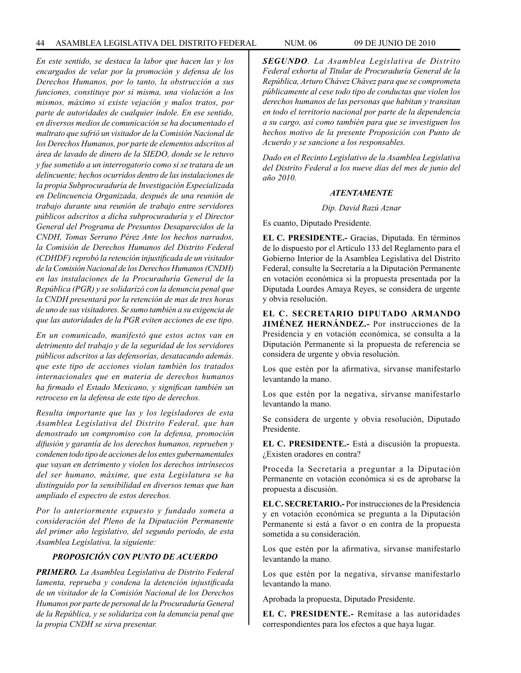*En este sentido, se destaca la labor que hacen las y los encargados de velar por la promoción y defensa de los Derechos Humanos, por lo tanto, la obstrucción a sus funciones, constituye por si misma, una violación a los mismos, máximo si existe vejación y malos tratos, por parte de autoridades de cualquier índole. En ese sentido, en diversos medios de comunicación se ha documentado el maltrato que sufrió un visitador de la Comisión Nacional de los Derechos Humanos, por parte de elementos adscritos al área de lavado de dinero de la SIEDO, donde se le retuvo y fue sometido a un interrogatorio como si se tratara de un delincuente; hechos ocurridos dentro de las instalaciones de la propia Subprocuraduría de Investigación Especializada en Delincuencia Organizada, después de una reunión de trabajo durante una reunión de trabajo entre servidores públicos adscritos a dicha subprocuraduría y el Director General del Programa de Presuntos Desaparecidos de la CNDH, Tomas Serrano Pérez Ante los hechos narrados, la Comisión de Derechos Humanos del Distrito Federal (CDHDF) reprobó la retención injustificada de un visitador de la Comisión Nacional de los Derechos Humanos (CNDH) en las instalaciones de la Procuraduría General de la República (PGR) y se solidarizó con la denuncia penal que la CNDH presentará por la retención de mas de tres horas de uno de sus visitadores. Se sumo también a su exigencia de que las autoridades de la PGR eviten acciones de ese tipo.*

*En un comunicado, manifestó que estos actos van en detrimento del trabajo y de la seguridad de los servidores públicos adscritos a las defensorías, desatacando además. que este tipo de acciones violan también los tratados internacionales que en materia de derechos humanos ha firmado el Estado Mexicano, y significan también un retroceso en la defensa de este tipo de derechos.*

*Resulta importante que las y los legisladores de esta Asamblea Legislativa del Distrito Federal, que han demostrado un compromiso con la defensa, promoción difusión y garantía de los derechos humanos, reprueben y condenen todo tipo de acciones de los entes gubernamentales que vayan en detrimento y violen los derechos intrínsecos del ser humano, máxime, que esta Legislatura se ha distinguido por la sensibilidad en diversos temas que han ampliado el espectro de estos derechos.*

*Por lo anteriormente expuesto y fundado someta a consideración del Pleno de la Diputación Permanente del primer año legislativo, del segundo periodo, de esta Asamblea Legislativa, la siguiente:*

# *PROPOSICIÓN CON PUNTO DE ACUERDO*

*PRIMERO. La Asamblea Legislativa de Distrito Federal lamenta, reprueba y condena la detención injustificada de un visitador de la Comisión Nacional de los Derechos Humanos por parte de personal de la Procuraduría General de la República, y se solidariza con la denuncia penal que la propia CNDH se sirva presentar.*

*SEGUNDO. La Asamblea Legislativa de Distrito Federal exhorta al Titular de Procuraduría General de la República, Arturo Chávez Chávez para que se comprometa públicamente al cese todo tipo de conductas que violen los derechos humanos de las personas que habitan y transitan en todo el territorio nacional por parte de la dependencia a su cargo, así como también para que se investiguen los hechos motivo de la presente Proposición con Punto de Acuerdo y se sancione a los responsables.* 

*Dado en el Recinto Legislativo de la Asamblea Legislativa del Distrito Federal a los nueve días del mes de junio del año 2010.*

#### *ATENTAMENTE*

*Dip. David Razú Aznar*

Es cuanto, Diputado Presidente.

**EL C. PRESIDENTE.-** Gracias, Diputada. En términos de lo dispuesto por el Artículo 133 del Reglamento para el Gobierno Interior de la Asamblea Legislativa del Distrito Federal, consulte la Secretaría a la Diputación Permanente en votación económica si la propuesta presentada por la Diputada Lourdes Amaya Reyes, se considera de urgente y obvia resolución.

**EL C. SECRETARIO DIPUTADO ARMANDO JIMÉNEZ HERNÁNDEZ.-** Por instrucciones de la Presidencia y en votación económica, se consulta a la Diputación Permanente si la propuesta de referencia se considera de urgente y obvia resolución.

Los que estén por la afirmativa, sírvanse manifestarlo levantando la mano.

Los que estén por la negativa, sírvanse manifestarlo levantando la mano.

Se considera de urgente y obvia resolución, Diputado Presidente.

**EL C. PRESIDENTE.-** Está a discusión la propuesta. ¿Existen oradores en contra?

Proceda la Secretaría a preguntar a la Diputación Permanente en votación económica si es de aprobarse la propuesta a discusión.

**EL C. SECRETARIO.-** Por instrucciones de la Presidencia y en votación económica se pregunta a la Diputación Permanente si está a favor o en contra de la propuesta sometida a su consideración.

Los que estén por la afirmativa, sírvanse manifestarlo levantando la mano.

Los que estén por la negativa, sírvanse manifestarlo levantando la mano.

Aprobada la propuesta, Diputado Presidente.

**EL C. PRESIDENTE.-** Remítase a las autoridades correspondientes para los efectos a que haya lugar.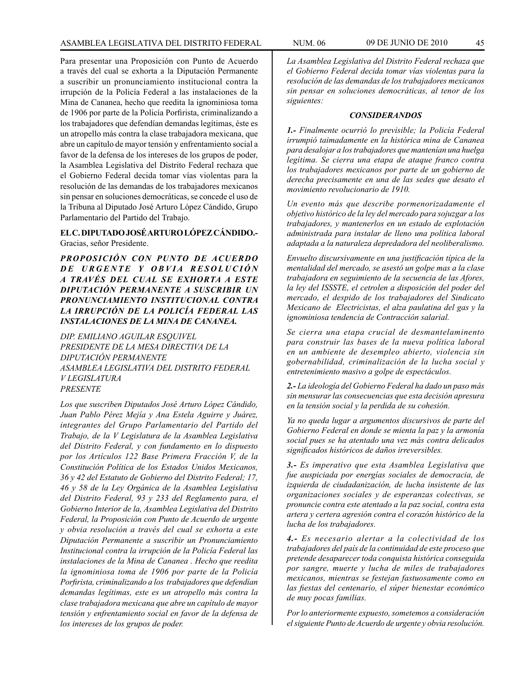Para presentar una Proposición con Punto de Acuerdo a través del cual se exhorta a la Diputación Permanente a suscribir un pronunciamiento institucional contra la irrupción de la Policía Federal a las instalaciones de la Mina de Cananea, hecho que reedita la ignominiosa toma de 1906 por parte de la Policía Porfirista, criminalizando a los trabajadores que defendían demandas legítimas, éste es un atropello más contra la clase trabajadora mexicana, que abre un capítulo de mayor tensión y enfrentamiento social a favor de la defensa de los intereses de los grupos de poder, la Asamblea Legislativa del Distrito Federal rechaza que el Gobierno Federal decida tomar vías violentas para la resolución de las demandas de los trabajadores mexicanos sin pensar en soluciones democráticas, se concede el uso de la Tribuna al Diputado José Arturo López Cándido, Grupo Parlamentario del Partido del Trabajo.

# **EL C. DIPUTADO JOSÉ ARTURO LÓPEZ CÁNDIDO.-**  Gracias, señor Presidente.

*PROPOSICIÓN CON PUNTO DE ACUERDO DE URGENTE Y OBVIA RESOLUCIÓN A TRAVÉS DEL CUAL SE EXHORTA A ESTE DIPUTACIÓN PERMANENTE A SUSCRIBIR UN PRONUNCIAMIENTO INSTITUCIONAL CONTRA LA IRRUPCIÓN DE LA POLICÍA FEDERAL LAS INSTALACIONES DE LA MINA DE CANANEA.*

*DIP. EMILIANO AGUILAR ESQUIVEL PRESIDENTE DE LA MESA DIRECTIVA DE LA DIPUTACIÓN PERMANENTE ASAMBLEA LEGISLATIVA DEL DISTRITO FEDERAL V LEGISLATURA PRESENTE*

*Los que suscriben Diputados José Arturo López Cándido, Juan Pablo Pérez Mejía y Ana Estela Aguirre y Juárez, integrantes del Grupo Parlamentario del Partido del Trabajo, de la V Legislatura de la Asamblea Legislativa del Distrito Federal, y con fundamento en lo dispuesto por los Artículos 122 Base Primera Fracción V, de la Constitución Política de los Estados Unidos Mexicanos, 36 y 42 del Estatuto de Gobierno del Distrito Federal; 17, 46 y 58 de la Ley Orgánica de la Asamblea Legislativa del Distrito Federal, 93 y 233 del Reglamento para, el Gobierno Interior de la, Asamblea Legislativa del Distrito Federal, la Proposición con Punto de Acuerdo de urgente y obvia resolución a través del cual se exhorta a este Diputación Permanente a suscribir un Pronunciamiento Institucional contra la irrupción de la Policía Federal las instalaciones de la Mina de Cananea . Hecho que reedita la ignominiosa toma de 1906 por parte de la Policía Porfirista, criminalizando a los trabajadores que defendían demandas legítimas, este es un atropello más contra la clase trabajadora mexicana que abre un capítulo de mayor tensión y enfrentamiento social en favor de la defensa de los intereses de los grupos de poder.* 

*La Asamblea Legislativa del Distrito Federal rechaza que* 

*el Gobierno Federal decida tomar vías violentas para la resolución de las demandas de los trabajadores mexicanos sin pensar en soluciones democráticas, al tenor de los siguientes:*

### *CONSIDERANDOS*

*1.- Finalmente ocurrió lo previsible; la Policía Federal irrumpió taimadamente en la histórica mina de Cananea para desalojar a los trabajadores que mantenían una huelga legítima. Se cierra una etapa de ataque franco contra los trabajadores mexicanos por parte de un gobierno de derecha precisamente en una de las sedes que desato el movimiento revolucionario de 1910.*

*Un evento más que describe pormenorizadamente el objetivo histórico de la ley del mercado para sojuzgar a los trabajadores, y mantenerlos en un estado de explotación administrada para instalar de lleno una política laboral adaptada a la naturaleza depredadora del neoliberalismo.*

*Envuelto discursivamente en una justificación típica de la mentalidad del mercado, se asestó un golpe mas a la clase trabajadora en seguimiento de la secuencia de las Afores, la ley del ISSSTE, el cetrolen a disposición del poder del mercado, el despido de los trabajadores del Sindicato Mexicano de Electricistas, el alza paulatina del gas y la ignominiosa tendencia de Contracción salarial.* 

*Se cierra una etapa crucial de desmantelaminento para construir las bases de la nueva política laboral en un ambiente de desempleo abierto, violencia sin gobernabilidad, criminalización de la lucha social y entretenimiento masivo a golpe de espectáculos.*

*2.- La ideología del Gobierno Federal ha dado un paso más sin mensurar las consecuencias que esta decisión apresura en la tensión social y la perdida de su cohesión.*

*Ya no queda lugar a argumentos discursivos de parte del Gobierno Federal en donde se mienta la paz y la armonía social pues se ha atentado una vez más contra delicados significados históricos de daños irreversibles.*

*3.- Es imperativo que esta Asamblea Legislativa que fue auspiciada por energías sociales de democracia, de izquierda de ciudadanización, de lucha insistente de las organizaciones sociales y de esperanzas colectivas, se pronuncie contra este atentado a la paz social, contra esta artera y certera agresión contra el corazón histórico de la lucha de los trabajadores.*

*4.- Es necesario alertar a la colectividad de los trabajadores del país de la continuidad de este proceso que pretende desaparecer toda conquista histórica conseguida por sangre, muerte y lucha de miles de trabajadores mexicanos, mientras se festejan fastuosamente como en las fiestas del centenario, el súper bienestar económico de muy pocas familias.*

*Por lo anteriormente expuesto, sometemos a consideración el siguiente Punto de Acuerdo de urgente y obvia resolución.*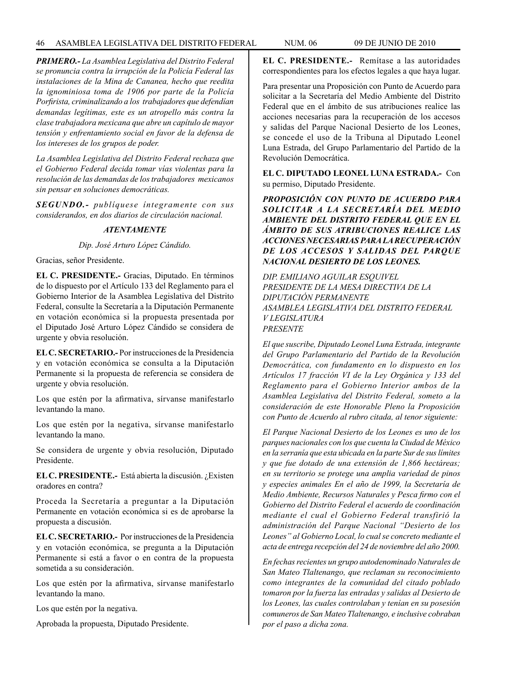# 46 ASAMBLEA LEGISLATIVA DEL DISTRITO FEDERAL NUM. 06 09 de JUNIo de 2010

*PRIMERO.- La Asamblea Legislativa del Distrito Federal se pronuncia contra la irrupción de la Policía Federal las instalaciones de la Mina de Cananea, hecho que reedita la ignominiosa toma de 1906 por parte de la Policía Porfirista, criminalizando a los trabajadores que defendían demandas legítimas, este es un atropello más contra la clase trabajadora mexicana que abre un capítulo de mayor tensión y enfrentamiento social en favor de la defensa de los intereses de los grupos de poder.* 

*La Asamblea Legislativa del Distrito Federal rechaza que el Gobierno Federal decida tomar vías violentas para la resolución de las demandas de los trabajadores mexicanos sin pensar en soluciones democráticas.*

*SEGUNDO.- publíquese íntegramente con sus considerandos, en dos diarios de circulación nacional.*

# *ATENTAMENTE*

*Dip. José Arturo López Cándido.*

Gracias, señor Presidente.

**EL C. PRESIDENTE.-** Gracias, Diputado. En términos de lo dispuesto por el Artículo 133 del Reglamento para el Gobierno Interior de la Asamblea Legislativa del Distrito Federal, consulte la Secretaría a la Diputación Permanente en votación económica si la propuesta presentada por el Diputado José Arturo López Cándido se considera de urgente y obvia resolución.

**EL C. SECRETARIO.-** Por instrucciones de la Presidencia y en votación económica se consulta a la Diputación Permanente si la propuesta de referencia se considera de urgente y obvia resolución.

Los que estén por la afirmativa, sírvanse manifestarlo levantando la mano.

Los que estén por la negativa, sírvanse manifestarlo levantando la mano.

Se considera de urgente y obvia resolución, Diputado Presidente.

**EL C. PRESIDENTE.-** Está abierta la discusión. ¿Existen oradores en contra?

Proceda la Secretaría a preguntar a la Diputación Permanente en votación económica si es de aprobarse la propuesta a discusión.

**EL C. SECRETARIO.-** Por instrucciones de la Presidencia y en votación económica, se pregunta a la Diputación Permanente si está a favor o en contra de la propuesta sometida a su consideración.

Los que estén por la afirmativa, sírvanse manifestarlo levantando la mano.

Los que estén por la negativa.

Aprobada la propuesta, Diputado Presidente.

**EL C. PRESIDENTE.-** Remítase a las autoridades correspondientes para los efectos legales a que haya lugar.

Para presentar una Proposición con Punto de Acuerdo para solicitar a la Secretaría del Medio Ambiente del Distrito Federal que en el ámbito de sus atribuciones realice las acciones necesarias para la recuperación de los accesos y salidas del Parque Nacional Desierto de los Leones, se concede el uso de la Tribuna al Diputado Leonel Luna Estrada, del Grupo Parlamentario del Partido de la Revolución Democrática.

**EL C. DIPUTADO LEONEL LUNA ESTRADA.-** Con su permiso, Diputado Presidente.

*PROPOSICIÓN CON PUNTO DE ACUERDO PARA SOLICITAR A LA SECRETARÍA DEL MEDIO AMBIENTE DEL DISTRITO FEDERAL QUE EN EL ÁMBITO DE SUS ATRIBUCIONES REALICE LAS ACCIONES NECESARIAS PARA LA RECUPERACIÓN DE LOS ACCESOS Y SALIDAS DEL PARQUE NACIONAL DESIERTO DE LOS LEONES.*

*DIP. EMILIANO AGUILAR ESQUIVEL PRESIDENTE DE LA MESA DIRECTIVA DE LA DIPUTACIÓN PERMANENTE ASAMBLEA LEGISLATIVA DEL DISTRITO FEDERAL V LEGISLATURA PRESENTE*

*El que suscribe, Diputado Leonel Luna Estrada, integrante del Grupo Parlamentario del Partido de la Revolución Democrática, con fundamento en lo dispuesto en los Artículos 17 fracción VI de la Ley Orgánica y 133 del Reglamento para el Gobierno Interior ambos de la Asamblea Legislativa del Distrito Federal, someto a la consideración de este Honorable Pleno la Proposición con Punto de Acuerdo al rubro citada, al tenor siguiente:*

*El Parque Nacional Desierto de los Leones es uno de los parques nacionales con los que cuenta la Ciudad de México en la serranía que esta ubicada en la parte Sur de sus límites y que fue dotado de una extensión de 1,866 hectáreas; en su territorio se protege una amplia variedad de pinos y especies animales En el año de 1999, la Secretaría de Medio Ambiente, Recursos Naturales y Pesca firmo con el Gobierno del Distrito Federal el acuerdo de coordinación mediante el cual el Gobierno Federal transfirió la administración del Parque Nacional "Desierto de los Leones" al Gobierno Local, lo cual se concreto mediante el acta de entrega recepción del 24 de noviembre del año 2000.* 

*En fechas recientes un grupo autodenominado Naturales de San Mateo Tlaltenango, que reclaman su reconocimiento como integrantes de la comunidad del citado poblado tomaron por la fuerza las entradas y salidas al Desierto de los Leones, las cuales controlaban y tenían en su posesión comuneros de San Mateo Tlaltenango, e inclusive cobraban por el paso a dicha zona.*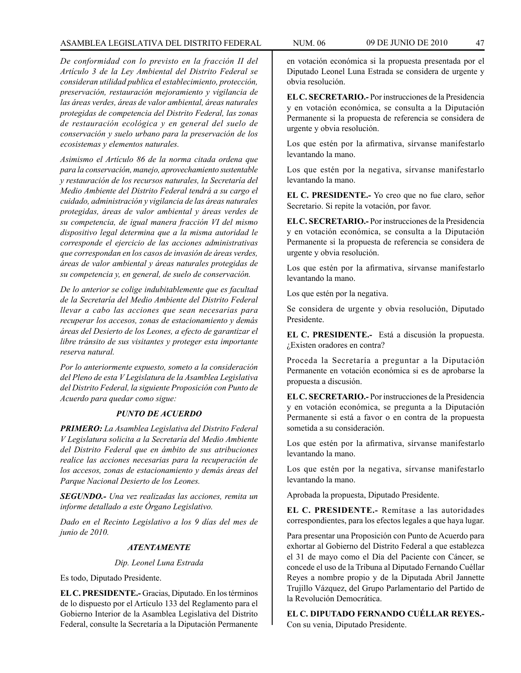*De conformidad con lo previsto en la fracción II del Artículo 3 de la Ley Ambiental del Distrito Federal se consideran utilidad publica el establecimiento, protección, preservación, restauración mejoramiento y vigilancia de las áreas verdes, áreas de valor ambiental, áreas naturales protegidas de competencia del Distrito Federal, las zonas de restauración ecológica y en general del suelo de conservación y suelo urbano para la preservación de los ecosistemas y elementos naturales.*

*Asimismo el Artículo 86 de la norma citada ordena que para la conservación, manejo, aprovechamiento sustentable y restauración de los recursos naturales, la Secretaría del Medio Ambiente del Distrito Federal tendrá a su cargo el cuidado, administración y vigilancia de las áreas naturales protegidas, áreas de valor ambiental y áreas verdes de su competencia, de igual manera fracción VI del mismo dispositivo legal determina que a la misma autoridad le corresponde el ejercicio de las acciones administrativas que correspondan en los casos de invasión de áreas verdes, áreas de valor ambiental y áreas naturales protegidas de su competencia y, en general, de suelo de conservación.*

*De lo anterior se colige indubitablemente que es facultad de la Secretaría del Medio Ambiente del Distrito Federal llevar a cabo las acciones que sean necesarias para recuperar los accesos, zonas de estacionamiento y demás áreas del Desierto de los Leones, a efecto de garantizar el libre tránsito de sus visitantes y proteger esta importante reserva natural.*

*Por lo anteriormente expuesto, someto a la consideración del Pleno de esta V Legislatura de la Asamblea Legislativa del Distrito Federal, la siguiente Proposición con Punto de Acuerdo para quedar como sigue:*

# *PUNTO DE ACUERDO*

*PRIMERO: La Asamblea Legislativa del Distrito Federal V Legislatura solicita a la Secretaría del Medio Ambiente del Distrito Federal que en ámbito de sus atribuciones realice las acciones necesarias para la recuperación de los accesos, zonas de estacionamiento y demás áreas del Parque Nacional Desierto de los Leones.*

*SEGUNDO.- Una vez realizadas las acciones, remita un informe detallado a este Órgano Legislativo.*

*Dado en el Recinto Legislativo a los 9 días del mes de junio de 2010.*

# *ATENTAMENTE*

*Dip. Leonel Luna Estrada*

Es todo, Diputado Presidente.

**EL C. PRESIDENTE.-** Gracias, Diputado. En los términos de lo dispuesto por el Artículo 133 del Reglamento para el Gobierno Interior de la Asamblea Legislativa del Distrito Federal, consulte la Secretaría a la Diputación Permanente

en votación económica si la propuesta presentada por el Diputado Leonel Luna Estrada se considera de urgente y obvia resolución.

**EL C. SECRETARIO.-** Por instrucciones de la Presidencia y en votación económica, se consulta a la Diputación Permanente si la propuesta de referencia se considera de urgente y obvia resolución.

Los que estén por la afirmativa, sírvanse manifestarlo levantando la mano.

Los que estén por la negativa, sírvanse manifestarlo levantando la mano.

**EL C. PRESIDENTE.-** Yo creo que no fue claro, señor Secretario. Si repite la votación, por favor.

**EL C. SECRETARIO.-** Por instrucciones de la Presidencia y en votación económica, se consulta a la Diputación Permanente si la propuesta de referencia se considera de urgente y obvia resolución.

Los que estén por la afirmativa, sírvanse manifestarlo levantando la mano.

Los que estén por la negativa.

Se considera de urgente y obvia resolución, Diputado Presidente.

**EL C. PRESIDENTE.-** Está a discusión la propuesta. ¿Existen oradores en contra?

Proceda la Secretaría a preguntar a la Diputación Permanente en votación económica si es de aprobarse la propuesta a discusión.

**EL C. SECRETARIO.-** Por instrucciones de la Presidencia y en votación económica, se pregunta a la Diputación Permanente si está a favor o en contra de la propuesta sometida a su consideración.

Los que estén por la afirmativa, sírvanse manifestarlo levantando la mano.

Los que estén por la negativa, sírvanse manifestarlo levantando la mano.

Aprobada la propuesta, Diputado Presidente.

**EL C. PRESIDENTE.-** Remítase a las autoridades correspondientes, para los efectos legales a que haya lugar.

Para presentar una Proposición con Punto de Acuerdo para exhortar al Gobierno del Distrito Federal a que establezca el 31 de mayo como el Día del Paciente con Cáncer, se concede el uso de la Tribuna al Diputado Fernando Cuéllar Reyes a nombre propio y de la Diputada Abril Jannette Trujillo Vázquez, del Grupo Parlamentario del Partido de la Revolución Democrática.

**EL C. DIPUTADO FERNANDO CUÉLLAR REYES.-** Con su venia, Diputado Presidente.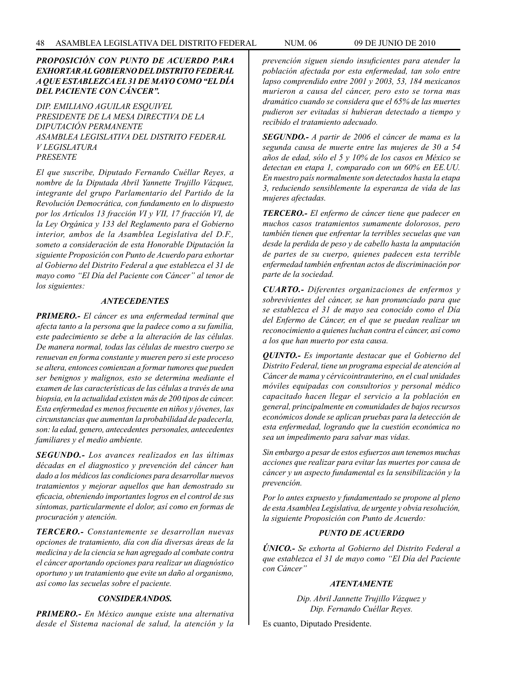# *PROPOSICIÓN CON PUNTO DE ACUERDO PARA EXHORTAR AL GOBIERNO DEL DISTRITO FEDERAL A QUE ESTABLEZCA EL 31 DE MAYO COMO "EL DÍA DEL PACIENTE CON CÁNCER".*

*DIP. EMILIANO AGUILAR ESQUIVEL PRESIDENTE DE LA MESA DIRECTIVA DE LA DIPUTACIÓN PERMANENTE ASAMBLEA LEGISLATIVA DEL DISTRITO FEDERAL V LEGISLATURA PRESENTE*

*El que suscribe, Diputado Fernando Cuéllar Reyes, a nombre de la Diputada Abril Yannette Trujillo Vázquez, integrante del grupo Parlamentario del Partido de la Revolución Democrática, con fundamento en lo dispuesto por los Artículos 13 fracción VI y VII, 17 fracción VI, de la Ley Orgánica y 133 del Reglamento para el Gobierno interior, ambos de la Asamblea Legislativa del D.F., someto a consideración de esta Honorable Diputación la siguiente Proposición con Punto de Acuerdo para exhortar al Gobierno del Distrito Federal a que establezca el 31 de mayo como "El Día del Paciente con Cáncer" al tenor de los siguientes:*

# *ANTECEDENTES*

*PRIMERO.- El cáncer es una enfermedad terminal que afecta tanto a la persona que la padece como a su familia, este padecimiento se debe a la alteración de las células. De manera normal, todas las células de nuestro cuerpo se renuevan en forma constante y mueren pero si este proceso se altera, entonces comienzan a formar tumores que pueden ser benignos y malignos, esto se determina mediante el examen de las características de las células a través de una biopsia, en la actualidad existen más de 200 tipos de cáncer. Esta enfermedad es menos frecuente en niños y jóvenes, las circunstancias que aumentan la probabilidad de padecerla, son: la edad, genero, antecedentes personales, antecedentes familiares y el medio ambiente.*

*SEGUNDO.- Los avances realizados en las últimas décadas en el diagnostico y prevención del cáncer han dado a los médicos las condiciones para desarrollar nuevos tratamientos y mejorar aquellos que han demostrado su eficacia, obteniendo importantes logros en el control de sus síntomas, particularmente el dolor, así como en formas de procuración y atención.*

*TERCERO.- Constantemente se desarrollan nuevas opciones de tratamiento, día con día diversas áreas de la medicina y de la ciencia se han agregado al combate contra el cáncer aportando opciones para realizar un diagnóstico oportuno y un tratamiento que evite un daño al organismo, así como las secuelas sobre el paciente.*

# *CONSIDERANDOS.*

*PRIMERO.- En México aunque existe una alternativa desde el Sistema nacional de salud, la atención y la*  *prevención siguen siendo insuficientes para atender la población afectada por esta enfermedad, tan solo entre lapso comprendido entre 2001 y 2003, 53, 184 mexicanos murieron a causa del cáncer, pero esto se torna mas dramático cuando se considera que el 65% de las muertes pudieron ser evitadas si hubieran detectado a tiempo y recibido el tratamiento adecuado.*

*SEGUNDO.- A partir de 2006 el cáncer de mama es la segunda causa de muerte entre las mujeres de 30 a 54 años de edad, sólo el 5 y 10% de los casos en México se detectan en etapa 1, comparado con un 60% en EE.UU. En nuestro país normalmente son detectados hasta la etapa 3, reduciendo sensiblemente la esperanza de vida de las mujeres afectadas.*

*TERCERO.- El enfermo de cáncer tiene que padecer en muchos casos tratamientos sumamente dolorosos, pero también tienen que enfrentar la terribles secuelas que van desde la perdida de peso y de cabello hasta la amputación de partes de su cuerpo, quienes padecen esta terrible enfermedad también enfrentan actos de discriminación por parte de la sociedad.*

*CUARTO.- Diferentes organizaciones de enfermos y sobrevivientes del cáncer, se han pronunciado para que se establezca el 31 de mayo sea conocido como el Día del Enfermo de Cáncer, en el que se puedan realizar un reconocimiento a quienes luchan contra el cáncer, así como a los que han muerto por esta causa.*

*QUINTO.- Es importante destacar que el Gobierno del Distrito Federal, tiene un programa especial de atención al Cáncer de mama y cérvicointrauterino, en el cual unidades móviles equipadas con consultorios y personal médico capacitado hacen llegar el servicio a la población en general, principalmente en comunidades de bajos recursos económicos donde se aplican pruebas para la detección de esta enfermedad, logrando que la cuestión económica no sea un impedimento para salvar mas vidas.*

*Sin embargo a pesar de estos esfuerzos aun tenemos muchas acciones que realizar para evitar las muertes por causa de cáncer y un aspecto fundamental es la sensibilización y la prevención.*

*Por lo antes expuesto y fundamentado se propone al pleno de esta Asamblea Legislativa, de urgente y obvia resolución, la siguiente Proposición con Punto de Acuerdo:*

# *PUNTO DE ACUERDO*

*ÚNICO.- Se exhorta al Gobierno del Distrito Federal a que establezca el 31 de mayo como "El Día del Paciente con Cáncer"*

### *ATENTAMENTE*

*Dip. Abril Jannette Trujillo Vázquez y Dip. Fernando Cuéllar Reyes.*

Es cuanto, Diputado Presidente.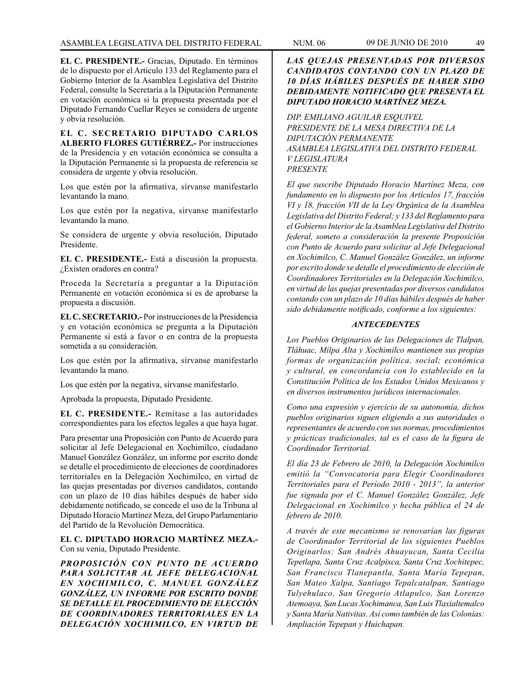**EL C. PRESIDENTE.-** Gracias, Diputado. En términos de lo dispuesto por el Artículo 133 del Reglamento para el Gobierno Interior de la Asamblea Legislativa del Distrito Federal, consulte la Secretaría a la Diputación Permanente en votación económica si la propuesta presentada por el Diputado Fernando Cuellar Reyes se considera de urgente y obvia resolución.

**EL C. SECRETARIO DIPUTADO CARLOS ALBERTO FLORES GUTIÉRREZ.-** Por instrucciones de la Presidencia y en votación económica se consulta a la Diputación Permanente si la propuesta de referencia se considera de urgente y obvia resolución.

Los que estén por la afirmativa, sírvanse manifestarlo levantando la mano.

Los que estén por la negativa, sírvanse manifestarlo levantando la mano.

Se considera de urgente y obvia resolución, Diputado Presidente.

**EL C. PRESIDENTE.-** Está a discusión la propuesta. ¿Existen oradores en contra?

Proceda la Secretaría a preguntar a la Diputación Permanente en votación económica si es de aprobarse la propuesta a discusión.

**EL C. SECRETARIO.-** Por instrucciones de la Presidencia y en votación económica se pregunta a la Diputación Permanente si está a favor o en contra de la propuesta sometida a su consideración.

Los que estén por la afirmativa, sírvanse manifestarlo levantando la mano.

Los que estén por la negativa, sírvanse manifestarlo.

Aprobada la propuesta, Diputado Presidente.

**EL C. PRESIDENTE.-** Remítase a las autoridades correspondientes para los efectos legales a que haya lugar.

Para presentar una Proposición con Punto de Acuerdo para solicitar al Jefe Delegacional en Xochimilco, ciudadano Manuel González González, un informe por escrito donde se detalle el procedimiento de elecciones de coordinadores territoriales en la Delegación Xochimilco, en virtud de las quejas presentadas por diversos candidatos, contando con un plazo de 10 días hábiles después de haber sido debidamente notificado, se concede el uso de la Tribuna al Diputado Horacio Martínez Meza, del Grupo Parlamentario del Partido de la Revolución Democrática.

**EL C. DIPUTADO HORACIO MARTÍNEZ MEZA.-** Con su venia, Diputado Presidente.

*PROPOSICIÓN CON PUNTO DE ACUERDO PARA SOLICITAR AL JEFE DELEGACIONAL EN XOCHIMILCO, C. MANUEL GONZÁLEZ GONZÁLEZ, UN INFORME POR ESCRITO DONDE SE DETALLE EL PROCEDIMIENTO DE ELECCIÓN DE COORDINADORES TERRITORIALES EN LA DELEGACIÓN XOCHIMILCO, EN VIRTUD DE* 

# *LAS QUEJAS PRESENTADAS POR DIVERSOS CANDIDATOS CONTANDO CON UN PLAZO DE 10 DÍAS HÁBILES DESPUÉS DE HABER SIDO DEBIDAMENTE NOTIFICADO QUE PRESENTA EL DIPUTADO HORACIO MARTÍNEZ MEZA.*

*DIP. EMILIANO AGUILAR ESQUIVEL PRESIDENTE DE LA MESA DIRECTIVA DE LA DIPUTACIÓN PERMANENTE ASAMBLEA LEGISLATIVA DEL DISTRITO FEDERAL V LEGISLATURA PRESENTE*

*El que suscribe Diputado Horacio Martínez Meza, con fundamento en lo dispuesto por los Artículos 17, fracción VI y 18, fracción VII de la Ley Orgánica de la Asamblea Legislativa del Distrito Federal; y 133 del Reglamento para el Gobierno Interior de la Asamblea Legislativa del Distrito federal, someto a consideración la presente Proposición con Punto de Acuerdo para solicitar al Jefe Delegacional en Xochimilco, C. Manuel González González, un informe por escrito donde se detalle el procedimiento de elección de Coordinadores Territoriales en la Delegación Xochimilco, en virtud de las quejas presentadas por diversos candidatos contando con un plazo de 10 días hábiles después de haber sido debidamente notificado, conforme a los siguientes:*

### *ANTECEDENTES*

*Los Pueblos Originarios de las Delegaciones de Tlalpan, Tláhuac, Milpa Alta y Xochimilco mantienen sus propias formas de organización política, social; económica y cultural, en concordancia con lo establecido en la Constitución Política de los Estados Unidos Mexicanos y en diversos instrumentos jurídicos internacionales.*

*Como una expresión y ejercicio de su autonomía, dichos pueblos originarios siguen eligiendo a sus autoridades o representantes de acuerdo con sus normas, procedimientos y prácticas tradicionales, tal es el caso de la figura de Coordinador Territorial.*

*El día 23 de Febrero de 2010, la Delegación Xochimilco emitió la "Convocatoria para Elegir Coordinadores Territoriales para el Período 2010 - 2013", la anterior fue signada por el C. Manuel González González, Jefe Delegacional en Xochimilco y hecha pública el 24 de febrero de 2010.*

*A través de este mecanismo se renovarían las figuras de Coordinador Territorial de los siguientes Pueblos Originarlos: San Andrés Ahuayucan, Santa Cecilia Tepetlapa, Santa Cruz Acalpixca, Santa Cruz Xochitepec, San Francisco Tlanepantla, Santa María Tepepan, San Mateo Xalpa, Santiago Tepalcatalpan, Santiago Tulyehulaco, San Gregorio Atlapulco, San Lorenzo Atemoaya, San Lucas Xochimanca, San Luis Tlaxialtemalco y Santa María Nativitas. Así como también de las Colonias: Ampliación Tepepan y Huichapan.*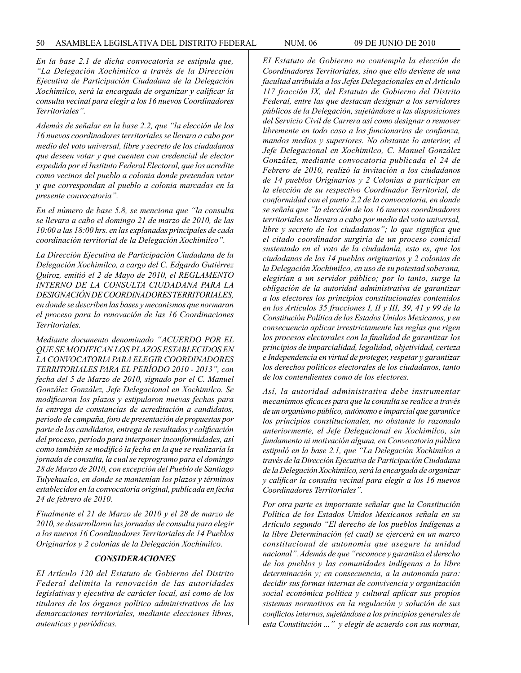*En la base 2.1 de dicha convocatoria se estipula que, "La Delegación Xochimilco a través de la Dirección Ejecutiva de Participación Ciudadana de la Delegación Xochimilco, será la encargada de organizar y calificar la consulta vecinal para elegir a los 16 nuevos Coordinadores Territoriales".*

*Además de señalar en la base 2.2, que "la elección de los 16 nuevos coordinadores territoriales se llevara a cabo por medio del voto universal, libre y secreto de los ciudadanos que deseen votar y que cuenten con credencial de elector expedida por el Instituto Federal Electoral, que los acredite como vecinos del pueblo a colonia donde pretendan vetar y que correspondan al pueblo a colonia marcadas en la presente convocatoria".*

*En el número de base 5.8, se menciona que "la consulta se llevara a cabo el domingo 21 de marzo de 2010, de las 10:00 a las 18:00 hrs. en las explanadas principales de cada coordinación territorial de la Delegación Xochimilco".*

*La Dirección Ejecutiva de Participación Ciudadana de la Delegación Xochimilco, a cargo del C. Edgardo Gutiérrez Quiroz, emitió el 2 de Mayo de 2010, el REGLAMENTO INTERNO DE LA CONSULTA CIUDADANA PARA LA DESIGNACIÓN DE COORDINADORES TERRITORIALES, en donde se describen las bases y mecanismos que normaran el proceso para la renovación de las 16 Coordinaciones Territoriales.* 

*Mediante documento denominado "ACUERDO POR EL QUE SE MODIFICAN LOS PLAZOS ESTABLECIDOS EN LA CONVOCATORIA PARA ELEGIR COORDINADORES TERRITORIALES PARA EL PERÍODO 2010 - 2013", con fecha del 5 de Marzo de 2010, signado por el C. Manuel González González, Jefe Delegacional en Xochimilco. Se modificaron los plazos y estipularon nuevas fechas para la entrega de constancias de acreditación a candidatos, periodo de campaña, foro de presentación de propuestas por parte de los candidatos, entrega de resultados y calificación del proceso, período para interponer inconformidades, así como también se modificó la fecha en la que se realizaría la jornada de consulta, la cual se reprogramo para el domingo 28 de Marzo de 2010, con excepción del Pueblo de Santiago Tulyehualco, en donde se mantenían los plazos y términos establecidos en la convocatoria original, publicada en fecha 24 de febrero de 2010.*

*Finalmente el 21 de Marzo de 2010 y el 28 de marzo de 2010, se desarrollaron las jornadas de consulta para elegir a los nuevos 16 Coordinadores Territoriales de 14 Pueblos Originarlos y 2 colonias de la Delegación Xochimilco.* 

### *CONSIDERACIONES*

*EI Artículo 120 del Estatuto de Gobierno del Distrito Federal delimita la renovación de las autoridades legislativas y ejecutiva de carácter local, así como de los titulares de los órganos político administrativos de las demarcaciones territoriales, mediante elecciones libres, autenticas y periódicas.*

*EI Estatuto de Gobierno no contempla la elección de Coordinadores Territoriales, sino que ello deviene de una facultad atribuida a los Jefes Delegacionales en el Artículo 117 fracción IX, del Estatuto de Gobierno del Distrito Federal, entre las que destacan designar a los servidores públicos de la Delegación, sujetándose a las disposiciones del Servicio Civil de Carrera así como designar o remover libremente en todo caso a los funcionarios de confianza, mandos medios y superiores. No obstante lo anterior, el Jefe Delegacional en Xochimilco, C. Manuel González González, mediante convocatoria publicada el 24 de Febrero de 2010, realizó la invitación a los ciudadanos de 14 pueblos Originarios y 2 Colonias a participar en la elección de su respectivo Coordinador Territorial, de conformidad con el punto 2.2 de la convocatoria, en donde se señala que "la elección de los 16 nuevos coordinadores territoriales se llevara a cabo por medio del voto universal, libre y secreto de los ciudadanos"; lo que significa que el citado coordinador surgiría de un proceso comicial sustentado en el voto de la ciudadanía, esto es, que los ciudadanos de los 14 pueblos originarios y 2 colonias de la Delegación Xochimilco, en uso de su potestad soberana, elegirían a un servidor público; por lo tanto, surge la obligación de la autoridad administrativa de garantizar a los electores los principios constitucionales contenidos en los Artículos 35 fracciones I, II y III, 39, 41 y 99 de la Constitución Política de los Estados Unidos Mexicanos, y en consecuencia aplicar irrestrictamente las reglas que rigen los procesos electorales con la finalidad de garantizar los principios de imparcialidad, legalidad, objetividad, certeza e Independencia en virtud de proteger, respetar y garantizar los derechos políticos electorales de los ciudadanos, tanto de los contendientes como de los electores.*

*Así, la autoridad administrativa debe instrumentar mecanismos eficaces para que la consulta se realice a través de un organismo público, autónomo e imparcial que garantice los principios constitucionales, no obstante lo razonado anteriormente, el Jefe Delegacional en Xochimilco, sin fundamento ni motivación alguna, en Convocatoria pública estipuló en la base 2.1, que "La Delegación Xochimilco a través de la Dirección Ejecutiva de Participación Ciudadana de la Delegación Xochimilco, será la encargada de organizar y calificar la consulta vecinal para elegir a los 16 nuevos Coordinadores Territoriales".*

*Por otra parte es importante señalar que la Constitución Política de los Estados Unidos Mexicanos señala en su Artículo segundo "El derecho de los pueblos Indígenas a la libre Determinación (el cual) se ejercerá en un marco constitucional de autonomía que asegure la unidad nacional". Además de que "reconoce y garantiza el derecho de los pueblos y las comunidades indígenas a la libre determinación y; en consecuencia, a la autonomía para: decidir sus formas internas de convivencia y organización social económica política y cultural aplicar sus propios sistemas normativos en la regulación y solución de sus conflictos internos, sujetándose a los principios generales de esta Constitución ..." y elegir de acuerdo con sus normas,*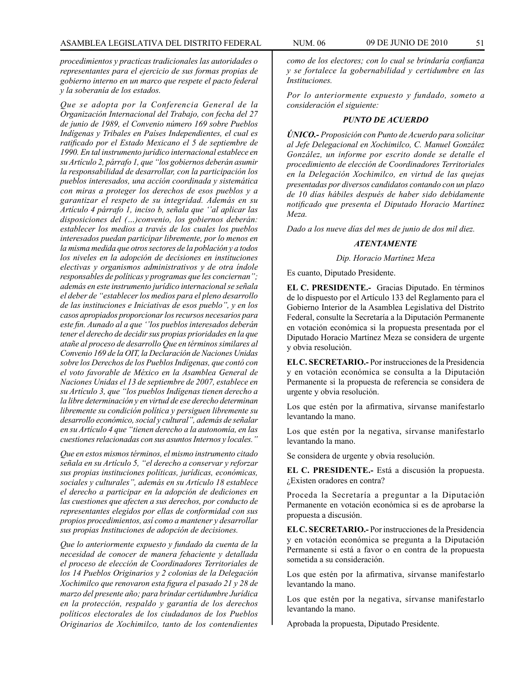*procedimientos y practicas tradicionales las autoridades o representantes para el ejercicio de sus formas propias de gobierno interno en un marco que respete el pacto federal y la soberanía de los estados.*

*Que se adopta por la Conferencia General de la Organización Internacional del Trabajo, con fecha del 27 de junio de 1989, el Convenio número 169 sobre Pueblos Indígenas y Tribales en Países Independientes, el cual es ratificado por el Estado Mexicano el 5 de septiembre de 1990. En tal instrumento jurídico internacional establece en su Artículo 2, párrafo 1, que "los gobiernos deberán asumir la responsabilidad de desarrollar, con la participación los pueblos interesados, una acción coordinada y sistemática con miras a proteger los derechos de esos pueblos y a garantizar el respeto de su integridad. Además en su Artículo 4 párrafo 1, inciso b, señala que ''al aplicar las disposiciones del (…)convenio, los gobiernos deberán: establecer los medios a través de los cuales los pueblos interesados puedan participar libremente, por lo menos en la misma medida que otros sectores de la población y a todos los niveles en la adopción de decisiones en instituciones electivas y organismos administrativos y de otra índole responsables de políticas y programas que les conciernan"; además en este instrumento jurídico internacional se señala el deber de "establecer los medios para el pleno desarrollo de las instituciones e Iniciativas de esos pueblo", y en los casos apropiados proporcionar los recursos necesarios para este fin. Aunado al a que ''los pueblos interesados deberán tener el derecho de decidir sus propias prioridades en la que atañe al proceso de desarrollo Que en términos similares al Convenio 169 de la OIT, la Declaración de Naciones Unidas sobre los Derechos de los Pueblos Indígenas, que contó con el voto favorable de México en la Asamblea General de Naciones Unidas el 13 de septiembre de 2007, establece en su Artículo 3, que "los pueblos Indígenas tienen derecho a la libre determinación y en virtud de ese derecho determinan libremente su condición política y persiguen libremente su desarrollo económico, social y cultural", además de señalar en su Artículo 4 que "tienen derecho a la autonomía, en las cuestiones relacionadas con sus asuntos Internos y locales."*

*Que en estos mismos términos, el mismo instrumento citado señala en su Artículo 5, "el derecho a conservar y reforzar sus propias instituciones políticas, jurídicas, económicas, sociales y culturales", además en su Artículo 18 establece el derecho a participar en la adopción de dediciones en las cuestiones que afecten a sus derechos, por conducto de representantes elegidos por ellas de conformidad con sus propios procedimientos, así como a mantener y desarrollar sus propias Instituciones de adopción de decisiones.*

*Que lo anteriormente expuesto y fundado da cuenta de la necesidad de conocer de manera fehaciente y detallada el proceso de elección de Coordinadores Territoriales de los 14 Pueblos Originarios y 2 colonias de la Delegación Xochimilco que renovaron esta figura el pasado 21 y 28 de marzo del presente año; para brindar certidumbre Jurídica en la protección, respaldo y garantía de los derechos políticos electorales de los ciudadanos de los Pueblos Originarios de Xochimilco, tanto de los contendientes* 

*como de los electores; con lo cual se brindaría confianza y se fortalece la gobernabilidad y certidumbre en las Instituciones.*

*Por lo anteriormente expuesto y fundado, someto a consideración el siguiente:*

## *PUNTO DE ACUERDO*

*ÚNICO.- Proposición con Punto de Acuerdo para solicitar al Jefe Delegacional en Xochimilco, C. Manuel González González, un informe por escrito donde se detalle el procedimiento de elección de Coordinadores Territoriales en la Delegación Xochimilco, en virtud de las quejas presentadas por diversos candidatos contando con un plazo de 10 días hábiles después de haber sido debidamente notificado que presenta el Diputado Horacio Martínez Meza.*

*Dado a los nueve días del mes de junio de dos mil diez.*

#### *ATENTAMENTE*

*Dip. Horacio Martínez Meza*

Es cuanto, Diputado Presidente.

**EL C. PRESIDENTE.-** Gracias Diputado. En términos de lo dispuesto por el Artículo 133 del Reglamento para el Gobierno Interior de la Asamblea Legislativa del Distrito Federal, consulte la Secretaría a la Diputación Permanente en votación económica si la propuesta presentada por el Diputado Horacio Martínez Meza se considera de urgente y obvia resolución.

**EL C. SECRETARIO.-** Por instrucciones de la Presidencia y en votación económica se consulta a la Diputación Permanente si la propuesta de referencia se considera de urgente y obvia resolución.

Los que estén por la afirmativa, sírvanse manifestarlo levantando la mano.

Los que estén por la negativa, sírvanse manifestarlo levantando la mano.

Se considera de urgente y obvia resolución.

**EL C. PRESIDENTE.-** Está a discusión la propuesta. ¿Existen oradores en contra?

Proceda la Secretaría a preguntar a la Diputación Permanente en votación económica si es de aprobarse la propuesta a discusión.

**EL C. SECRETARIO.-** Por instrucciones de la Presidencia y en votación económica se pregunta a la Diputación Permanente si está a favor o en contra de la propuesta sometida a su consideración.

Los que estén por la afirmativa, sírvanse manifestarlo levantando la mano.

Los que estén por la negativa, sírvanse manifestarlo levantando la mano.

Aprobada la propuesta, Diputado Presidente.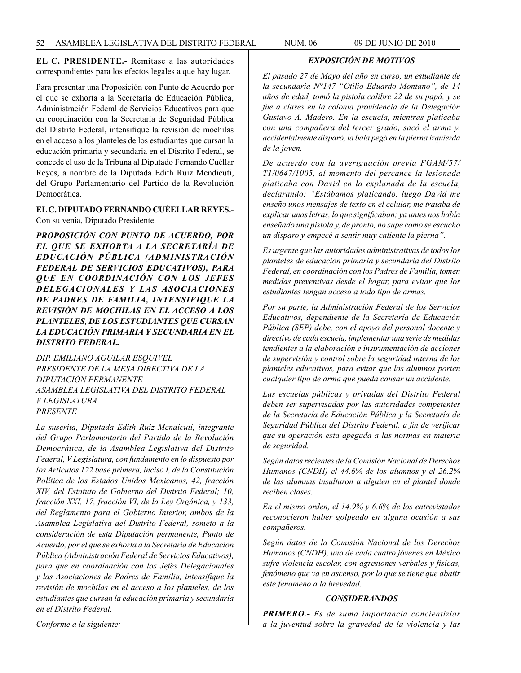**EL C. PRESIDENTE.-** Remítase a las autoridades correspondientes para los efectos legales a que hay lugar.

Para presentar una Proposición con Punto de Acuerdo por el que se exhorta a la Secretaría de Educación Pública, Administración Federal de Servicios Educativos para que en coordinación con la Secretaría de Seguridad Pública del Distrito Federal, intensifique la revisión de mochilas en el acceso a los planteles de los estudiantes que cursan la educación primaria y secundaria en el Distrito Federal, se concede el uso de la Tribuna al Diputado Fernando Cuéllar Reyes, a nombre de la Diputada Edith Ruiz Mendicuti, del Grupo Parlamentario del Partido de la Revolución Democrática.

# **EL C. DIPUTADO FERNANDO CUÉELLAR REYES.-**

Con su venia, Diputado Presidente.

*PROPOSICIÓN CON PUNTO DE ACUERDO, POR EL QUE SE EXHORTA A LA SECRETARÍA DE EDUCACIÓN PÚBLICA (ADMINISTRACIÓN FEDERAL DE SERVICIOS EDUCATIVOS), PARA QUE EN COORDINACIÓN CON LOS JEFES DELEGACIONALES Y LAS ASOCIACIONES DE PADRES DE FAMILIA, INTENSIFIQUE LA REVISIÓN DE MOCHILAS EN EL ACCESO A LOS PLANTELES, DE LOS ESTUDIANTES QUE CURSAN LA EDUCACIÓN PRIMARIA Y SECUNDARIA EN EL DISTRITO FEDERAL.*

*DIP. EMILIANO AGUILAR ESQUIVEL PRESIDENTE DE LA MESA DIRECTIVA DE LA DIPUTACIÓN PERMANENTE ASAMBLEA LEGISLATIVA DEL DISTRITO FEDERAL V LEGISLATURA PRESENTE*

*La suscrita, Diputada Edith Ruiz Mendicuti, integrante del Grupo Parlamentario del Partido de la Revolución Democrática, de la Asamblea Legislativa del Distrito Federal, V Legislatura, con fundamento en lo dispuesto por los Artículos 122 base primera, inciso I, de la Constitución Política de los Estados Unidos Mexicanos, 42, fracción XIV, del Estatuto de Gobierno del Distrito Federal; 10, fracción XXI, 17, fracción VI, de la Ley Orgánica, y 133, del Reglamento para el Gobierno Interior, ambos de la Asamblea Legislativa del Distrito Federal, someto a la consideración de esta Diputación permanente, Punto de Acuerdo, por el que se exhorta a la Secretaría de Educación Pública (Administración Federal de Servicios Educativos), para que en coordinación con los Jefes Delegacionales y las Asociaciones de Padres de Familia, intensifique la revisión de mochilas en el acceso a los planteles, de los estudiantes que cursan la educación primaria y secundaria en el Distrito Federal.* 

*EXPOSICIÓN DE MOTIVOS*

*El pasado 27 de Mayo del año en curso, un estudiante de la secundaria N°147 "Otilio Eduardo Montano", de 14 años de edad, tomó la pistola calibre 22 de su papá, y se fue a clases en la colonia providencia de la Delegación Gustavo A. Madero. En la escuela, mientras platicaba con una compañera del tercer grado, sacó el arma y, accidentalmente disparó, la bala pegó en la pierna izquierda de la joven.*

*De acuerdo con la averiguación previa FGAM/57/ T1/0647/1005, al momento del percance la lesionada platicaba con David en la explanada de la escuela, declarando: "Estábamos platicando, luego David me enseño unos mensajes de texto en el celular, me trataba de explicar unas letras, lo que significaban; ya antes nos había enseñado una pistola y, de pronto, no supe como se escucho un disparo y empecé a sentir muy caliente la pierna".*

*Es urgente que las autoridades administrativas de todos los planteles de educación primaria y secundaria del Distrito Federal, en coordinación con los Padres de Familia, tomen medidas preventivas desde el hogar, para evitar que los estudiantes tengan acceso a todo tipo de armas.*

*Por su parte, la Administración Federal de los Servicios Educativos, dependiente de la Secretaría de Educación Pública (SEP) debe, con el apoyo del personal docente y directivo de cada escuela, implementar una serie de medidas tendientes a la elaboración e instrumentación de acciones de supervisión y control sobre la seguridad interna de los planteles educativos, para evitar que los alumnos porten cualquier tipo de arma que pueda causar un accidente.*

*Las escuelas públicas y privadas del Distrito Federal deben ser supervisadas por las autoridades competentes de la Secretaría de Educación Pública y la Secretaría de Seguridad Pública del Distrito Federal, a fin de verificar que su operación esta apegada a las normas en materia de seguridad.*

*Según datos recientes de la Comisión Nacional de Derechos Humanos (CNDH) el 44.6% de los alumnos y el 26.2% de las alumnas insultaron a alguien en el plantel donde reciben clases.*

*En el mismo orden, el 14.9% y 6.6% de los entrevistados reconocieron haber golpeado en alguna ocasión a sus compañeros.*

*Según datos de la Comisión Nacional de los Derechos Humanos (CNDH), uno de cada cuatro jóvenes en México sufre violencia escolar, con agresiones verbales y físicas, fenómeno que va en ascenso, por lo que se tiene que abatir este fenómeno a la brevedad.*

# *CONSIDERANDOS*

*PRIMERO.- Es de suma importancia concientiziar a la juventud sobre la gravedad de la violencia y las* 

*Conforme a la siguiente:*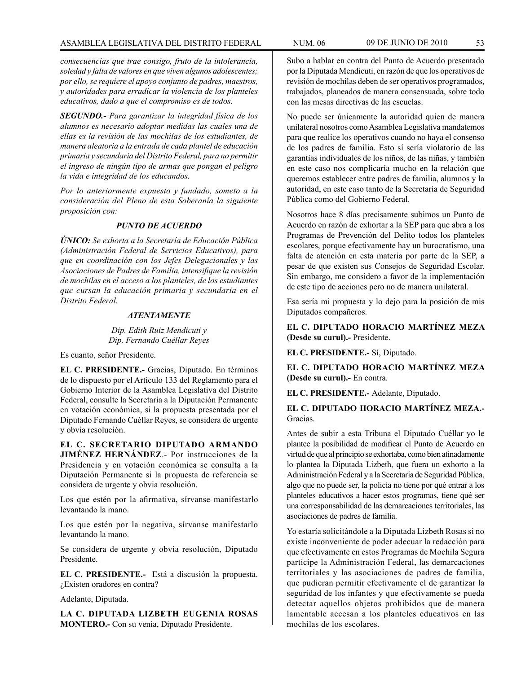*consecuencias que trae consigo, fruto de la intolerancia, soledad y falta de valores en que viven algunos adolescentes; por ello, se requiere el apoyo conjunto de padres, maestros, y autoridades para erradicar la violencia de los planteles educativos, dado a que el compromiso es de todos.*

*SEGUNDO.- Para garantizar la integridad física de los alumnos es necesario adoptar medidas las cuales una de ellas es la revisión de las mochilas de los estudiantes, de manera aleatoria a la entrada de cada plantel de educación primaria y secundaria del Distrito Federal, para no permitir el ingreso de ningún tipo de armas que pongan el peligro la vida e integridad de los educandos.*

*Por lo anteriormente expuesto y fundado, someto a la consideración del Pleno de esta Soberanía la siguiente proposición con:*

# *PUNTO DE ACUERDO*

*ÚNICO: Se exhorta a la Secretaría de Educación Pública (Administración Federal de Servicios Educativos), para que en coordinación con los Jefes Delegacionales y las Asociaciones de Padres de Familia, intensifique la revisión de mochilas en el acceso a los planteles, de los estudiantes que cursan la educación primaria y secundaria en el Distrito Federal.*

# *ATENTAMENTE*

*Dip. Edith Ruiz Mendicuti y Dip. Fernando Cuéllar Reyes*

Es cuanto, señor Presidente.

**EL C. PRESIDENTE.-** Gracias, Diputado. En términos de lo dispuesto por el Artículo 133 del Reglamento para el Gobierno Interior de la Asamblea Legislativa del Distrito Federal, consulte la Secretaría a la Diputación Permanente en votación económica, si la propuesta presentada por el Diputado Fernando Cuéllar Reyes, se considera de urgente y obvia resolución.

**EL C. SECRETARIO DIPUTADO ARMANDO JIMÉNEZ HERNÁNDEZ**.- Por instrucciones de la Presidencia y en votación económica se consulta a la Diputación Permanente si la propuesta de referencia se considera de urgente y obvia resolución.

Los que estén por la afirmativa, sírvanse manifestarlo levantando la mano.

Los que estén por la negativa, sírvanse manifestarlo levantando la mano.

Se considera de urgente y obvia resolución, Diputado Presidente.

**EL C. PRESIDENTE.-** Está a discusión la propuesta. ¿Existen oradores en contra?

Adelante, Diputada.

**LA C. DIPUTADA LIZBETH EUGENIA ROSAS MONTERO.-** Con su venia, Diputado Presidente.

Subo a hablar en contra del Punto de Acuerdo presentado por la Diputada Mendicuti, en razón de que los operativos de revisión de mochilas deben de ser operativos programados, trabajados, planeados de manera consensuada, sobre todo con las mesas directivas de las escuelas.

No puede ser únicamente la autoridad quien de manera unilateral nosotros como Asamblea Legislativa mandatemos para que realice los operativos cuando no haya el consenso de los padres de familia. Esto sí sería violatorio de las garantías individuales de los niños, de las niñas, y también en este caso nos complicaría mucho en la relación que queremos establecer entre padres de familia, alumnos y la autoridad, en este caso tanto de la Secretaría de Seguridad Pública como del Gobierno Federal.

Nosotros hace 8 días precisamente subimos un Punto de Acuerdo en razón de exhortar a la SEP para que abra a los Programas de Prevención del Delito todos los planteles escolares, porque efectivamente hay un burocratismo, una falta de atención en esta materia por parte de la SEP, a pesar de que existen sus Consejos de Seguridad Escolar. Sin embargo, me considero a favor de la implementación de este tipo de acciones pero no de manera unilateral.

Esa sería mi propuesta y lo dejo para la posición de mis Diputados compañeros.

**EL C. DIPUTADO HORACIO MARTÍNEZ MEZA (Desde su curul).-** Presidente.

**EL C. PRESIDENTE.-** Sí, Diputado.

**EL C. DIPUTADO HORACIO MARTÍNEZ MEZA (Desde su curul).-** En contra.

**EL C. PRESIDENTE.-** Adelante, Diputado.

# **EL C. DIPUTADO HORACIO MARTÍNEZ MEZA.-**  Gracias.

Antes de subir a esta Tribuna el Diputado Cuéllar yo le plantee la posibilidad de modificar el Punto de Acuerdo en virtud de que al principio se exhortaba, como bien atinadamente lo plantea la Diputada Lizbeth, que fuera un exhorto a la Administración Federal y a la Secretaría de Seguridad Pública, algo que no puede ser, la policía no tiene por qué entrar a los planteles educativos a hacer estos programas, tiene qué ser una corresponsabilidad de las demarcaciones territoriales, las asociaciones de padres de familia.

Yo estaría solicitándole a la Diputada Lizbeth Rosas si no existe inconveniente de poder adecuar la redacción para que efectivamente en estos Programas de Mochila Segura participe la Administración Federal, las demarcaciones territoriales y las asociaciones de padres de familia, que pudieran permitir efectivamente el de garantizar la seguridad de los infantes y que efectivamente se pueda detectar aquellos objetos prohibidos que de manera lamentable accesan a los planteles educativos en las mochilas de los escolares.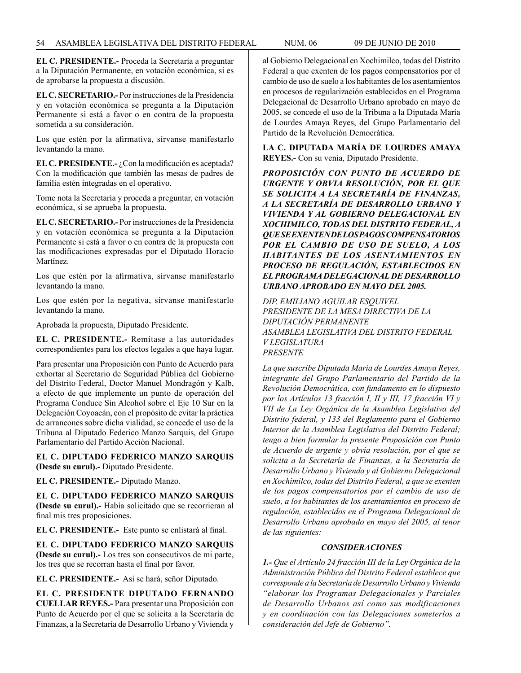**EL C. PRESIDENTE.-** Proceda la Secretaría a preguntar a la Diputación Permanente, en votación económica, si es de aprobarse la propuesta a discusión.

**EL C. SECRETARIO.-** Por instrucciones de la Presidencia y en votación económica se pregunta a la Diputación Permanente si está a favor o en contra de la propuesta sometida a su consideración.

Los que estén por la afirmativa, sírvanse manifestarlo levantando la mano.

**EL C. PRESIDENTE.-** ¿Con la modificación es aceptada? Con la modificación que también las mesas de padres de familia estén integradas en el operativo.

Tome nota la Secretaría y proceda a preguntar, en votación económica, si se aprueba la propuesta.

**EL C. SECRETARIO.-** Por instrucciones de la Presidencia y en votación económica se pregunta a la Diputación Permanente si está a favor o en contra de la propuesta con las modificaciones expresadas por el Diputado Horacio Martínez.

Los que estén por la afirmativa, sírvanse manifestarlo levantando la mano.

Los que estén por la negativa, sírvanse manifestarlo levantando la mano.

Aprobada la propuesta, Diputado Presidente.

**EL C. PRESIDENTE.-** Remítase a las autoridades correspondientes para los efectos legales a que haya lugar.

Para presentar una Proposición con Punto de Acuerdo para exhortar al Secretario de Seguridad Pública del Gobierno del Distrito Federal, Doctor Manuel Mondragón y Kalb, a efecto de que implemente un punto de operación del Programa Conduce Sin Alcohol sobre el Eje 10 Sur en la Delegación Coyoacán, con el propósito de evitar la práctica de arrancones sobre dicha vialidad, se concede el uso de la Tribuna al Diputado Federico Manzo Sarquis, del Grupo Parlamentario del Partido Acción Nacional.

**EL C. DIPUTADO FEDERICO MANZO SARQUIS (Desde su curul).-** Diputado Presidente.

**EL C. PRESIDENTE.-** Diputado Manzo.

**EL C. DIPUTADO FEDERICO MANZO SARQUIS (Desde su curul).-** Había solicitado que se recorrieran al final mis tres proposiciones.

**EL C. PRESIDENTE.-** Este punto se enlistará al final.

**EL C. DIPUTADO FEDERICO MANZO SARQUIS (Desde su curul).-** Los tres son consecutivos de mi parte, los tres que se recorran hasta el final por favor.

**EL C. PRESIDENTE.-** Así se hará, señor Diputado.

**EL C. PRESIDENTE DIPUTADO FERNANDO CUELLAR REYES.-** Para presentar una Proposición con Punto de Acuerdo por el que se solicita a la Secretaría de Finanzas, a la Secretaría de Desarrollo Urbano y Vivienda y al Gobierno Delegacional en Xochimilco, todas del Distrito Federal a que exenten de los pagos compensatorios por el cambio de uso de suelo a los habitantes de los asentamientos en procesos de regularización establecidos en el Programa Delegacional de Desarrollo Urbano aprobado en mayo de 2005, se concede el uso de la Tribuna a la Diputada María de Lourdes Amaya Reyes, del Grupo Parlamentario del Partido de la Revolución Democrática.

**LA C. DIPUTADA MARÍA DE LOURDES AMAYA REYES.-** Con su venia, Diputado Presidente.

*PROPOSICIÓN CON PUNTO DE ACUERDO DE URGENTE Y OBVIA RESOLUCIÓN, POR EL QUE SE SOLICITA A LA SECRETARÍA DE FINANZAS, A LA SECRETARÍA DE DESARROLLO URBANO Y VIVIENDA Y AL GOBIERNO DELEGACIONAL EN XOCHIMILCO, TODAS DEL DISTRITO FEDERAL, A QUE SE EXENTEN DE LOS PAGOS COMPENSATORIOS POR EL CAMBIO DE USO DE SUELO, A LOS HABITANTES DE LOS ASENTAMIENTOS EN PROCESO DE REGULACIÓN, ESTABLECIDOS EN EL PROGRAMA DELEGACIONAL DE DESARROLLO URBANO APROBADO EN MAYO DEL 2005.*

*DIP. EMILIANO AGUILAR ESQUIVEL PRESIDENTE DE LA MESA DIRECTIVA DE LA DIPUTACIÓN PERMANENTE ASAMBLEA LEGISLATIVA DEL DISTRITO FEDERAL V LEGISLATURA PRESENTE*

*La que suscribe Diputada María de Lourdes Amaya Reyes, integrante del Grupo Parlamentario del Partido de la Revolución Democrática, con fundamento en lo dispuesto por los Artículos 13 fracción I, II y III, 17 fracción VI y VII de La Ley Orgánica de la Asamblea Legislativa del Distrito federal, y 133 del Reglamento para el Gobierno Interior de la Asamblea Legislativa del Distrito Federal; tengo a bien formular la presente Proposición con Punto de Acuerdo de urgente y obvia resolución, por el que se solicita a la Secretaría de Finanzas, a la Secretaría de Desarrollo Urbano y Vivienda y al Gobierno Delegacional en Xochimilco, todas del Distrito Federal, a que se exenten de los pagos compensatorios por el cambio de uso de suelo, a los habitantes de los asentamientos en proceso de regulación, establecidos en el Programa Delegacional de Desarrollo Urbano aprobado en mayo del 2005, al tenor de las siguientes:*

# *CONSIDERACIONES*

*1.- Que el Artículo 24 fracción III de la Ley Orgánica de la Administración Pública del Distrito Federal establece que corresponde a la Secretaría de Desarrollo Urbano y Vivienda "elaborar los Programas Delegacionales y Parciales de Desarrollo Urbanos así como sus modificaciones y en coordinación con las Delegaciones someterlos a consideración del Jefe de Gobierno".*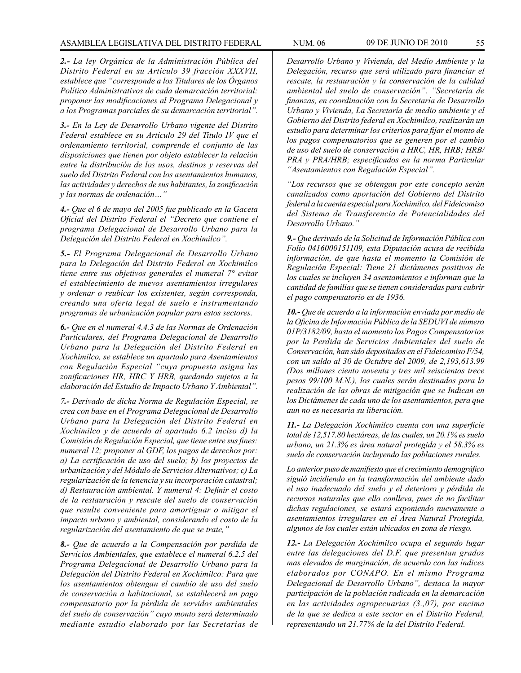*2.- La ley Orgánica de la Administración Pública del Distrito Federal en su Artículo 39 fracción XXXVII, establece que "corresponde a los Titulares de los Órganos Político Administrativos de cada demarcación territorial: proponer las modificaciones al Programa Delegacional y a los Programas parciales de su demarcación territorial".*

*3.- En la Ley de Desarrollo Urbano vigente del Distrito Federal establece en su Artículo 29 del Titulo IV que el ordenamiento territorial, comprende el conjunto de las disposiciones que tienen por objeto establecer la relación entre la distribución de los usos, destinos y reservas del suelo del Distrito Federal con los asentamientos humanos, las actividades y derechos de sus habitantes, la zonificación y las normas de ordenación…"*

*4.- Que el 6 de mayo del 2005 fue publicado en la Gaceta Oficial del Distrito Federal el "Decreto que contiene el programa Delegacional de Desarrollo Urbano para la Delegación del Distrito Federal en Xochimilco".*

*5.- El Programa Delegacional de Desarrollo Urbano para la Delegación del Distrito Federal en Xochimilco tiene entre sus objetivos generales el numeral 7° evitar el establecimiento de nuevos asentamientos irregulares y ordenar o reubicar los existentes, según corresponda, creando una oferta legal de suelo e instrumentando programas de urbanización popular para estos sectores.*

*6.- Que en el numeral 4.4.3 de las Normas de Ordenación Particulares, del Programa Delegacional de Desarrollo Urbano para la Delegación del Distrito Federal en Xochimilco, se establece un apartado para Asentamientos con Regulación Especial "cuya propuesta asigna las zonificaciones HR, HRC Y HRB, quedando sujetos a la elaboración del Estudio de Impacto Urbano Y Ambiental".*

*7.- Derivado de dicha Norma de Regulación Especial, se crea con base en el Programa Delegacional de Desarrollo Urbano para la Delegación del Distrito Federal en Xochimilco y de acuerdo al apartado 6.2 inciso d) la Comisión de Regulación Especial, que tiene entre sus fines: numeral 12; proponer al GDF, los pagos de derechos por: a) La certificación de uso del suelo; b) los proyectos de urbanización y del Módulo de Servicios Alternativos; c) La regularización de la tenencia y su incorporación catastral; d) Restauración ambiental. Y numeral 4: Definir el costo de la restauración y rescate del suelo de conservación que resulte conveniente para amortiguar o mitigar el impacto urbano y ambiental, considerando el costo de la regularización del asentamiento de que se trate,"*

*8.- Que de acuerdo a la Compensación por perdida de Servicios Ambientales, que establece el numeral 6.2.5 del Programa Delegacional de Desarrollo Urbano para la Delegación del Distrito Federal en Xochimilco: Para que los asentamientos obtengan el cambio de uso del suelo de conservación a habitacional, se establecerá un pago compensatorio por la pérdida de servidos ambientales del suelo de conservación" cuyo monto será determinado mediante estudio elaborado por las Secretarías de* 

*Desarrollo Urbano y Vivienda, del Medio Ambiente y la Delegación, recurso que será utilizado para financiar el rescate, la restauración y la conservación de la calidad ambiental del suelo de conservación". "Secretaría de finanzas, en coordinación con la Secretaría de Desarrollo Urbano y Vivienda, La Secretaría de medio ambiente y el Gobierno del Distrito federal en Xochimilco, realizarán un estudio para determinar los criterios para fijar el monto de los pagos compensatorios que se generen por el cambio de uso del suelo de conservación a HRC, HR, HRB; HRB/ PRA y PRA/HRB; especificados en la norma Particular "Asentamientos con Regulación Especial".*

*"Los recursos que se obtengan por este concepto serán canalizados como aportación del Gobierno del Distrito federal a la cuenta especial para Xochimilco, del Fideicomiso del Sistema de Transferencia de Potencialidades del Desarrollo Urbano."*

*9.- Que derivado de la Solicitud de Información Pública con Folio 0416000151109, esta Diputación acusa de recibida información, de que hasta el momento la Comisión de Regulación Especial: Tiene 21 dictámenes positivos de los cuales se incluyen 34 asentamientos e informan que la cantidad de familias que se tienen consideradas para cubrir el pago compensatorio es de 1936.*

*10.- Que de acuerdo a la información enviada por medio de la Oficina de Información Pública de la SEDUVI de número 01P/3182/09, hasta el momento los Pagos Compensatorios por la Perdida de Servicios Ambientales del suelo de Conservación, han sido depositados en el Fideicomiso F/54, con un saldo al 30 de Octubre del 2009, de 2,193,613.99 (Dos millones ciento noventa y tres mil seiscientos trece pesos 99/100 M.N.), los cuales serán destinados para la realización de las obras de mitigación que se Indican en los Dictámenes de cada uno de los asentamientos, pera que aun no es necesaria su liberación.*

*11.- La Delegación Xochimilco cuenta con una superficie total de 12,517.80 hectáreas, de las cuales, un 20.1% es suelo urbano, un 21.3% es área natural protegida y el 58.3% es suelo de conservación incluyendo las poblaciones rurales.*

*Lo anterior puso de manifiesto que el crecimiento demográfico siguió incidiendo en la transformación del ambiente dado el uso inadecuado del suelo y el deterioro y pérdida de recursos naturales que ello conlleva, pues de no facilitar dichas regulaciones, se estará exponiendo nuevamente a asentamientos irregulares en el Área Natural Protegida, algunos de los cuales están ubicados en zona de riesgo.*

*12.- La Delegación Xochimilco ocupa el segundo lugar entre las delegaciones del D.F. que presentan grados mas elevados de marginación, de acuerdo con las índices elaborados por CONAPO. En el mismo Programa Delegacional de Desarrollo Urbano", destaca la mayor participación de la población radicada en la demarcación en las actividades agropecuarias (3.,07), por encima de la que se dedica a este sector en el Distrito Federal, representando un 21.77% de la del Distrito Federal.*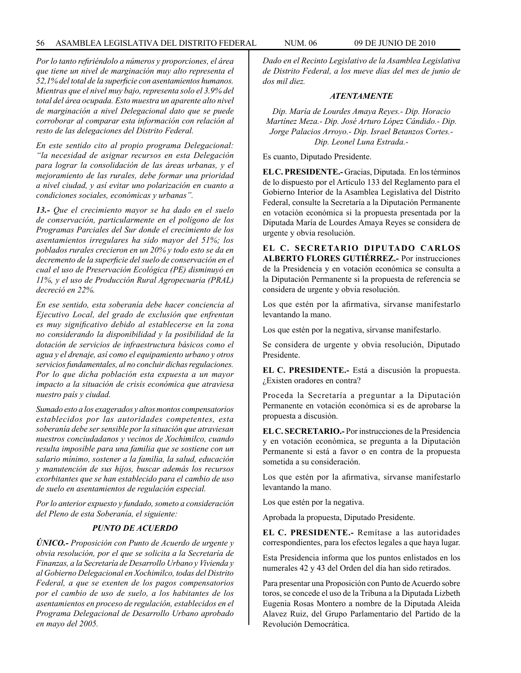*Por lo tanto refiriéndolo a números y proporciones, el área que tiene un nivel de marginación muy alto representa el 52,1% del total de la superficie con asentamientos humanos. Mientras que el nivel muy bajo, representa solo el 3.9% del total del área ocupada. Esto muestra un aparente alto nivel de marginación a nivel Delegacional dato que se puede corroborar al comparar esta información con relación al resto de las delegaciones del Distrito Federal.*

*En este sentido cito al propio programa Delegacional: "la necesidad de asignar recursos en esta Delegación para lograr la consolidación de las áreas urbanas, y el mejoramiento de las rurales, debe formar una prioridad a nivel ciudad, y así evitar uno polarización en cuanto a condiciones sociales, económicas y urbanas".*

*13.- Que el crecimiento mayor se ha dado en el suelo de conservación, particularmente en el polígono de los Programas Parciales del Sur donde el crecimiento de los asentamientos irregulares ha sido mayor del 51%; los poblados rurales crecieron en un 20% y todo esto se da en decremento de la superficie del suelo de conservación en el cual el uso de Preservación Ecológica (PE) disminuyó en 11%, y el uso de Producción Rural Agropecuaria (PRAL) decreció en 22%.* 

*En ese sentido, esta soberanía debe hacer conciencia al Ejecutivo Local, del grado de exclusión que enfrentan es muy significativo debido al establecerse en la zona no considerando la disponibilidad y la posibilidad de la dotación de servicios de infraestructura básicos como el agua y el drenaje, así como el equipamiento urbano y otros servicios fundamentales, al no concluir dichas regulaciones. Por lo que dicha población esta expuesta a un mayor impacto a la situación de crisis económica que atraviesa nuestro país y ciudad.*

*Sumado esto a los exagerados y altos montos compensatorios establecidos por las autoridades competentes, esta soberanía debe ser sensible por la situación que atraviesan nuestros conciudadanos y vecinos de Xochimilco, cuando resulta imposible para una familia que se sostiene con un salario mínimo, sostener a la familia, la salud, educación y manutención de sus hijos, buscar además los recursos exorbitantes que se han establecido para el cambio de uso de suelo en asentamientos de regulación especial.*

*Por lo anterior expuesto y fundado, someto a consideración del Pleno de esta Soberanía, el siguiente:*

# *PUNTO DE ACUERDO*

*ÚNICO.- Proposición con Punto de Acuerdo de urgente y obvia resolución, por el que se solicita a la Secretaría de Finanzas, a la Secretaría de Desarrollo Urbano y Vivienda y al Gobierno Delegacional en Xochimilco, todas del Distrito Federal, a que se exenten de los pagos compensatorios por el cambio de uso de suelo, a los habitantes de los asentamientos en proceso de regulación, establecidos en el Programa Delegacional de Desarrollo Urbano aprobado en mayo del 2005.*

*Dado en el Recinto Legislativo de la Asamblea Legislativa de Distrito Federal, a los nueve días del mes de junio de dos mil diez.*

#### *ATENTAMENTE*

*Dip. María de Lourdes Amaya Reyes.- Dip. Horacio Martínez Meza.- Dip. José Arturo López Cándido.- Dip. Jorge Palacios Arroyo.- Dip. Israel Betanzos Cortes.- Dip. Leonel Luna Estrada.-*

Es cuanto, Diputado Presidente.

**EL C. PRESIDENTE.-** Gracias, Diputada. En los términos de lo dispuesto por el Artículo 133 del Reglamento para el Gobierno Interior de la Asamblea Legislativa del Distrito Federal, consulte la Secretaría a la Diputación Permanente en votación económica si la propuesta presentada por la Diputada María de Lourdes Amaya Reyes se considera de urgente y obvia resolución.

**EL C. SECRETARIO DIPUTADO CARLOS ALBERTO FLORES GUTIÉRREZ.-** Por instrucciones de la Presidencia y en votación económica se consulta a la Diputación Permanente si la propuesta de referencia se considera de urgente y obvia resolución.

Los que estén por la afirmativa, sírvanse manifestarlo levantando la mano.

Los que estén por la negativa, sírvanse manifestarlo.

Se considera de urgente y obvia resolución, Diputado Presidente.

**EL C. PRESIDENTE.-** Está a discusión la propuesta. ¿Existen oradores en contra?

Proceda la Secretaría a preguntar a la Diputación Permanente en votación económica si es de aprobarse la propuesta a discusión.

**EL C. SECRETARIO.-** Por instrucciones de la Presidencia y en votación económica, se pregunta a la Diputación Permanente si está a favor o en contra de la propuesta sometida a su consideración.

Los que estén por la afirmativa, sírvanse manifestarlo levantando la mano.

Los que estén por la negativa.

Aprobada la propuesta, Diputado Presidente.

**EL C. PRESIDENTE.-** Remítase a las autoridades correspondientes, para los efectos legales a que haya lugar.

Esta Presidencia informa que los puntos enlistados en los numerales 42 y 43 del Orden del día han sido retirados.

Para presentar una Proposición con Punto de Acuerdo sobre toros, se concede el uso de la Tribuna a la Diputada Lizbeth Eugenia Rosas Montero a nombre de la Diputada Aleida Alavez Ruiz, del Grupo Parlamentario del Partido de la Revolución Democrática.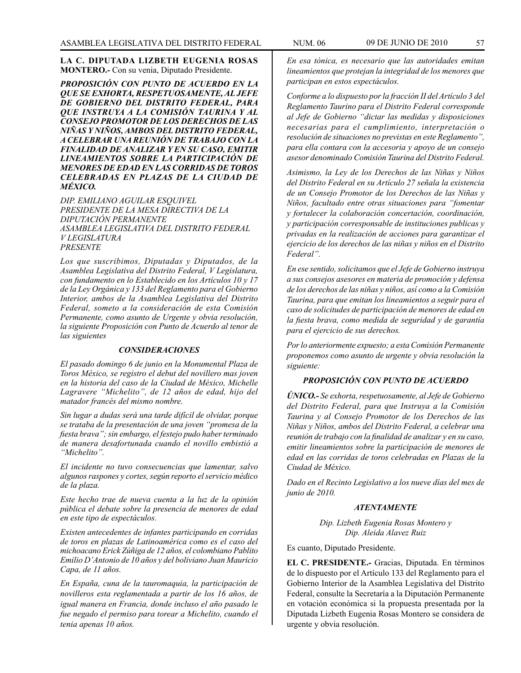**LA C. DIPUTADA LIZBETH EUGENIA ROSAS MONTERO.-** Con su venia, Diputado Presidente.

*PROPOSICIÓN CON PUNTO DE ACUERDO EN LA QUE SE EXHORTA, RESPETUOSAMENTE, AL JEFE DE GOBIERNO DEL DISTRITO FEDERAL, PARA QUE INSTRUYA A LA COMISIÓN TAURINA Y AL CONSEJO PROMOTOR DE LOS DERECHOS DE LAS NIÑAS Y NIÑOS, AMBOS DEL DISTRITO FEDERAL, A CELEBRAR UNA REUNIÓN DE TRABAJO CON LA FINALIDAD DE ANALIZAR Y EN SU CASO, EMITIR LINEAMIENTOS SOBRE LA PARTICIPACIÓN DE MENORES DE EDAD EN LAS CORRIDAS DE TOROS CELEBRADAS EN PLAZAS DE LA CIUDAD DE MÉXICO.*

*DIP. EMILIANO AGUILAR ESQUIVEL PRESIDENTE DE LA MESA DIRECTIVA DE LA DIPUTACIÓN PERMANENTE ASAMBLEA LEGISLATIVA DEL DISTRITO FEDERAL V LEGISLATURA PRESENTE*

*Los que suscribimos, Diputadas y Diputados, de la Asamblea Legislativa del Distrito Federal, V Legislatura, con fundamento en lo Establecido en los Artículos 10 y 17 de la Ley Orgánica y 133 del Reglamento para el Gobierno Interior, ambos de la Asamblea Legislativa del Distrito Federal, someto a la consideración de esta Comisión Permanente, como asunto de Urgente y obvia resolución, la siguiente Proposición con Punto de Acuerdo al tenor de las siguientes*

#### *CONSIDERACIONES*

*El pasado domingo 6 de junio en la Monumental Plaza de Toros México, se registro el debut del novillero mas joven en la historia del caso de la Ciudad de México, Michelle Lagravere "Michelito", de 12 años de edad, hijo del matador francés del mismo nombre.*

*Sin lugar a dudas será una tarde difícil de olvidar, porque se trataba de la presentación de una joven "promesa de la fiesta brava"; sin embargo, el festejo pudo haber terminado de manera desafortunada cuando el novillo embistió a "Michelito".*

*El incidente no tuvo consecuencias que lamentar, salvo algunos raspones y cortes, según reporto el servicio médico de la plaza.* 

*Este hecho trae de nueva cuenta a la luz de la opinión pública el debate sobre la presencia de menores de edad en este tipo de espectáculos.*

*Existen antecedentes de infantes participando en corridas de toros en plazas de Latinoamérica como es el caso del michoacano Erick Zúñiga de 12 años, el colombiano Pablito Emilio D'Antonio de 10 años y del boliviano Juan Mauricio Capa, de 11 años.*

*En España, cuna de la tauromaquia, la participación de novilleros esta reglamentada a partir de los 16 años, de igual manera en Francia, donde incluso el año pasado le fue negado el permiso para torear a Michelito, cuando el tenia apenas 10 años.*

*En esa tónica, es necesario que las autoridades emitan lineamientos que protejan la integridad de los menores que participan en estos espectáculos.*

*Conforme a lo dispuesto por la fracción II del Artículo 3 del Reglamento Taurino para el Distrito Federal corresponde al Jefe de Gobierno "dictar las medidas y disposiciones necesarias para el cumplimiento, interpretación o resolución de situaciones no previstas en este Reglamento", para ella contara con la accesoria y apoyo de un consejo asesor denominado Comisión Taurina del Distrito Federal.*

*Asimismo, la Ley de los Derechos de las Niñas y Niños del Distrito Federal en su Artículo 27 señala la existencia de un Consejo Promotor de los Derechos de las Niñas y Niños, facultado entre otras situaciones para "fomentar y fortalecer la colaboración concertación, coordinación, y participación corresponsable de instituciones publicas y privadas en la realización de acciones para garantizar el ejercicio de los derechos de las niñas y niños en el Distrito Federal".*

*En ese sentido, solicitamos que el Jefe de Gobierno instruya a sus consejos asesores en materia de promoción y defensa de los derechos de las niñas y niños, así como a la Comisión Taurina, para que emitan los lineamientos a seguir para el caso de solicitudes de participación de menores de edad en la fiesta brava, como medida de seguridad y de garantía para el ejercicio de sus derechos.*

*Por lo anteriormente expuesto; a esta Comisión Permanente proponemos como asunto de urgente y obvia resolución la siguiente:*

# *PROPOSICIÓN CON PUNTO DE ACUERDO*

*ÚNICO.- Se exhorta, respetuosamente, al Jefe de Gobierno del Distrito Federal, para que Instruya a la Comisión Taurina y al Consejo Promotor de los Derechos de las Niñas y Niños, ambos del Distrito Federal, a celebrar una reunión de trabajo con la finalidad de analizar y en su caso, emitir lineamientos sobre la participación de menores de edad en las corridas de toros celebradas en Plazas de la Ciudad de México.*

*Dado en el Recinto Legislativo a los nueve días del mes de junio de 2010.*

### *ATENTAMENTE*

*Dip. Lizbeth Eugenia Rosas Montero y Dip. Aleida Alavez Ruiz*

Es cuanto, Diputado Presidente.

**EL C. PRESIDENTE.-** Gracias, Diputada. En términos de lo dispuesto por el Artículo 133 del Reglamento para el Gobierno Interior de la Asamblea Legislativa del Distrito Federal, consulte la Secretaría a la Diputación Permanente en votación económica si la propuesta presentada por la Diputada Lizbeth Eugenia Rosas Montero se considera de urgente y obvia resolución.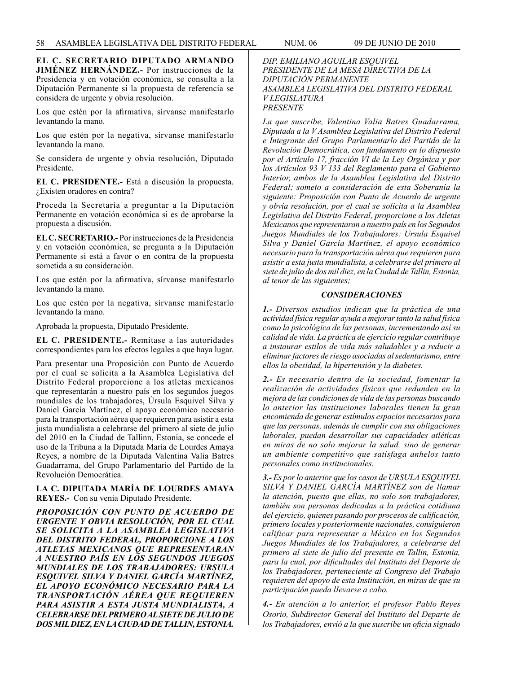**EL C. SECRETARIO DIPUTADO ARMANDO JIMÉNEZ HERNÁNDEZ.-** Por instrucciones de la Presidencia y en votación económica, se consulta a la Diputación Permanente si la propuesta de referencia se considera de urgente y obvia resolución.

Los que estén por la afirmativa, sírvanse manifestarlo levantando la mano.

Los que estén por la negativa, sírvanse manifestarlo levantando la mano.

Se considera de urgente y obvia resolución, Diputado Presidente.

**EL C. PRESIDENTE.-** Está a discusión la propuesta. ¿Existen oradores en contra?

Proceda la Secretaría a preguntar a la Diputación Permanente en votación económica si es de aprobarse la propuesta a discusión.

**EL C. SECRETARIO.-** Por instrucciones de la Presidencia y en votación económica, se pregunta a la Diputación Permanente si está a favor o en contra de la propuesta sometida a su consideración.

Los que estén por la afirmativa, sírvanse manifestarlo levantando la mano.

Los que estén por la negativa, sírvanse manifestarlo levantando la mano.

Aprobada la propuesta, Diputado Presidente.

**EL C. PRESIDENTE.-** Remítase a las autoridades correspondientes para los efectos legales a que haya lugar.

Para presentar una Proposición con Punto de Acuerdo por el cual se solicita a la Asamblea Legislativa del Distrito Federal proporcione a los atletas mexicanos que representarán a nuestro país en los segundos juegos mundiales de los trabajadores, Úrsula Esquivel Silva y Daniel García Martínez, el apoyo económico necesario para la transportación aérea que requieren para asistir a esta justa mundialista a celebrarse del primero al siete de julio del 2010 en la Ciudad de Tallinn, Estonia, se concede el uso de la Tribuna a la Diputada María de Lourdes Amaya Reyes, a nombre de la Diputada Valentina Valia Batres Guadarrama, del Grupo Parlamentario del Partido de la Revolución Democrática.

### **LA C. DIPUTADA MARÍA DE LOURDES AMAYA REYES.-** Con su venia Diputado Presidente.

*PROPOSICIÓN CON PUNTO DE ACUERDO DE URGENTE Y OBVIA RESOLUCIÓN, POR EL CUAL SE SOLICITA A LA ASAMBLEA LEGISLATIVA DEL DISTRITO FEDERAL, PROPORCIONE A LOS ATLETAS MEXICANOS QUE REPRESENTARAN A NUESTRO PAÍS EN LOS SEGUNDOS JUEGOS MUNDIALES DE LOS TRABAJADORES: URSULA ESQUIVEL SILVA Y DANIEL GARCÍA MARTÍNEZ, EL APOYO ECONÓMICO NECESARIO PARA LA TRANSPORTACIÓN AÉREA QUE REQUIEREN PARA ASISTIR A ESTA JUSTA MUNDIALISTA, A CELEBRARSE DEL PRIMERO AL SIETE DE JULIO DE DOS MIL DIEZ, EN LA CIUDAD DE TALLIN, ESTONIA.*

*DIP. EMILIANO AGUILAR ESQUIVEL PRESIDENTE DE LA MESA DIRECTIVA DE LA DIPUTACIÓN PERMANENTE ASAMBLEA LEGISLATIVA DEL DISTRITO FEDERAL V LEGISLATURA PRESENTE*

*La que suscribe, Valentina Valia Batres Guadarrama, Diputada a la V Asamblea Legislativa del Distrito Federal e Integrante del Grupo Parlamentarlo del Partido de la Revolución Democrática, con fundamento en lo dispuesto por el Artículo 17, fracción VI de la Ley Orgánica y por los Artículos 93 V 133 del Reglamento para el Gobierno Interior, ambos de la Asamblea Legislativa del Distrito Federal; someto a consideración de esta Soberanía la siguiente: Proposición con Punto de Acuerdo de urgente y obvia resolución, por el cual se solicita a la Asamblea Legislativa del Distrito Federal, proporcione a los Atletas Mexicanos que representaran a nuestro país en los Segundos Juegos Mundiales de los Trabajadores: Ursula Esquivel Silva y Daniel García Martínez, el apoyo económico necesario para la transportación aérea que requieren para asistir a esta justa mundialista, a celebrarse del primero al siete de julio de dos mil diez, en la Ciudad de Tallin, Estonia, al tenor de las siguientes;*

# *CONSIDERACIONES*

*1.- Diversos estudios indican que la práctica de una actividad física regular ayuda a mejorar tanto la salud física como la psicológica de las personas, incrementando así su calidad de vida. La práctica de ejercicio regular contribuye a instaurar estilos de vida más saludables y a reducir a eliminar factores de riesgo asociadas al sedentarismo, entre ellos la obesidad, la hipertensión y la diabetes.*

*2.- Es necesario dentro de la sociedad, fomentar la realización de actividades físicas que redunden en la mejora de las condiciones de vida de las personas buscando lo anterior las instituciones laborales tienen la gran encomienda de generar estímulos espacios necesarios para que las personas, además de cumplir con sus obligaciones laborales, puedan desarrollar sus capacidades atléticas en miras de no solo mejorar la salud, sino de generar un ambiente competitivo que satisfaga anhelos tanto personales como institucionales.*

*3.- Es por lo anterior que los casos de URSULA ESQUIVEL SILVA Y DANIEL GARCÍA MARTÍNEZ son de llamar la atención, puesto que ellas, no solo son trabajadores, también son personas dedicadas a la práctica cotidiana del ejercicio, quienes pasando por procesos de calificación, primero locales y posteriormente nacionales, consiguieron calificar para representar a México en los Segundos Juegos Mundiales de los Trabajadores, a celebrarse del primero al siete de julio del presente en Tallin, Estonia, para la cual, por dificultades del Instituto del Deporte de los Trabajadores, perteneciente al Congreso del Trabajo requieren del apoyo de esta Institución, en miras de que su participación pueda lIevarse a cabo.*

*4.- En atención a lo anterior, el profesor Pablo Reyes Osorio, Subdirector General del Instituto del Departe de los Trabajadores, envió a la que suscribe un oficia signado*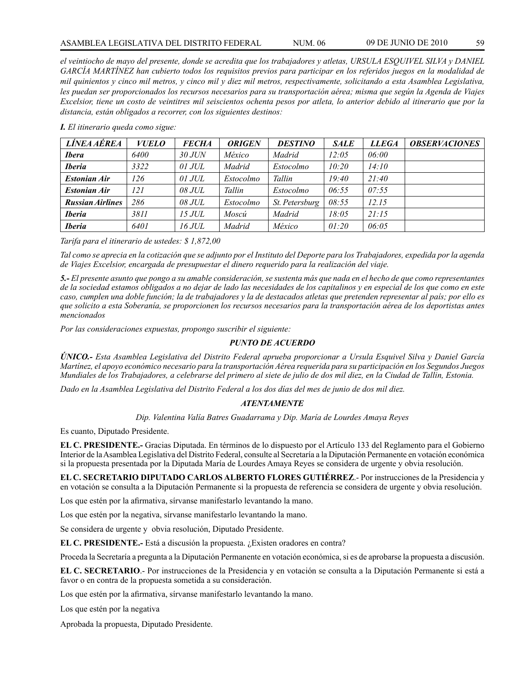*el veintiocho de mayo del presente, donde se acredita que los trabajadores y atletas, URSULA ESQUIVEL SILVA y DANIEL GARCÍA MARTÍNEZ han cubierto todos los requisitos previos para participar en los referidos juegos en la modalidad de mil quinientos y cinco mil metros, y cinco mil y diez mil metros, respectivamente, solicitando a esta Asamblea Legislativa, les puedan ser proporcionados los recursos necesarios para su transportación aérea; misma que según la Agenda de Viajes Excelsior, tiene un costo de veintitres mil seiscientos ochenta pesos por atleta, lo anterior debido al itinerario que por la distancia, están obligados a recorrer, con los siguientes destinos:*

| <i><b>LÍNEA AÉREA</b></i> | <b>VUELO</b> | <b>FECHA</b>  | <b>ORIGEN</b> | <b>DESTINO</b> | <b>SALE</b> | <b>LLEGA</b> | <i><b>OBSERVACIONES</b></i> |
|---------------------------|--------------|---------------|---------------|----------------|-------------|--------------|-----------------------------|
| <b>Ibera</b>              | 6400         | $30$ JUN      | México        | Madrid         | 12:05       | 06:00        |                             |
| <b>Iberia</b>             | 3322         | $01$ JUL      | Madrid        | Estocolmo      | 10:20       | 14:10        |                             |
| <b>Estonian Air</b>       | 126          | $01$ JUL      | Estocolmo     | Tallin         | 19:40       | 21:40        |                             |
| <b>Estonian Air</b>       | 121          | 08 JUL        | Tallin        | Estocolmo      | 06:55       | 07:55        |                             |
| <b>Russian Airlines</b>   | 286          | 08 JUL        | Estocolmo     | St. Petersburg | 08:55       | 12.15        |                             |
| <b>Iberia</b>             | 3811         | <i>15 JUL</i> | Moscú         | Madrid         | 18:05       | 21:15        |                             |
| <b>Iberia</b>             | 6401         | 16JUL         | Madrid        | México         | 01:20       | 06:05        |                             |

*I. El itinerario queda como sigue:*

*Tarifa para el itinerario de ustedes: \$ 1,872,00* 

*Tal como se aprecia en la cotización que se adjunto por el Instituto del Deporte para los Trabajadores, expedida por la agenda de Viajes Excelsior, encargada de presupuestar el dinero requerido para la realización del viaje.*

*5.- El presente asunto que pongo a su amable consideración, se sustenta más que nada en el hecho de que como representantes de la sociedad estamos obligados a no dejar de lado las necesidades de los capitalinos y en especial de los que como en este caso, cumplen una doble función; la de trabajadores y la de destacados atletas que pretenden representar al país; por ello es que solicito a esta Soberanía, se proporcionen los recursos necesarios para la transportación aérea de los deportistas antes mencionados*

*Por las consideraciones expuestas, propongo suscribir el siguiente:*

# *PUNTO DE ACUERDO*

*ÚNICO.- Esta Asamblea Legislativa del Distrito Federal aprueba proporcionar a Ursula Esquivel Silva y Daniel García Martínez, el apoyo económico necesario para la transportación Aérea requerida para su participación en los Segundos Juegos Mundiales de los Trabajadores, a celebrarse del primero al siete de julio de dos mil diez, en la Ciudad de Tallin, Estonia.*

*Dado en la Asamblea Legislativa del Distrito Federal a los dos días del mes de junio de dos mil diez.*

### *ATENTAMENTE*

*Dip. Valentina Valía Batres Guadarrama y Dip. María de Lourdes Amaya Reyes*

Es cuanto, Diputado Presidente.

**EL C. PRESIDENTE.-** Gracias Diputada. En términos de lo dispuesto por el Artículo 133 del Reglamento para el Gobierno Interior de la Asamblea Legislativa del Distrito Federal, consulte al Secretaría a la Diputación Permanente en votación económica si la propuesta presentada por la Diputada María de Lourdes Amaya Reyes se considera de urgente y obvia resolución.

**EL C. SECRETARIO DIPUTADO CARLOS ALBERTO FLORES GUTIÉRREZ**.- Por instrucciones de la Presidencia y en votación se consulta a la Diputación Permanente si la propuesta de referencia se considera de urgente y obvia resolución.

Los que estén por la afirmativa, sírvanse manifestarlo levantando la mano.

Los que estén por la negativa, sírvanse manifestarlo levantando la mano.

Se considera de urgente y obvia resolución, Diputado Presidente.

**EL C. PRESIDENTE.-** Está a discusión la propuesta. ¿Existen oradores en contra?

Proceda la Secretaría a pregunta a la Diputación Permanente en votación económica, si es de aprobarse la propuesta a discusión.

**EL C. SECRETARIO**.- Por instrucciones de la Presidencia y en votación se consulta a la Diputación Permanente si está a favor o en contra de la propuesta sometida a su consideración.

Los que estén por la afirmativa, sírvanse manifestarlo levantando la mano.

Los que estén por la negativa

Aprobada la propuesta, Diputado Presidente.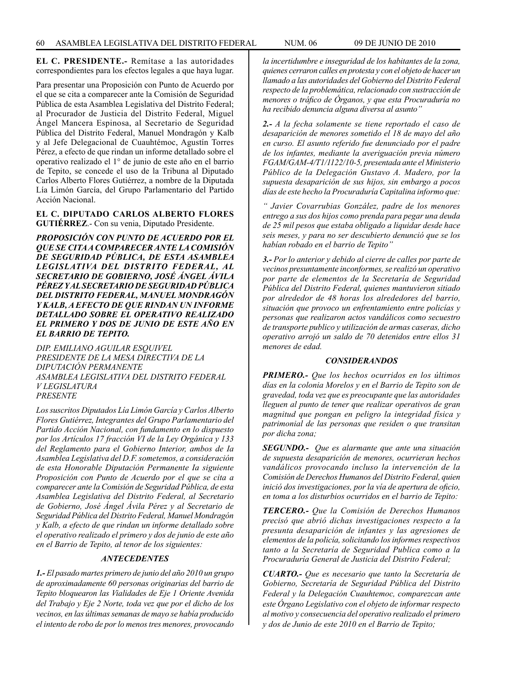**EL C. PRESIDENTE.-** Remítase a las autoridades correspondientes para los efectos legales a que haya lugar.

Para presentar una Proposición con Punto de Acuerdo por el que se cita a comparecer ante la Comisión de Seguridad Pública de esta Asamblea Legislativa del Distrito Federal; al Procurador de Justicia del Distrito Federal, Miguel Ángel Mancera Espinosa, al Secretario de Seguridad Pública del Distrito Federal, Manuel Mondragón y Kalb y al Jefe Delegacional de Cuauhtémoc, Agustín Torres Pérez, a efecto de que rindan un informe detallado sobre el operativo realizado el 1° de junio de este año en el barrio de Tepito, se concede el uso de la Tribuna al Diputado Carlos Alberto Flores Gutiérrez, a nombre de la Diputada Lía Limón García, del Grupo Parlamentario del Partido Acción Nacional.

**EL C. DIPUTADO CARLOS ALBERTO FLORES GUTIÉRREZ**.- Con su venia, Diputado Presidente.

*PROPOSICIÓN CON PUNTO DE ACUERDO POR EL QUE SE CITA A COMPARECER ANTE LA COMISIÓN DE SEGURIDAD PÚBLICA, DE ESTA ASAMBLEA LEGISLATIVA DEL DISTRITO FEDERAL, AL SECRETARIO DE GOBIERNO, JOSÉ ÁNGEL ÁVILA PÉREZ Y AL SECRETARIO DE SEGURIDAD PÚBLICA DEL DISTRITO FEDERAL, MANUEL MONDRAGÓN Y KALB, A EFECTO DE QUE RINDAN UN INFORME DETALLADO SOBRE EL OPERATIVO REALIZADO EL PRIMERO Y DOS DE JUNIO DE ESTE AÑO EN EL BARRIO DE TEPITO.*

*DIP. EMILIANO AGUILAR ESQUIVEL PRESIDENTE DE LA MESA DIRECTIVA DE LA DIPUTACIÓN PERMANENTE ASAMBLEA LEGISLATIVA DEL DISTRITO FEDERAL V LEGISLATURA PRESENTE*

*Los suscritos Diputados Lía Limón García y Carlos Alberto Flores Gutiérrez, Integrantes del Grupo Parlamentario del Partido Acción Nacional, con fundamento en lo dispuesto por los Artículos 17 fracción VI de la Ley Orgánica y 133 del Reglamento para el Gobierno Interior, ambos de Ia Asamblea Legislativa del D.F. sometemos, a consideración de esta Honorable Diputación Permanente Ia siguiente Proposición con Punto de Acuerdo por el que se cita a comparecer ante la Comisión de Seguridad Pública, de esta Asamblea Legislativa del Distrito Federal, al Secretario de Gobierno, José Ángel Ávila Pérez y al Secretario de Seguridad Pública del Distrito Federal, Manuel Mondragón y Kalb, a efecto de que rindan un informe detallado sobre el operativo realizado el primero y dos de junio de este año en el Barrio de Tepito, al tenor de los siguientes:* 

### *ANTECEDENTES*

*1.- El pasado martes primero de junio del año 2010 un grupo de aproximadamente 60 personas originarias del barrio de Tepito bloquearon las Vialidades de Eje 1 Oriente Avenida del Trabajo y Eje 2 Norte, toda vez que por el dicho de los vecinos, en las últimas semanas de mayo se había producido el intento de robo de por lo menos tres menores, provocando* 

*la incertidumbre e inseguridad de los habitantes de la zona, quienes cerraron calles en protesta y con el objeto de hacer un llamado a las autoridades del Gobierno del Distrito Federal respecto de la problemática, relacionado con sustracción de menores o tráfico de Órganos, y que esta Procuraduría no ha recibido denuncia alguna diversa al asunto"*

*2.- A la fecha solamente se tiene reportado el caso de desaparición de menores sometido el 18 de mayo del año en curso. El asunto referido fue denunciado por el padre de los infantes, mediante la averiguación previa número FGAM/GAM-4/T1/1122/10-5, presentada ante el Ministerio Público de la Delegación Gustavo A. Madero, por la supuesta desaparición de sus hijos, sin embargo a pocos días de este hecho la Procuraduría Capitalina informo que:*

*" Javier Covarrubias González, padre de los menores entrego a sus dos hijos como prenda para pegar una deuda de 25 mil pesos que estaba obligado a liquidar desde hace seis meses, y para no ser descubierto denunció que se los habían robado en el barrio de Tepito"*

*3.- Por lo anterior y debido al cierre de calles por parte de vecinos presuntamente inconformes, se realizó un operativo por parte de elementos de la Secretaría de Seguridad Pública del Distrito Federal, quienes mantuvieron sitiado por alrededor de 48 horas los alrededores del barrio, situación que provoco un enfrentamiento entre policías y personas que realizaron actos vandálicos como secuestro de transporte publico y utilización de armas caseras, dicho operativo arrojó un saldo de 70 detenidos entre ellos 31 menores de edad.*

#### *CONSIDERANDOS*

*PRIMERO.- Que los hechos ocurridos en los últimos días en la colonia Morelos y en el Barrio de Tepito son de gravedad, toda vez que es preocupante que las autoridades lleguen al punto de tener que realizar operativos de gran magnitud que pongan en peligro la integridad física y patrimonial de las personas que residen o que transitan por dicha zona;*

*SEGUNDO.- Que es alarmante que ante una situación de supuesta desaparición de menores, ocurrieran hechos vandálicos provocando incluso la intervención de la Comisión de Derechos Humanos del Distrito Federal, quien inició dos investigaciones, por la vía de apertura de oficio, en toma a los disturbios ocurridos en el barrio de Tepito:*

*TERCERO.- Que la Comisión de Derechos Humanos precisó que abrió dichas investigaciones respecto a la presunta desaparición de infantes y las agresiones de elementos de la policía, solicitando los informes respectivos tanto a la Secretaría de Seguridad Publica como a la Procuraduría General de Justicia del Distrito Federal;*

*CUARTO.- Que es necesario que tanto la Secretaría de Gobierno, Secretaría de Seguridad Pública del Distrito Federal y la Delegación Cuauhtemoc, comparezcan ante este Órgano Legislativo con el objeto de informar respecto al motivo y consecuencia del operativo realizado el primero y dos de Junio de este 2010 en el Barrio de Tepito;*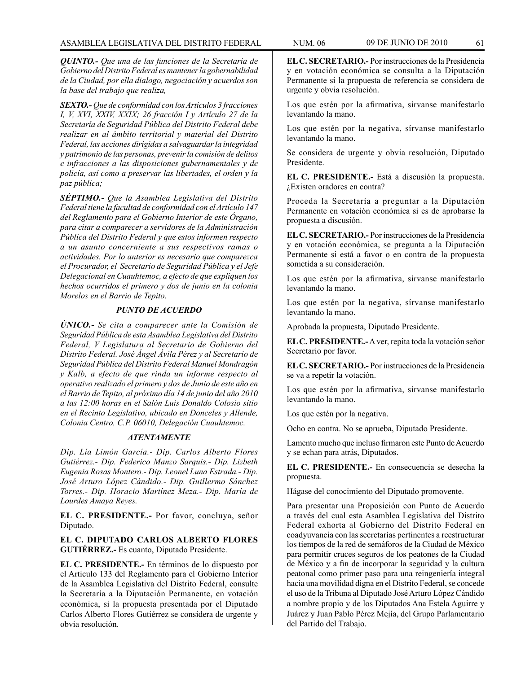*QUINTO.- Que una de las funciones de la Secretaría de Gobierno del Distrito Federal es mantener la gobernabilidad de la Ciudad, por ella dialogo, negociación y acuerdos son la base del trabajo que realiza,*

*SEXTO.- Que de conformidad con los Artículos 3 fracciones I, V, XVI, XXIV, XXIX; 26 fracción I y Artículo 27 de la Secretaría de Seguridad Pública del Distrito Federal debe realizar en al ámbito territorial y material del Distrito Federal, las acciones dirigidas a salvaguardar la integridad y patrimonio de las personas, prevenir la comisión de delitos e infracciones a las disposiciones gubernamentales y de policía, así como a preservar las libertades, el orden y la paz pública;*

*SÉPTIMO.- Que la Asamblea Legislativa del Distrito Federal tiene la facultad de conformidad con el Artículo 147 del Reglamento para el Gobierno Interior de este Órgano, para citar a comparecer a servidores de la Administración Pública del Distrito Federal y que estos informen respecto a un asunto concerniente a sus respectivos ramas o actividades. Por lo anterior es necesario que comparezca el Procurador, el Secretario de Seguridad Pública y el Jefe Delegacional en Cuauhtemoc, a efecto de que expliquen los hechos ocurridos el primero y dos de junio en la colonia Morelos en el Barrio de Tepito.*

### *PUNTO DE ACUERDO*

*ÚNICO.- Se cita a comparecer ante la Comisión de Seguridad Pública de esta Asamblea Legislativa del Distrito Federal, V Legislatura al Secretario de Gobierno del Distrito Federal. José Ángel Ávila Pérez y al Secretario de Seguridad Pública del Distrito Federal Manuel Mondragón y Kalb, a efecto de que rinda un informe respecto al operativo realizado el primero y dos de Junio de este año en el Barrio de Tepito, al próximo día 14 de junio del año 2010 a las 12:00 horas en el Salón Luís Donaldo Colosio sitio en el Recinto Legislativo, ubicado en Donceles y Allende, Colonia Centro, C.P. 06010, Delegación Cuauhtemoc.*

#### *ATENTAMENTE*

*Dip. Lía Limón García.- Dip. Carlos Alberto Flores Gutiérrez.- Dip. Federico Manzo Sarquis.- Dip. Lizbeth Eugenia Rosas Montero.- Dip. Leonel Luna Estrada.- Dip. José Arturo López Cándido.- Dip. Guillermo Sánchez Torres.- Dip. Horacio Martínez Meza.- Dip. María de Lourdes Amaya Reyes.* 

**EL C. PRESIDENTE.-** Por favor, concluya, señor Diputado.

### **EL C. DIPUTADO CARLOS ALBERTO FLORES GUTIÉRREZ.-** Es cuanto, Diputado Presidente.

**EL C. PRESIDENTE.-** En términos de lo dispuesto por el Artículo 133 del Reglamento para el Gobierno Interior de la Asamblea Legislativa del Distrito Federal, consulte la Secretaría a la Diputación Permanente, en votación económica, si la propuesta presentada por el Diputado Carlos Alberto Flores Gutiérrez se considera de urgente y obvia resolución.

**EL C. SECRETARIO.-** Por instrucciones de la Presidencia y en votación económica se consulta a la Diputación Permanente si la propuesta de referencia se considera de urgente y obvia resolución.

Los que estén por la afirmativa, sírvanse manifestarlo levantando la mano.

Los que estén por la negativa, sírvanse manifestarlo levantando la mano.

Se considera de urgente y obvia resolución, Diputado Presidente.

**EL C. PRESIDENTE.-** Está a discusión la propuesta. ¿Existen oradores en contra?

Proceda la Secretaría a preguntar a la Diputación Permanente en votación económica si es de aprobarse la propuesta a discusión.

**EL C. SECRETARIO.-** Por instrucciones de la Presidencia y en votación económica, se pregunta a la Diputación Permanente si está a favor o en contra de la propuesta sometida a su consideración.

Los que estén por la afirmativa, sírvanse manifestarlo levantando la mano.

Los que estén por la negativa, sírvanse manifestarlo levantando la mano.

Aprobada la propuesta, Diputado Presidente.

**EL C. PRESIDENTE.-** A ver, repita toda la votación señor Secretario por favor.

**EL C. SECRETARIO.-** Por instrucciones de la Presidencia se va a repetir la votación.

Los que estén por la afirmativa, sírvanse manifestarlo levantando la mano.

Los que estén por la negativa.

Ocho en contra. No se aprueba, Diputado Presidente.

Lamento mucho que incluso firmaron este Punto de Acuerdo y se echan para atrás, Diputados.

**EL C. PRESIDENTE.-** En consecuencia se desecha la propuesta.

Hágase del conocimiento del Diputado promovente.

Para presentar una Proposición con Punto de Acuerdo a través del cual esta Asamblea Legislativa del Distrito Federal exhorta al Gobierno del Distrito Federal en coadyuvancia con las secretarías pertinentes a reestructurar los tiempos de la red de semáforos de la Ciudad de México para permitir cruces seguros de los peatones de la Ciudad de México y a fin de incorporar la seguridad y la cultura peatonal como primer paso para una reingeniería integral hacia una movilidad digna en el Distrito Federal, se concede el uso de la Tribuna al Diputado José Arturo López Cándido a nombre propio y de los Diputados Ana Estela Aguirre y Juárez y Juan Pablo Pérez Mejía, del Grupo Parlamentario del Partido del Trabajo.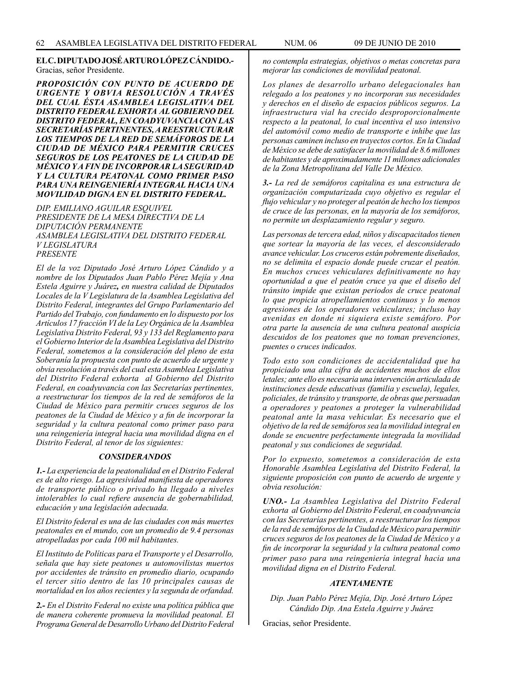**EL C. DIPUTADO JOSÉ ARTURO LÓPEZ CÁNDIDO.-**  Gracias, señor Presidente.

*PROPOSICIÓN CON PUNTO DE ACUERDO DE URGENTE Y OBVIA RESOLUCIÓN A TRAVÉS DEL CUAL ÉSTA ASAMBLEA LEGISLATIVA DEL DISTRITO FEDERAL EXHORTA AL GOBIERNO DEL DISTRITO FEDERAL, EN COADYUVANCIA CON LAS SECRETARÍAS PERTINENTES, A REESTRUCTURAR LOS TIEMPOS DE LA RED DE SEMÁFOROS DE LA CIUDAD DE MÉXICO PARA PERMITIR CRUCES SEGUROS DE LOS PEATONES DE LA CIUDAD DE MÉXICO Y A FIN DE INCORPORAR LA SEGURIDAD Y LA CULTURA PEATONAL COMO PRIMER PASO PARA UNA REINGENIERÍA INTEGRAL HACIA UNA MOVILIDAD DIGNA EN EL DISTRITO FEDERAL.*

*DIP. EMILIANO AGUILAR ESQUIVEL PRESIDENTE DE LA MESA DIRECTIVA DE LA DIPUTACIÓN PERMANENTE ASAMBLEA LEGISLATIVA DEL DISTRITO FEDERAL V LEGISLATURA PRESENTE*

*El de la voz Diputado José Arturo López Cándido y a nombre de los Diputados Juan Pablo Pérez Mejía y Ana Estela Aguirre y Juárez, en nuestra calidad de Diputados Locales de la V Legislatura de la Asamblea Legislativa del Distrito Federal, integrantes del Grupo Parlamentario del Partido del Trabajo, con fundamento en lo dispuesto por los Artículos 17 fracción VI de la Ley Orgánica de la Asamblea Legislativa Distrito Federal, 93 y 133 del Reglamento para el Gobierno Interior de la Asamblea Legislativa del Distrito Federal, sometemos a la consideración del pleno de esta Soberanía la propuesta con punto de acuerdo de urgente y obvia resolución a través del cual esta Asamblea Legislativa del Distrito Federal exhorta al Gobierno del Distrito Federal, en coadyuvancia con las Secretarías pertinentes, a reestructurar los tiempos de la red de semáforos de la Ciudad de México para permitir cruces seguros de los peatones de la Ciudad de México y a fin de incorporar la seguridad y la cultura peatonal como primer paso para una reingeniería integral hacia una movilidad digna en el Distrito Federal, al tenor de los siguientes:*

#### *CONSIDERANDOS*

*1.- La experiencia de la peatonalidad en el Distrito Federal es de alto riesgo. La agresividad manifiesta de operadores de transporte público o privado ha llegado a niveles intolerables lo cual refiere ausencia de gobernabilidad, educación y una legislación adecuada.* 

*El Distrito federal es una de las ciudades con más muertes peatonales en el mundo, con un promedio de 9.4 personas atropelladas por cada 100 mil habitantes.* 

*El Instituto de Políticas para el Transporte y el Desarrollo, señala que hay siete peatones u automovilistas muertos por accidentes de tránsito en promedio diario, ocupando el tercer sitio dentro de las 10 principales causas de mortalidad en los años recientes y la segunda de orfandad.* 

*2.- En el Distrito Federal no existe una política pública que de manera coherente promueva la movilidad peatonal. El Programa General de Desarrollo Urbano del Distrito Federal*  *no contempla estrategias, objetivos o metas concretas para mejorar las condiciones de movilidad peatonal.* 

*Los planes de desarrollo urbano delegacionales han relegado a los peatones y no incorporan sus necesidades y derechos en el diseño de espacios públicos seguros. La infraestructura vial ha crecido desproporcionalmente respecto a la peatonal, lo cual incentiva el uso intensivo del automóvil como medio de transporte e inhibe que las personas caminen incluso en trayectos cortos. En la Ciudad de México se debe de satisfacer la movilidad de 8.6 millones de habitantes y de aproximadamente 11 millones adicionales de la Zona Metropolitana del Valle De México.*

*3.- La red de semáforos capitalina es una estructura de organización computarizada cuyo objetivo es regular el flujo vehicular y no proteger al peatón de hecho los tiempos de cruce de las personas, en la mayoría de los semáforos, no permite un desplazamiento regular y seguro.* 

*Las personas de tercera edad, niños y discapacitados tienen que sortear la mayoría de las veces, el desconsiderado avance vehicular. Los cruceros están pobremente diseñados, no se delimita el espacio donde puede cruzar el peatón. En muchos cruces vehiculares definitivamente no hay oportunidad a que el peatón cruce ya que el diseño del tránsito impide que existan periodos de cruce peatonal lo que propicia atropellamientos continuos y lo menos agresiones de los operadores vehiculares; incluso hay avenidas en donde ni siquiera existe semáforo. Por otra parte la ausencia de una cultura peatonal auspicia descuidos de los peatones que no toman prevenciones, puentes o cruces indicados.*

*Todo esto son condiciones de accidentalidad que ha propiciado una alta cifra de accidentes muchos de ellos letales; ante ello es necesaria una intervención articulada de instituciones desde educativas (familia y escuela), legales, policiales, de tránsito y transporte, de obras que persuadan a operadores y peatones a proteger la vulnerabilidad peatonal ante la masa vehicular. Es necesario que el objetivo de la red de semáforos sea la movilidad integral en donde se encuentre perfectamente integrada la movilidad peatonal y sus condiciones de seguridad.* 

*Por lo expuesto, sometemos a consideración de esta Honorable Asamblea Legislativa del Distrito Federal, la siguiente proposición con punto de acuerdo de urgente y obvia resolución:* 

*UNO.- La Asamblea Legislativa del Distrito Federal exhorta al Gobierno del Distrito Federal, en coadyuvancia con las Secretarías pertinentes, a reestructurar los tiempos de la red de semáforos de la Ciudad de México para permitir cruces seguros de los peatones de la Ciudad de México y a fin de incorporar la seguridad y la cultura peatonal como primer paso para una reingeniería integral hacia una movilidad digna en el Distrito Federal.*

#### *ATENTAMENTE*

*Dip. Juan Pablo Pérez Mejía, Dip. José Arturo López Cándido Dip. Ana Estela Aguirre y Juárez*

Gracias, señor Presidente.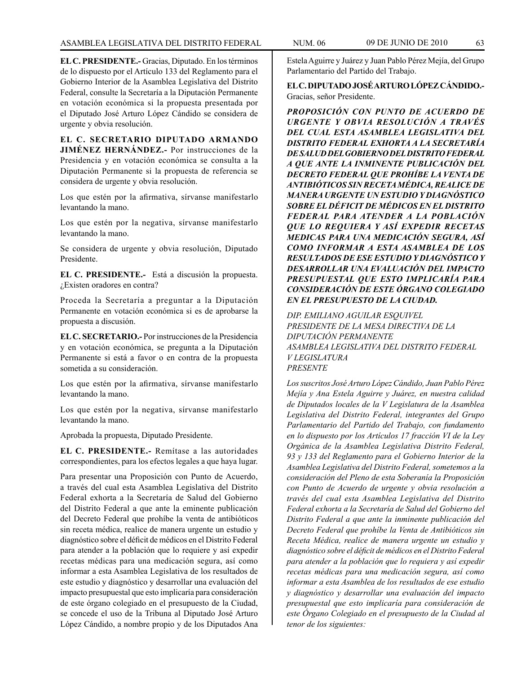**EL C. PRESIDENTE.-** Gracias, Diputado. En los términos de lo dispuesto por el Artículo 133 del Reglamento para el Gobierno Interior de la Asamblea Legislativa del Distrito Federal, consulte la Secretaría a la Diputación Permanente en votación económica si la propuesta presentada por el Diputado José Arturo López Cándido se considera de urgente y obvia resolución.

**EL C. SECRETARIO DIPUTADO ARMANDO JIMÉNEZ HERNÁNDEZ.-** Por instrucciones de la Presidencia y en votación económica se consulta a la Diputación Permanente si la propuesta de referencia se considera de urgente y obvia resolución.

Los que estén por la afirmativa, sírvanse manifestarlo levantando la mano.

Los que estén por la negativa, sírvanse manifestarlo levantando la mano.

Se considera de urgente y obvia resolución, Diputado Presidente.

**EL C. PRESIDENTE.-** Está a discusión la propuesta. ¿Existen oradores en contra?

Proceda la Secretaría a preguntar a la Diputación Permanente en votación económica si es de aprobarse la propuesta a discusión.

**EL C. SECRETARIO.-** Por instrucciones de la Presidencia y en votación económica, se pregunta a la Diputación Permanente si está a favor o en contra de la propuesta sometida a su consideración.

Los que estén por la afirmativa, sírvanse manifestarlo levantando la mano.

Los que estén por la negativa, sírvanse manifestarlo levantando la mano.

Aprobada la propuesta, Diputado Presidente.

**EL C. PRESIDENTE.-** Remítase a las autoridades correspondientes, para los efectos legales a que haya lugar.

Para presentar una Proposición con Punto de Acuerdo, a través del cual esta Asamblea Legislativa del Distrito Federal exhorta a la Secretaría de Salud del Gobierno del Distrito Federal a que ante la eminente publicación del Decreto Federal que prohíbe la venta de antibióticos sin receta médica, realice de manera urgente un estudio y diagnóstico sobre el déficit de médicos en el Distrito Federal para atender a la población que lo requiere y así expedir recetas médicas para una medicación segura, así como informar a esta Asamblea Legislativa de los resultados de este estudio y diagnóstico y desarrollar una evaluación del impacto presupuestal que esto implicaría para consideración de este órgano colegiado en el presupuesto de la Ciudad, se concede el uso de la Tribuna al Diputado José Arturo López Cándido, a nombre propio y de los Diputados Ana

Estela Aguirre y Juárez y Juan Pablo Pérez Mejía, del Grupo Parlamentario del Partido del Trabajo.

**EL C. DIPUTADO JOSÉ ARTURO LÓPEZ CÁNDIDO.-** Gracias, señor Presidente.

*PROPOSICIÓN CON PUNTO DE ACUERDO DE URGENTE Y OBVIA RESOLUCIÓN A TRAVÉS DEL CUAL ESTA ASAMBLEA LEGISLATIVA DEL DISTRITO FEDERAL EXHORTA A LA SECRETARÍA DE SALUD DEL GOBIERNO DEL DISTRITO FEDERAL A QUE ANTE LA INMINENTE PUBLICACIÓN DEL DECRETO FEDERAL QUE PROHÍBE LA VENTA DE ANTIBIÓTICOS SIN RECETA MÉDICA, REALICE DE MANERA URGENTE UN ESTUDIO Y DIAGNÓSTICO SOBRE EL DÉFICIT DE MÉDICOS EN EL DISTRITO FEDERAL PARA ATENDER A LA POBLACIÓN QUE LO REQUIERA Y ASÍ EXPEDIR RECETAS MEDICAS PARA UNA MEDICACIÓN SEGURA, ASÍ COMO INFORMAR A ESTA ASAMBLEA DE LOS RESULTADOS DE ESE ESTUDIO Y DIAGNÓSTICO Y DESARROLLAR UNA EVALUACIÓN DEL IMPACTO PRESUPUESTAL QUE ESTO IMPLICARÍA PARA CONSIDERACIÓN DE ESTE ÓRGANO COLEGIADO EN EL PRESUPUESTO DE LA CIUDAD.*

*DIP. EMILIANO AGUILAR ESQUIVEL PRESIDENTE DE LA MESA DIRECTIVA DE LA DIPUTACIÓN PERMANENTE ASAMBLEA LEGISLATIVA DEL DISTRITO FEDERAL V LEGISLATURA PRESENTE*

*Los suscritos José Arturo López Cándido, Juan Pablo Pérez Mejía y Ana Estela Aguirre y Juárez, en nuestra calidad de Diputados locales de la V Legislatura de la Asamblea Legislativa del Distrito Federal, integrantes del Grupo Parlamentario del Partido del Trabajo, con fundamento en lo dispuesto por los Artículos 17 fracción VI de la Ley Orgánica de la Asamblea Legislativa Distrito Federal, 93 y 133 del Reglamento para el Gobierno Interior de la Asamblea Legislativa del Distrito Federal, sometemos a la consideración del Pleno de esta Soberanía la Proposición con Punto de Acuerdo de urgente y obvia resolución a través del cual esta Asamblea Legislativa del Distrito Federal exhorta a la Secretaría de Salud del Gobierno del Distrito Federal a que ante la inminente publicación del Decreto Federal que prohíbe la Venta de Antibióticos sin Receta Médica, realice de manera urgente un estudio y diagnóstico sobre el déficit de médicos en el Distrito Federal para atender a la población que lo requiera y así expedir recetas médicas para una medicación segura, así como informar a esta Asamblea de los resultados de ese estudio y diagnóstico y desarrollar una evaluación del impacto presupuestal que esto implicaría para consideración de este Órgano Colegiado en el presupuesto de la Ciudad al tenor de los siguientes:*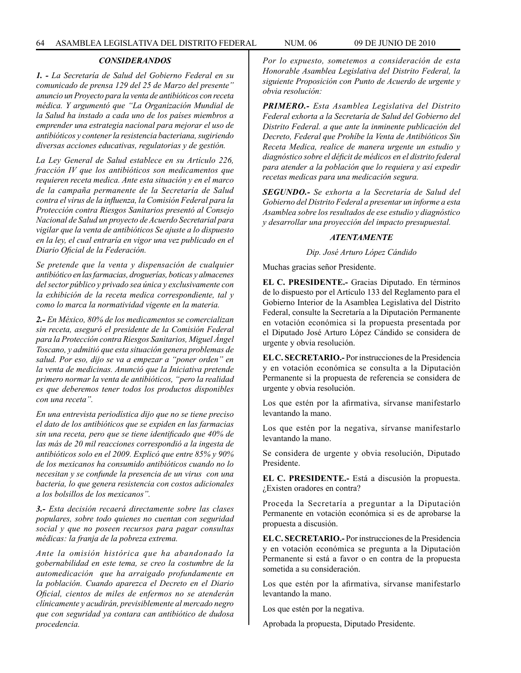# *CONSIDERANDOS*

*1. - La Secretaría de Salud del Gobierno Federal en su comunicado de prensa 129 del 25 de Marzo del presente" anuncio un Proyecto para la venta de antibióticos con receta médica. Y argumentó que "La Organización Mundial de la Salud ha instado a cada uno de los países miembros a emprender una estrategia nacional para mejorar el uso de antibióticos y contener la resistencia bacteriana, sugiriendo diversas acciones educativas, regulatorias y de gestión.* 

*La Ley General de Salud establece en su Artículo 226, fracción IV que los antibióticos son medicamentos que requieren receta medica. Ante esta situación y en el marco de la campaña permanente de la Secretaría de Salud contra el virus de la influenza, la Comisión Federal para la Protección contra Riesgos Sanitarios presentó al Consejo Nacional de Salud un proyecto de Acuerdo Secretarial para vigilar que la venta de antibióticos Se ajuste a lo dispuesto en la ley, el cual entraría en vigor una vez publicado en el Diario Oficial de la Federación.*

*Se pretende que la venta y dispensación de cualquier antibiótico en las farmacias, droguerías, boticas y almacenes del sector público y privado sea única y exclusivamente con la exhibición de la receta medica correspondiente, tal y como lo marca la normatividad vigente en la materia.*

*2.- En México, 80% de los medicamentos se comercializan sin receta, aseguró el presidente de la Comisión Federal para la Protección contra Riesgos Sanitarios, Miguel Ángel Toscano, y admitió que esta situación genera problemas de salud. Por eso, dijo se va a empezar a "poner orden" en la venta de medicinas. Anunció que la Iniciativa pretende primero normar la venta de antibióticos, "pero la realidad es que deberemos tener todos los productos disponibles con una receta".*

*En una entrevista periodística dijo que no se tiene preciso el dato de los antibióticos que se expiden en las farmacias sin una receta, pero que se tiene identificado que 40% de las más de 20 mil reacciones correspondió a la ingesta de antibióticos solo en el 2009. Explicó que entre 85% y 90% de los mexicanos ha consumido antibióticos cuando no lo necesitan y se confunde la presencia de un virus con una bacteria, lo que genera resistencia con costos adicionales a los bolsillos de los mexicanos".*

*3.- Esta decisión recaerá directamente sobre las clases populares, sobre todo quienes no cuentan con seguridad social y que no poseen recursos para pagar consultas médicas: la franja de la pobreza extrema.*

*Ante la omisión histórica que ha abandonado la gobernabilidad en este tema, se creo la costumbre de la automedicación que ha arraigado profundamente en la población. Cuando aparezca el Decreto en el Diario Oficial, cientos de miles de enfermos no se atenderán clínicamente y acudirán, previsiblemente al mercado negro que con seguridad ya contara can antibiótico de dudosa procedencia.*

*Por lo expuesto, sometemos a consideración de esta Honorable Asamblea Legislativa del Distrito Federal, la siguiente Proposición con Punto de Acuerdo de urgente y obvia resolución:* 

*PRIMERO.- Esta Asamblea Legislativa del Distrito Federal exhorta a la Secretaría de Salud del Gobierno del Distrito Federal. a que ante la inminente publicación del Decreto, Federal que Prohíbe la Venta de Antibióticos Sin Receta Medica, realice de manera urgente un estudio y diagnóstico sobre el déficit de médicos en el distrito federal para atender a la población que lo requiera y así expedir recetas medicas para una medicación segura.*

*SEGUNDO.- Se exhorta a la Secretaría de Salud del Gobierno del Distrito Federal a presentar un informe a esta Asamblea sobre los resultados de ese estudio y diagnóstico y desarrollar una proyección del impacto presupuestal.*

### *ATENTAMENTE*

### *Dip. José Arturo López Cándido*

Muchas gracias señor Presidente.

**EL C. PRESIDENTE.-** Gracias Diputado. En términos de lo dispuesto por el Artículo 133 del Reglamento para el Gobierno Interior de la Asamblea Legislativa del Distrito Federal, consulte la Secretaría a la Diputación Permanente en votación económica si la propuesta presentada por el Diputado José Arturo López Cándido se considera de urgente y obvia resolución.

**EL C. SECRETARIO.-** Por instrucciones de la Presidencia y en votación económica se consulta a la Diputación Permanente si la propuesta de referencia se considera de urgente y obvia resolución.

Los que estén por la afirmativa, sírvanse manifestarlo levantando la mano.

Los que estén por la negativa, sírvanse manifestarlo levantando la mano.

Se considera de urgente y obvia resolución, Diputado Presidente.

**EL C. PRESIDENTE.-** Está a discusión la propuesta. ¿Existen oradores en contra?

Proceda la Secretaría a preguntar a la Diputación Permanente en votación económica si es de aprobarse la propuesta a discusión.

**EL C. SECRETARIO.-** Por instrucciones de la Presidencia y en votación económica se pregunta a la Diputación Permanente si está a favor o en contra de la propuesta sometida a su consideración.

Los que estén por la afirmativa, sírvanse manifestarlo levantando la mano.

Los que estén por la negativa.

Aprobada la propuesta, Diputado Presidente.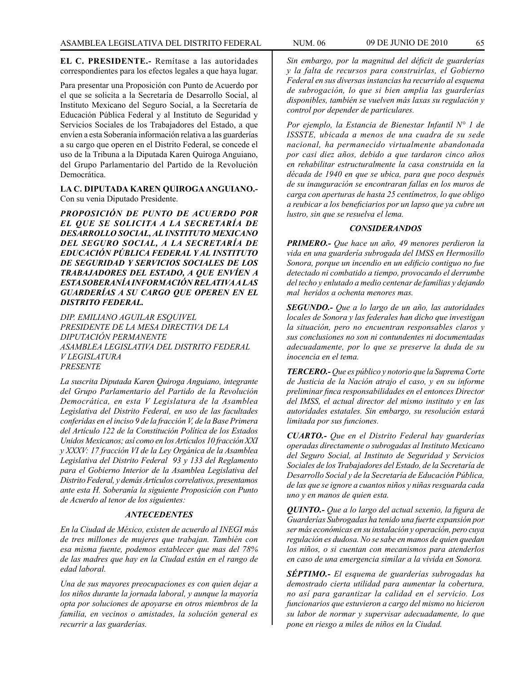**EL C. PRESIDENTE.-** Remítase a las autoridades correspondientes para los efectos legales a que haya lugar.

Para presentar una Proposición con Punto de Acuerdo por el que se solicita a la Secretaría de Desarrollo Social, al Instituto Mexicano del Seguro Social, a la Secretaría de Educación Pública Federal y al Instituto de Seguridad y Servicios Sociales de los Trabajadores del Estado, a que envíen a esta Soberanía información relativa a las guarderías a su cargo que operen en el Distrito Federal, se concede el uso de la Tribuna a la Diputada Karen Quiroga Anguiano, del Grupo Parlamentario del Partido de la Revolución Democrática.

**LA C. DIPUTADA KAREN QUIROGA ANGUIANO.-** Con su venia Diputado Presidente.

*PROPOSICIÓN DE PUNTO DE ACUERDO POR EL QUE SE SOLICITA A LA SECRETARÍA DE DESARROLLO SOCIAL, AL INSTITUTO MEXICANO DEL SEGURO SOCIAL, A LA SECRETARÍA DE EDUCACIÓN PÚBLICA FEDERAL Y AL INSTITUTO DE SEGURIDAD Y SERVICIOS SOCIALES DE LOS TRABAJADORES DEL ESTADO, A QUE ENVÍEN A ESTA SOBERANÍA INFORMACIÓN RELATIVA A LAS GUARDERÍAS A SU CARGO QUE OPEREN EN EL DISTRITO FEDERAL.*

*DIP. EMILIANO AGUILAR ESQUIVEL PRESIDENTE DE LA MESA DIRECTIVA DE LA DIPUTACIÓN PERMANENTE ASAMBLEA LEGISLATIVA DEL DISTRITO FEDERAL V LEGISLATURA PRESENTE*

*La suscrita Diputada Karen Quiroga Anguiano, integrante del Grupo Parlamentario del Partido de la Revolución Democrática, en esta V Legislatura de la Asamblea Legislativa del Distrito Federal, en uso de las facultades conferidas en el inciso 9 de la fracción V, de la Base Primera del Artículo 122 de la Constitución Política de los Estados Unidos Mexicanos; así como en los Artículos 10 fracción XXI y XXXV: 17 fracción VI de la Ley Orgánica de la Asamblea Legislativa del Distrito Federal 93 y 133 del Reglamento para el Gobierno Interior de la Asamblea Legislativa del Distrito Federal, y demás Artículos correlativos, presentamos ante esta H. Soberanía la siguiente Proposición con Punto de Acuerdo al tenor de los siguientes:*

# *ANTECEDENTES*

*En la Ciudad de México, existen de acuerdo al INEGI más de tres millones de mujeres que trabajan. También con esa misma fuente, podemos establecer que mas del 78% de las madres que hay en la Ciudad están en el rango de edad laboral.*

*Una de sus mayores preocupaciones es con quien dejar a los niños durante la jornada laboral, y aunque la mayoría opta por soluciones de apoyarse en otros miembros de la familia, en vecinos o amistades, la solución general es recurrir a las guarderías.*

*Sin embargo, por la magnitud del déficit de guarderías y la falta de recursos para construirlas, el Gobierno Federal en sus diversas instancias ha recurrido al esquema de subrogación, lo que si bien amplia las guarderías disponibles, también se vuelven más laxas su regulación y control por depender de particulares.*

*Por ejemplo, la Estancia de Bienestar Infantil N° 1 de ISSSTE, ubicada a menos de una cuadra de su sede nacional, ha permanecido virtualmente abandonada por casi diez años, debido a que tardaron cinco años en rehabilitar estructuralmente la casa construida en la década de 1940 en que se ubica, para que poco después de su inauguración se encontraran fallas en los muros de carga con aperturas de hasta 25 centímetros, lo que obligo a reubicar a los beneficiarios por un lapso que ya cubre un lustro, sin que se resuelva el lema.*

# *CONSIDERANDOS*

*PRIMERO.- Que hace un año, 49 menores perdieron la vida en una guardería subrogada del IMSS en Hermosillo Sonora, porque un incendio en un edificio contiguo no fue detectado ni combatido a tiempo, provocando el derrumbe del techo y enlutado a medio centenar de familias y dejando mal heridos a ochenta menores mas.*

*SEGUNDO.- Que a lo largo de un año, las autoridades locales de Sonora y las federales han dicho que investigan la situación, pero no encuentran responsables claros y sus conclusiones no son ni contundentes ni documentadas adecuadamente, por lo que se preserve la duda de su inocencia en el tema.*

*TERCERO.- Que es público y notorio que la Suprema Corte de Justicia de la Nación atrajo el caso, y en su informe preliminar finca responsabilidades en el entonces Director del IMSS, el actual director del mismo instituto y en las autoridades estatales. Sin embargo, su resolución estará limitada por sus funciones.*

*CUARTO.- Que en el Distrito Federal hay guarderías operadas directamente o subrogadas al Instituto Mexicano del Seguro Social, al Instituto de Seguridad y Servicios Sociales de los Trabajadores del Estado, de la Secretaría de Desarrollo Social y de la Secretaría de Educación Pública, de las que se ignore a cuantos niños y niñas resguarda cada uno y en manos de quien esta.* 

*QUINTO.- Que a lo largo del actual sexenio, la figura de Guarderías Subrogadas ha tenido una fuerte expansión por ser más económicas en su instalación y operación, pero cuya regulación es dudosa. No se sabe en manos de quien quedan los niños, o si cuentan con mecanismos para atenderlos en caso de una emergencia similar a la vivida en Sonora.*

*SÉPTIMO.- El esquema de guarderías subrogadas ha demostrado cierta utilidad para aumentar la cobertura, no así para garantizar la calidad en el servicio. Los funcionarios que estuvieron a cargo del mismo no hicieron su labor de normar y supervisar adecuadamente, lo que pone en riesgo a miles de niños en la Ciudad.*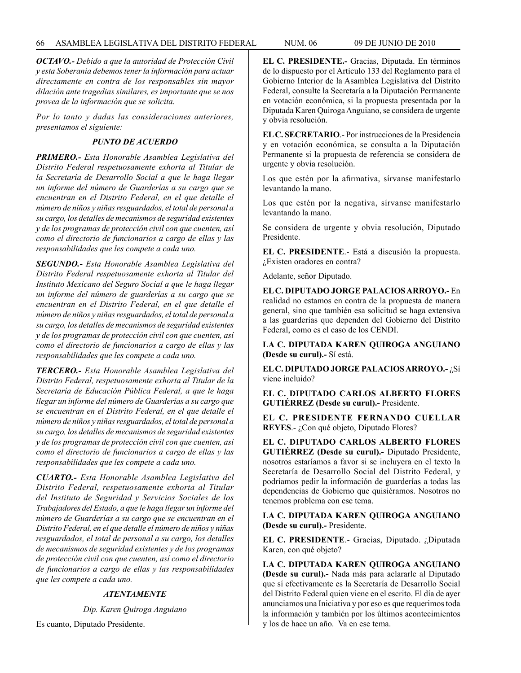*OCTAVO.- Debido a que la autoridad de Protección Civil y esta Soberanía debemos tener la información para actuar directamente en contra de los responsables sin mayor dilación ante tragedias similares, es importante que se nos provea de la información que se solicita.*

*Por lo tanto y dadas las consideraciones anteriores, presentamos el siguiente:*

# *PUNTO DE ACUERDO*

*PRIMERO.- Esta Honorable Asamblea Legislativa del Distrito Federal respetuosamente exhorta al Titular de la Secretaría de Desarrollo Social a que le haga llegar un informe del número de Guarderías a su cargo que se encuentran en el Distrito Federal, en el que detalle el número de niños y niñas resguardados, el total de personal a su cargo, los detalles de mecanismos de seguridad existentes y de los programas de protección civil con que cuenten, así como el directorio de funcionarios a cargo de ellas y las responsabilidades que les compete a cada uno.*

*SEGUNDO.- Esta Honorable Asamblea Legislativa del Distrito Federal respetuosamente exhorta al Titular del Instituto Mexicano del Seguro Social a que le haga llegar un informe del número de guarderías a su cargo que se encuentran en el Distrito Federal, en el que detalle el número de niños y niñas resguardados, el total de personal a su cargo, los detalles de mecanismos de seguridad existentes y de los programas de protección civil con que cuenten, así como el directorio de funcionarios a cargo de ellas y las responsabilidades que les compete a cada uno.*

*TERCERO.- Esta Honorable Asamblea Legislativa del Distrito Federal, respetuosamente exhorta al Titular de la Secretaría de Educación Pública Federal, a que le haga llegar un informe del número de Guarderías a su cargo que se encuentran en el Distrito Federal, en el que detalle el número de niños y niñas resguardados, el total de personal a su cargo, los detalles de mecanismos de seguridad existentes y de los programas de protección civil con que cuenten, así como el directorio de funcionarios a cargo de ellas y las responsabilidades que les compete a cada uno.*

*CUARTO.- Esta Honorable Asamblea Legislativa del Distrito Federal, respetuosamente exhorta al Titular del Instituto de Seguridad y Servicios Sociales de los Trabajadores del Estado, a que le haga llegar un informe del número de Guarderías a su cargo que se encuentran en el Distrito Federal, en el que detalle el número de niños y niñas resguardados, el total de personal a su cargo, los detalles de mecanismos de seguridad existentes y de los programas de protección civil con que cuenten, así como el directorio de funcionarios a cargo de ellas y las responsabilidades que les compete a cada uno.*

# *ATENTAMENTE*

*Dip. Karen Quiroga Anguiano*

Es cuanto, Diputado Presidente.

**EL C. PRESIDENTE.-** Gracias, Diputada. En términos de lo dispuesto por el Artículo 133 del Reglamento para el Gobierno Interior de la Asamblea Legislativa del Distrito Federal, consulte la Secretaría a la Diputación Permanente en votación económica, si la propuesta presentada por la Diputada Karen Quiroga Anguiano, se considera de urgente y obvia resolución.

**EL C. SECRETARIO**.- Por instrucciones de la Presidencia y en votación económica, se consulta a la Diputación Permanente si la propuesta de referencia se considera de urgente y obvia resolución.

Los que estén por la afirmativa, sírvanse manifestarlo levantando la mano.

Los que estén por la negativa, sírvanse manifestarlo levantando la mano.

Se considera de urgente y obvia resolución, Diputado Presidente.

**EL C. PRESIDENTE**.- Está a discusión la propuesta. ¿Existen oradores en contra?

Adelante, señor Diputado.

**EL C. DIPUTADO JORGE PALACIOS ARROYO.-** En realidad no estamos en contra de la propuesta de manera general, sino que también esa solicitud se haga extensiva a las guarderías que dependen del Gobierno del Distrito Federal, como es el caso de los CENDI.

**LA C. DIPUTADA KAREN QUIROGA ANGUIANO (Desde su curul).-** Sí está.

**EL C. DIPUTADO JORGE PALACIOS ARROYO.-** ¿Sí viene incluido?

**EL C. DIPUTADO CARLOS ALBERTO FLORES GUTIÉRREZ (Desde su curul).-** Presidente.

**EL C. PRESIDENTE FERNANDO CUELLAR REYES**.- ¿Con qué objeto, Diputado Flores?

**EL C. DIPUTADO CARLOS ALBERTO FLORES GUTIÉRREZ (Desde su curul).-** Diputado Presidente, nosotros estaríamos a favor si se incluyera en el texto la Secretaría de Desarrollo Social del Distrito Federal, y podríamos pedir la información de guarderías a todas las dependencias de Gobierno que quisiéramos. Nosotros no tenemos problema con ese tema.

**LA C. DIPUTADA KAREN QUIROGA ANGUIANO (Desde su curul).-** Presidente.

**EL C. PRESIDENTE**.- Gracias, Diputado. ¿Diputada Karen, con qué objeto?

**LA C. DIPUTADA KAREN QUIROGA ANGUIANO (Desde su curul).-** Nada más para aclararle al Diputado que sí efectivamente es la Secretaría de Desarrollo Social del Distrito Federal quien viene en el escrito. El día de ayer anunciamos una Iniciativa y por eso es que requerimos toda la información y también por los últimos acontecimientos y los de hace un año. Va en ese tema.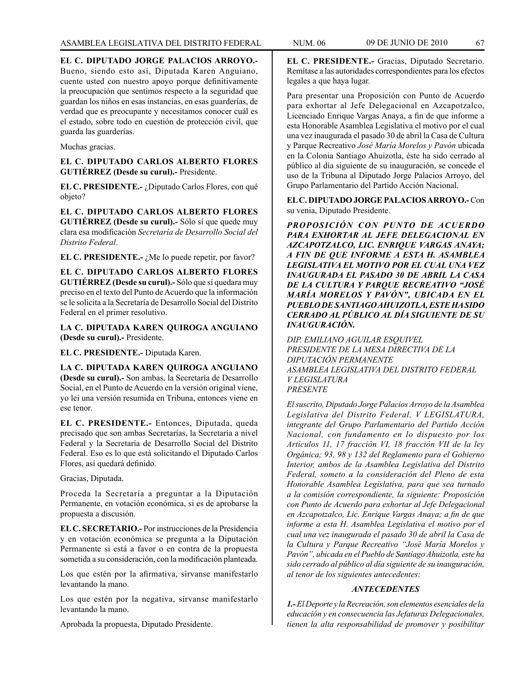**EL C. DIPUTADO JORGE PALACIOS ARROYO.-**  Bueno, siendo esto así, Diputada Karen Anguiano, cuente usted con nuestro apoyo porque definitivamente la preocupación que sentimos respecto a la seguridad que guardan los niños en esas instancias, en esas guarderías, de verdad que es preocupante y necesitamos conocer cuál es el estado, sobre todo en cuestión de protección civil, que guarda las guarderías.

# Muchas gracias.

**EL C. DIPUTADO CARLOS ALBERTO FLORES GUTIÉRREZ (Desde su curul).-** Presidente.

**EL C. PRESIDENTE.-** ¿Diputado Carlos Flores, con qué objeto?

**EL C. DIPUTADO CARLOS ALBERTO FLORES GUTIÉRREZ (Desde su curul).-** Sólo sí que quede muy clara esa modificación *Secretaría de Desarrollo Social del Distrito Federal*.

EL C. PRESIDENTE.- ¿Me lo puede repetir, por favor?

**EL C. DIPUTADO CARLOS ALBERTO FLORES GUTIÉRREZ (Desde su curul).-** Sólo que sí quedara muy preciso en el texto del Punto de Acuerdo que la información se le solicita a la Secretaría de Desarrollo Social del Distrito Federal en el primer resolutivo.

**LA C. DIPUTADA KAREN QUIROGA ANGUIANO (Desde su curul).-** Presidente.

**EL C. PRESIDENTE.-** Diputada Karen.

**LA C. DIPUTADA KAREN QUIROGA ANGUIANO (Desde su curul).-** Son ambas, la Secretaría de Desarrollo Social, en el Punto de Acuerdo en la versión original viene, yo leí una versión resumida en Tribuna, entonces viene en ese tenor.

**EL C. PRESIDENTE.-** Entonces, Diputada, queda precisado que son ambas Secretarías, la Secretaría a nivel Federal y la Secretaría de Desarrollo Social del Distrito Federal. Eso es lo que está solicitando el Diputado Carlos Flores, así quedará definido.

Gracias, Diputada.

Proceda la Secretaría a preguntar a la Diputación Permanente, en votación económica, si es de aprobarse la propuesta a discusión.

**EL C. SECRETARIO.-** Por instrucciones de la Presidencia y en votación económica se pregunta a la Diputación Permanente si está a favor o en contra de la propuesta sometida a su consideración, con la modificación planteada.

Los que estén por la afirmativa, sírvanse manifestarlo levantando la mano.

Los que estén por la negativa, sírvanse manifestarlo levantando la mano.

Aprobada la propuesta, Diputado Presidente.

Para presentar una Proposición con Punto de Acuerdo para exhortar al Jefe Delegacional en Azcapotzalco, Licenciado Enrique Vargas Anaya, a fin de que informe a esta Honorable Asamblea Legislativa el motivo por el cual una vez inaugurada el pasado 30 de abril la Casa de Cultura y Parque Recreativo *José María Morelos y Pavón* ubicada en la Colonia Santiago Ahuizotla, éste ha sido cerrado al público al día siguiente de su inauguración, se concede el uso de la Tribuna al Diputado Jorge Palacios Arroyo, del Grupo Parlamentario del Partido Acción Nacional.

**EL C. DIPUTADO JORGE PALACIOS ARROYO.-** Con su venia, Diputado Presidente.

*PROPOSICIÓN CON PUNTO DE ACUERDO PARA EXHORTAR AL JEFE DELEGACIONAL EN AZCAPOTZALCO, LIC. ENRIQUE VARGAS ANAYA; A FIN DE QUE INFORME A ESTA H. ASAMBLEA LEGISLATIVA EL MOTIVO POR EL CUAL UNA VEZ INAUGURADA EL PASADO 30 DE ABRIL LA CASA DE LA CULTURA Y PARQUE RECREATIVO "JOSÉ MARÍA MORELOS Y PAVÓN", UBICADA EN EL PUEBLO DE SANTIAGO AHUIZOTLA, ESTE HA SIDO CERRADO AL PÚBLICO AL DÍA SIGUIENTE DE SU INAUGURACIÓN.*

*DIP. EMILIANO AGUILAR ESQUIVEL PRESIDENTE DE LA MESA DIRECTIVA DE LA DIPUTACIÓN PERMANENTE ASAMBLEA LEGISLATIVA DEL DISTRITO FEDERAL V LEGISLATURA PRESENTE*

*El suscrito, Diputado Jorge Palacios Arroyo de la Asamblea Legislativa del Distrito Federal, V LEGISLATURA, integrante del Grupo Parlamentario del Partido Acción Nacional, con fundamento en lo dispuesto por los Artículos 11, 17 fracción VI, 18 fracción VII de la ley Orgánica; 93, 98 y 132 del Reglamento para el Gobierno Interior, ambos de la Asamblea Legislativa del Distrito Federal, someto a la consideración del Pleno de esta Honorable Asamblea Legislativa, para que sea turnado a la comisión correspondiente, la siguiente: Proposición con Punto de Acuerdo para exhortar al Jefe Delegacional en Azcapotzalco, Lic. Enrique Vargas Anaya; a fin de que informe a esta H. Asamblea Legislativa el motivo por el cual una vez inaugurada el pasado 30 de abril la Casa de la Cultura y Parque Recreativo "José María Morelos y Pavón", ubicada en el Pueblo de Santiago Ahuizotla, este ha sido cerrado al público al día siguiente de su inauguración, al tenor de los siguientes antecedentes:*

# *ANTECEDENTES*

*1.- El Deporte y la Recreación, son elementos esenciales de la educación y en consecuencia las Jefaturas Delegacionales, tienen la alta responsabilidad de promover y posibilitar*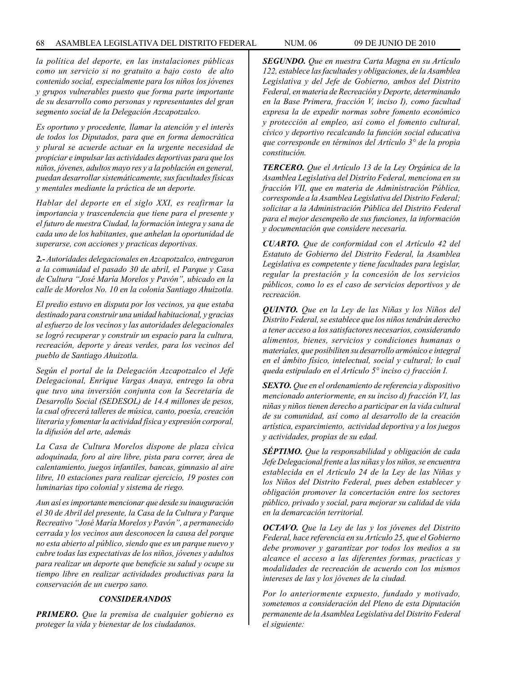*la política del deporte, en las instalaciones públicas como un servicio si no gratuito a bajo costo de alto contenido social, especialmente para los niños los jóvenes y grupos vulnerables puesto que forma parte importante de su desarrollo como personas y representantes del gran segmento social de la Delegación Azcapotzalco.*

*Es oportuno y procedente, llamar la atención y el interés de todos los Diputados, para que en forma democrática y plural se acuerde actuar en la urgente necesidad de propiciar e impulsar las actividades deportivas para que los niños, jóvenes, adultos mayo res y a la población en general, puedan desarrollar sistemáticamente, sus facultades físicas y mentales mediante la práctica de un deporte.* 

*Hablar del deporte en el siglo XXI, es reafirmar la importancia y trascendencia que tiene para el presente y el futuro de nuestra Ciudad, la formación integra y sana de cada uno de los habitantes, que anhelan la oportunidad de superarse, con acciones y practicas deportivas.*

*2.- Autoridades delegacionales en Azcapotzalco, entregaron a la comunidad el pasado 30 de abril, el Parque y Casa de Cultura "José María Morelos y Pavón", ubicado en la calle de Morelos No. 10 en la colonia Santiago Ahuizotla.*

*El predio estuvo en disputa por los vecinos, ya que estaba destinado para construir una unidad habitacional, y gracias al esfuerzo de los vecinos y las autoridades delegacionales se logró recuperar y construir un espacio para la cultura, recreación, deporte y áreas verdes, para los vecinos del pueblo de Santiago Ahuizotla.*

*Según el portal de la Delegación Azcapotzalco el Jefe Delegacional, Enrique Vargas Anaya, entrego la obra que tuvo una inversión conjunta con la Secretaría de Desarrollo Social (SEDESOL) de 14.4 millones de pesos, la cual ofrecerá talleres de música, canto, poesía, creación literaria y fomentar la actividad física y expresión corporal, la difusión del arte, además*

*La Casa de Cultura Morelos dispone de plaza cívica adoquinada, foro al aire libre, pista para correr, área de calentamiento, juegos infantiles, bancas, gimnasio al aire libre, 10 estaciones para realizar ejercicio, 19 postes con luminarias tipo colonial y sistema de riego.*

*Aun así es importante mencionar que desde su inauguración el 30 de Abril del presente, la Casa de la Cultura y Parque Recreativo "José María Morelos y Pavón", a permanecido cerrada y los vecinos aun desconocen la causa del porque no esta abierto al público, siendo que es un parque nuevo y cubre todas las expectativas de los niños, jóvenes y adultos para realizar un deporte que beneficie su salud y ocupe su tiempo libre en realizar actividades productivas para la conservación de un cuerpo sano.*

### *CONSIDERANDOS*

*PRIMERO. Que la premisa de cualquier gobierno es proteger la vida y bienestar de los ciudadanos.*

*SEGUNDO. Que en nuestra Carta Magna en su Artículo 122, establece las facultades y obligaciones, de la Asamblea Legislativa y del Jefe de Gobierno, ambos del Distrito Federal, en materia de Recreación y Deporte, determinando en la Base Primera, fracción V, inciso I), como facultad expresa la de expedir normas sobre fomento económico y protección al empleo, así como el fomento cultural, cívico y deportivo recalcando la función social educativa que corresponde en términos del Artículo 3° de la propia constitución.*

*TERCERO. Que el Artículo 13 de la Ley Orgánica de la Asamblea Legislativa del Distrito Federal, menciona en su fracción VII, que en materia de Administración Pública, corresponde a la Asamblea Legislativa del Distrito Federal; solicitar a la Administración Pública del Distrito Federal para el mejor desempeño de sus funciones, la información y documentación que considere necesaria.*

*CUARTO. Que de conformidad con el Artículo 42 del Estatuto de Gobierno del Distrito Federal, la Asamblea Legislativa es competente y tiene facultades para legislar, regular la prestación y la concesión de los servicios públicos, como lo es el caso de servicios deportivos y de recreación.*

*QUINTO. Que en la Ley de las Niñas y los Niños del Distrito Federal, se establece que los niños tendrán derecho a tener acceso a los satisfactores necesarios, considerando alimentos, bienes, servicios y condiciones humanas o materiales, que posibiliten su desarrollo armónico e integral en el ámbito físico, intelectual, social y cultural; lo cual queda estipulado en el Artículo 5° inciso c) fracción I.*

*SEXTO. Que en el ordenamiento de referencia y dispositivo mencionado anteriormente, en su inciso d) fracción VI, las niñas y niños tienen derecho a participar en la vida cultural de su comunidad, así como al desarrollo de la creación artística, esparcimiento, actividad deportiva y a los juegos y actividades, propias de su edad.*

*SÉPTIMO. Que la responsabilidad y obligación de cada Jefe Delegacional frente a las niñas y los niños, se encuentra establecida en el Artículo 24 de la Ley de las Niñas y los Niños del Distrito Federal, pues deben establecer y obligación promover la concertación entre los sectores público, privado y social, para mejorar su calidad de vida en la demarcación territorial.*

*OCTAVO. Que la Ley de las y los jóvenes del Distrito Federal, hace referencia en su Artículo 25, que el Gobierno debe promover y garantizar por todos los medios a su alcance el acceso a las diferentes formas, practicas y modalidades de recreación de acuerdo con los mismos intereses de las y los jóvenes de la ciudad.*

*Por lo anteriormente expuesto, fundado y motivado, sometemos a consideración del Pleno de esta Diputación permanente de la Asamblea Legislativa del Distrito Federal el siguiente:*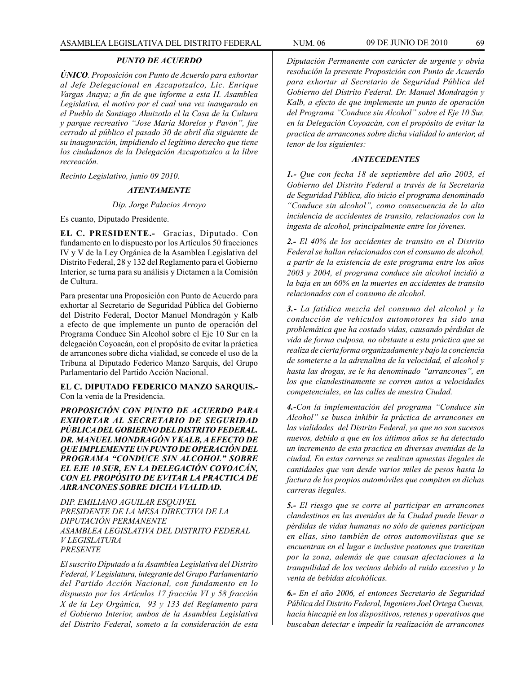# *PUNTO DE ACUERDO*

*ÚNICO. Proposición con Punto de Acuerdo para exhortar al Jefe Delegacional en Azcapotzalco, Lic. Enrique Vargas Anaya; a fin de que informe a esta H. Asamblea Legislativa, el motivo por el cual una vez inaugurado en el Pueblo de Santiago Ahuizotla el la Casa de la Cultura y parque recreativo "Jose María Morelos y Pavón", fue cerrado al público el pasado 30 de abril día siguiente de su inauguración, impidiendo el legítimo derecho que tiene los ciudadanos de la Delegación Azcapotzalco a la libre recreación.* 

*Recinto Legislativo, junio 09 2010.*

#### *ATENTAMENTE*

# *Dip. Jorge Palacios Arroyo*

Es cuanto, Diputado Presidente.

**EL C. PRESIDENTE.-** Gracias, Diputado. Con fundamento en lo dispuesto por los Artículos 50 fracciones IV y V de la Ley Orgánica de la Asamblea Legislativa del Distrito Federal, 28 y 132 del Reglamento para el Gobierno Interior, se turna para su análisis y Dictamen a la Comisión de Cultura.

Para presentar una Proposición con Punto de Acuerdo para exhortar al Secretario de Seguridad Pública del Gobierno del Distrito Federal, Doctor Manuel Mondragón y Kalb a efecto de que implemente un punto de operación del Programa Conduce Sin Alcohol sobre el Eje 10 Sur en la delegación Coyoacán, con el propósito de evitar la práctica de arrancones sobre dicha vialidad, se concede el uso de la Tribuna al Diputado Federico Manzo Sarquis, del Grupo Parlamentario del Partido Acción Nacional.

#### **EL C. DIPUTADO FEDERICO MANZO SARQUIS.-**  Con la venia de la Presidencia.

*PROPOSICIÓN CON PUNTO DE ACUERDO PARA EXHORTAR AL SECRETARIO DE SEGURIDAD PÚBLICA DEL GOBIERNO DEL DISTRITO FEDERAL. DR. MANUEL MONDRAGÓN Y KALB, A EFECTO DE QUE IMPLEMENTE UN PUNTO DE OPERACIÓN DEL PROGRAMA "CONDUCE SIN ALCOHOL" SOBRE EL EJE 10 SUR, EN LA DELEGACIÓN COYOACÁN, CON EL PROPÓSITO DE EVITAR LA PRACTICA DE ARRANCONES SOBRE DICHA VIALIDAD.*

*DIP. EMILIANO AGUILAR ESQUIVEL PRESIDENTE DE LA MESA DIRECTIVA DE LA DIPUTACIÓN PERMANENTE ASAMBLEA LEGISLATIVA DEL DISTRITO FEDERAL V LEGISLATURA PRESENTE*

*El suscrito Diputado a la Asamblea Legislativa del Distrito Federal, V Legislatura, integrante del Grupo Parlamentario del Partido Acción Nacional, con fundamento en lo dispuesto por los Artículos 17 fracción VI y 58 fracción X de la Ley Orgánica, 93 y 133 del Reglamento para el Gobierno Interior, ambos de la Asamblea Legislativa del Distrito Federal, someto a la consideración de esta* 

*Diputación Permanente con carácter de urgente y obvia resolución la presente Proposición con Punto de Acuerdo para exhortar al Secretario de Seguridad Pública del Gobierno del Distrito Federal. Dr. Manuel Mondragón y Kalb, a efecto de que implemente un punto de operación del Programa "Conduce sin Alcohol" sobre el Eje 10 Sur, en la Delegación Coyoacán, con el propósito de evitar la practica de arrancones sobre dicha vialidad lo anterior, al tenor de los siguientes:*

### *ANTECEDENTES*

*1.- Que con fecha 18 de septiembre del año 2003, el Gobierno del Distrito Federal a través de la Secretaría de Seguridad Pública, dio inicio el programa denominado "Conduce sin alcohol", como consecuencia de la alta incidencia de accidentes de transito, relacionados con la ingesta de alcohol, principalmente entre los jóvenes.*

*2.- El 40% de los accidentes de transito en el Distrito Federal se hallan relacionados con el consumo de alcohol, a partir de la existencia de este programa entre los años 2003 y 2004, el programa conduce sin alcohol incidió a la baja en un 60% en la muertes en accidentes de transito relacionados con el consumo de alcohol.*

*3.- La fatídica mezcla del consumo del alcohol y la conducción de vehículos automotores ha sido una problemática que ha costado vidas, causando pérdidas de vida de forma culposa, no obstante a esta práctica que se realiza de cierta forma organizadamente y bajo la conciencia de someterse a la adrenalina de la velocidad, el alcohol y hasta las drogas, se le ha denominado "arrancones", en los que clandestinamente se corren autos a velocidades competenciales, en las calles de nuestra Ciudad.*

*4.-Con la implementación del programa "Conduce sin Alcohol" se busca inhibir la práctica de arrancones en las vialidades del Distrito Federal, ya que no son sucesos nuevos, debido a que en los últimos años se ha detectado un incremento de esta practica en diversas avenidas de la ciudad. En estas carreras se realizan apuestas ilegales de cantidades que van desde varios miles de pesos hasta la factura de los propios automóviles que compiten en dichas carreras ilegales.*

*5.- El riesgo que se corre al participar en arrancones clandestinos en las avenidas de la Ciudad puede llevar a pérdidas de vidas humanas no sólo de quienes participan en ellas, sino también de otros automovilistas que se encuentran en el lugar e inclusive peatones que transitan por la zona, además de que causan afectaciones a la tranquilidad de los vecinos debido al ruido excesivo y la venta de bebidas alcohólicas.*

*6.- En el año 2006, el entonces Secretario de Seguridad Pública del Distrito Federal, Ingeniero Joel Ortega Cuevas, hacía hincapié en los dispositivos, retenes y operativos que buscaban detectar e impedir la realización de arrancones*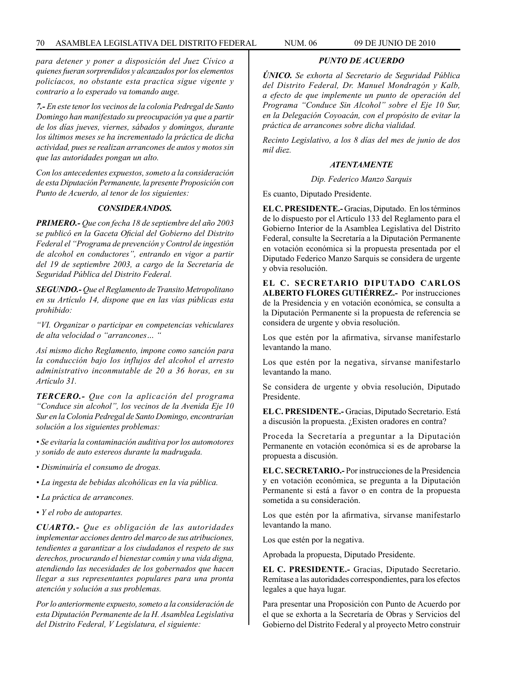*para detener y poner a disposición del Juez Cívico a quienes fueran sorprendidos y alcanzados por los elementos policíacos, no obstante esta practica sigue vigente y contrario a lo esperado va tomando auge.*

*7.- En este tenor los vecinos de la colonia Pedregal de Santo Domingo han manifestado su preocupación ya que a partir de los días jueves, viernes, sábados y domingos, durante los últimos meses se ha incrementado la práctica de dicha actividad, pues se realizan arrancones de autos y motos sin que las autoridades pongan un alto.*

*Con los antecedentes expuestos, someto a la consideración de esta Diputación Permanente, la presente Proposición con Punto de Acuerdo, al tenor de los siguientes:*

# *CONSIDERANDOS.*

*PRIMERO.- Que con fecha 18 de septiembre del año 2003 se publicó en la Gaceta Oficial del Gobierno del Distrito Federal el "Programa de prevención y Control de ingestión de alcohol en conductores", entrando en vigor a partir del 19 de septiembre 2003, a cargo de la Secretaría de Seguridad Pública del Distrito Federal.*

*SEGUNDO.- Que el Reglamento de Transito Metropolitano en su Artículo 14, dispone que en las vías públicas esta prohibido:*

*"VI. Organizar o participar en competencias vehiculares de alta velocidad o "arrancones… "*

*Así mismo dicho Reglamento, impone como sanción para la conducción bajo los influjos del alcohol el arresto administrativo inconmutable de 20 a 36 horas, en su Artículo 31.*

*TERCERO.- Que con la aplicación del programa "Conduce sin alcohol", los vecinos de la Avenida Eje 10 Sur en la Colonia Pedregal de Santo Domingo, encontrarían solución a los siguientes problemas:*

*• Se evitaría la contaminación auditiva por los automotores y sonido de auto estereos durante la madrugada.*

- *Disminuiría el consumo de drogas.*
- *La ingesta de bebidas alcohólicas en la vía pública.*
- *La práctica de arrancones.*

*• Y el robo de autopartes.*

*CUARTO.- Que es obligación de las autoridades implementar acciones dentro del marco de sus atribuciones, tendientes a garantizar a los ciudadanos el respeto de sus derechos, procurando el bienestar común y una vida digna, atendiendo las necesidades de los gobernados que hacen llegar a sus representantes populares para una pronta atención y solución a sus problemas.*

*Por lo anteriormente expuesto, someto a la consideración de esta Diputación Permanente de la H. Asamblea Legislativa del Distrito Federal, V Legislatura, el siguiente:*

*PUNTO DE ACUERDO*

*ÚNICO. Se exhorta al Secretario de Seguridad Pública del Distrito Federal, Dr. Manuel Mondragón y Kalb, a efecto de que implemente un punto de operación del Programa "Conduce Sin Alcohol" sobre el Eje 10 Sur, en la Delegación Coyoacán, con el propósito de evitar la práctica de arrancones sobre dicha vialidad.*

*Recinto Legislativo, a los 8 días del mes de junio de dos mil diez.*

# *ATENTAMENTE*

#### *Dip. Federico Manzo Sarquis*

Es cuanto, Diputado Presidente.

**EL C. PRESIDENTE.-** Gracias, Diputado. En los términos de lo dispuesto por el Artículo 133 del Reglamento para el Gobierno Interior de la Asamblea Legislativa del Distrito Federal, consulte la Secretaría a la Diputación Permanente en votación económica si la propuesta presentada por el Diputado Federico Manzo Sarquis se considera de urgente y obvia resolución.

**EL C. SECRETARIO DIPUTADO CARLOS ALBERTO FLORES GUTIÉRREZ.-** Por instrucciones de la Presidencia y en votación económica, se consulta a la Diputación Permanente si la propuesta de referencia se considera de urgente y obvia resolución.

Los que estén por la afirmativa, sírvanse manifestarlo levantando la mano.

Los que estén por la negativa, sírvanse manifestarlo levantando la mano.

Se considera de urgente y obvia resolución, Diputado Presidente.

**EL C. PRESIDENTE.-** Gracias, Diputado Secretario. Está a discusión la propuesta. ¿Existen oradores en contra?

Proceda la Secretaría a preguntar a la Diputación Permanente en votación económica si es de aprobarse la propuesta a discusión.

**EL C. SECRETARIO.-** Por instrucciones de la Presidencia y en votación económica, se pregunta a la Diputación Permanente si está a favor o en contra de la propuesta sometida a su consideración.

Los que estén por la afirmativa, sírvanse manifestarlo levantando la mano.

Los que estén por la negativa.

Aprobada la propuesta, Diputado Presidente.

**EL C. PRESIDENTE.-** Gracias, Diputado Secretario. Remítase a las autoridades correspondientes, para los efectos legales a que haya lugar.

Para presentar una Proposición con Punto de Acuerdo por el que se exhorta a la Secretaría de Obras y Servicios del Gobierno del Distrito Federal y al proyecto Metro construir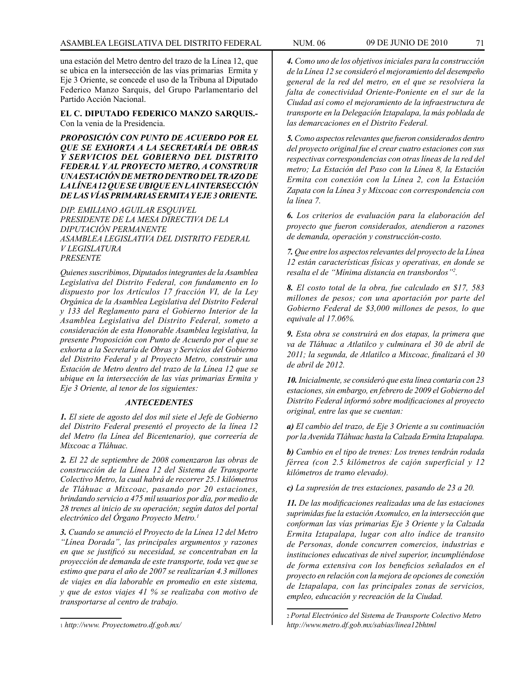una estación del Metro dentro del trazo de la Línea 12, que se ubica en la intersección de las vías primarias Ermita y Eje 3 Oriente, se concede el uso de la Tribuna al Diputado Federico Manzo Sarquis, del Grupo Parlamentario del Partido Acción Nacional.

### **EL C. DIPUTADO FEDERICO MANZO SARQUIS.-** Con la venia de la Presidencia.

*PROPOSICIÓN CON PUNTO DE ACUERDO POR EL QUE SE EXHORTA A LA SECRETARÍA DE OBRAS Y SERVICIOS DEL GOBIERNO DEL DISTRITO FEDERAL Y AL PROYECTO METRO, A CONSTRUIR UNA ESTACIÓN DE METRO DENTRO DEL TRAZO DE LA LÍNEA 12 QUE SE UBIQUE EN LA INTERSECCIÓN DE LAS VÍAS PRIMARIAS ERMITA Y EJE 3 ORIENTE.*

*DIP. EMILIANO AGUILAR ESQUIVEL PRESIDENTE DE LA MESA DIRECTIVA DE LA DIPUTACIÓN PERMANENTE ASAMBLEA LEGISLATIVA DEL DISTRITO FEDERAL V LEGISLATURA PRESENTE*

*Quienes suscribimos, Diputados integrantes de la Asamblea Legislativa del Distrito Federal, con fundamento en lo dispuesto por los Artículos 17 fracción VI, de la Ley Orgánica de la Asamblea Legislativa del Distrito Federal y 133 del Reglamento para el Gobierno Interior de la Asamblea Legislativa del Distrito Federal, someto a consideración de esta Honorable Asamblea legislativa, la presente Proposición con Punto de Acuerdo por el que se exhorta a la Secretaría de Obras y Servicios del Gobierno del Distrito Federal y al Proyecto Metro, construir una Estación de Metro dentro del trazo de la Línea 12 que se ubique en la intersección de las vías primarias Ermita y Eje 3 Oriente, al tenor de los siguientes:*

# *ANTECEDENTES*

*1. El siete de agosto del dos mil siete el Jefe de Gobierno del Distrito Federal presentó el proyecto de la línea 12 del Metro (la Línea del Bicentenario), que correería de Mixcoac a Tláhuac.*

*2. El 22 de septiembre de 2008 comenzaron las obras de construcción de la Línea 12 del Sistema de Transporte Colectivo Metro, la cual habrá de recorrer 25.1 kilómetros de Tláhuac a Mixcoac, pasando por 20 estaciones, brindando servicio a 475 mil usuarios por día, por medio de 28 trenes al inicio de su operación; según datos del portal electrónico del Órgano Proyecto Metro.1*

*3. Cuando se anunció el Proyecto de la Línea 12 del Metro "Línea Dorada", las principales argumentos y razones en que se justificó su necesidad, se concentraban en la proyección de demanda de este transporte, toda vez que se estimo que para el año de 2007 se realizarían 4.3 millones de viajes en día laborable en promedio en este sistema, y que de estos viajes 41 % se realizaba con motivo de transportarse al centro de trabajo.*

<sup>1</sup> *http://www. Proyectometro.df.gob.mx/*

*4. Como uno de los objetivos iniciales para la construcción de la Línea 12 se consideró el mejoramiento del desempeño general de la red del metro, en el que se resolviera la falta de conectividad Oriente-Poniente en el sur de la Ciudad así como el mejoramiento de la infraestructura de transporte en la Delegación Iztapalapa, la más poblada de las demarcaciones en el Distrito Federal.*

*5. Como aspectos relevantes que fueron considerados dentro del proyecto original fue el crear cuatro estaciones con sus respectivas correspondencias con otras líneas de la red del metro; La Estación del Paso con la Línea 8, la Estación Ermita con conexión con la Línea 2, con la Estación Zapata con la Línea 3 y Mixcoac con correspondencia con la línea 7.*

*6. Los criterios de evaluación para la elaboración del proyecto que fueron considerados, atendieron a razones de demanda, operación y construcción-costo.* 

*7. Que entre los aspectos relevantes del proyecto de la Línea 12 están características físicas y operativas, en donde se resalta el de "Mínima distancia en transbordos"2 .*

*8. El costo total de la obra, fue calculado en \$17, 583 millones de pesos; con una aportación por parte del Gobierno Federal de \$3,000 millones de pesos, lo que equivale al 17.06%.*

*9. Esta obra se construirá en dos etapas, la primera que va de Tláhuac a Atlatilco y culminara el 30 de abril de 2011; la segunda, de Atlatilco a Mixcoac, finalizará el 30 de abril de 2012.*

*10. Inicialmente, se consideró que esta línea contaría con 23 estaciones, sin embargo, en febrero de 2009 el Gobierno del Distrito Federal informó sobre modificaciones al proyecto original, entre las que se cuentan:* 

*a) El cambio del trazo, de Eje 3 Oriente a su continuación por la Avenida TIáhuac hasta la Calzada Ermita Iztapalapa.*

*b) Cambio en el tipo de trenes: Los trenes tendrán rodada férrea (con 2.5 kilómetros de cajón superficial y 12 kilómetros de tramo elevado).* 

*c) La supresión de tres estaciones, pasando de 23 a 20.*

*11. De las modificaciones realizadas una de las estaciones suprimidas fue la estación Axomulco, en la intersección que conforman las vías primarias Eje 3 Oriente y la Calzada Ermita Iztapalapa, lugar con alto índice de transito de Personas, donde concurren comercios, industrias e instituciones educativas de nivel superior, incumpliéndose de forma extensiva con los beneficios señalados en el proyecto en relación con la mejora de opciones de conexión de Iztapalapa, con las principales zonas de servicios, empleo, educación y recreación de la Ciudad.*

<sup>2</sup> *Portal Electrónico del Sistema de Transporte Colectivo Metro http://www.metro.df.gob.mx/sabias/linea12bhtml*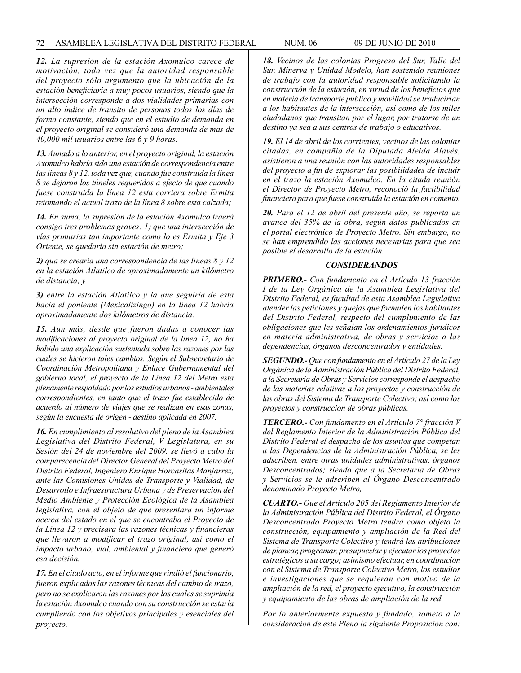*12. La supresión de la estación Axomulco carece de motivación, toda vez que la autoridad responsable del proyecto sólo argumento que la ubicación de la estación beneficiaria a muy pocos usuarios, siendo que la intersección corresponde a dos vialidades primarias con un alto índice de transito de personas todos los días de forma constante, siendo que en el estudio de demanda en el proyecto original se consideró una demanda de mas de 40,000 mil usuarios entre las 6 y 9 horas.*

*13. Aunado a lo anterior, en el proyecto original, la estación Axomulco habría sido una estación de correspondencia entre las líneas 8 y 12, toda vez que, cuando fue construida la línea 8 se dejaron los túneles requeridos a efecto de que cuando fuese construida la línea 12 esta corriera sobre Ermita retomando el actual trazo de la línea 8 sobre esta calzada;*

*14. En suma, la supresión de la estación Axomulco traerá consigo tres problemas graves: 1) que una intersección de vías primarias tan importante como lo es Ermita y Eje 3 Oriente, se quedaría sin estación de metro;*

*2) qua se crearía una correspondencia de las líneas 8 y 12 en la estación Atlatilco de aproximadamente un kilómetro de distancia, y* 

*3) entre la estación Atlatilco y la que seguiría de esta hacia el poniente (Mexicaltzingo) en la línea 12 habría aproximadamente dos kilómetros de distancia.*

*15. Aun más, desde que fueron dadas a conocer las modificaciones al proyecto original de la línea 12, no ha habido una explicación sustentada sobre las razones por las cuales se hicieron tales cambios. Según el Subsecretario de Coordinación Metropolitana y Enlace Gubernamental del gobierno local, el proyecto de la Línea 12 del Metro esta plenamente respaldado por los estudios urbanos - ambientales correspondientes, en tanto que el trazo fue establecido de acuerdo al número de viajes que se realizan en esas zonas, según la encuesta de origen - destino aplicada en 2007.*

*16. En cumplimiento al resolutivo del pleno de la Asamblea Legislativa del Distrito Federal, V Legislatura, en su Sesión del 24 de noviembre del 2009, se llevó a cabo la comparecencia del Director General del Proyecto Metro del Distrito Federal, Ingeniero Enrique Horcasitas Manjarrez, ante las Comisiones Unidas de Transporte y Vialidad, de Desarrollo e Infraestructura Urbana y de Preservación del Medio Ambiente y Protección Ecológica de la Asamblea legislativa, con el objeto de que presentara un informe acerca del estado en el que se encontraba el Proyecto de la Línea 12 y precisara las razones técnicas y financieras que llevaron a modificar el trazo original, así como el impacto urbano, vial, ambiental y financiero que generó esa decisión.*

*17. En el citado acto, en el informe que rindió el funcionario, fueron explicadas las razones técnicas del cambio de trazo, pero no se explicaron las razones por las cuales se suprimía la estación Axomulco cuando con su construcción se estaría cumpliendo con los objetivos principales y esenciales del proyecto.*

*18. Vecinos de las colonias Progreso del Sur, Valle del Sur, Minerva y Unidad Modelo, han sostenido reuniones de trabajo con la autoridad responsable solicitando la construcción de la estación, en virtud de los beneficios que en materia de transporte público y movilidad se traducirían a los habitantes de la intersección, así como de los miles ciudadanos que transitan por el lugar, por tratarse de un destino ya sea a sus centros de trabajo o educativos.*

*19. El 14 de abril de los corrientes, vecinos de las colonias citadas, en compañía de la Diputada Aleida Alavés, asistieron a una reunión con las autoridades responsables del proyecto a fin de explorar las posibilidades de incluir en el trazo la estación Axomulco. En la citada reunión el Director de Proyecto Metro, reconoció la factibilidad financiera para que fuese construida la estación en comento.*

*20. Para el 12 de abril del presente año, se reporta un avance del 35% de la obra, según datos publicados en el portal electrónico de Proyecto Metro. Sin embargo, no se han emprendido las acciones necesarias para que sea posible el desarrollo de la estación.*

### *CONSIDERANDOS*

*PRIMERO.- Con fundamento en el Artículo 13 fracción I de la Ley Orgánica de la Asamblea Legislativa del Distrito Federal, es facultad de esta Asamblea Legislativa atender las peticiones y quejas que formulen los habitantes del Distrito Federal, respecto del cumplimiento de las obligaciones que les señalan los ordenamientos jurídicos en materia administrativa, de obras y servicios a las dependencias, órganos desconcentrados y entidades.*

*SEGUNDO.- Que con fundamento en el Artículo 27 de la Ley Orgánica de la Administración Pública del Distrito Federal, a la Secretaría de Obras y Servicios corresponde el despacho de las materias relativas a los proyectos y construcción de las obras del Sistema de Transporte Colectivo; así como los proyectos y construcción de obras públicas.*

*TERCERO.- Con fundamento en el Artículo 7° fracción V del Reglamento Interior de la Administración Pública del Distrito Federal el despacho de los asuntos que competan a las Dependencias de la Administración Pública, se les adscriben, entre otras unidades administrativas, órganos Desconcentrados; siendo que a la Secretaría de Obras y Servicios se le adscriben al Órgano Desconcentrado denominado Proyecto Metro,*

*CUARTO.- Que el Artículo 205 del Reglamento Interior de la Administración Pública del Distrito Federal, el Órgano Desconcentrado Proyecto Metro tendrá como objeto la construcción, equipamiento y ampliación de la Red del Sistema de Transporte Colectivo y tendrá las atribuciones de planear, programar, presupuestar y ejecutar los proyectos estratégicos a su cargo; asimismo efectuar, en coordinación con el Sistema de Transporte Colectivo Metro, los estudios e investigaciones que se requieran con motivo de la ampliación de la red, el proyecto ejecutivo, la construcción y equipamiento de las obras de ampliación de la red.*

*Por lo anteriormente expuesto y fundado, someto a la consideración de este Pleno la siguiente Proposición con:*